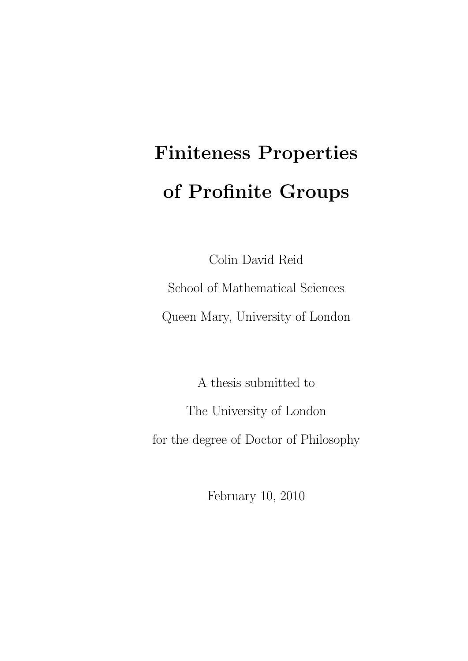# Finiteness Properties of Profinite Groups

Colin David Reid School of Mathematical Sciences Queen Mary, University of London

A thesis submitted to The University of London for the degree of Doctor of Philosophy

February 10, 2010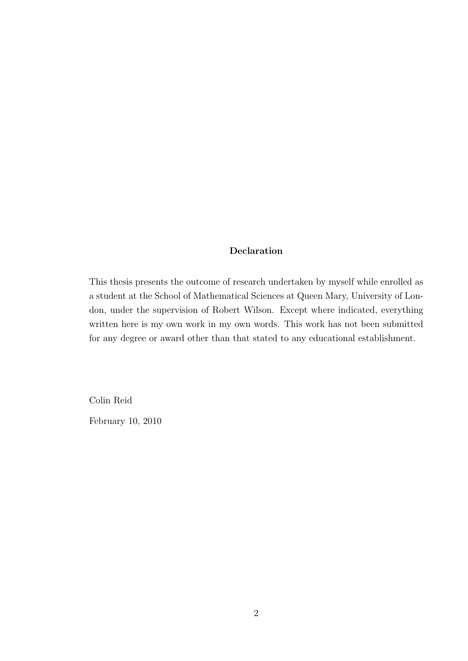#### Declaration

This thesis presents the outcome of research undertaken by myself while enrolled as a student at the School of Mathematical Sciences at Queen Mary, University of London, under the supervision of Robert Wilson. Except where indicated, everything written here is my own work in my own words. This work has not been submitted for any degree or award other than that stated to any educational establishment.

Colin Reid

February 10, 2010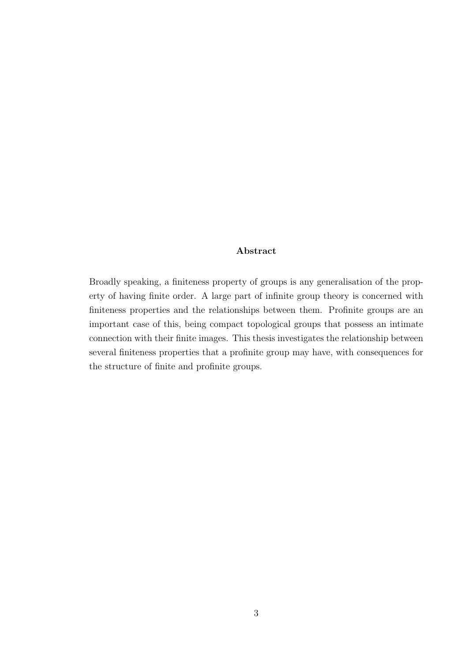#### Abstract

Broadly speaking, a finiteness property of groups is any generalisation of the property of having finite order. A large part of infinite group theory is concerned with finiteness properties and the relationships between them. Profinite groups are an important case of this, being compact topological groups that possess an intimate connection with their finite images. This thesis investigates the relationship between several finiteness properties that a profinite group may have, with consequences for the structure of finite and profinite groups.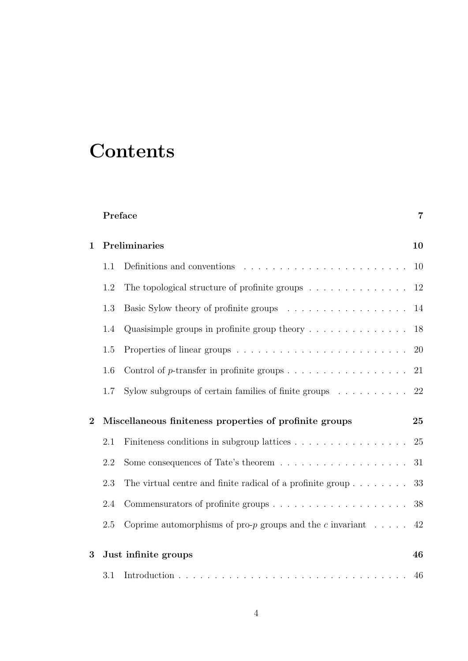## **Contents**

|                |                                                         | Preface                                                                         | $\overline{7}$ |
|----------------|---------------------------------------------------------|---------------------------------------------------------------------------------|----------------|
| 1              | Preliminaries<br>10                                     |                                                                                 |                |
|                | 1.1                                                     |                                                                                 | 10             |
|                | 1.2                                                     | The topological structure of profinite groups $\dots \dots \dots \dots \dots$   | 12             |
|                | 1.3                                                     |                                                                                 | 14             |
|                | 1.4                                                     | Quasisimple groups in profinite group theory $\dots \dots \dots \dots$          | 18             |
|                | 1.5                                                     |                                                                                 | 20             |
|                | 1.6                                                     | Control of p-transfer in profinite groups $\dots \dots \dots \dots \dots \dots$ | 21             |
|                | 1.7                                                     | Sylow subgroups of certain families of finite groups $\dots \dots \dots$        | 22             |
| $\overline{2}$ | Miscellaneous finiteness properties of profinite groups |                                                                                 | 25             |
|                | 2.1                                                     | Finiteness conditions in subgroup lattices                                      | 25             |
|                | 2.2                                                     | Some consequences of Tate's theorem $\dots \dots \dots \dots \dots \dots$       | 31             |
|                | 2.3                                                     | The virtual centre and finite radical of a profinite group                      | 33             |
|                | 2.4                                                     |                                                                                 | 38             |
|                | 2.5                                                     | Coprime automorphisms of pro- $p$ groups and the c invariant                    | 42             |
| 3              |                                                         | Just infinite groups                                                            | 46             |
|                | 3.1                                                     |                                                                                 | 46             |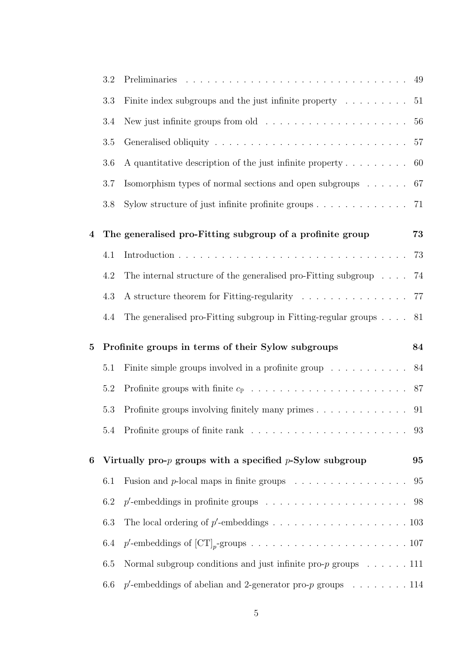|          | 3.2                                                |                                                                                            | 49 |  |
|----------|----------------------------------------------------|--------------------------------------------------------------------------------------------|----|--|
|          | 3.3                                                | Finite index subgroups and the just infinite property $\dots \dots \dots \dots$ 51         |    |  |
|          | 3.4                                                |                                                                                            | 56 |  |
|          | 3.5                                                |                                                                                            | 57 |  |
|          | 3.6                                                | A quantitative description of the just infinite property $\dots \dots$                     | 60 |  |
|          | 3.7                                                | Isomorphism types of normal sections and open subgroups $\ldots \ldots$                    | 67 |  |
|          | $3.8\,$                                            | Sylow structure of just infinite profinite groups $\ldots \ldots \ldots \ldots$ 71         |    |  |
| 4        |                                                    | The generalised pro-Fitting subgroup of a profinite group                                  | 73 |  |
|          | 4.1                                                |                                                                                            | 73 |  |
|          | 4.2                                                | The internal structure of the generalised pro-Fitting subgroup $\ldots$ 74                 |    |  |
|          | 4.3                                                | A structure theorem for Fitting-regularity 77                                              |    |  |
|          | 4.4                                                | The generalised pro-Fitting subgroup in Fitting-regular groups $\ldots$ 81                 |    |  |
| $\bf{5}$ | Profinite groups in terms of their Sylow subgroups |                                                                                            |    |  |
|          | 5.1                                                | Finite simple groups involved in a profinite group 84                                      |    |  |
|          | 5.2                                                |                                                                                            |    |  |
|          |                                                    |                                                                                            |    |  |
|          | 5.3                                                |                                                                                            |    |  |
|          |                                                    |                                                                                            |    |  |
| 6        |                                                    | Virtually pro- $p$ groups with a specified $p$ -Sylow subgroup                             | 95 |  |
|          | 6.1                                                | Fusion and p-local maps in finite groups $\ldots \ldots \ldots \ldots \ldots$ 95           |    |  |
|          | 6.2                                                | $p'$ -embeddings in profinite groups $\ldots \ldots \ldots \ldots \ldots \ldots \ldots$ 98 |    |  |
|          | 6.3                                                |                                                                                            |    |  |
|          | 6.4                                                |                                                                                            |    |  |
|          | 6.5                                                | Normal subgroup conditions and just infinite pro- $p$ groups $\dots \dots$ 111             |    |  |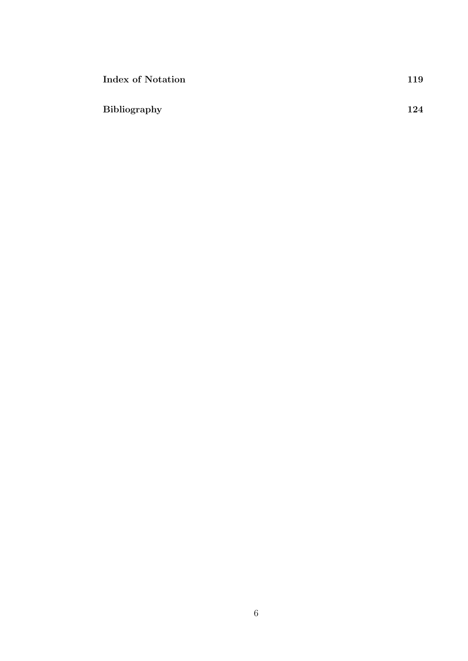| Index of Notation   | 119 |
|---------------------|-----|
| <b>Bibliography</b> | 124 |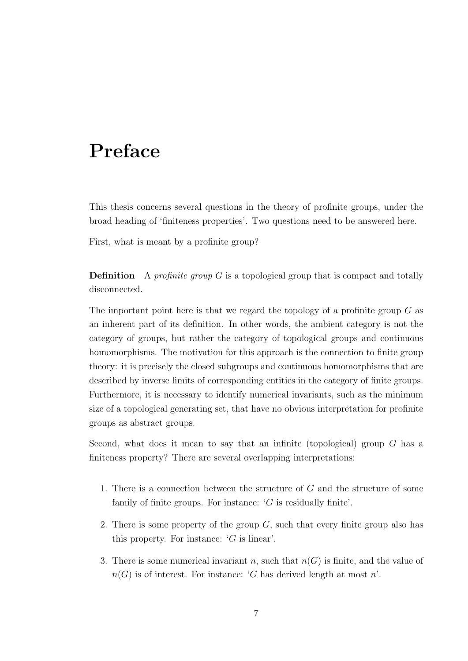## Preface

This thesis concerns several questions in the theory of profinite groups, under the broad heading of 'finiteness properties'. Two questions need to be answered here.

First, what is meant by a profinite group?

**Definition** A profinite group  $G$  is a topological group that is compact and totally disconnected.

The important point here is that we regard the topology of a profinite group  $G$  as an inherent part of its definition. In other words, the ambient category is not the category of groups, but rather the category of topological groups and continuous homomorphisms. The motivation for this approach is the connection to finite group theory: it is precisely the closed subgroups and continuous homomorphisms that are described by inverse limits of corresponding entities in the category of finite groups. Furthermore, it is necessary to identify numerical invariants, such as the minimum size of a topological generating set, that have no obvious interpretation for profinite groups as abstract groups.

Second, what does it mean to say that an infinite (topological) group  $G$  has a finiteness property? There are several overlapping interpretations:

- 1. There is a connection between the structure of G and the structure of some family of finite groups. For instance:  $'G$  is residually finite'.
- 2. There is some property of the group  $G$ , such that every finite group also has this property. For instance:  $'G$  is linear'.
- 3. There is some numerical invariant n, such that  $n(G)$  is finite, and the value of  $n(G)$  is of interest. For instance: 'G has derived length at most n'.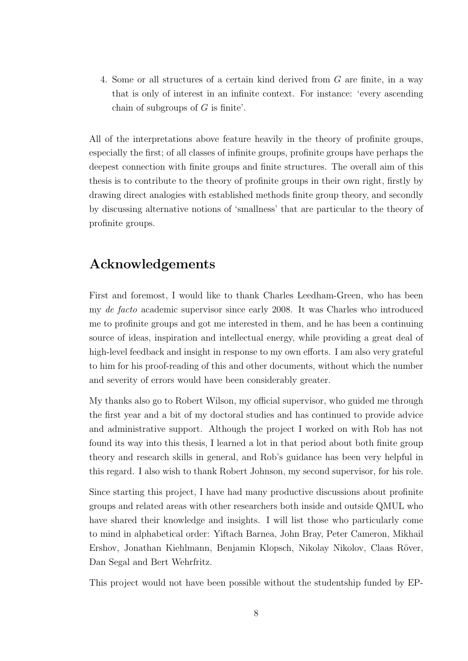4. Some or all structures of a certain kind derived from G are finite, in a way that is only of interest in an infinite context. For instance: 'every ascending chain of subgroups of  $G$  is finite'.

All of the interpretations above feature heavily in the theory of profinite groups, especially the first; of all classes of infinite groups, profinite groups have perhaps the deepest connection with finite groups and finite structures. The overall aim of this thesis is to contribute to the theory of profinite groups in their own right, firstly by drawing direct analogies with established methods finite group theory, and secondly by discussing alternative notions of 'smallness' that are particular to the theory of profinite groups.

### Acknowledgements

First and foremost, I would like to thank Charles Leedham-Green, who has been my de facto academic supervisor since early 2008. It was Charles who introduced me to profinite groups and got me interested in them, and he has been a continuing source of ideas, inspiration and intellectual energy, while providing a great deal of high-level feedback and insight in response to my own efforts. I am also very grateful to him for his proof-reading of this and other documents, without which the number and severity of errors would have been considerably greater.

My thanks also go to Robert Wilson, my official supervisor, who guided me through the first year and a bit of my doctoral studies and has continued to provide advice and administrative support. Although the project I worked on with Rob has not found its way into this thesis, I learned a lot in that period about both finite group theory and research skills in general, and Rob's guidance has been very helpful in this regard. I also wish to thank Robert Johnson, my second supervisor, for his role.

Since starting this project, I have had many productive discussions about profinite groups and related areas with other researchers both inside and outside QMUL who have shared their knowledge and insights. I will list those who particularly come to mind in alphabetical order: Yiftach Barnea, John Bray, Peter Cameron, Mikhail Ershov, Jonathan Kiehlmann, Benjamin Klopsch, Nikolay Nikolov, Claas Röver, Dan Segal and Bert Wehrfritz.

This project would not have been possible without the studentship funded by EP-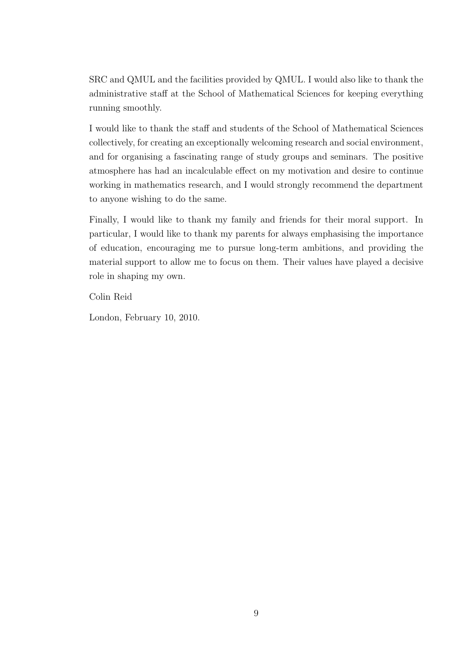SRC and QMUL and the facilities provided by QMUL. I would also like to thank the administrative staff at the School of Mathematical Sciences for keeping everything running smoothly.

I would like to thank the staff and students of the School of Mathematical Sciences collectively, for creating an exceptionally welcoming research and social environment, and for organising a fascinating range of study groups and seminars. The positive atmosphere has had an incalculable effect on my motivation and desire to continue working in mathematics research, and I would strongly recommend the department to anyone wishing to do the same.

Finally, I would like to thank my family and friends for their moral support. In particular, I would like to thank my parents for always emphasising the importance of education, encouraging me to pursue long-term ambitions, and providing the material support to allow me to focus on them. Their values have played a decisive role in shaping my own.

Colin Reid

London, February 10, 2010.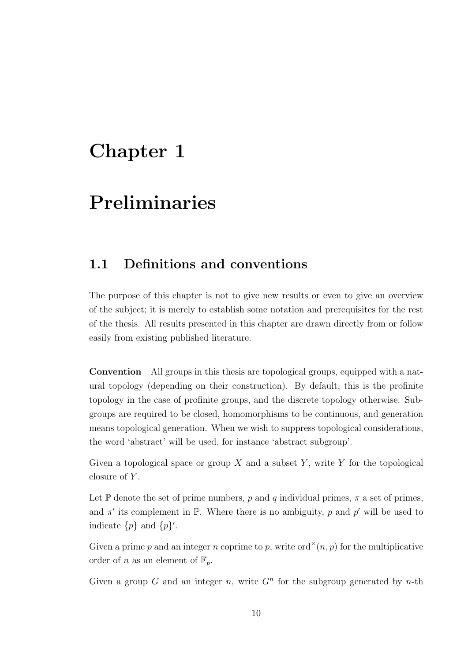## Chapter 1

## Preliminaries

## 1.1 Definitions and conventions

The purpose of this chapter is not to give new results or even to give an overview of the subject; it is merely to establish some notation and prerequisites for the rest of the thesis. All results presented in this chapter are drawn directly from or follow easily from existing published literature.

Convention All groups in this thesis are topological groups, equipped with a natural topology (depending on their construction). By default, this is the profinite topology in the case of profinite groups, and the discrete topology otherwise. Subgroups are required to be closed, homomorphisms to be continuous, and generation means topological generation. When we wish to suppress topological considerations, the word 'abstract' will be used, for instance 'abstract subgroup'.

Given a topological space or group X and a subset Y, write  $\overline{Y}$  for the topological closure of  $Y$ .

Let P denote the set of prime numbers, p and q individual primes,  $\pi$  a set of primes, and  $\pi'$  its complement in  $\mathbb P$ . Where there is no ambiguity, p and p' will be used to indicate  $\{p\}$  and  $\{p\}'$ .

Given a prime p and an integer n coprime to p, write ord<sup> $\times$ </sup> $(n, p)$  for the multiplicative order of n as an element of  $\mathbb{F}_p$ .

Given a group G and an integer n, write  $G<sup>n</sup>$  for the subgroup generated by n-th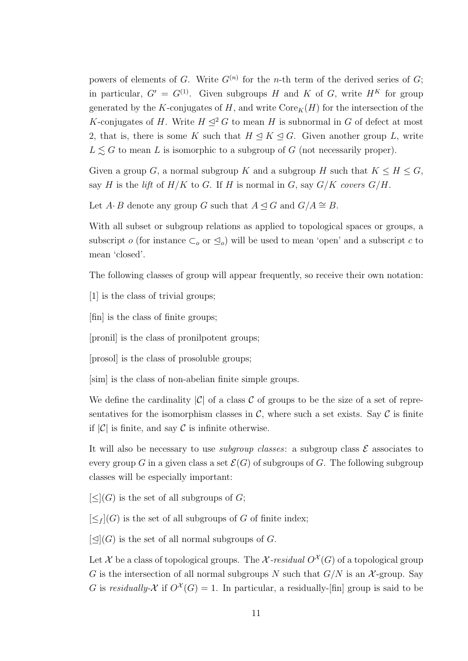powers of elements of G. Write  $G^{(n)}$  for the n-th term of the derived series of G; in particular,  $G' = G^{(1)}$ . Given subgroups H and K of G, write  $H<sup>K</sup>$  for group generated by the K-conjugates of H, and write  $\text{Core}_K(H)$  for the intersection of the K-conjugates of H. Write  $H \leq^2 G$  to mean H is subnormal in G of defect at most 2, that is, there is some K such that  $H \leq K \leq G$ . Given another group L, write  $L \leq G$  to mean L is isomorphic to a subgroup of G (not necessarily proper).

Given a group G, a normal subgroup K and a subgroup H such that  $K \leq H \leq G$ , say H is the lift of  $H/K$  to G. If H is normal in G, say  $G/K$  covers  $G/H$ .

Let  $A \cdot B$  denote any group G such that  $A \trianglelefteq G$  and  $G/A \cong B$ .

With all subset or subgroup relations as applied to topological spaces or groups, a subscript o (for instance  $\subset_o$  or  $\leq_o$ ) will be used to mean 'open' and a subscript c to mean 'closed'.

The following classes of group will appear frequently, so receive their own notation:

[1] is the class of trivial groups;

[fin] is the class of finite groups;

[pronil] is the class of pronilpotent groups;

[prosol] is the class of prosoluble groups;

[sim] is the class of non-abelian finite simple groups.

We define the cardinality  $|\mathcal{C}|$  of a class C of groups to be the size of a set of representatives for the isomorphism classes in  $\mathcal{C}$ , where such a set exists. Say  $\mathcal{C}$  is finite if  $|\mathcal{C}|$  is finite, and say  $\mathcal C$  is infinite otherwise.

It will also be necessary to use *subgroup classes*: a subgroup class  $\mathcal{E}$  associates to every group G in a given class a set  $\mathcal{E}(G)$  of subgroups of G. The following subgroup classes will be especially important:

 $[\leq]$  (G) is the set of all subgroups of G;

 $[\leq_f]$ (G) is the set of all subgroups of G of finite index;

 $[\triangleleft](G)$  is the set of all normal subgroups of G.

Let X be a class of topological groups. The X-residual  $O^{\mathcal{X}}(G)$  of a topological group G is the intersection of all normal subgroups N such that  $G/N$  is an X-group. Say G is residually- $\mathcal X$  if  $O^{\mathcal X}(G) = 1$ . In particular, a residually-[fin] group is said to be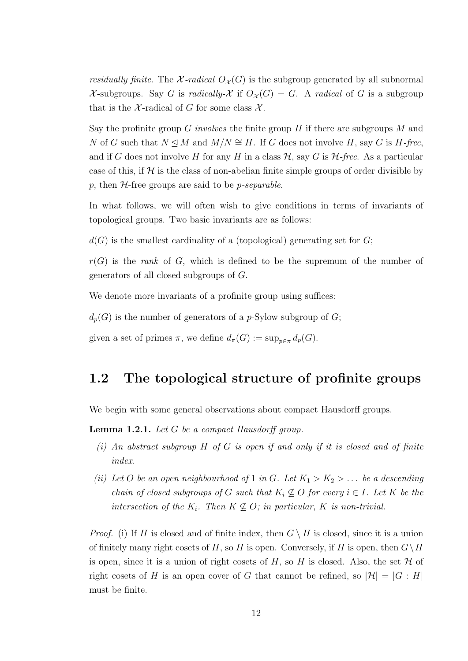residually finite. The X-radical  $O_{\mathcal{X}}(G)$  is the subgroup generated by all subnormal X-subgroups. Say G is radically-X if  $O_{\mathcal{X}}(G) = G$ . A radical of G is a subgroup that is the X-radical of G for some class  $\mathcal{X}$ .

Say the profinite group G involves the finite group H if there are subgroups  $M$  and N of G such that  $N \trianglelefteq M$  and  $M/N \cong H$ . If G does not involve H, say G is H-free, and if G does not involve H for any H in a class  $\mathcal{H}$ , say G is  $\mathcal{H}$ -free. As a particular case of this, if  $H$  is the class of non-abelian finite simple groups of order divisible by p, then  $H$ -free groups are said to be *p-separable*.

In what follows, we will often wish to give conditions in terms of invariants of topological groups. Two basic invariants are as follows:

 $d(G)$  is the smallest cardinality of a (topological) generating set for G;

 $r(G)$  is the *rank* of G, which is defined to be the supremum of the number of generators of all closed subgroups of G.

We denote more invariants of a profinite group using suffices:

 $d_p(G)$  is the number of generators of a p-Sylow subgroup of G;

given a set of primes  $\pi$ , we define  $d_{\pi}(G) := \sup_{p \in \pi} d_p(G)$ .

### 1.2 The topological structure of profinite groups

We begin with some general observations about compact Hausdorff groups.

**Lemma 1.2.1.** Let  $G$  be a compact Hausdorff group.

- (i) An abstract subgroup  $H$  of  $G$  is open if and only if it is closed and of finite index.
- (ii) Let O be an open neighbourhood of 1 in G. Let  $K_1 > K_2 > ...$  be a descending chain of closed subgroups of G such that  $K_i \not\subseteq O$  for every  $i \in I$ . Let K be the intersection of the  $K_i$ . Then  $K \nsubseteq O$ ; in particular, K is non-trivial.

*Proof.* (i) If H is closed and of finite index, then  $G \setminus H$  is closed, since it is a union of finitely many right cosets of H, so H is open. Conversely, if H is open, then  $G\setminus H$ is open, since it is a union of right cosets of H, so H is closed. Also, the set  $\mathcal H$  of right cosets of H is an open cover of G that cannot be refined, so  $|\mathcal{H}| = |G:H|$ must be finite.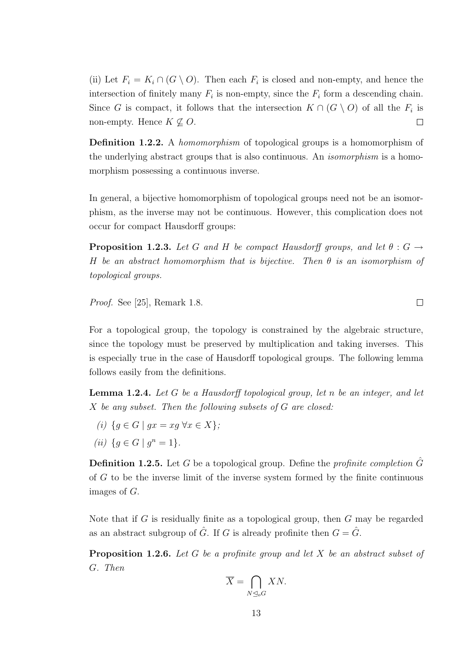(ii) Let  $F_i = K_i \cap (G \setminus O)$ . Then each  $F_i$  is closed and non-empty, and hence the intersection of finitely many  $F_i$  is non-empty, since the  $F_i$  form a descending chain. Since G is compact, it follows that the intersection  $K \cap (G \setminus O)$  of all the  $F_i$  is non-empty. Hence  $K \not\subseteq O$ .  $\Box$ 

Definition 1.2.2. A *homomorphism* of topological groups is a homomorphism of the underlying abstract groups that is also continuous. An *isomorphism* is a homomorphism possessing a continuous inverse.

In general, a bijective homomorphism of topological groups need not be an isomorphism, as the inverse may not be continuous. However, this complication does not occur for compact Hausdorff groups:

**Proposition 1.2.3.** Let G and H be compact Hausdorff groups, and let  $\theta : G \rightarrow$ H be an abstract homomorphism that is bijective. Then  $\theta$  is an isomorphism of topological groups.

Proof. See [25], Remark 1.8.

For a topological group, the topology is constrained by the algebraic structure, since the topology must be preserved by multiplication and taking inverses. This is especially true in the case of Hausdorff topological groups. The following lemma follows easily from the definitions.

**Lemma 1.2.4.** Let  $G$  be a Hausdorff topological group, let  $n$  be an integer, and let X be any subset. Then the following subsets of G are closed:

- (i)  $\{q \in G \mid qx = xq \,\forall x \in X\};$
- (*ii*)  $\{g \in G \mid g^n = 1\}.$

**Definition 1.2.5.** Let G be a topological group. Define the *profinite completion*  $\hat{G}$ of G to be the inverse limit of the inverse system formed by the finite continuous images of G.

Note that if  $G$  is residually finite as a topological group, then  $G$  may be regarded as an abstract subgroup of  $\hat{G}$ . If G is already profinite then  $G = \hat{G}$ .

**Proposition 1.2.6.** Let G be a profinite group and let X be an abstract subset of G. Then

$$
\overline{X} = \bigcap_{N \trianglelefteq_o G} XN.
$$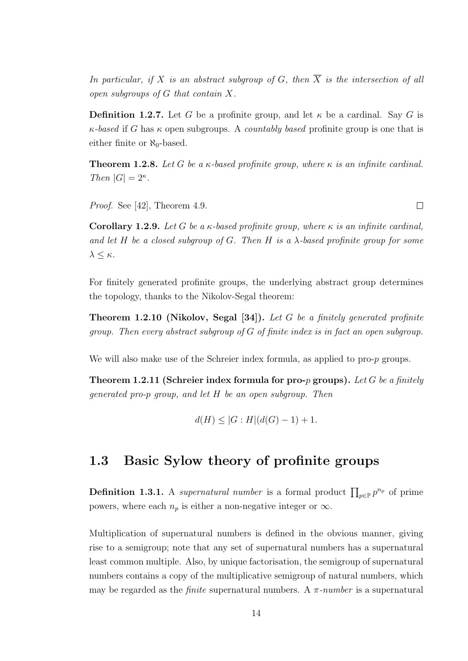In particular, if X is an abstract subgroup of G, then  $\overline{X}$  is the intersection of all open subgroups of G that contain X.

**Definition 1.2.7.** Let G be a profinite group, and let  $\kappa$  be a cardinal. Say G is  $\kappa$ -based if G has  $\kappa$  open subgroups. A countably based profinite group is one that is either finite or  $\aleph_0$ -based.

**Theorem 1.2.8.** Let G be a  $\kappa$ -based profinite group, where  $\kappa$  is an infinite cardinal. Then  $|G| = 2^{\kappa}$ .

Proof. See [42], Theorem 4.9.

Corollary 1.2.9. Let G be a  $\kappa$ -based profinite group, where  $\kappa$  is an infinite cardinal, and let H be a closed subgroup of G. Then H is a  $\lambda$ -based profinite group for some  $λ ≤ κ.$ 

For finitely generated profinite groups, the underlying abstract group determines the topology, thanks to the Nikolov-Segal theorem:

**Theorem 1.2.10 (Nikolov, Segal [34]).** Let G be a finitely generated profinite group. Then every abstract subgroup of G of finite index is in fact an open subgroup.

We will also make use of the Schreier index formula, as applied to pro-p groups.

Theorem 1.2.11 (Schreier index formula for pro-p groups). Let G be a finitely generated pro-p group, and let H be an open subgroup. Then

$$
d(H) \le |G : H|(d(G) - 1) + 1.
$$

### 1.3 Basic Sylow theory of profinite groups

**Definition 1.3.1.** A supernatural number is a formal product  $\prod_{p\in\mathbb{P}} p^{n_p}$  of prime powers, where each  $n_p$  is either a non-negative integer or  $\infty$ .

Multiplication of supernatural numbers is defined in the obvious manner, giving rise to a semigroup; note that any set of supernatural numbers has a supernatural least common multiple. Also, by unique factorisation, the semigroup of supernatural numbers contains a copy of the multiplicative semigroup of natural numbers, which may be regarded as the *finite* supernatural numbers. A  $\pi$ -number is a supernatural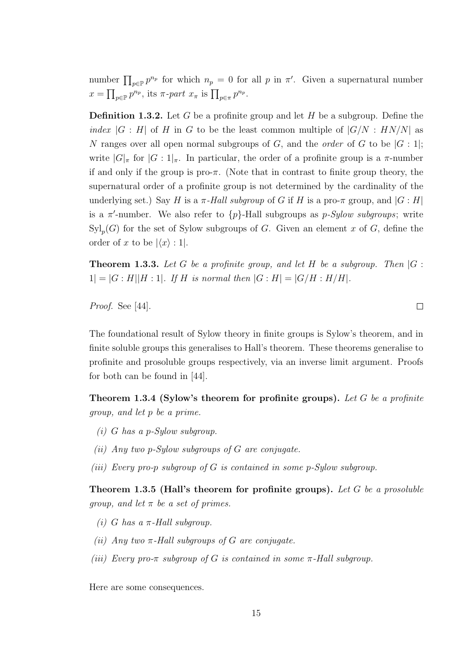number  $\prod_{p\in\mathbb{P}}p^{n_p}$  for which  $n_p=0$  for all p in  $\pi'$ . Given a supernatural number  $x = \prod_{p \in \mathbb{P}} p^{n_p}$ , its  $\pi$ -part  $x_{\pi}$  is  $\prod_{p \in \pi} p^{n_p}$ .

**Definition 1.3.2.** Let G be a profinite group and let H be a subgroup. Define the index  $|G : H|$  of H in G to be the least common multiple of  $|G/N : HN/N|$  as N ranges over all open normal subgroups of G, and the *order* of G to be  $|G:1|$ ; write  $|G|_{\pi}$  for  $|G:1|_{\pi}$ . In particular, the order of a profinite group is a  $\pi$ -number if and only if the group is pro- $\pi$ . (Note that in contrast to finite group theory, the supernatural order of a profinite group is not determined by the cardinality of the underlying set.) Say H is a  $\pi$ -Hall subgroup of G if H is a pro- $\pi$  group, and  $|G:H|$ is a  $\pi$ -number. We also refer to  $\{p\}$ -Hall subgroups as p-Sylow subgroups; write  $\mathrm{Syl}_p(G)$  for the set of Sylow subgroups of G. Given an element x of G, define the order of x to be  $|\langle x \rangle : 1|$ .

**Theorem 1.3.3.** Let G be a profinite group, and let H be a subgroup. Then  $|G|$ :  $|1| = |G : H||H : 1|$ . If H is normal then  $|G : H| = |G/H : H/H|$ .

Proof. See [44].

The foundational result of Sylow theory in finite groups is Sylow's theorem, and in finite soluble groups this generalises to Hall's theorem. These theorems generalise to profinite and prosoluble groups respectively, via an inverse limit argument. Proofs for both can be found in [44].

Theorem 1.3.4 (Sylow's theorem for profinite groups). Let  $G$  be a profinite group, and let p be a prime.

- $(i)$  G has a p-Sylow subgroup.
- (ii) Any two p-Sylow subgroups of G are conjugate.
- (iii) Every pro-p subgroup of  $G$  is contained in some p-Sylow subgroup.

Theorem 1.3.5 (Hall's theorem for profinite groups). Let G be a prosoluble *group, and let*  $\pi$  *be a set of primes.* 

- (i) G has a  $\pi$ -Hall subgroup.
- (ii) Any two  $\pi$ -Hall subgroups of G are conjugate.
- (iii) Every pro- $\pi$  subgroup of G is contained in some  $\pi$ -Hall subgroup.

Here are some consequences.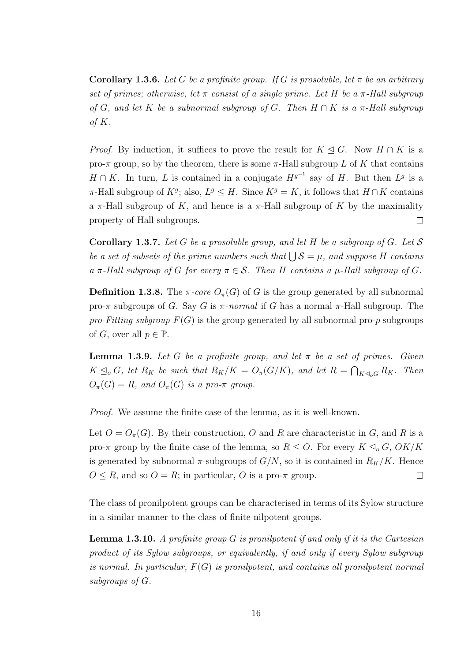**Corollary 1.3.6.** Let G be a profinite group. If G is prosoluble, let  $\pi$  be an arbitrary set of primes; otherwise, let  $\pi$  consist of a single prime. Let H be a  $\pi$ -Hall subgroup of G, and let K be a subnormal subgroup of G. Then  $H \cap K$  is a  $\pi$ -Hall subgroup of  $K$ .

*Proof.* By induction, it suffices to prove the result for  $K \leq G$ . Now  $H \cap K$  is a pro- $\pi$  group, so by the theorem, there is some  $\pi$ -Hall subgroup L of K that contains  $H \cap K$ . In turn, L is contained in a conjugate  $H^{g^{-1}}$  say of H. But then  $L^g$  is a  $\pi$ -Hall subgroup of  $K^g$ ; also,  $L^g \leq H$ . Since  $K^g = K$ , it follows that  $H \cap K$  contains a  $\pi$ -Hall subgroup of K, and hence is a  $\pi$ -Hall subgroup of K by the maximality property of Hall subgroups.  $\Box$ 

**Corollary 1.3.7.** Let G be a prosoluble group, and let H be a subgroup of G. Let S be a set of subsets of the prime numbers such that  $\bigcup \mathcal{S} = \mu$ , and suppose H contains a  $\pi$ -Hall subgroup of G for every  $\pi \in \mathcal{S}$ . Then H contains a  $\mu$ -Hall subgroup of G.

**Definition 1.3.8.** The  $\pi$ -core  $O_{\pi}(G)$  of G is the group generated by all subnormal pro-π subgroups of G. Say G is  $\pi$ -normal if G has a normal  $\pi$ -Hall subgroup. The pro-Fitting subgroup  $F(G)$  is the group generated by all subnormal pro-p subgroups of G, over all  $p \in \mathbb{P}$ .

**Lemma 1.3.9.** Let G be a profinite group, and let  $\pi$  be a set of primes. Given  $K \leq_{o} G$ , let  $R_K$  be such that  $R_K/K = O_{\pi}(G/K)$ , and let  $R = \bigcap_{K \leq_{o} G} R_K$ . Then  $O_{\pi}(G) = R$ , and  $O_{\pi}(G)$  is a pro- $\pi$  group.

Proof. We assume the finite case of the lemma, as it is well-known.

Let  $O = O_{\pi}(G)$ . By their construction, O and R are characteristic in G, and R is a pro- $\pi$  group by the finite case of the lemma, so  $R \leq O$ . For every  $K \leq_o G$ ,  $OK/K$ is generated by subnormal  $\pi$ -subgroups of  $G/N$ , so it is contained in  $R_K/K$ . Hence  $O \leq R$ , and so  $O = R$ ; in particular, O is a pro- $\pi$  group.  $\Box$ 

The class of pronilpotent groups can be characterised in terms of its Sylow structure in a similar manner to the class of finite nilpotent groups.

**Lemma 1.3.10.** A profinite group  $G$  is pronilpotent if and only if it is the Cartesian product of its Sylow subgroups, or equivalently, if and only if every Sylow subgroup is normal. In particular,  $F(G)$  is pronilpotent, and contains all pronilpotent normal subgroups of G.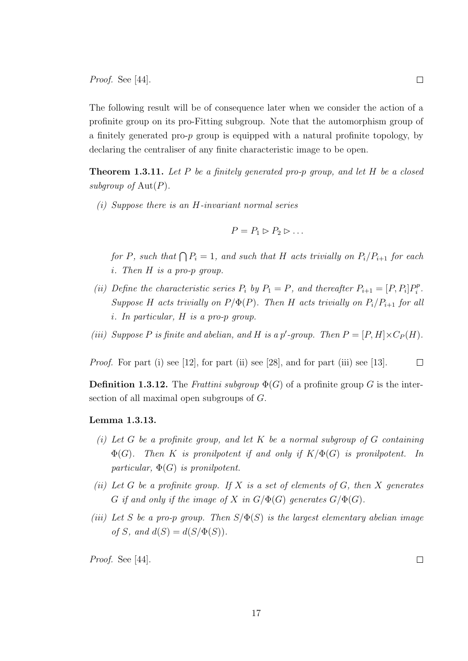Proof. See [44].

The following result will be of consequence later when we consider the action of a profinite group on its pro-Fitting subgroup. Note that the automorphism group of a finitely generated pro-p group is equipped with a natural profinite topology, by declaring the centraliser of any finite characteristic image to be open.

**Theorem 1.3.11.** Let P be a finitely generated pro-p group, and let H be a closed subgroup of  $Aut(P)$ .

(i) Suppose there is an H-invariant normal series

$$
P = P_1 \triangleright P_2 \triangleright \dots
$$

for P, such that  $\bigcap P_i = 1$ , and such that H acts trivially on  $P_i/P_{i+1}$  for each i. Then H is a pro-p group.

- (ii) Define the characteristic series  $P_i$  by  $P_1 = P$ , and thereafter  $P_{i+1} = [P, P_i]P_i^p$  $i^p$  . Suppose H acts trivially on  $P/\Phi(P)$ . Then H acts trivially on  $P_i/P_{i+1}$  for all i. In particular, H is a pro-p group.
- (iii) Suppose P is finite and abelian, and H is a p'-group. Then  $P = [P, H] \times C_P(H)$ .

*Proof.* For part (i) see [12], for part (ii) see [28], and for part (iii) see [13].

**Definition 1.3.12.** The Frattini subgroup  $\Phi(G)$  of a profinite group G is the intersection of all maximal open subgroups of G.

#### Lemma 1.3.13.

- (i) Let G be a profinite group, and let K be a normal subgroup of G containing  $\Phi(G)$ . Then K is pronilpotent if and only if  $K/\Phi(G)$  is pronilpotent. In particular,  $\Phi(G)$  is pronilpotent.
- (ii) Let G be a profinite group. If X is a set of elements of G, then X generates G if and only if the image of X in  $G/\Phi(G)$  generates  $G/\Phi(G)$ .
- (iii) Let S be a pro-p group. Then  $S/\Phi(S)$  is the largest elementary abelian image of S, and  $d(S) = d(S/\Phi(S))$ .

Proof. See [44].

 $\Box$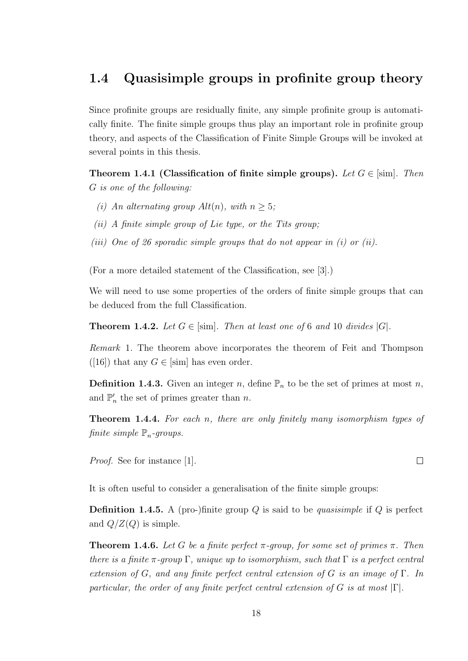### 1.4 Quasisimple groups in profinite group theory

Since profinite groups are residually finite, any simple profinite group is automatically finite. The finite simple groups thus play an important role in profinite group theory, and aspects of the Classification of Finite Simple Groups will be invoked at several points in this thesis.

Theorem 1.4.1 (Classification of finite simple groups). Let  $G \in [sim]$ . Then G is one of the following:

- (i) An alternating group  $Alt(n)$ , with  $n \geq 5$ ;
- (ii) A finite simple group of Lie type, or the Tits group;
- (iii) One of 26 sporadic simple groups that do not appear in  $(i)$  or  $(ii)$ .

(For a more detailed statement of the Classification, see [3].)

We will need to use some properties of the orders of finite simple groups that can be deduced from the full Classification.

**Theorem 1.4.2.** Let  $G \in [\text{sim}]$ . Then at least one of 6 and 10 divides  $|G|$ .

Remark 1. The theorem above incorporates the theorem of Feit and Thompson ([16]) that any  $G \in [\text{sim}]$  has even order.

**Definition 1.4.3.** Given an integer n, define  $\mathbb{P}_n$  to be the set of primes at most n, and  $\mathbb{P}'_n$  the set of primes greater than n.

Theorem 1.4.4. For each n, there are only finitely many isomorphism types of finite simple  $\mathbb{P}_n$ -groups.

Proof. See for instance [1].

It is often useful to consider a generalisation of the finite simple groups:

**Definition 1.4.5.** A (pro-)finite group  $Q$  is said to be *quasisimple* if  $Q$  is perfect and  $Q/Z(Q)$  is simple.

**Theorem 1.4.6.** Let G be a finite perfect  $\pi$ -group, for some set of primes  $\pi$ . Then there is a finite  $\pi$ -group  $\Gamma$ , unique up to isomorphism, such that  $\Gamma$  is a perfect central extension of G, and any finite perfect central extension of G is an image of  $\Gamma$ . In particular, the order of any finite perfect central extension of G is at most  $|\Gamma|$ .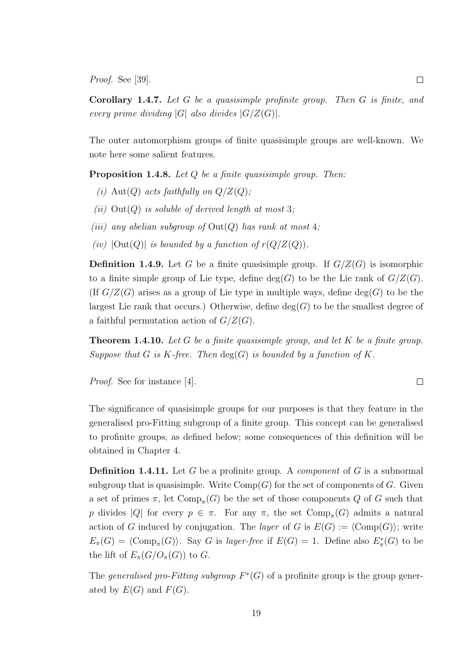Proof. See [39].

Corollary 1.4.7. Let G be a quasisimple profinite group. Then G is finite, and every prime dividing  $|G|$  also divides  $|G/Z(G)|$ .

The outer automorphism groups of finite quasisimple groups are well-known. We note here some salient features.

**Proposition 1.4.8.** Let  $Q$  be a finite quasisimple group. Then:

- (i) Aut(Q) acts faithfully on  $Q/Z(Q)$ ;
- (ii)  $Out(Q)$  is soluble of derived length at most 3;
- (iii) any abelian subgroup of  $Out(Q)$  has rank at most 4;
- (iv)  $|\text{Out}(Q)|$  is bounded by a function of  $r(Q/Z(Q))$ .

**Definition 1.4.9.** Let G be a finite quasisimple group. If  $G/Z(G)$  is isomorphic to a finite simple group of Lie type, define  $deg(G)$  to be the Lie rank of  $G/Z(G)$ . (If  $G/Z(G)$  arises as a group of Lie type in multiple ways, define deg(G) to be the largest Lie rank that occurs.) Otherwise, define  $deg(G)$  to be the smallest degree of a faithful permutation action of  $G/Z(G)$ .

**Theorem 1.4.10.** Let G be a finite quasisimple group, and let K be a finite group. Suppose that G is K-free. Then  $deg(G)$  is bounded by a function of K.

Proof. See for instance [4].

The significance of quasisimple groups for our purposes is that they feature in the generalised pro-Fitting subgroup of a finite group. This concept can be generalised to profinite groups, as defined below; some consequences of this definition will be obtained in Chapter 4.

**Definition 1.4.11.** Let G be a profinite group. A *component* of G is a subnormal subgroup that is quasisimple. Write  $Comp(G)$  for the set of components of G. Given a set of primes  $\pi$ , let  $\text{Comp}_{\pi}(G)$  be the set of those components Q of G such that p divides |Q| for every  $p \in \pi$ . For any  $\pi$ , the set  $\text{Comp}_{\pi}(G)$  admits a natural action of G induced by conjugation. The *layer* of G is  $E(G) := \langle Comp(G) \rangle$ ; write  $E_{\pi}(G) = \langle \text{Comp}_{\pi}(G) \rangle$ . Say G is layer-free if  $E(G) = 1$ . Define also  $E_{\pi}^*(G)$  to be the lift of  $E_{\pi}(G/O_{\pi}(G))$  to G.

The generalised pro-Fitting subgroup  $F^*(G)$  of a profinite group is the group generated by  $E(G)$  and  $F(G)$ .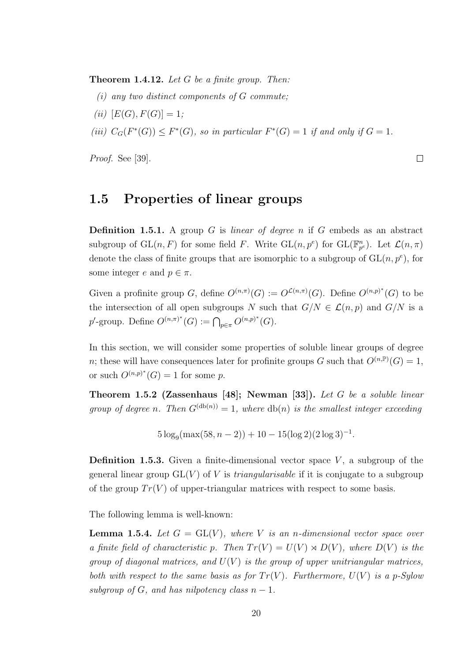**Theorem 1.4.12.** Let  $G$  be a finite group. Then:

- $(i)$  any two distinct components of G commute;
- (*ii*)  $[E(G), F(G)] = 1;$
- (iii)  $C_G(F^*(G)) \leq F^*(G)$ , so in particular  $F^*(G) = 1$  if and only if  $G = 1$ .

Proof. See [39].

### 1.5 Properties of linear groups

**Definition 1.5.1.** A group G is *linear of degree n* if G embeds as an abstract subgroup of  $GL(n, F)$  for some field F. Write  $GL(n, p^e)$  for  $GL(\mathbb{F}_{p^e}^n)$ . Let  $\mathcal{L}(n, \pi)$ denote the class of finite groups that are isomorphic to a subgroup of  $GL(n, p^e)$ , for some integer e and  $p \in \pi$ .

 $\Box$ 

Given a profinite group G, define  $O^{(n,\pi)}(G) := O^{\mathcal{L}(n,\pi)}(G)$ . Define  $O^{(n,p)^*}(G)$  to be the intersection of all open subgroups N such that  $G/N \in \mathcal{L}(n, p)$  and  $G/N$  is a p'-group. Define  $O^{(n,\pi)^*}(G) := \bigcap_{p \in \pi} O^{(n,p)^*}(G)$ .

In this section, we will consider some properties of soluble linear groups of degree *n*; these will have consequences later for profinite groups G such that  $O^{(n,\mathbb{P})}(G) = 1$ , or such  $O^{(n,p)^*}(G) = 1$  for some p.

Theorem 1.5.2 (Zassenhaus [48]; Newman [33]). Let G be a soluble linear group of degree n. Then  $G^{(\text{db}(n))} = 1$ , where  $\text{db}(n)$  is the smallest integer exceeding

 $5\log_9(\max(58, n-2)) + 10 - 15(\log 2)(2\log 3)^{-1}.$ 

**Definition 1.5.3.** Given a finite-dimensional vector space  $V$ , a subgroup of the general linear group  $GL(V)$  of V is *triangularisable* if it is conjugate to a subgroup of the group  $Tr(V)$  of upper-triangular matrices with respect to some basis.

The following lemma is well-known:

**Lemma 1.5.4.** Let  $G = GL(V)$ , where V is an n-dimensional vector space over a finite field of characteristic p. Then  $Tr(V) = U(V) \rtimes D(V)$ , where  $D(V)$  is the group of diagonal matrices, and  $U(V)$  is the group of upper unitriangular matrices, both with respect to the same basis as for  $Tr(V)$ . Furthermore,  $U(V)$  is a p-Sylow subgroup of G, and has nilpotency class  $n-1$ .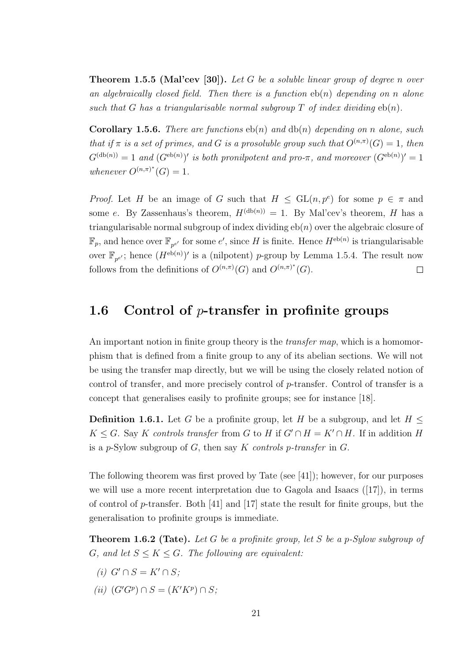**Theorem 1.5.5 (Mal'cev [30]).** Let G be a soluble linear group of degree n over an algebraically closed field. Then there is a function  $eb(n)$  depending on n alone such that G has a triangularisable normal subgroup T of index dividing  $eb(n)$ .

**Corollary 1.5.6.** There are functions  $eb(n)$  and  $db(n)$  depending on n alone, such that if  $\pi$  is a set of primes, and G is a prosoluble group such that  $O^{(n,\pi)}(G) = 1$ , then  $G^{(\text{db}(n))} = 1$  and  $(G^{\text{eb}(n)})'$  is both pronilpotent and pro- $\pi$ , and moreover  $(G^{\text{eb}(n)})' = 1$ whenever  $O^{(n,\pi)^{*}}(G) = 1$ .

*Proof.* Let H be an image of G such that  $H \le GL(n, p^e)$  for some  $p \in \pi$  and some e. By Zassenhaus's theorem,  $H^{(\text{db}(n))} = 1$ . By Mal'cev's theorem, H has a triangularisable normal subgroup of index dividing  $eb(n)$  over the algebraic closure of  $\mathbb{F}_p$ , and hence over  $\mathbb{F}_{p^{e'}}$  for some  $e'$ , since H is finite. Hence  $H^{\text{eb}(n)}$  is triangularisable over  $\mathbb{F}_{p^{e'}}$ ; hence  $(H^{\text{eb}(n)})'$  is a (nilpotent) p-group by Lemma 1.5.4. The result now follows from the definitions of  $O^{(n,\pi)}(G)$  and  $O^{(n,\pi)^{*}}(G)$ .  $\Box$ 

### 1.6 Control of  $p$ -transfer in profinite groups

An important notion in finite group theory is the *transfer map*, which is a homomorphism that is defined from a finite group to any of its abelian sections. We will not be using the transfer map directly, but we will be using the closely related notion of control of transfer, and more precisely control of p-transfer. Control of transfer is a concept that generalises easily to profinite groups; see for instance [18].

**Definition 1.6.1.** Let G be a profinite group, let H be a subgroup, and let  $H \leq$  $K \leq G$ . Say K controls transfer from G to H if  $G' \cap H = K' \cap H$ . If in addition H is a p-Sylow subgroup of  $G$ , then say  $K$  controls p-transfer in  $G$ .

The following theorem was first proved by Tate (see [41]); however, for our purposes we will use a more recent interpretation due to Gagola and Isaacs ([17]), in terms of control of  $p$ -transfer. Both [41] and [17] state the result for finite groups, but the generalisation to profinite groups is immediate.

**Theorem 1.6.2 (Tate).** Let G be a profinite group, let S be a p-Sylow subgroup of G, and let  $S \leq K \leq G$ . The following are equivalent:

- (i)  $G' \cap S = K' \cap S$ ;
- (ii)  $(G'G^p) \cap S = (K'K^p) \cap S;$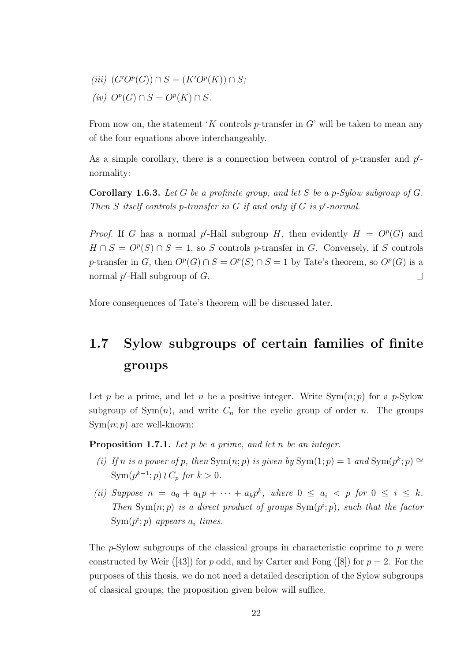(iii)  $(G'O^p(G)) \cap S = (K'O^p(K)) \cap S;$  $(iv)$   $O^p(G) \cap S = O^p(K) \cap S$ .

From now on, the statement 'K controls  $p$ -transfer in G' will be taken to mean any of the four equations above interchangeably.

As a simple corollary, there is a connection between control of  $p$ -transfer and  $p'$ normality:

**Corollary 1.6.3.** Let G be a profinite group, and let S be a p-Sylow subgroup of G. Then  $S$  itself controls p-transfer in  $G$  if and only if  $G$  is  $p'$ -normal.

*Proof.* If G has a normal p'-Hall subgroup H, then evidently  $H = O^p(G)$  and  $H \cap S = O^p(S) \cap S = 1$ , so S controls p-transfer in G. Conversely, if S controls p-transfer in G, then  $O^p(G) \cap S = O^p(S) \cap S = 1$  by Tate's theorem, so  $O^p(G)$  is a normal  $p'$ -Hall subgroup of  $G$ .  $\Box$ 

More consequences of Tate's theorem will be discussed later.

## 1.7 Sylow subgroups of certain families of finite groups

Let p be a prime, and let n be a positive integer. Write  $Sym(n, p)$  for a p-Sylow subgroup of  $Sym(n)$ , and write  $C_n$  for the cyclic group of order n. The groups  $Sym(n; p)$  are well-known:

**Proposition 1.7.1.** Let  $p$  be a prime, and let  $n$  be an integer.

- (i) If n is a power of p, then  $Sym(n, p)$  is given by  $Sym(1, p) = 1$  and  $Sym(p^k; p) \cong$  $\text{Sym}(p^{k-1};p) \wr C_p$  for  $k > 0$ .
- (ii) Suppose  $n = a_0 + a_1p + \cdots + a_kp^k$ , where  $0 \le a_i < p$  for  $0 \le i \le k$ . Then  $Sym(n, p)$  is a direct product of groups  $Sym(p^i; p)$ , such that the factor  $\text{Sym}(p^i; p)$  appears  $a_i$  times.

The  $p$ -Sylow subgroups of the classical groups in characteristic coprime to  $p$  were constructed by Weir ([43]) for p odd, and by Carter and Fong ([8]) for  $p = 2$ . For the purposes of this thesis, we do not need a detailed description of the Sylow subgroups of classical groups; the proposition given below will suffice.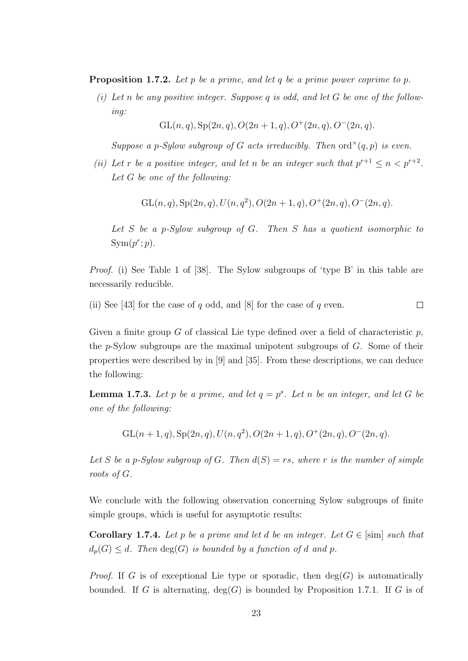**Proposition 1.7.2.** Let p be a prime, and let q be a prime power coprime to p.

(i) Let n be any positive integer. Suppose q is odd, and let G be one of the following:

 $GL(n, q), Sp(2n, q), O(2n + 1, q), O^+(2n, q), O^-(2n, q).$ 

Suppose a p-Sylow subgroup of G acts irreducibly. Then  $ord^{\times}(q, p)$  is even.

(ii) Let r be a positive integer, and let n be an integer such that  $p^{r+1} \leq n < p^{r+2}$ . Let G be one of the following:

 $GL(n, q), Sp(2n, q), U(n, q^2), O(2n + 1, q), O^+(2n, q), O^-(2n, q).$ 

Let  $S$  be a p-Sylow subgroup of  $G$ . Then  $S$  has a quotient isomorphic to  $Sym(p^r; p)$ .

Proof. (i) See Table 1 of [38]. The Sylow subgroups of 'type B' in this table are necessarily reducible.

(ii) See [43] for the case of q odd, and [8] for the case of q even.  $\Box$ 

Given a finite group G of classical Lie type defined over a field of characteristic  $p$ , the p-Sylow subgroups are the maximal unipotent subgroups of G. Some of their properties were described by in [9] and [35]. From these descriptions, we can deduce the following:

**Lemma 1.7.3.** Let p be a prime, and let  $q = p^s$ . Let n be an integer, and let G be one of the following:

 $GL(n + 1, q), Sp(2n, q), U(n, q^2), O(2n + 1, q), O^+(2n, q), O^-(2n, q).$ 

Let S be a p-Sylow subgroup of G. Then  $d(S) = rs$ , where r is the number of simple roots of G.

We conclude with the following observation concerning Sylow subgroups of finite simple groups, which is useful for asymptotic results:

**Corollary 1.7.4.** Let p be a prime and let d be an integer. Let  $G \in [\text{sim}]$  such that  $d_p(G) \leq d$ . Then  $deg(G)$  is bounded by a function of d and p.

*Proof.* If G is of exceptional Lie type or sporadic, then  $deg(G)$  is automatically bounded. If G is alternating,  $deg(G)$  is bounded by Proposition 1.7.1. If G is of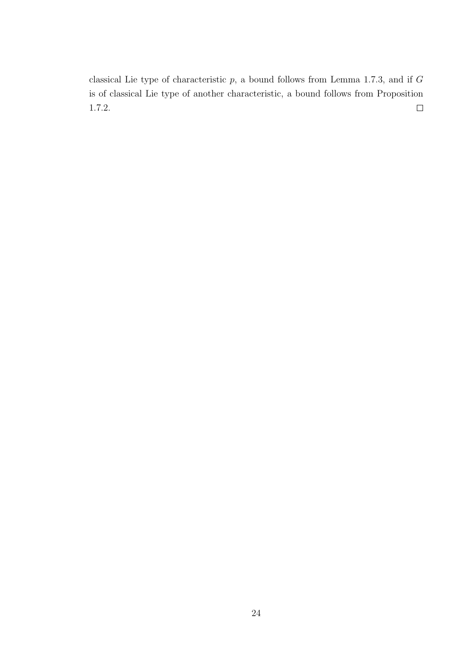classical Lie type of characteristic  $p$ , a bound follows from Lemma 1.7.3, and if  $G$ is of classical Lie type of another characteristic, a bound follows from Proposition 1.7.2.  $\hfill \square$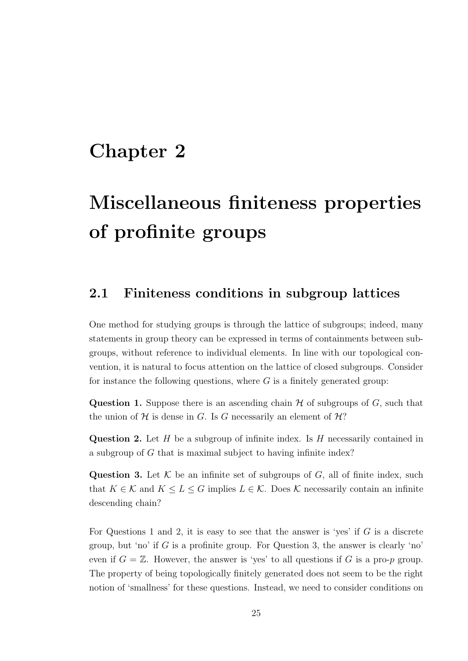## Chapter 2

# Miscellaneous finiteness properties of profinite groups

### 2.1 Finiteness conditions in subgroup lattices

One method for studying groups is through the lattice of subgroups; indeed, many statements in group theory can be expressed in terms of containments between subgroups, without reference to individual elements. In line with our topological convention, it is natural to focus attention on the lattice of closed subgroups. Consider for instance the following questions, where  $G$  is a finitely generated group:

**Question 1.** Suppose there is an ascending chain  $H$  of subgroups of  $G$ , such that the union of  $H$  is dense in G. Is G necessarily an element of  $H$ ?

**Question 2.** Let  $H$  be a subgroup of infinite index. Is  $H$  necessarily contained in a subgroup of G that is maximal subject to having infinite index?

Question 3. Let  $K$  be an infinite set of subgroups of  $G$ , all of finite index, such that  $K \in \mathcal{K}$  and  $K \leq L \leq G$  implies  $L \in \mathcal{K}$ . Does  $\mathcal{K}$  necessarily contain an infinite descending chain?

For Questions 1 and 2, it is easy to see that the answer is 'yes' if  $G$  is a discrete group, but 'no' if  $G$  is a profinite group. For Question 3, the answer is clearly 'no' even if  $G = \mathbb{Z}$ . However, the answer is 'yes' to all questions if G is a pro-p group. The property of being topologically finitely generated does not seem to be the right notion of 'smallness' for these questions. Instead, we need to consider conditions on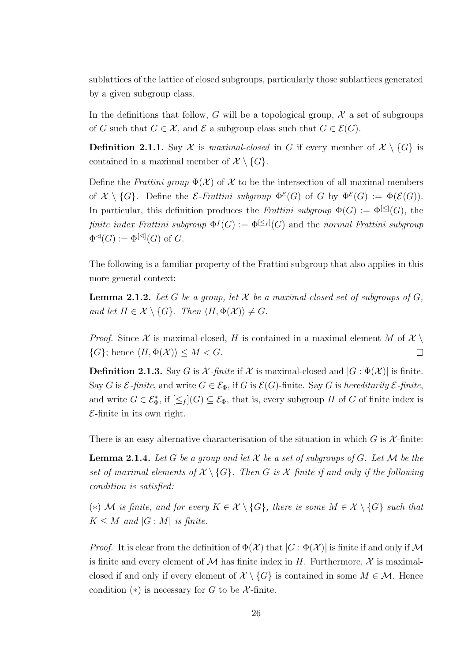sublattices of the lattice of closed subgroups, particularly those sublattices generated by a given subgroup class.

In the definitions that follow, G will be a topological group,  $\mathcal X$  a set of subgroups of G such that  $G \in \mathcal{X}$ , and  $\mathcal{E}$  a subgroup class such that  $G \in \mathcal{E}(G)$ .

**Definition 2.1.1.** Say X is maximal-closed in G if every member of  $X \setminus \{G\}$  is contained in a maximal member of  $\mathcal{X} \setminus \{G\}.$ 

Define the Frattini group  $\Phi(\mathcal{X})$  of X to be the intersection of all maximal members of  $\mathcal{X} \setminus \{G\}$ . Define the *E*-Frattini subgroup  $\Phi^{\mathcal{E}}(G)$  of G by  $\Phi^{\mathcal{E}}(G) := \Phi(\mathcal{E}(G))$ . In particular, this definition produces the Frattini subgroup  $\Phi(G) := \Phi^{[\leq]}(G)$ , the finite index Frattini subgroup  $\Phi^f(G) := \Phi^{[\leq_f]}(G)$  and the normal Frattini subgroup  $\Phi^{\lhd}(G) := \Phi^{[\triangleleft]}(G)$  of G.

The following is a familiar property of the Frattini subgroup that also applies in this more general context:

**Lemma 2.1.2.** Let G be a group, let X be a maximal-closed set of subgroups of  $G$ . and let  $H \in \mathcal{X} \setminus \{G\}$ . Then  $\langle H, \Phi(\mathcal{X}) \rangle \neq G$ .

*Proof.* Since X is maximal-closed, H is contained in a maximal element M of  $X \setminus$  $\{G\}$ ; hence  $\langle H, \Phi(\mathcal{X})\rangle \leq M < G$ .  $\Box$ 

**Definition 2.1.3.** Say G is  $\mathcal{X}\text{-}finite$  if  $\mathcal{X}$  is maximal-closed and  $|G:\Phi(\mathcal{X})|$  is finite. Say G is  $\mathcal{E}\text{-}finite$ , and write  $G \in \mathcal{E}_{\Phi}$ , if G is  $\mathcal{E}(G)$ -finite. Say G is hereditarily  $\mathcal{E}\text{-}finite$ , and write  $G \in \mathcal{E}_{\Phi}^*$ , if  $[\leq_f]$  $(G) \subseteq \mathcal{E}_{\Phi}$ , that is, every subgroup H of G of finite index is  $\mathcal{E}\text{-finite}$  in its own right.

There is an easy alternative characterisation of the situation in which  $G$  is  $\mathcal{X}\text{-finite}$ :

**Lemma 2.1.4.** Let G be a group and let X be a set of subgroups of G. Let M be the set of maximal elements of  $\mathcal{X} \setminus \{G\}$ . Then G is X-finite if and only if the following condition is satisfied:

(\*) M is finite, and for every  $K \in \mathcal{X} \setminus \{G\}$ , there is some  $M \in \mathcal{X} \setminus \{G\}$  such that  $K \leq M$  and  $|G : M|$  is finite.

*Proof.* It is clear from the definition of  $\Phi(\mathcal{X})$  that  $|G : \Phi(\mathcal{X})|$  is finite if and only if M is finite and every element of  $M$  has finite index in H. Furthermore,  $\mathcal X$  is maximalclosed if and only if every element of  $\mathcal{X} \setminus \{G\}$  is contained in some  $M \in \mathcal{M}$ . Hence condition  $(*)$  is necessary for G to be X-finite.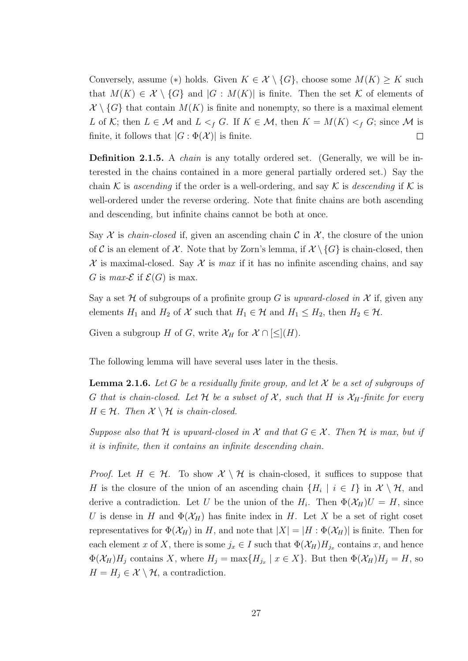Conversely, assume (\*) holds. Given  $K \in \mathcal{X} \setminus \{G\}$ , choose some  $M(K) \geq K$  such that  $M(K) \in \mathcal{X} \setminus \{G\}$  and  $|G : M(K)|$  is finite. Then the set K of elements of  $\mathcal{X}\setminus\{G\}$  that contain  $M(K)$  is finite and nonempty, so there is a maximal element L of K; then  $L \in \mathcal{M}$  and  $L \leq f$  G. If  $K \in \mathcal{M}$ , then  $K = M(K) \leq f$  G; since M is finite, it follows that  $|G : \Phi(\mathcal{X})|$  is finite.  $\Box$ 

Definition 2.1.5. A *chain* is any totally ordered set. (Generally, we will be interested in the chains contained in a more general partially ordered set.) Say the chain K is ascending if the order is a well-ordering, and say K is descending if K is well-ordered under the reverse ordering. Note that finite chains are both ascending and descending, but infinite chains cannot be both at once.

Say  $\mathcal X$  is *chain-closed* if, given an ascending chain  $\mathcal C$  in  $\mathcal X$ , the closure of the union of C is an element of X. Note that by Zorn's lemma, if  $\mathcal{X}\setminus\{G\}$  is chain-closed, then  $\mathcal X$  is maximal-closed. Say  $\mathcal X$  is max if it has no infinite ascending chains, and say G is max- $\mathcal E$  if  $\mathcal E(G)$  is max.

Say a set H of subgroups of a profinite group G is upward-closed in X if, given any elements  $H_1$  and  $H_2$  of  $\mathcal X$  such that  $H_1 \in \mathcal H$  and  $H_1 \leq H_2$ , then  $H_2 \in \mathcal H$ .

Given a subgroup H of G, write  $\mathcal{X}_H$  for  $\mathcal{X} \cap [\leq](H)$ .

The following lemma will have several uses later in the thesis.

**Lemma 2.1.6.** Let G be a residually finite group, and let X be a set of subgroups of G that is chain-closed. Let H be a subset of X, such that H is  $\mathcal{X}_H$ -finite for every  $H \in \mathcal{H}$ . Then  $\mathcal{X} \setminus \mathcal{H}$  is chain-closed.

Suppose also that H is upward-closed in X and that  $G \in \mathcal{X}$ . Then H is max, but if it is infinite, then it contains an infinite descending chain.

*Proof.* Let  $H \in \mathcal{H}$ . To show  $\mathcal{X} \setminus \mathcal{H}$  is chain-closed, it suffices to suppose that H is the closure of the union of an ascending chain  $\{H_i \mid i \in I\}$  in  $\mathcal{X} \setminus \mathcal{H}$ , and derive a contradiction. Let U be the union of the  $H_i$ . Then  $\Phi(\mathcal{X}_H)U = H$ , since U is dense in H and  $\Phi(\mathcal{X}_H)$  has finite index in H. Let X be a set of right coset representatives for  $\Phi(\mathcal{X}_H)$  in H, and note that  $|X| = |H : \Phi(\mathcal{X}_H)|$  is finite. Then for each element x of X, there is some  $j_x \in I$  such that  $\Phi(\mathcal{X}_H)H_{j_x}$  contains x, and hence  $\Phi(\mathcal{X}_H)H_j$  contains X, where  $H_j = \max\{H_{j_x} \mid x \in X\}$ . But then  $\Phi(\mathcal{X}_H)H_j = H$ , so  $H = H_i \in \mathcal{X} \setminus \mathcal{H}$ , a contradiction.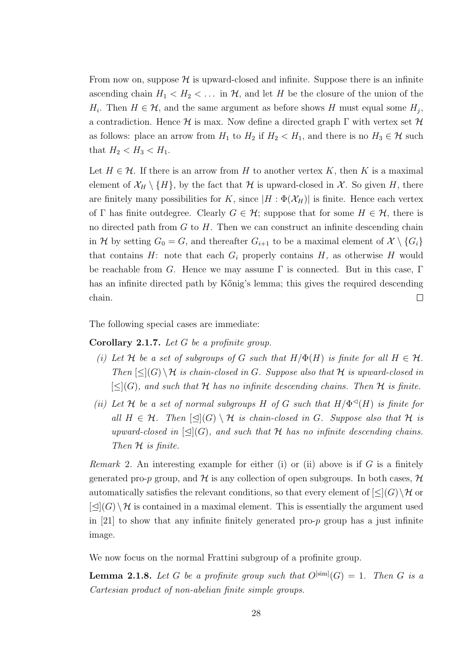From now on, suppose  $\mathcal H$  is upward-closed and infinite. Suppose there is an infinite ascending chain  $H_1 < H_2 < \ldots$  in  $H$ , and let H be the closure of the union of the  $H_i$ . Then  $H \in \mathcal{H}$ , and the same argument as before shows H must equal some  $H_j$ , a contradiction. Hence  $\mathcal H$  is max. Now define a directed graph  $\Gamma$  with vertex set  $\mathcal H$ as follows: place an arrow from  $H_1$  to  $H_2$  if  $H_2 < H_1$ , and there is no  $H_3 \in \mathcal{H}$  such that  $H_2 < H_3 < H_1$ .

Let  $H \in \mathcal{H}$ . If there is an arrow from H to another vertex K, then K is a maximal element of  $\mathcal{X}_H \setminus \{H\}$ , by the fact that H is upward-closed in X. So given H, there are finitely many possibilities for K, since  $|H : \Phi(\mathcal{X}_H)|$  is finite. Hence each vertex of Γ has finite outdegree. Clearly  $G \in \mathcal{H}$ ; suppose that for some  $H \in \mathcal{H}$ , there is no directed path from  $G$  to  $H$ . Then we can construct an infinite descending chain in H by setting  $G_0 = G$ , and thereafter  $G_{i+1}$  to be a maximal element of  $\mathcal{X} \setminus \{G_i\}$ that contains  $H$ : note that each  $G_i$  properly contains  $H$ , as otherwise  $H$  would be reachable from G. Hence we may assume  $\Gamma$  is connected. But in this case,  $\Gamma$ has an infinite directed path by Kőnig's lemma; this gives the required descending chain.  $\Box$ 

The following special cases are immediate:

Corollary 2.1.7. Let G be a profinite group.

- (i) Let H be a set of subgroups of G such that  $H/\Phi(H)$  is finite for all  $H \in \mathcal{H}$ . Then  $\leq |(G) \setminus H$  is chain-closed in G. Suppose also that H is upward-closed in  $[\leq](G)$ , and such that H has no infinite descending chains. Then H is finite.
- (ii) Let H be a set of normal subgroups H of G such that  $H/\Phi \circ (H)$  is finite for all  $H \in \mathcal{H}$ . Then  $\trianglelefteq |G| \setminus \mathcal{H}$  is chain-closed in G. Suppose also that  $\mathcal{H}$  is upward-closed in  $[\triangle](G)$ , and such that H has no infinite descending chains. Then  $H$  is finite.

*Remark* 2. An interesting example for either (i) or (ii) above is if G is a finitely generated pro-p group, and H is any collection of open subgroups. In both cases,  $H$ automatically satisfies the relevant conditions, so that every element of  $\leq (G) \setminus \mathcal{H}$  or  $[\triangleleft](G) \setminus \mathcal{H}$  is contained in a maximal element. This is essentially the argument used in  $[21]$  to show that any infinite finitely generated pro-p group has a just infinite image.

We now focus on the normal Frattini subgroup of a profinite group.

**Lemma 2.1.8.** Let G be a profinite group such that  $O^{[\text{sim}]}(G) = 1$ . Then G is a Cartesian product of non-abelian finite simple groups.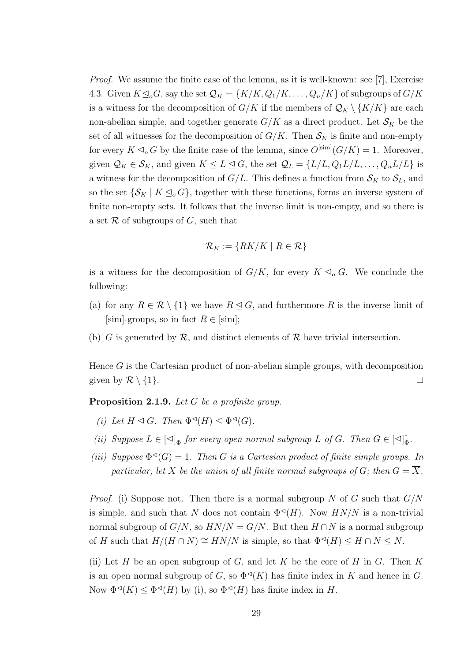Proof. We assume the finite case of the lemma, as it is well-known: see [7], Exercise 4.3. Given  $K \subseteq_{o} G$ , say the set  $\mathcal{Q}_K = \{K/K, Q_1/K, \ldots, Q_n/K\}$  of subgroups of  $G/K$ is a witness for the decomposition of  $G/K$  if the members of  $\mathcal{Q}_K \setminus \{K/K\}$  are each non-abelian simple, and together generate  $G/K$  as a direct product. Let  $\mathcal{S}_K$  be the set of all witnesses for the decomposition of  $G/K$ . Then  $\mathcal{S}_K$  is finite and non-empty for every  $K \leq_o G$  by the finite case of the lemma, since  $O^{[\text{sim}]}(G/K) = 1$ . Moreover, given  $\mathcal{Q}_K \in \mathcal{S}_K$ , and given  $K \leq L \leq G$ , the set  $\mathcal{Q}_L = \{L/L, Q_1L/L, \ldots, Q_nL/L\}$  is a witness for the decomposition of  $G/L$ . This defines a function from  $\mathcal{S}_K$  to  $\mathcal{S}_L$ , and so the set  $\{S_K | K \leq_{o} G\}$ , together with these functions, forms an inverse system of finite non-empty sets. It follows that the inverse limit is non-empty, and so there is a set  $\mathcal R$  of subgroups of  $G$ , such that

$$
\mathcal{R}_K := \{ RK/K \mid R \in \mathcal{R}\}
$$

is a witness for the decomposition of  $G/K$ , for every  $K \leq_o G$ . We conclude the following:

- (a) for any  $R \in \mathcal{R} \setminus \{1\}$  we have  $R \leq G$ , and furthermore R is the inverse limit of  $[\text{sim}]$ -groups, so in fact  $R \in [\text{sim}]$ ;
- (b) G is generated by  $\mathcal{R}$ , and distinct elements of  $\mathcal{R}$  have trivial intersection.

Hence  $G$  is the Cartesian product of non-abelian simple groups, with decomposition given by  $\mathcal{R} \setminus \{1\}.$  $\Box$ 

Proposition 2.1.9. Let G be a profinite group.

- (i) Let  $H \trianglelefteq G$ . Then  $\Phi \trianglelefteq(H) \leq \Phi \trianglelefteq(G)$ .
- (ii) Suppose  $L \in [\triangle]_{\Phi}$  for every open normal subgroup L of G. Then  $G \in [\triangle]_{\Phi}^*$  $_{\Phi}^*$  .
- (iii) Suppose  $\Phi^{\lhd}(G) = 1$ . Then G is a Cartesian product of finite simple groups. In particular, let X be the union of all finite normal subgroups of G; then  $G = \overline{X}$ .

*Proof.* (i) Suppose not. Then there is a normal subgroup N of G such that  $G/N$ is simple, and such that N does not contain  $\Phi^{<sup>q</sup>}(H)$ . Now  $HN/N$  is a non-trivial normal subgroup of  $G/N$ , so  $HN/N = G/N$ . But then  $H \cap N$  is a normal subgroup of H such that  $H/(H \cap N) \cong HN/N$  is simple, so that  $\Phi \circ H \cap N \leq N$ .

(ii) Let H be an open subgroup of G, and let K be the core of H in G. Then K is an open normal subgroup of G, so  $\Phi^{\lhd}(K)$  has finite index in K and hence in G. Now  $\Phi^{\lhd}(K) \leq \Phi^{\lhd}(H)$  by (i), so  $\Phi^{\lhd}(H)$  has finite index in H.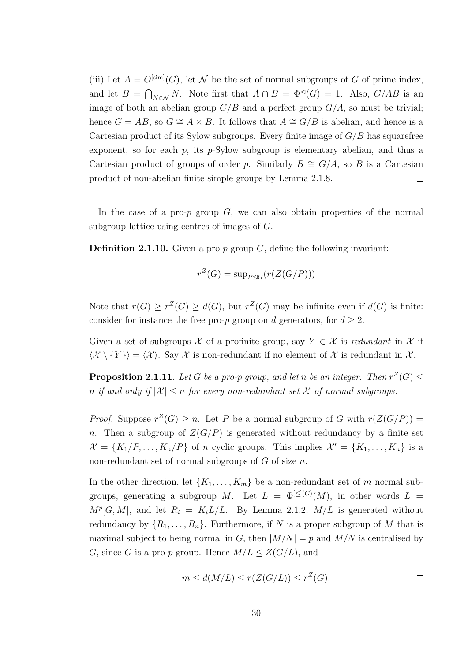(iii) Let  $A = O^{[\text{sim}]}(G)$ , let N be the set of normal subgroups of G of prime index, and let  $B = \bigcap_{N \in \mathcal{N}} N$ . Note first that  $A \cap B = \Phi^{\lhd}(G) = 1$ . Also,  $G/AB$  is an image of both an abelian group  $G/B$  and a perfect group  $G/A$ , so must be trivial; hence  $G = AB$ , so  $G \cong A \times B$ . It follows that  $A \cong G/B$  is abelian, and hence is a Cartesian product of its Sylow subgroups. Every finite image of  $G/B$  has squarefree exponent, so for each  $p$ , its  $p$ -Sylow subgroup is elementary abelian, and thus a Cartesian product of groups of order p. Similarly  $B \cong G/A$ , so B is a Cartesian product of non-abelian finite simple groups by Lemma 2.1.8.  $\Box$ 

In the case of a pro- $p$  group  $G$ , we can also obtain properties of the normal subgroup lattice using centres of images of G.

**Definition 2.1.10.** Given a pro-p group G, define the following invariant:

$$
r^Z(G) = \sup_{P \trianglelefteq G} (r(Z(G/P)))
$$

Note that  $r(G) \geq r^Z(G) \geq d(G)$ , but  $r^Z(G)$  may be infinite even if  $d(G)$  is finite: consider for instance the free pro-p group on d generators, for  $d \geq 2$ .

Given a set of subgroups X of a profinite group, say  $Y \in \mathcal{X}$  is redundant in X if  $\langle \mathcal{X} \setminus \{Y\} \rangle = \langle \mathcal{X} \rangle$ . Say X is non-redundant if no element of X is redundant in X.

**Proposition 2.1.11.** Let G be a pro-p group, and let n be an integer. Then  $r^Z(G) \leq$ n if and only if  $|\mathcal{X}| \leq n$  for every non-redundant set X of normal subgroups.

*Proof.* Suppose  $r^Z(G) \geq n$ . Let P be a normal subgroup of G with  $r(Z(G/P))$  = n. Then a subgroup of  $Z(G/P)$  is generated without redundancy by a finite set  $\mathcal{X} = \{K_1/P, \ldots, K_n/P\}$  of n cyclic groups. This implies  $\mathcal{X}' = \{K_1, \ldots, K_n\}$  is a non-redundant set of normal subgroups of  $G$  of size  $n$ .

In the other direction, let  $\{K_1, \ldots, K_m\}$  be a non-redundant set of m normal subgroups, generating a subgroup M. Let  $L = \Phi^{[\triangleleft]}(G)(M)$ , in other words  $L =$  $M^p[G,M]$ , and let  $R_i = K_i L/L$ . By Lemma 2.1.2,  $M/L$  is generated without redundancy by  $\{R_1, \ldots, R_n\}$ . Furthermore, if N is a proper subgroup of M that is maximal subject to being normal in G, then  $|M/N| = p$  and  $M/N$  is centralised by G, since G is a pro-p group. Hence  $M/L \leq Z(G/L)$ , and

$$
m \le d(M/L) \le r(Z(G/L)) \le r^Z(G).
$$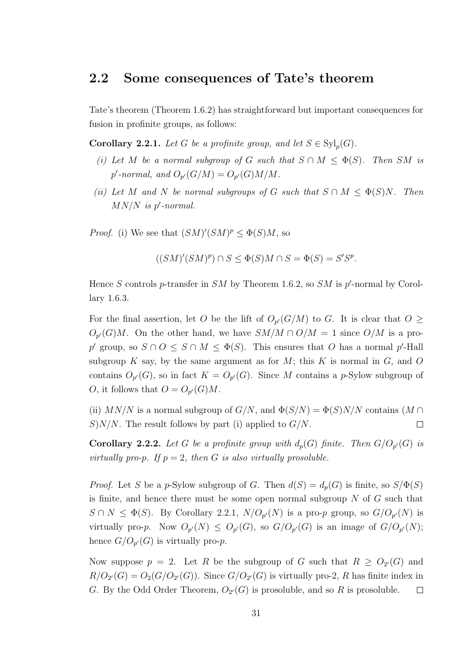## 2.2 Some consequences of Tate's theorem

Tate's theorem (Theorem 1.6.2) has straightforward but important consequences for fusion in profinite groups, as follows:

**Corollary 2.2.1.** Let G be a profinite group, and let  $S \in \mathrm{Syl}_p(G)$ .

- (i) Let M be a normal subgroup of G such that  $S \cap M \leq \Phi(S)$ . Then SM is  $p'$ -normal, and  $O_{p'}(G/M) = O_{p'}(G)M/M$ .
- (ii) Let M and N be normal subgroups of G such that  $S \cap M \leq \Phi(S)N$ . Then  $MN/N$  is p'-normal.

*Proof.* (i) We see that  $(SM)'(SM)^p \leq \Phi(S)M$ , so

$$
((SM)'(SM)^p) \cap S \le \Phi(S)M \cap S = \Phi(S) = S'S^p.
$$

Hence S controls p-transfer in SM by Theorem 1.6.2, so SM is  $p'$ -normal by Corollary 1.6.3.

For the final assertion, let O be the lift of  $O_{p'}(G/M)$  to G. It is clear that  $O \geq$  $O_{p'}(G)M$ . On the other hand, we have  $SM/M \cap O/M = 1$  since  $O/M$  is a prop' group, so  $S \cap O \leq S \cap M \leq \Phi(S)$ . This ensures that O has a normal p'-Hall subgroup K say, by the same argument as for  $M$ ; this K is normal in  $G$ , and  $O$ contains  $O_{p'}(G)$ , so in fact  $K = O_{p'}(G)$ . Since M contains a p-Sylow subgroup of O, it follows that  $O = O_{p'}(G)M$ .

(ii)  $MN/N$  is a normal subgroup of  $G/N$ , and  $\Phi(S/N) = \Phi(S)N/N$  contains  $(M \cap$  $S$ )N/N. The result follows by part (i) applied to  $G/N$ .  $\Box$ 

**Corollary 2.2.2.** Let G be a profinite group with  $d_p(G)$  finite. Then  $G/O_{p'}(G)$  is virtually pro-p. If  $p = 2$ , then G is also virtually prosoluble.

*Proof.* Let S be a p-Sylow subgroup of G. Then  $d(S) = d_p(G)$  is finite, so  $S/\Phi(S)$ is finite, and hence there must be some open normal subgroup  $N$  of  $G$  such that  $S \cap N \leq \Phi(S)$ . By Corollary 2.2.1,  $N/O_{p}(N)$  is a pro-p group, so  $G/O_{p}(N)$  is virtually pro-p. Now  $O_{p'}(N) \leq O_{p'}(G)$ , so  $G/O_{p'}(G)$  is an image of  $G/O_{p'}(N)$ ; hence  $G/O_{p'}(G)$  is virtually pro-p.

Now suppose  $p = 2$ . Let R be the subgroup of G such that  $R \geq O_{2'}(G)$  and  $R/O_{2'}(G) = O_{2}(G/O_{2'}(G))$ . Since  $G/O_{2'}(G)$  is virtually pro-2, R has finite index in G. By the Odd Order Theorem,  $O_{2'}(G)$  is prosoluble, and so R is prosoluble.  $\Box$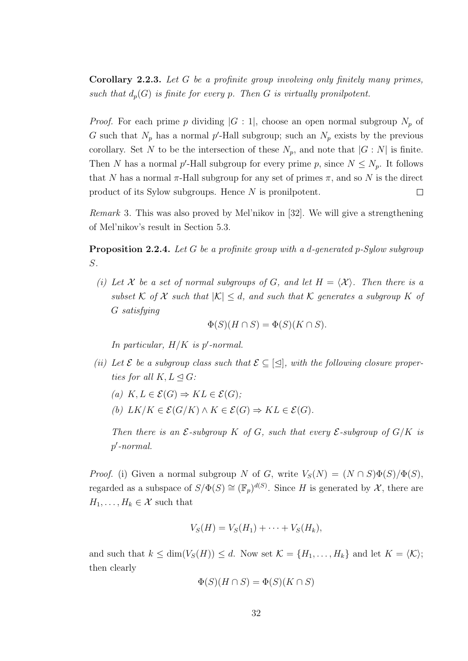Corollary 2.2.3. Let G be a profinite group involving only finitely many primes, such that  $d_p(G)$  is finite for every p. Then G is virtually pronilpotent.

*Proof.* For each prime p dividing  $|G:1|$ , choose an open normal subgroup  $N_p$  of G such that  $N_p$  has a normal p'-Hall subgroup; such an  $N_p$  exists by the previous corollary. Set N to be the intersection of these  $N_p$ , and note that  $|G:N|$  is finite. Then N has a normal p'-Hall subgroup for every prime p, since  $N \leq N_p$ . It follows that N has a normal  $\pi$ -Hall subgroup for any set of primes  $\pi$ , and so N is the direct product of its Sylow subgroups. Hence N is pronilpotent.  $\Box$ 

Remark 3. This was also proved by Mel'nikov in [32]. We will give a strengthening of Mel'nikov's result in Section 5.3.

**Proposition 2.2.4.** Let G be a profinite group with a d-generated p-Sylow subgroup S.

(i) Let X be a set of normal subgroups of G, and let  $H = \langle X \rangle$ . Then there is a subset K of X such that  $|K| \leq d$ , and such that K generates a subgroup K of G satisfying

$$
\Phi(S)(H \cap S) = \Phi(S)(K \cap S).
$$

In particular,  $H/K$  is p'-normal.

- (ii) Let  $\mathcal E$  be a subgroup class such that  $\mathcal E \subseteq [\triangle],$  with the following closure properties for all  $K, L \triangleleft G$ :
	- (a)  $K, L \in \mathcal{E}(G) \Rightarrow KL \in \mathcal{E}(G)$ ;
	- (b)  $LK/K \in \mathcal{E}(G/K) \wedge K \in \mathcal{E}(G) \Rightarrow KL \in \mathcal{E}(G)$ .

Then there is an  $\mathcal{E}$ -subgroup K of G, such that every  $\mathcal{E}$ -subgroup of  $G/K$  is  $p'$ -normal.

*Proof.* (i) Given a normal subgroup N of G, write  $V_S(N) = (N \cap S)\Phi(S)/\Phi(S)$ , regarded as a subspace of  $S/\Phi(S) \cong (\mathbb{F}_p)^{d(S)}$ . Since H is generated by X, there are  $H_1, \ldots, H_k \in \mathcal{X}$  such that

$$
V_S(H) = V_S(H_1) + \cdots + V_S(H_k),
$$

and such that  $k \le \dim(V_S(H)) \le d$ . Now set  $\mathcal{K} = \{H_1, \ldots, H_k\}$  and let  $K = \langle \mathcal{K} \rangle$ ; then clearly

$$
\Phi(S)(H \cap S) = \Phi(S)(K \cap S)
$$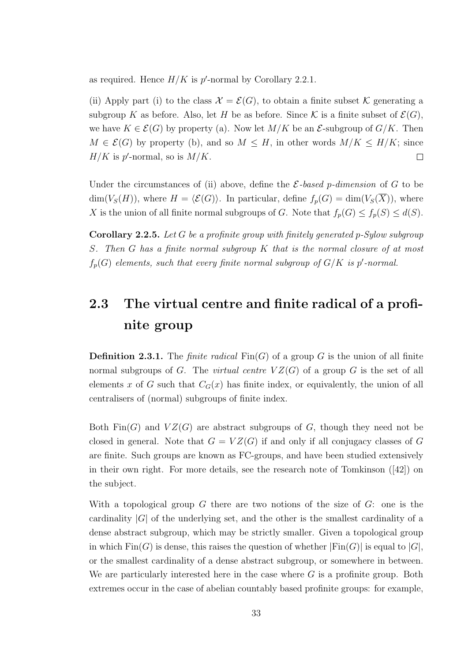as required. Hence  $H/K$  is  $p'$ -normal by Corollary 2.2.1.

(ii) Apply part (i) to the class  $\mathcal{X} = \mathcal{E}(G)$ , to obtain a finite subset K generating a subgroup K as before. Also, let H be as before. Since K is a finite subset of  $\mathcal{E}(G)$ , we have  $K \in \mathcal{E}(G)$  by property (a). Now let  $M/K$  be an  $\mathcal{E}$ -subgroup of  $G/K$ . Then  $M \in \mathcal{E}(G)$  by property (b), and so  $M \leq H$ , in other words  $M/K \leq H/K$ ; since  $H/K$  is p'-normal, so is  $M/K$ .  $\Box$ 

Under the circumstances of (ii) above, define the  $\mathcal{E}\text{-}based\ p\text{-}dimension$  of G to be  $\dim(V_S(H))$ , where  $H = \langle \mathcal{E}(G) \rangle$ . In particular, define  $f_p(G) = \dim(V_S(\overline{X}))$ , where X is the union of all finite normal subgroups of G. Note that  $f_p(G) \leq f_p(S) \leq d(S)$ .

Corollary 2.2.5. Let G be a profinite group with finitely generated p-Sylow subgroup S. Then G has a finite normal subgroup K that is the normal closure of at most  $f_p(G)$  elements, such that every finite normal subgroup of  $G/K$  is p'-normal.

## 2.3 The virtual centre and finite radical of a profinite group

**Definition 2.3.1.** The *finite radical*  $\text{Fin}(G)$  of a group G is the union of all finite normal subgroups of G. The *virtual centre*  $VZ(G)$  of a group G is the set of all elements x of G such that  $C_G(x)$  has finite index, or equivalently, the union of all centralisers of (normal) subgroups of finite index.

Both  $\text{Fin}(G)$  and  $VZ(G)$  are abstract subgroups of G, though they need not be closed in general. Note that  $G = VZ(G)$  if and only if all conjugacy classes of G are finite. Such groups are known as FC-groups, and have been studied extensively in their own right. For more details, see the research note of Tomkinson ([42]) on the subject.

With a topological group  $G$  there are two notions of the size of  $G$ : one is the cardinality  $|G|$  of the underlying set, and the other is the smallest cardinality of a dense abstract subgroup, which may be strictly smaller. Given a topological group in which  $\text{Fin}(G)$  is dense, this raises the question of whether  $|\text{Fin}(G)|$  is equal to  $|G|$ , or the smallest cardinality of a dense abstract subgroup, or somewhere in between. We are particularly interested here in the case where  $G$  is a profinite group. Both extremes occur in the case of abelian countably based profinite groups: for example,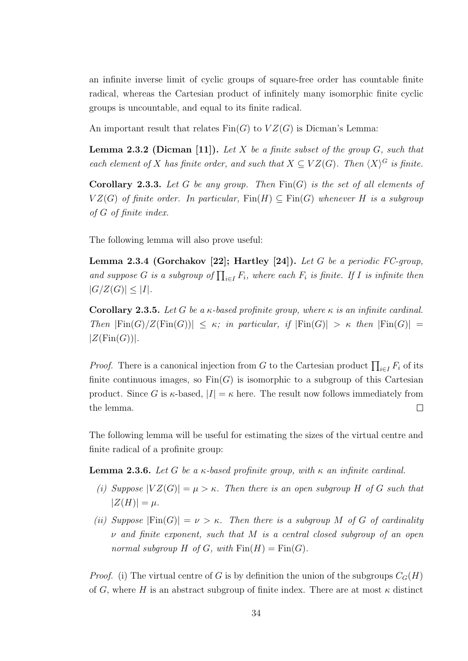an infinite inverse limit of cyclic groups of square-free order has countable finite radical, whereas the Cartesian product of infinitely many isomorphic finite cyclic groups is uncountable, and equal to its finite radical.

An important result that relates  $\text{Fin}(G)$  to  $VZ(G)$  is Dicman's Lemma:

**Lemma 2.3.2 (Dicman [11]).** Let  $X$  be a finite subset of the group  $G$ , such that each element of X has finite order, and such that  $X \subseteq VZ(G)$ . Then  $\langle X \rangle^G$  is finite.

**Corollary 2.3.3.** Let G be any group. Then  $\text{Fin}(G)$  is the set of all elements of  $VZ(G)$  of finite order. In particular,  $\text{Fin}(H) \subseteq \text{Fin}(G)$  whenever H is a subgroup of G of finite index.

The following lemma will also prove useful:

**Lemma 2.3.4 (Gorchakov [22]; Hartley [24]).** Let G be a periodic FC-group, and suppose G is a subgroup of  $\prod_{i\in I} F_i$ , where each  $F_i$  is finite. If I is infinite then  $|G/Z(G)| \leq |I|.$ 

**Corollary 2.3.5.** Let G be a  $\kappa$ -based profinite group, where  $\kappa$  is an infinite cardinal. Then  $|Fin(G)/Z(Fin(G))| \leq \kappa$ ; in particular, if  $|Fin(G)| > \kappa$  then  $|Fin(G)| =$  $|Z(\text{Fin}(G))|$ .

*Proof.* There is a canonical injection from G to the Cartesian product  $\prod_{i\in I} F_i$  of its finite continuous images, so  $Fin(G)$  is isomorphic to a subgroup of this Cartesian product. Since G is  $\kappa$ -based,  $|I| = \kappa$  here. The result now follows immediately from the lemma.  $\Box$ 

The following lemma will be useful for estimating the sizes of the virtual centre and finite radical of a profinite group:

**Lemma 2.3.6.** Let G be a  $\kappa$ -based profinite group, with  $\kappa$  an infinite cardinal.

- (i) Suppose  $|VZ(G)| = \mu > \kappa$ . Then there is an open subgroup H of G such that  $|Z(H)| = \mu$ .
- (ii) Suppose  $|Fin(G)| = \nu > \kappa$ . Then there is a subgroup M of G of cardinality  $\nu$  and finite exponent, such that M is a central closed subgroup of an open normal subgroup H of G, with  $\text{Fin}(H) = \text{Fin}(G)$ .

*Proof.* (i) The virtual centre of G is by definition the union of the subgroups  $C_G(H)$ of G, where H is an abstract subgroup of finite index. There are at most  $\kappa$  distinct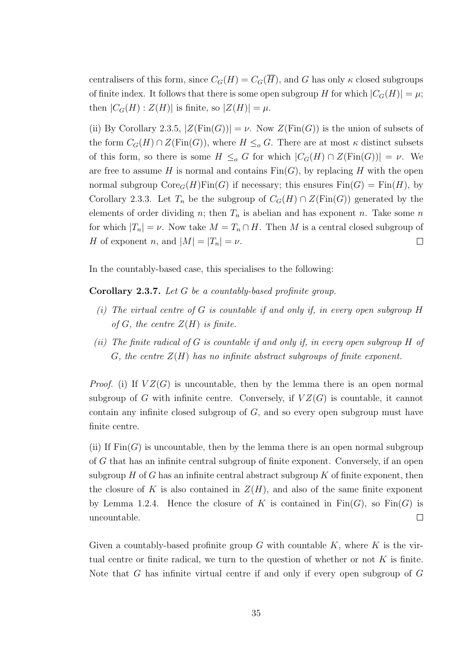centralisers of this form, since  $C_G(H) = C_G(\overline{H})$ , and G has only  $\kappa$  closed subgroups of finite index. It follows that there is some open subgroup H for which  $|C_G(H)| = \mu$ ; then  $|C_G(H):Z(H)|$  is finite, so  $|Z(H)| = \mu$ .

(ii) By Corollary 2.3.5,  $|Z(\text{Fin}(G))| = \nu$ . Now  $Z(\text{Fin}(G))$  is the union of subsets of the form  $C_G(H) \cap Z(\text{Fin}(G))$ , where  $H \leq_o G$ . There are at most  $\kappa$  distinct subsets of this form, so there is some  $H \leq_{o} G$  for which  $|C_{G}(H) \cap Z(\text{Fin}(G))| = \nu$ . We are free to assume H is normal and contains  $\text{Fin}(G)$ , by replacing H with the open normal subgroup  $\text{Core}_G(H)\text{Fin}(G)$  if necessary; this ensures  $\text{Fin}(G) = \text{Fin}(H)$ , by Corollary 2.3.3. Let  $T_n$  be the subgroup of  $C_G(H) \cap Z(\text{Fin}(G))$  generated by the elements of order dividing n; then  $T_n$  is abelian and has exponent n. Take some n for which  $|T_n| = \nu$ . Now take  $M = T_n \cap H$ . Then M is a central closed subgroup of H of exponent n, and  $|M| = |T_n| = \nu$ .  $\Box$ 

In the countably-based case, this specialises to the following:

Corollary 2.3.7. Let G be a countably-based profinite group.

- (i) The virtual centre of  $G$  is countable if and only if, in every open subgroup  $H$ of G, the centre  $Z(H)$  is finite.
- (ii) The finite radical of G is countable if and only if, in every open subgroup H of G, the centre  $Z(H)$  has no infinite abstract subgroups of finite exponent.

*Proof.* (i) If  $VZ(G)$  is uncountable, then by the lemma there is an open normal subgroup of G with infinite centre. Conversely, if  $VZ(G)$  is countable, it cannot contain any infinite closed subgroup of  $G$ , and so every open subgroup must have finite centre.

(ii) If  $\text{Fin}(G)$  is uncountable, then by the lemma there is an open normal subgroup of G that has an infinite central subgroup of finite exponent. Conversely, if an open subgroup  $H$  of G has an infinite central abstract subgroup  $K$  of finite exponent, then the closure of K is also contained in  $Z(H)$ , and also of the same finite exponent by Lemma 1.2.4. Hence the closure of K is contained in  $\text{Fin}(G)$ , so  $\text{Fin}(G)$  is uncountable.  $\Box$ 

Given a countably-based profinite group  $G$  with countable  $K$ , where  $K$  is the virtual centre or finite radical, we turn to the question of whether or not  $K$  is finite. Note that G has infinite virtual centre if and only if every open subgroup of G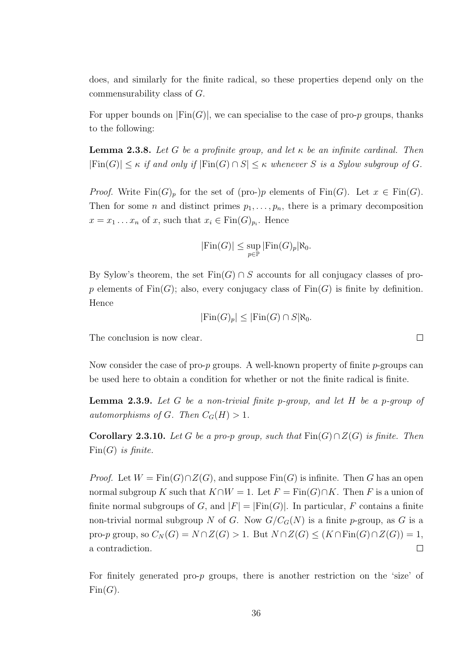does, and similarly for the finite radical, so these properties depend only on the commensurability class of G.

For upper bounds on  $|Fin(G)|$ , we can specialise to the case of pro-p groups, thanks to the following:

**Lemma 2.3.8.** Let G be a profinite group, and let  $\kappa$  be an infinite cardinal. Then  $|Fin(G)| \leq \kappa$  if and only if  $|Fin(G) \cap S| \leq \kappa$  whenever S is a Sylow subgroup of G.

*Proof.* Write  $\text{Fin}(G)_p$  for the set of (pro-)p elements of  $\text{Fin}(G)$ . Let  $x \in \text{Fin}(G)$ . Then for some *n* and distinct primes  $p_1, \ldots, p_n$ , there is a primary decomposition  $x = x_1 \dots x_n$  of x, such that  $x_i \in \text{Fin}(G)_{p_i}$ . Hence

$$
|\text{Fin}(G)| \le \sup_{p \in \mathbb{P}} |\text{Fin}(G)_p| \aleph_0.
$$

By Sylow's theorem, the set  $Fin(G) \cap S$  accounts for all conjugacy classes of prop elements of  $\text{Fin}(G)$ ; also, every conjugacy class of  $\text{Fin}(G)$  is finite by definition. Hence

$$
|\text{Fin}(G)_p| \le |\text{Fin}(G) \cap S| \aleph_0.
$$

The conclusion is now clear.

Now consider the case of pro- $p$  groups. A well-known property of finite  $p$ -groups can be used here to obtain a condition for whether or not the finite radical is finite.

**Lemma 2.3.9.** Let G be a non-trivial finite p-group, and let H be a p-group of automorphisms of G. Then  $C_G(H) > 1$ .

Corollary 2.3.10. Let G be a pro-p group, such that  $\text{Fin}(G) \cap Z(G)$  is finite. Then  $Fin(G)$  is finite.

*Proof.* Let  $W = \text{Fin}(G) \cap Z(G)$ , and suppose  $\text{Fin}(G)$  is infinite. Then G has an open normal subgroup K such that  $K \cap W = 1$ . Let  $F = \text{Fin}(G) \cap K$ . Then F is a union of finite normal subgroups of G, and  $|F| = |Fin(G)|$ . In particular, F contains a finite non-trivial normal subgroup N of G. Now  $G/C_G(N)$  is a finite p-group, as G is a pro-p group, so  $C_N(G) = N \cap Z(G) > 1$ . But  $N \cap Z(G) \leq (K \cap \text{Fin}(G) \cap Z(G)) = 1$ , a contradiction.  $\Box$ 

For finitely generated pro-p groups, there is another restriction on the 'size' of  $Fin(G)$ .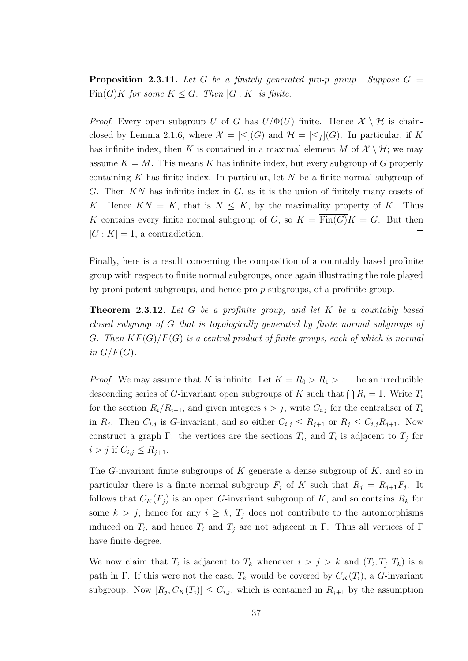**Proposition 2.3.11.** Let G be a finitely generated pro-p group. Suppose  $G =$  $\overline{\mathrm{Fin}(G)}K$  for some  $K \leq G$ . Then  $|G:K|$  is finite.

*Proof.* Every open subgroup U of G has  $U/\Phi(U)$  finite. Hence  $\mathcal{X} \setminus \mathcal{H}$  is chainclosed by Lemma 2.1.6, where  $\mathcal{X} = [\leq](G)$  and  $\mathcal{H} = [\leq_f](G)$ . In particular, if K has infinite index, then K is contained in a maximal element M of  $\mathcal{X} \setminus \mathcal{H}$ ; we may assume  $K = M$ . This means K has infinite index, but every subgroup of G properly containing K has finite index. In particular, let  $N$  be a finite normal subgroup of G. Then  $KN$  has infinite index in  $G$ , as it is the union of finitely many cosets of K. Hence  $KN = K$ , that is  $N \leq K$ , by the maximality property of K. Thus K contains every finite normal subgroup of G, so  $K = \overline{\text{Fin}(G)}K = G$ . But then  $|G:K|=1$ , a contradiction.  $\Box$ 

Finally, here is a result concerning the composition of a countably based profinite group with respect to finite normal subgroups, once again illustrating the role played by pronilpotent subgroups, and hence pro-p subgroups, of a profinite group.

**Theorem 2.3.12.** Let G be a profinite group, and let K be a countably based closed subgroup of G that is topologically generated by finite normal subgroups of G. Then  $KF(G)/F(G)$  is a central product of finite groups, each of which is normal in  $G/F(G)$ .

*Proof.* We may assume that K is infinite. Let  $K = R_0 > R_1 > ...$  be an irreducible descending series of G-invariant open subgroups of K such that  $\bigcap R_i = 1$ . Write  $T_i$ for the section  $R_i/R_{i+1}$ , and given integers  $i > j$ , write  $C_{i,j}$  for the centraliser of  $T_i$ in  $R_j$ . Then  $C_{i,j}$  is G-invariant, and so either  $C_{i,j} \leq R_{j+1}$  or  $R_j \leq C_{i,j}R_{j+1}$ . Now construct a graph  $\Gamma$ : the vertices are the sections  $T_i$ , and  $T_i$  is adjacent to  $T_j$  for  $i > j$  if  $C_{i,j} \leq R_{j+1}$ .

The G-invariant finite subgroups of  $K$  generate a dense subgroup of  $K$ , and so in particular there is a finite normal subgroup  $F_j$  of K such that  $R_j = R_{j+1}F_j$ . It follows that  $C_K(F_j)$  is an open G-invariant subgroup of K, and so contains  $R_k$  for some  $k > j$ ; hence for any  $i \geq k$ ,  $T_j$  does not contribute to the automorphisms induced on  $T_i$ , and hence  $T_i$  and  $T_j$  are not adjacent in  $\Gamma$ . Thus all vertices of  $\Gamma$ have finite degree.

We now claim that  $T_i$  is adjacent to  $T_k$  whenever  $i > j > k$  and  $(T_i, T_j, T_k)$  is a path in Γ. If this were not the case,  $T_k$  would be covered by  $C_K(T_i)$ , a G-invariant subgroup. Now  $[R_j, C_K(T_i)] \leq C_{i,j}$ , which is contained in  $R_{j+1}$  by the assumption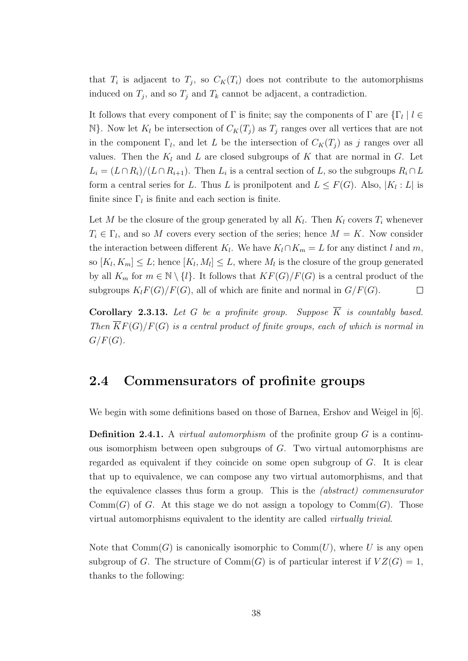that  $T_i$  is adjacent to  $T_j$ , so  $C_K(T_i)$  does not contribute to the automorphisms induced on  $T_j$ , and so  $T_j$  and  $T_k$  cannot be adjacent, a contradiction.

It follows that every component of  $\Gamma$  is finite; say the components of  $\Gamma$  are  $\{\Gamma_l \mid l \in$ N}. Now let  $K_l$  be intersection of  $C_K(T_j)$  as  $T_j$  ranges over all vertices that are not in the component  $\Gamma_l$ , and let L be the intersection of  $C_K(T_j)$  as j ranges over all values. Then the  $K_l$  and L are closed subgroups of K that are normal in G. Let  $L_i = (L \cap R_i)/(L \cap R_{i+1})$ . Then  $L_i$  is a central section of L, so the subgroups  $R_i \cap L$ form a central series for L. Thus L is pronilpotent and  $L \leq F(G)$ . Also,  $|K_l: L|$  is finite since  $\Gamma_l$  is finite and each section is finite.

Let M be the closure of the group generated by all  $K_l$ . Then  $K_l$  covers  $T_i$  whenever  $T_i \in \Gamma_l$ , and so M covers every section of the series; hence  $M = K$ . Now consider the interaction between different  $K_l$ . We have  $K_l \cap K_m = L$  for any distinct l and m, so  $[K_l, K_m] \leq L$ ; hence  $[K_l, M_l] \leq L$ , where  $M_l$  is the closure of the group generated by all  $K_m$  for  $m \in \mathbb{N} \setminus \{l\}$ . It follows that  $KF(G)/F(G)$  is a central product of the subgroups  $K_lF(G)/F(G)$ , all of which are finite and normal in  $G/F(G)$ .  $\Box$ 

Corollary 2.3.13. Let G be a profinite group. Suppose  $\overline{K}$  is countably based. Then  $\overline{K}F(G)/F(G)$  is a central product of finite groups, each of which is normal in  $G/F(G)$ .

#### 2.4 Commensurators of profinite groups

We begin with some definitions based on those of Barnea, Ershov and Weigel in [6].

**Definition 2.4.1.** A *virtual automorphism* of the profinite group  $G$  is a continuous isomorphism between open subgroups of G. Two virtual automorphisms are regarded as equivalent if they coincide on some open subgroup of  $G$ . It is clear that up to equivalence, we can compose any two virtual automorphisms, and that the equivalence classes thus form a group. This is the (abstract) commensurator  $Comm(G)$  of G. At this stage we do not assign a topology to  $Comm(G)$ . Those virtual automorphisms equivalent to the identity are called virtually trivial.

Note that  $Comm(G)$  is canonically isomorphic to  $Comm(U)$ , where U is any open subgroup of G. The structure of  $Comm(G)$  is of particular interest if  $VZ(G) = 1$ , thanks to the following: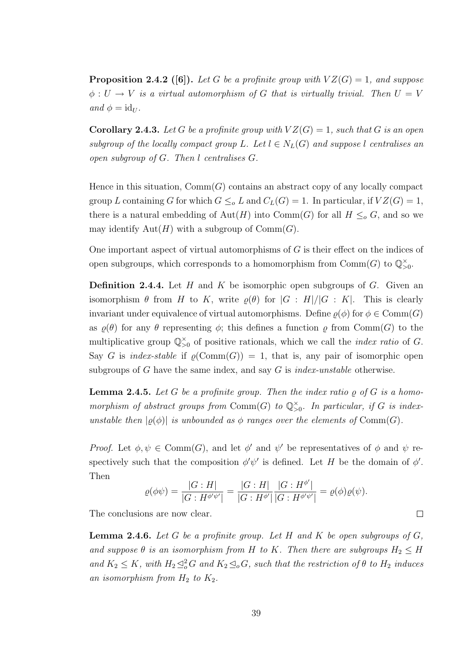**Proposition 2.4.2** ([6]). Let G be a profinite group with  $VZ(G) = 1$ , and suppose  $\phi: U \to V$  is a virtual automorphism of G that is virtually trivial. Then  $U = V$ and  $\phi = id_U$ .

**Corollary 2.4.3.** Let G be a profinite group with  $VZ(G) = 1$ , such that G is an open subgroup of the locally compact group L. Let  $l \in N_L(G)$  and suppose l centralises an open subgroup of G. Then l centralises G.

Hence in this situation,  $Comm(G)$  contains an abstract copy of any locally compact group L containing G for which  $G \leq_{o} L$  and  $C_{L}(G) = 1$ . In particular, if  $VZ(G) = 1$ , there is a natural embedding of Aut(H) into Comm(G) for all  $H \leq_{o} G$ , and so we may identify  $\text{Aut}(H)$  with a subgroup of  $\text{Comm}(G)$ .

One important aspect of virtual automorphisms of G is their effect on the indices of open subgroups, which corresponds to a homomorphism from  $\mathrm{Comm}(G)$  to  $\mathbb{Q}_{>0}^{\times}$ .

**Definition 2.4.4.** Let H and K be isomorphic open subgroups of G. Given an isomorphism  $\theta$  from H to K, write  $\rho(\theta)$  for  $|G : H|/|G : K|$ . This is clearly invariant under equivalence of virtual automorphisms. Define  $\rho(\phi)$  for  $\phi \in \text{Comm}(G)$ as  $\varrho(\theta)$  for any  $\theta$  representing  $\phi$ ; this defines a function  $\varrho$  from Comm(G) to the multiplicative group  $\mathbb{Q}_{>0}^{\times}$  of positive rationals, which we call the *index ratio* of G. Say G is index-stable if  $\varrho(\text{Comm}(G)) = 1$ , that is, any pair of isomorphic open subgroups of G have the same index, and say G is *index-unstable* otherwise.

**Lemma 2.4.5.** Let G be a profinite group. Then the index ratio  $\rho$  of G is a homomorphism of abstract groups from Comm(G) to  $\mathbb{Q}_{>0}^{\times}$ . In particular, if G is indexunstable then  $|\rho(\phi)|$  is unbounded as  $\phi$  ranges over the elements of Comm(G).

Proof. Let  $\phi, \psi \in \text{Comm}(G)$ , and let  $\phi'$  and  $\psi'$  be representatives of  $\phi$  and  $\psi$  respectively such that the composition  $\phi' \psi'$  is defined. Let H be the domain of  $\phi'$ . Then

$$
\varrho(\phi\psi) = \frac{|G:H|}{|G:H^{\phi'\psi'}|} = \frac{|G:H|}{|G:H^{\phi'}|}\frac{|G:H^{\phi'}|}{|G:H^{\phi'\psi'}|} = \varrho(\phi)\varrho(\psi).
$$

 $\Box$ 

The conclusions are now clear.

**Lemma 2.4.6.** Let G be a profinite group. Let H and K be open subgroups of  $G$ , and suppose  $\theta$  is an isomorphism from H to K. Then there are subgroups  $H_2 \leq H$ and  $K_2 \leq K$ , with  $H_2 \trianglelefteq^2_{o} G$  and  $K_2 \trianglelefteq_o G$ , such that the restriction of  $\theta$  to  $H_2$  induces an isomorphism from  $H_2$  to  $K_2$ .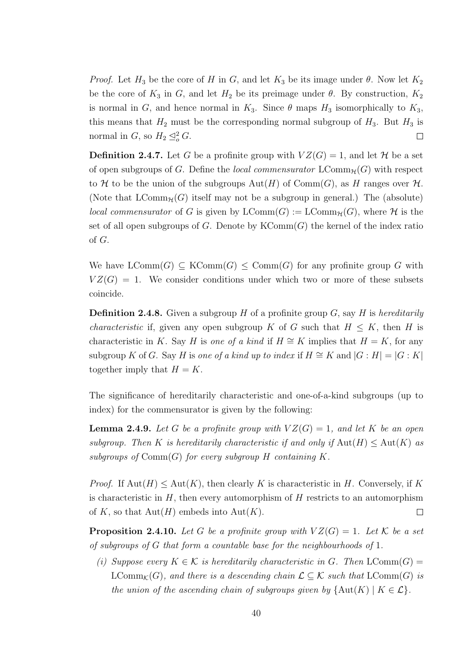*Proof.* Let  $H_3$  be the core of H in G, and let  $K_3$  be its image under  $\theta$ . Now let  $K_2$ be the core of  $K_3$  in G, and let  $H_2$  be its preimage under  $\theta$ . By construction,  $K_2$ is normal in G, and hence normal in  $K_3$ . Since  $\theta$  maps  $H_3$  isomorphically to  $K_3$ , this means that  $H_2$  must be the corresponding normal subgroup of  $H_3$ . But  $H_3$  is normal in  $G$ , so  $H_2 \leq_o^2 G$ .  $\Box$ 

**Definition 2.4.7.** Let G be a profinite group with  $VZ(G) = 1$ , and let H be a set of open subgroups of G. Define the local commensurator  $\mathrm{LComm}_{\mathcal{H}}(G)$  with respect to H to be the union of the subgroups  $Aut(H)$  of  $Comm(G)$ , as H ranges over H. (Note that  $LComm_{\mathcal{H}}(G)$  itself may not be a subgroup in general.) The (absolute) *local commensurator* of G is given by  $LComm(G) := LComm_{\mathcal{H}}(G)$ , where H is the set of all open subgroups of G. Denote by  $KComm(G)$  the kernel of the index ratio of G.

We have  $LComm(G) \subseteq KComm(G) \leq Comm(G)$  for any profinite group G with  $VZ(G) = 1$ . We consider conditions under which two or more of these subsets coincide.

**Definition 2.4.8.** Given a subgroup H of a profinite group G, say H is hereditarily *characteristic* if, given any open subgroup K of G such that  $H \leq K$ , then H is characteristic in K. Say H is one of a kind if  $H \cong K$  implies that  $H = K$ , for any subgroup K of G. Say H is one of a kind up to index if  $H \cong K$  and  $|G : H| = |G : K|$ together imply that  $H = K$ .

The significance of hereditarily characteristic and one-of-a-kind subgroups (up to index) for the commensurator is given by the following:

**Lemma 2.4.9.** Let G be a profinite group with  $VZ(G) = 1$ , and let K be an open subgroup. Then K is hereditarily characteristic if and only if  $\text{Aut}(H) \leq \text{Aut}(K)$  as subgroups of  $Comm(G)$  for every subgroup H containing K.

*Proof.* If  $Aut(H) \leq Aut(K)$ , then clearly K is characteristic in H. Conversely, if K is characteristic in  $H$ , then every automorphism of  $H$  restricts to an automorphism of K, so that  $Aut(H)$  embeds into  $Aut(K)$ .  $\Box$ 

**Proposition 2.4.10.** Let G be a profinite group with  $VZ(G) = 1$ . Let K be a set of subgroups of G that form a countable base for the neighbourhoods of 1.

(i) Suppose every  $K \in \mathcal{K}$  is hereditarily characteristic in G. Then  $\text{LComm}(G)$  $\mathrm{LComm}_{\mathcal{K}}(G)$ , and there is a descending chain  $\mathcal{L} \subseteq \mathcal{K}$  such that  $\mathrm{LComm}(G)$  is the union of the ascending chain of subgroups given by  $\{Aut(K) \mid K \in \mathcal{L}\}.$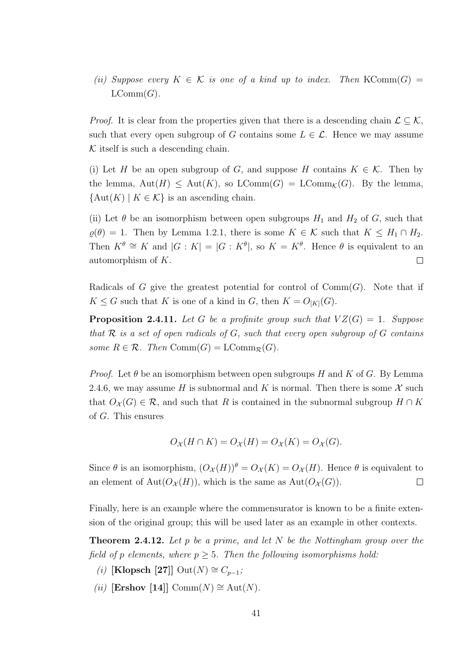(ii) Suppose every  $K \in \mathcal{K}$  is one of a kind up to index. Then KComm $(G)$  =  $LComm(G)$ .

*Proof.* It is clear from the properties given that there is a descending chain  $\mathcal{L} \subseteq \mathcal{K}$ , such that every open subgroup of G contains some  $L \in \mathcal{L}$ . Hence we may assume  $K$  itself is such a descending chain.

(i) Let H be an open subgroup of G, and suppose H contains  $K \in \mathcal{K}$ . Then by the lemma,  $Aut(H) \le Aut(K)$ , so  $LComm(G) = LComm<sub>K</sub>(G)$ . By the lemma,  ${\rm Aut}(K) \mid K \in \mathcal{K}$  is an ascending chain.

(ii) Let  $\theta$  be an isomorphism between open subgroups  $H_1$  and  $H_2$  of G, such that  $\varrho(\theta) = 1$ . Then by Lemma 1.2.1, there is some  $K \in \mathcal{K}$  such that  $K \leq H_1 \cap H_2$ . Then  $K^{\theta} \cong K$  and  $|G:K| = |G:K^{\theta}|$ , so  $K = K^{\theta}$ . Hence  $\theta$  is equivalent to an automorphism of K.  $\Box$ 

Radicals of G give the greatest potential for control of  $Comm(G)$ . Note that if  $K \leq G$  such that K is one of a kind in G, then  $K = O_{[K]}(G)$ .

**Proposition 2.4.11.** Let G be a profinite group such that  $VZ(G) = 1$ . Suppose that  $R$  is a set of open radicals of  $G$ , such that every open subgroup of  $G$  contains some  $R \in \mathcal{R}$ . Then  $\mathrm{Comm}(G) = \mathrm{LComm}_{\mathcal{R}}(G)$ .

*Proof.* Let  $\theta$  be an isomorphism between open subgroups H and K of G. By Lemma 2.4.6, we may assume H is subnormal and K is normal. Then there is some X such that  $O_{\mathcal{X}}(G) \in \mathcal{R}$ , and such that R is contained in the subnormal subgroup  $H \cap K$ of G. This ensures

$$
O_{\mathcal{X}}(H \cap K) = O_{\mathcal{X}}(H) = O_{\mathcal{X}}(K) = O_{\mathcal{X}}(G).
$$

Since  $\theta$  is an isomorphism,  $(O_{\mathcal{X}}(H))^{\theta} = O_{\mathcal{X}}(K) = O_{\mathcal{X}}(H)$ . Hence  $\theta$  is equivalent to an element of Aut $(O_{\mathcal{X}}(H))$ , which is the same as Aut $(O_{\mathcal{X}}(G))$ .  $\Box$ 

Finally, here is an example where the commensurator is known to be a finite extension of the original group; this will be used later as an example in other contexts.

**Theorem 2.4.12.** Let p be a prime, and let N be the Nottingham group over the field of p elements, where  $p \geq 5$ . Then the following isomorphisms hold:

- (i) [Klopsch [27]]  $Out(N) \cong C_{p-1}$ ;
- (ii) [Ershov [14]] Comm $(N) \cong Aut(N)$ .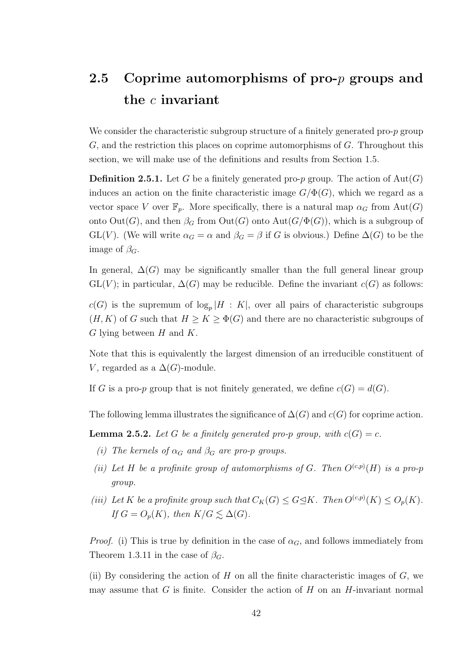### 2.5 Coprime automorphisms of pro- $p$  groups and the c invariant

We consider the characteristic subgroup structure of a finitely generated pro-p group  $G$ , and the restriction this places on coprime automorphisms of  $G$ . Throughout this section, we will make use of the definitions and results from Section 1.5.

**Definition 2.5.1.** Let G be a finitely generated pro-p group. The action of  $Aut(G)$ induces an action on the finite characteristic image  $G/\Phi(G)$ , which we regard as a vector space V over  $\mathbb{F}_p$ . More specifically, there is a natural map  $\alpha_G$  from  $Aut(G)$ onto  $Out(G)$ , and then  $\beta_G$  from  $Out(G)$  onto  $Aut(G/\Phi(G))$ , which is a subgroup of GL(V). (We will write  $\alpha_G = \alpha$  and  $\beta_G = \beta$  if G is obvious.) Define  $\Delta(G)$  to be the image of  $\beta_G$ .

In general,  $\Delta(G)$  may be significantly smaller than the full general linear group  $GL(V)$ ; in particular,  $\Delta(G)$  may be reducible. Define the invariant  $c(G)$  as follows:

 $c(G)$  is the supremum of  $\log_p|H: K|$ , over all pairs of characteristic subgroups  $(H, K)$  of G such that  $H \geq K \geq \Phi(G)$  and there are no characteristic subgroups of  $G$  lying between  $H$  and  $K$ .

Note that this is equivalently the largest dimension of an irreducible constituent of V, regarded as a  $\Delta(G)$ -module.

If G is a pro-p group that is not finitely generated, we define  $c(G) = d(G)$ .

The following lemma illustrates the significance of  $\Delta(G)$  and  $c(G)$  for coprime action.

**Lemma 2.5.2.** Let G be a finitely generated pro-p group, with  $c(G) = c$ .

- (i) The kernels of  $\alpha_G$  and  $\beta_G$  are pro-p groups.
- (ii) Let H be a profinite group of automorphisms of G. Then  $O^{(c,p)}(H)$  is a pro-p group.
- (iii) Let K be a profinite group such that  $C_K(G) \leq G \trianglelefteq K$ . Then  $O^{(c,p)}(K) \leq O_p(K)$ . If  $G = O_p(K)$ , then  $K/G \lesssim \Delta(G)$ .

*Proof.* (i) This is true by definition in the case of  $\alpha_G$ , and follows immediately from Theorem 1.3.11 in the case of  $\beta_G$ .

(ii) By considering the action of  $H$  on all the finite characteristic images of  $G$ , we may assume that G is finite. Consider the action of  $H$  on an  $H$ -invariant normal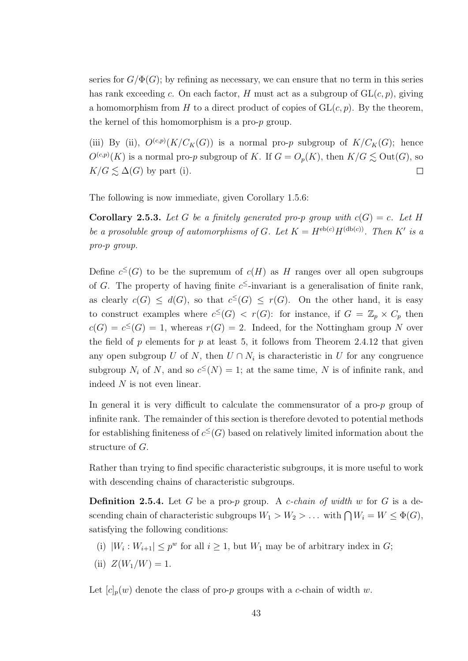series for  $G/\Phi(G)$ ; by refining as necessary, we can ensure that no term in this series has rank exceeding c. On each factor, H must act as a subgroup of  $GL(c, p)$ , giving a homomorphism from H to a direct product of copies of  $GL(c, p)$ . By the theorem, the kernel of this homomorphism is a pro-p group.

(iii) By (ii),  $O^{(c,p)}(K/C_K(G))$  is a normal pro-p subgroup of  $K/C_K(G)$ ; hence  $O^{(c,p)}(K)$  is a normal pro-p subgroup of K. If  $G = O_p(K)$ , then  $K/G \lesssim \text{Out}(G)$ , so  $K/G \lesssim \Delta(G)$  by part (i).  $\Box$ 

The following is now immediate, given Corollary 1.5.6:

**Corollary 2.5.3.** Let G be a finitely generated pro-p group with  $c(G) = c$ . Let H be a prosoluble group of automorphisms of G. Let  $K = H^{\text{eb}(c)}H^{(\text{db}(c))}$ . Then K' is a pro-p group.

Define  $c^{\leq}(G)$  to be the supremum of  $c(H)$  as H ranges over all open subgroups of G. The property of having finite  $c^{\leq}$ -invariant is a generalisation of finite rank, as clearly  $c(G) \leq d(G)$ , so that  $c^{\leq}(G) \leq r(G)$ . On the other hand, it is easy to construct examples where  $c^{\leq}(G) < r(G)$ : for instance, if  $G = \mathbb{Z}_p \times C_p$  then  $c(G) = c \leq G$  = 1, whereas  $r(G) = 2$ . Indeed, for the Nottingham group N over the field of p elements for p at least 5, it follows from Theorem 2.4.12 that given any open subgroup U of N, then  $U \cap N_i$  is characteristic in U for any congruence subgroup  $N_i$  of N, and so  $c^{\leq}(N) = 1$ ; at the same time, N is of infinite rank, and indeed N is not even linear.

In general it is very difficult to calculate the commensurator of a pro-p group of infinite rank. The remainder of this section is therefore devoted to potential methods for establishing finiteness of  $c^{\leq}(G)$  based on relatively limited information about the structure of G.

Rather than trying to find specific characteristic subgroups, it is more useful to work with descending chains of characteristic subgroups.

**Definition 2.5.4.** Let G be a pro-p group. A c-chain of width w for G is a descending chain of characteristic subgroups  $W_1 > W_2 > \ldots$  with  $\bigcap W_i = W \leq \Phi(G)$ , satisfying the following conditions:

- (i)  $|W_i: W_{i+1}| \leq p^w$  for all  $i \geq 1$ , but  $W_1$  may be of arbitrary index in G;
- (ii)  $Z(W_1/W) = 1$ .

Let  $[c]_p(w)$  denote the class of pro-p groups with a c-chain of width w.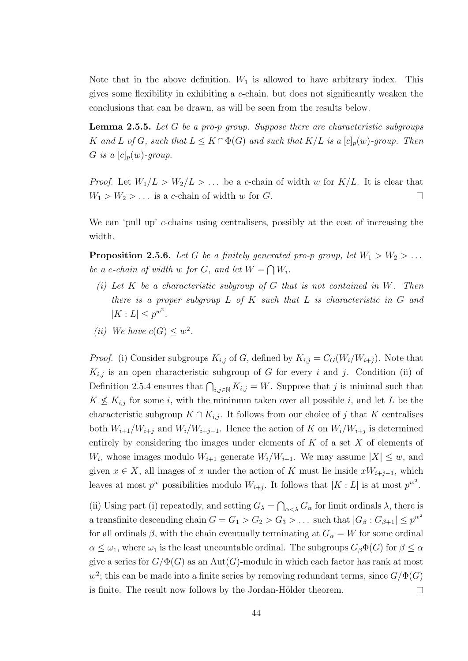Note that in the above definition,  $W_1$  is allowed to have arbitrary index. This gives some flexibility in exhibiting a c-chain, but does not significantly weaken the conclusions that can be drawn, as will be seen from the results below.

**Lemma 2.5.5.** Let G be a pro-p group. Suppose there are characteristic subgroups K and L of G, such that  $L \leq K \cap \Phi(G)$  and such that  $K/L$  is a  $[c]_p(w)$ -group. Then G is a  $[c]_p(w)$ -group.

*Proof.* Let  $W_1/L > W_2/L > ...$  be a c-chain of width w for  $K/L$ . It is clear that  $W_1 > W_2 > \ldots$  is a c-chain of width w for G.  $\Box$ 

We can 'pull up' c-chains using centralisers, possibly at the cost of increasing the width.

**Proposition 2.5.6.** Let G be a finitely generated pro-p group, let  $W_1 > W_2 > ...$ be a c-chain of width w for G, and let  $W = \bigcap W_i$ .

- (i) Let  $K$  be a characteristic subgroup of  $G$  that is not contained in  $W$ . Then there is a proper subgroup  $L$  of  $K$  such that  $L$  is characteristic in  $G$  and  $|K : L| \leq p^{w^2}$ .
- (*ii*) We have  $c(G) \leq w^2$ .

*Proof.* (i) Consider subgroups  $K_{i,j}$  of G, defined by  $K_{i,j} = C_G(W_i/W_{i+j})$ . Note that  $K_{i,j}$  is an open characteristic subgroup of G for every i and j. Condition (ii) of Definition 2.5.4 ensures that  $\bigcap_{i,j\in\mathbb{N}} K_{i,j} = W$ . Suppose that j is minimal such that  $K \nleq K_{i,j}$  for some i, with the minimum taken over all possible i, and let L be the characteristic subgroup  $K \cap K_{i,j}$ . It follows from our choice of j that K centralises both  $W_{i+1}/W_{i+j}$  and  $W_i/W_{i+j-1}$ . Hence the action of K on  $W_i/W_{i+j}$  is determined entirely by considering the images under elements of  $K$  of a set  $X$  of elements of  $W_i$ , whose images modulo  $W_{i+1}$  generate  $W_i/W_{i+1}$ . We may assume  $|X| \leq w$ , and given  $x \in X$ , all images of x under the action of K must lie inside  $xW_{i+j-1}$ , which leaves at most  $p^w$  possibilities modulo  $W_{i+j}$ . It follows that  $|K:L|$  is at most  $p^{w^2}$ .

(ii) Using part (i) repeatedly, and setting  $G_{\lambda} = \bigcap_{\alpha < \lambda} G_{\alpha}$  for limit ordinals  $\lambda$ , there is a transfinite descending chain  $G = G_1 > G_2 > G_3 > \ldots$  such that  $|G_\beta : G_{\beta+1}| \leq p^{w^2}$ for all ordinals  $\beta$ , with the chain eventually terminating at  $G_{\alpha} = W$  for some ordinal  $\alpha \leq \omega_1$ , where  $\omega_1$  is the least uncountable ordinal. The subgroups  $G_\beta \Phi(G)$  for  $\beta \leq \alpha$ give a series for  $G/\Phi(G)$  as an Aut(G)-module in which each factor has rank at most  $w^2$ ; this can be made into a finite series by removing redundant terms, since  $G/\Phi(G)$ is finite. The result now follows by the Jordan-Hölder theorem.  $\Box$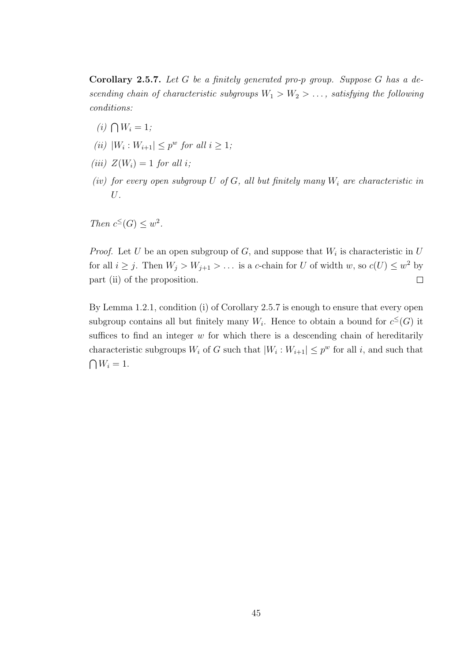Corollary 2.5.7. Let G be a finitely generated pro-p group. Suppose G has a descending chain of characteristic subgroups  $W_1 > W_2 > \ldots$ , satisfying the following conditions:

- $(i) \bigcap W_i = 1;$
- (ii)  $|W_i: W_{i+1}| \leq p^w$  for all  $i \geq 1$ ;
- (iii)  $Z(W_i) = 1$  for all i:
- (iv) for every open subgroup U of G, all but finitely many  $W_i$  are characteristic in U.

Then  $c^{\leq}(G) \leq w^2$ .

*Proof.* Let U be an open subgroup of G, and suppose that  $W_i$  is characteristic in U for all  $i \geq j$ . Then  $W_j > W_{j+1} > \ldots$  is a c-chain for U of width w, so  $c(U) \leq w^2$  by part (ii) of the proposition.  $\Box$ 

By Lemma 1.2.1, condition (i) of Corollary 2.5.7 is enough to ensure that every open subgroup contains all but finitely many  $W_i$ . Hence to obtain a bound for  $c^{\leq}(G)$  it suffices to find an integer  $w$  for which there is a descending chain of hereditarily characteristic subgroups  $W_i$  of G such that  $|W_i: W_{i+1}| \leq p^w$  for all i, and such that  $\bigcap W_i = 1.$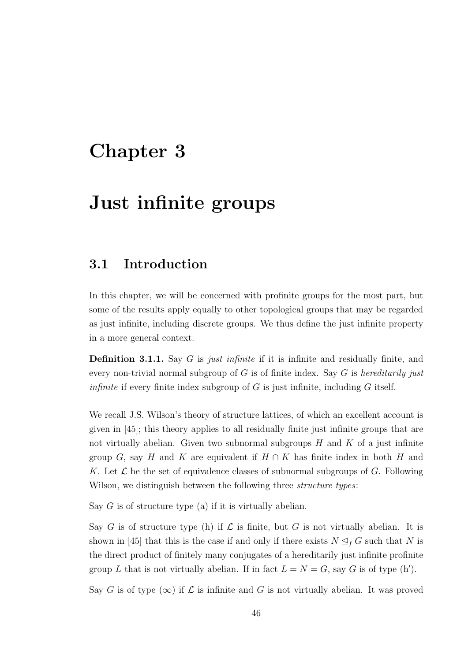# Chapter 3

# Just infinite groups

#### 3.1 Introduction

In this chapter, we will be concerned with profinite groups for the most part, but some of the results apply equally to other topological groups that may be regarded as just infinite, including discrete groups. We thus define the just infinite property in a more general context.

**Definition 3.1.1.** Say G is just infinite if it is infinite and residually finite, and every non-trivial normal subgroup of  $G$  is of finite index. Say  $G$  is *hereditarily just infinite* if every finite index subgroup of  $G$  is just infinite, including  $G$  itself.

We recall J.S. Wilson's theory of structure lattices, of which an excellent account is given in [45]; this theory applies to all residually finite just infinite groups that are not virtually abelian. Given two subnormal subgroups  $H$  and  $K$  of a just infinite group G, say H and K are equivalent if  $H \cap K$  has finite index in both H and K. Let  $\mathcal L$  be the set of equivalence classes of subnormal subgroups of G. Following Wilson, we distinguish between the following three *structure types*:

Say  $G$  is of structure type (a) if it is virtually abelian.

Say G is of structure type (h) if  $\mathcal L$  is finite, but G is not virtually abelian. It is shown in [45] that this is the case if and only if there exists  $N \leq_f G$  such that N is the direct product of finitely many conjugates of a hereditarily just infinite profinite group L that is not virtually abelian. If in fact  $L = N = G$ , say G is of type (h').

Say G is of type  $(\infty)$  if  $\mathcal L$  is infinite and G is not virtually abelian. It was proved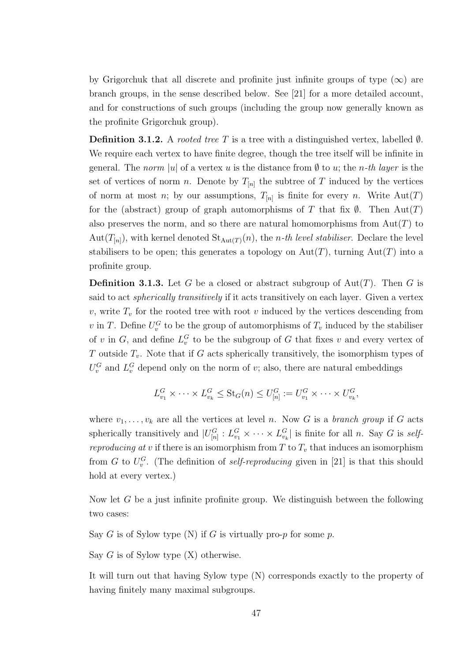by Grigorchuk that all discrete and profinite just infinite groups of type  $(\infty)$  are branch groups, in the sense described below. See [21] for a more detailed account, and for constructions of such groups (including the group now generally known as the profinite Grigorchuk group).

**Definition 3.1.2.** A *rooted tree* T is a tree with a distinguished vertex, labelled  $\emptyset$ . We require each vertex to have finite degree, though the tree itself will be infinite in general. The norm |u| of a vertex u is the distance from  $\emptyset$  to u; the n-th layer is the set of vertices of norm n. Denote by  $T_{[n]}$  the subtree of T induced by the vertices of norm at most *n*; by our assumptions,  $T_{[n]}$  is finite for every *n*. Write  $Aut(T)$ for the (abstract) group of graph automorphisms of T that fix  $\emptyset$ . Then Aut $(T)$ also preserves the norm, and so there are natural homomorphisms from  $Aut(T)$  to Aut $(T_{[n]})$ , with kernel denoted  $\text{St}_{\text{Aut}(T)}(n)$ , the *n*-th level stabiliser. Declare the level stabilisers to be open; this generates a topology on  $Aut(T)$ , turning  $Aut(T)$  into a profinite group.

**Definition 3.1.3.** Let G be a closed or abstract subgroup of  $\text{Aut}(T)$ . Then G is said to act *spherically transitively* if it acts transitively on each layer. Given a vertex  $v$ , write  $T_v$  for the rooted tree with root v induced by the vertices descending from v in T. Define  $U_v^G$  to be the group of automorphisms of  $T_v$  induced by the stabiliser of v in G, and define  $L_v^G$  to be the subgroup of G that fixes v and every vertex of T outside  $T_v$ . Note that if G acts spherically transitively, the isomorphism types of  $U_v^G$  and  $L_v^G$  depend only on the norm of v; also, there are natural embeddings

$$
L_{v_1}^G \times \cdots \times L_{v_k}^G \leq \text{St}_G(n) \leq U_{[n]}^G := U_{v_1}^G \times \cdots \times U_{v_k}^G,
$$

where  $v_1, \ldots, v_k$  are all the vertices at level n. Now G is a branch group if G acts spherically transitively and  $|U_{[n]}^G: L_{v_1}^G \times \cdots \times L_{v_k}^G|$  is finite for all n. Say G is selfreproducing at v if there is an isomorphism from  $T$  to  $T_v$  that induces an isomorphism from G to  $U_v^G$ . (The definition of *self-reproducing* given in [21] is that this should hold at every vertex.)

Now let  $G$  be a just infinite profinite group. We distinguish between the following two cases:

Say G is of Sylow type  $(N)$  if G is virtually pro-p for some p.

Say  $G$  is of Sylow type  $(X)$  otherwise.

It will turn out that having Sylow type (N) corresponds exactly to the property of having finitely many maximal subgroups.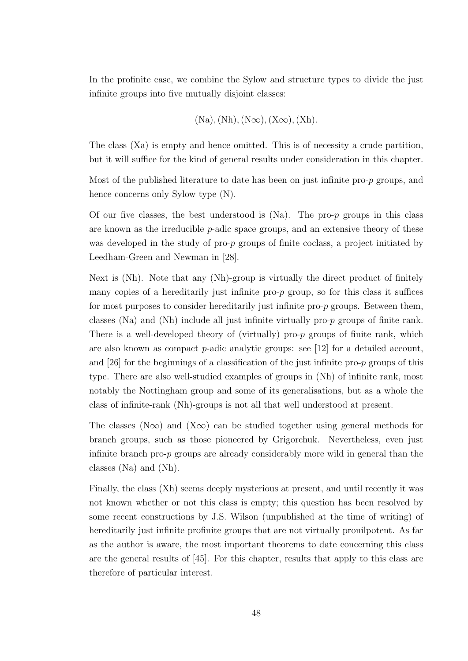In the profinite case, we combine the Sylow and structure types to divide the just infinite groups into five mutually disjoint classes:

$$
(\text{Na}), (\text{Nh}), (\text{N}\infty), (\text{X}\infty), (\text{X}\mathrm{h}).
$$

The class (Xa) is empty and hence omitted. This is of necessity a crude partition, but it will suffice for the kind of general results under consideration in this chapter.

Most of the published literature to date has been on just infinite pro-p groups, and hence concerns only Sylow type (N).

Of our five classes, the best understood is  $(Na)$ . The pro-p groups in this class are known as the irreducible  $p$ -adic space groups, and an extensive theory of these was developed in the study of pro-p groups of finite coclass, a project initiated by Leedham-Green and Newman in [28].

Next is (Nh). Note that any (Nh)-group is virtually the direct product of finitely many copies of a hereditarily just infinite pro-p group, so for this class it suffices for most purposes to consider hereditarily just infinite pro- $p$  groups. Between them, classes (Na) and (Nh) include all just infinite virtually pro-p groups of finite rank. There is a well-developed theory of (virtually) pro- $p$  groups of finite rank, which are also known as compact p-adic analytic groups: see [12] for a detailed account, and  $[26]$  for the beginnings of a classification of the just infinite pro-p groups of this type. There are also well-studied examples of groups in (Nh) of infinite rank, most notably the Nottingham group and some of its generalisations, but as a whole the class of infinite-rank (Nh)-groups is not all that well understood at present.

The classes (N∞) and (X∞) can be studied together using general methods for branch groups, such as those pioneered by Grigorchuk. Nevertheless, even just infinite branch pro-p groups are already considerably more wild in general than the classes (Na) and (Nh).

Finally, the class (Xh) seems deeply mysterious at present, and until recently it was not known whether or not this class is empty; this question has been resolved by some recent constructions by J.S. Wilson (unpublished at the time of writing) of hereditarily just infinite profinite groups that are not virtually pronilpotent. As far as the author is aware, the most important theorems to date concerning this class are the general results of [45]. For this chapter, results that apply to this class are therefore of particular interest.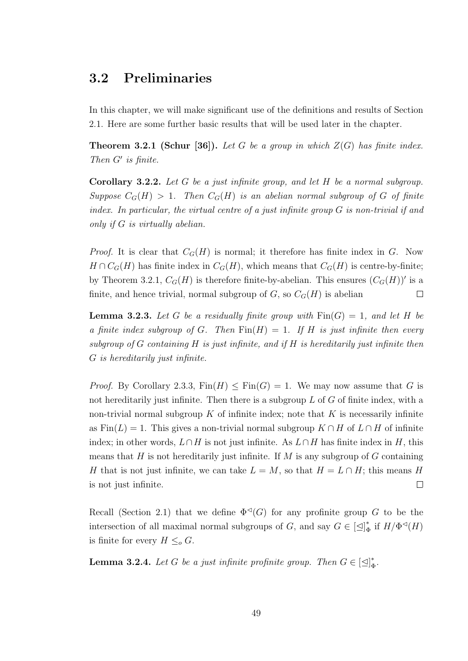### 3.2 Preliminaries

In this chapter, we will make significant use of the definitions and results of Section 2.1. Here are some further basic results that will be used later in the chapter.

**Theorem 3.2.1 (Schur [36]).** Let G be a group in which  $Z(G)$  has finite index. Then  $G'$  is finite.

**Corollary 3.2.2.** Let G be a just infinite group, and let H be a normal subgroup. Suppose  $C_G(H) > 1$ . Then  $C_G(H)$  is an abelian normal subgroup of G of finite index. In particular, the virtual centre of a just infinite group G is non-trivial if and only if G is virtually abelian.

*Proof.* It is clear that  $C_G(H)$  is normal; it therefore has finite index in G. Now  $H \cap C_G(H)$  has finite index in  $C_G(H)$ , which means that  $C_G(H)$  is centre-by-finite; by Theorem 3.2.1,  $C_G(H)$  is therefore finite-by-abelian. This ensures  $(C_G(H))'$  is a finite, and hence trivial, normal subgroup of  $G$ , so  $C_G(H)$  is abelian  $\Box$ 

**Lemma 3.2.3.** Let G be a residually finite group with  $\text{Fin}(G) = 1$ , and let H be a finite index subgroup of G. Then  $\text{Fin}(H) = 1$ . If H is just infinite then every subgroup of  $G$  containing  $H$  is just infinite, and if  $H$  is hereditarily just infinite then G is hereditarily just infinite.

*Proof.* By Corollary 2.3.3,  $Fin(H) \leq Fin(G) = 1$ . We may now assume that G is not hereditarily just infinite. Then there is a subgroup  $L$  of  $G$  of finite index, with a non-trivial normal subgroup  $K$  of infinite index; note that  $K$  is necessarily infinite as  $Fin(L) = 1$ . This gives a non-trivial normal subgroup  $K \cap H$  of  $L \cap H$  of infinite index; in other words,  $L \cap H$  is not just infinite. As  $L \cap H$  has finite index in H, this means that  $H$  is not hereditarily just infinite. If  $M$  is any subgroup of  $G$  containing H that is not just infinite, we can take  $L = M$ , so that  $H = L \cap H$ ; this means H is not just infinite.  $\Box$ 

Recall (Section 2.1) that we define  $\Phi^{\lhd}(G)$  for any profinite group G to be the intersection of all maximal normal subgroups of G, and say  $G \in [\triangle]_d^*$  $_{\Phi}^*$  if  $H/\Phi^{\lhd}(H)$ is finite for every  $H \leq_o G$ .

**Lemma 3.2.4.** Let G be a just infinite profinite group. Then  $G \in [\leq]_d^*$ Φ .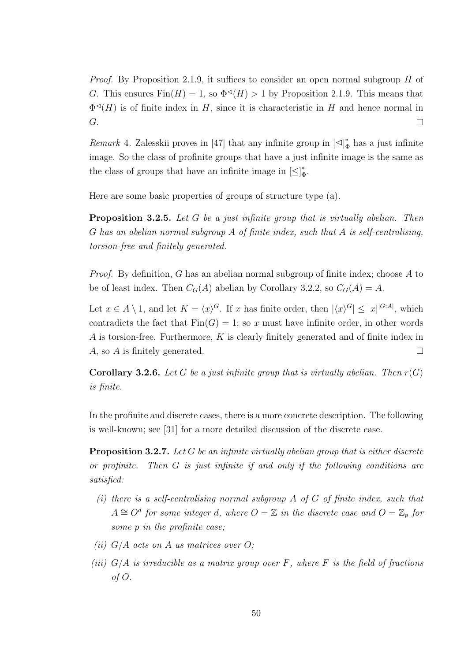Proof. By Proposition 2.1.9, it suffices to consider an open normal subgroup H of G. This ensures  $\text{Fin}(H) = 1$ , so  $\Phi \circ (H) > 1$  by Proposition 2.1.9. This means that  $\Phi \triangleleft (H)$  is of finite index in H, since it is characteristic in H and hence normal in G.  $\Box$ 

*Remark* 4. Zalesskii proves in [47] that any infinite group in  $\left[\leq\right]_d^*$  $_{\Phi}^{*}$  has a just infinite image. So the class of profinite groups that have a just infinite image is the same as the class of groups that have an infinite image in  $\left[\trianglelefteq\right]_d^*$  $_{\Phi}^*.$ 

Here are some basic properties of groups of structure type (a).

**Proposition 3.2.5.** Let G be a just infinite group that is virtually abelian. Then G has an abelian normal subgroup A of finite index, such that A is self-centralising, torsion-free and finitely generated.

Proof. By definition, G has an abelian normal subgroup of finite index; choose A to be of least index. Then  $C_G(A)$  abelian by Corollary 3.2.2, so  $C_G(A) = A$ .

Let  $x \in A \setminus 1$ , and let  $K = \langle x \rangle^G$ . If x has finite order, then  $|\langle x \rangle^G| \leq |x|^{|G:A|}$ , which contradicts the fact that  $Fin(G) = 1$ ; so x must have infinite order, in other words A is torsion-free. Furthermore, K is clearly finitely generated and of finite index in A, so A is finitely generated.  $\Box$ 

**Corollary 3.2.6.** Let G be a just infinite group that is virtually abelian. Then  $r(G)$ is finite.

In the profinite and discrete cases, there is a more concrete description. The following is well-known; see [31] for a more detailed discussion of the discrete case.

**Proposition 3.2.7.** Let G be an infinite virtually abelian group that is either discrete or profinite. Then G is just infinite if and only if the following conditions are satisfied:

- (i) there is a self-centralising normal subgroup  $A$  of  $G$  of finite index, such that  $A \cong O^d$  for some integer d, where  $O = \mathbb{Z}$  in the discrete case and  $O = \mathbb{Z}_p$  for some p in the profinite case;
- (ii)  $G/A$  acts on A as matrices over O;
- (iii)  $G/A$  is irreducible as a matrix group over F, where F is the field of fractions of O.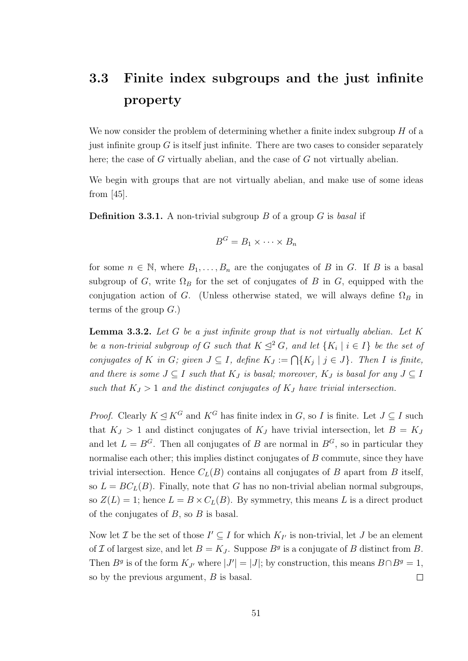### 3.3 Finite index subgroups and the just infinite property

We now consider the problem of determining whether a finite index subgroup  $H$  of a just infinite group  $G$  is itself just infinite. There are two cases to consider separately here; the case of G virtually abelian, and the case of G not virtually abelian.

We begin with groups that are not virtually abelian, and make use of some ideas from [45].

**Definition 3.3.1.** A non-trivial subgroup B of a group G is basal if

$$
B^G = B_1 \times \cdots \times B_n
$$

for some  $n \in \mathbb{N}$ , where  $B_1, \ldots, B_n$  are the conjugates of B in G. If B is a basal subgroup of G, write  $\Omega_B$  for the set of conjugates of B in G, equipped with the conjugation action of G. (Unless otherwise stated, we will always define  $\Omega_B$  in terms of the group  $G$ .)

**Lemma 3.3.2.** Let  $G$  be a just infinite group that is not virtually abelian. Let  $K$ be a non-trivial subgroup of G such that  $K \leq^2 G$ , and let  $\{K_i \mid i \in I\}$  be the set of conjugates of K in G; given  $J \subseteq I$ , define  $K_J := \bigcap \{K_j \mid j \in J\}$ . Then I is finite, and there is some  $J \subseteq I$  such that  $K_J$  is basal; moreover,  $K_J$  is basal for any  $J \subseteq I$ such that  $K_J > 1$  and the distinct conjugates of  $K_J$  have trivial intersection.

*Proof.* Clearly  $K \leq K^G$  and  $K^G$  has finite index in G, so I is finite. Let  $J \subseteq I$  such that  $K_J > 1$  and distinct conjugates of  $K_J$  have trivial intersection, let  $B = K_J$ and let  $L = B^G$ . Then all conjugates of B are normal in  $B^G$ , so in particular they normalise each other; this implies distinct conjugates of  $B$  commute, since they have trivial intersection. Hence  $C<sub>L</sub>(B)$  contains all conjugates of B apart from B itself, so  $L = BC<sub>L</sub>(B)$ . Finally, note that G has no non-trivial abelian normal subgroups, so  $Z(L) = 1$ ; hence  $L = B \times C_L(B)$ . By symmetry, this means L is a direct product of the conjugates of  $B$ , so  $B$  is basal.

Now let  $\mathcal I$  be the set of those  $I' \subseteq I$  for which  $K_{I'}$  is non-trivial, let  $J$  be an element of I of largest size, and let  $B = K_J$ . Suppose  $B<sup>g</sup>$  is a conjugate of B distinct from B. Then  $B^g$  is of the form  $K_{J'}$  where  $|J'| = |J|$ ; by construction, this means  $B \cap B^g = 1$ , so by the previous argument, B is basal.  $\Box$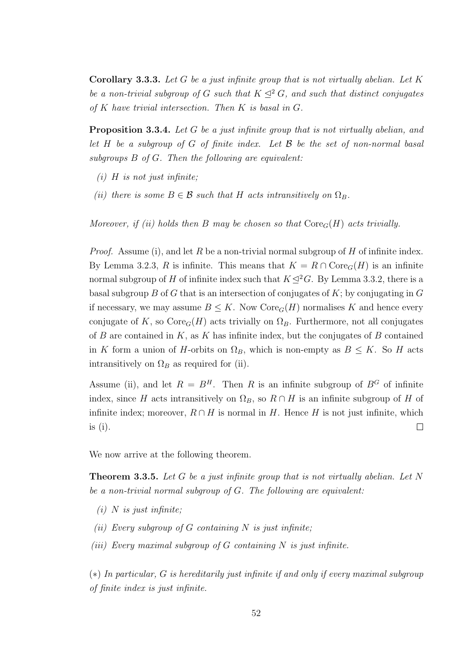**Corollary 3.3.3.** Let G be a just infinite group that is not virtually abelian. Let K be a non-trivial subgroup of G such that  $K \leq^2 G$ , and such that distinct conjugates of  $K$  have trivial intersection. Then  $K$  is basal in  $G$ .

**Proposition 3.3.4.** Let G be a just infinite group that is not virtually abelian, and let H be a subgroup of G of finite index. Let  $\mathcal B$  be the set of non-normal basal subgroups B of G. Then the following are equivalent:

- $(i)$  H is not just infinite;
- (ii) there is some  $B \in \mathcal{B}$  such that H acts intransitively on  $\Omega_B$ .

Moreover, if (ii) holds then B may be chosen so that  $\text{Core}_G(H)$  acts trivially.

*Proof.* Assume (i), and let R be a non-trivial normal subgroup of H of infinite index. By Lemma 3.2.3, R is infinite. This means that  $K = R \cap \text{Core}_G(H)$  is an infinite normal subgroup of H of infinite index such that  $K \lhd^2 G$ . By Lemma 3.3.2, there is a basal subgroup B of G that is an intersection of conjugates of  $K$ ; by conjugating in  $G$ if necessary, we may assume  $B \leq K$ . Now  $\text{Core}_G(H)$  normalises K and hence every conjugate of K, so  $\text{Core}_G(H)$  acts trivially on  $\Omega_B$ . Furthermore, not all conjugates of B are contained in  $K$ , as K has infinite index, but the conjugates of B contained in K form a union of H-orbits on  $\Omega_B$ , which is non-empty as  $B \leq K$ . So H acts intransitively on  $\Omega_B$  as required for (ii).

Assume (ii), and let  $R = B<sup>H</sup>$ . Then R is an infinite subgroup of  $B<sup>G</sup>$  of infinite index, since H acts intransitively on  $\Omega_B$ , so  $R \cap H$  is an infinite subgroup of H of infinite index; moreover,  $R \cap H$  is normal in H. Hence H is not just infinite, which is (i).  $\Box$ 

We now arrive at the following theorem.

**Theorem 3.3.5.** Let G be a just infinite group that is not virtually abelian. Let N be a non-trivial normal subgroup of G. The following are equivalent:

- $(i)$  N is just infinite;
- (ii) Every subgroup of G containing N is just infinite;
- (iii) Every maximal subgroup of  $G$  containing  $N$  is just infinite.

(∗) In particular, G is hereditarily just infinite if and only if every maximal subgroup of finite index is just infinite.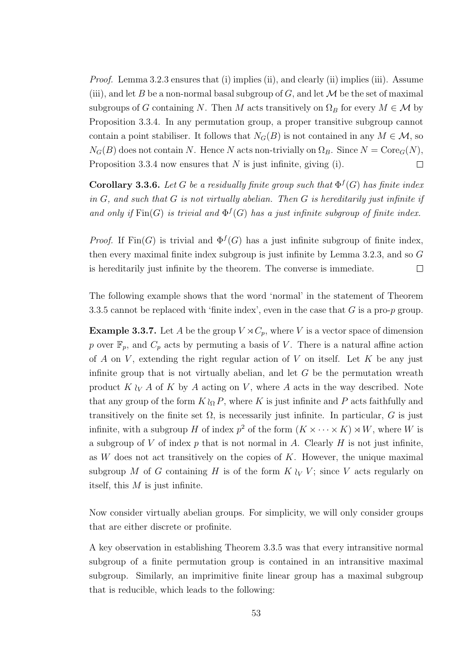Proof. Lemma 3.2.3 ensures that (i) implies (ii), and clearly (ii) implies (iii). Assume (iii), and let B be a non-normal basal subgroup of G, and let  $\mathcal M$  be the set of maximal subgroups of G containing N. Then M acts transitively on  $\Omega_B$  for every  $M \in \mathcal{M}$  by Proposition 3.3.4. In any permutation group, a proper transitive subgroup cannot contain a point stabiliser. It follows that  $N_G(B)$  is not contained in any  $M \in \mathcal{M}$ , so  $N_G(B)$  does not contain N. Hence N acts non-trivially on  $\Omega_B$ . Since  $N = \text{Core}_G(N)$ , Proposition 3.3.4 now ensures that  $N$  is just infinite, giving (i).  $\Box$ 

**Corollary 3.3.6.** Let G be a residually finite group such that  $\Phi^f(G)$  has finite index in  $G$ , and such that  $G$  is not virtually abelian. Then  $G$  is hereditarily just infinite if and only if  $\text{Fin}(G)$  is trivial and  $\Phi^f(G)$  has a just infinite subgroup of finite index.

*Proof.* If  $\text{Fin}(G)$  is trivial and  $\Phi^f(G)$  has a just infinite subgroup of finite index, then every maximal finite index subgroup is just infinite by Lemma 3.2.3, and so G is hereditarily just infinite by the theorem. The converse is immediate.  $\Box$ 

The following example shows that the word 'normal' in the statement of Theorem 3.3.5 cannot be replaced with 'finite index', even in the case that  $G$  is a pro- $p$  group.

**Example 3.3.7.** Let A be the group  $V \rtimes C_p$ , where V is a vector space of dimension p over  $\mathbb{F}_p$ , and  $C_p$  acts by permuting a basis of V. There is a natural affine action of A on V, extending the right regular action of V on itself. Let K be any just infinite group that is not virtually abelian, and let  $G$  be the permutation wreath product  $K \wr_{V} A$  of K by A acting on V, where A acts in the way described. Note that any group of the form  $K \n\Omega$ , where K is just infinite and P acts faithfully and transitively on the finite set  $\Omega$ , is necessarily just infinite. In particular, G is just infinite, with a subgroup H of index  $p^2$  of the form  $(K \times \cdots \times K) \rtimes W$ , where W is a subgroup of V of index p that is not normal in A. Clearly H is not just infinite, as  $W$  does not act transitively on the copies of  $K$ . However, the unique maximal subgroup M of G containing H is of the form  $K \wr_V V$ ; since V acts regularly on itself, this  $M$  is just infinite.

Now consider virtually abelian groups. For simplicity, we will only consider groups that are either discrete or profinite.

A key observation in establishing Theorem 3.3.5 was that every intransitive normal subgroup of a finite permutation group is contained in an intransitive maximal subgroup. Similarly, an imprimitive finite linear group has a maximal subgroup that is reducible, which leads to the following: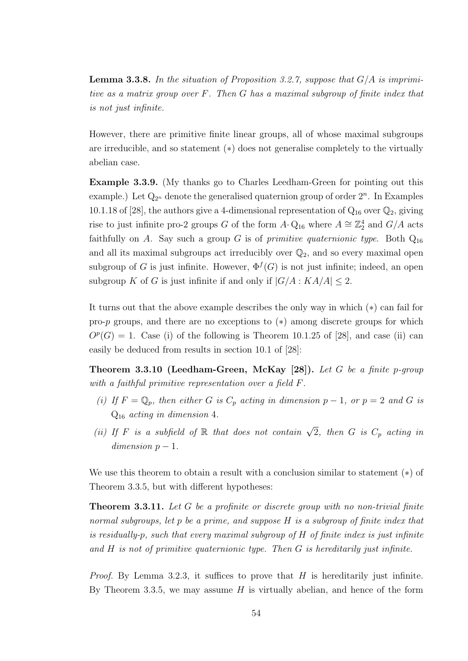**Lemma 3.3.8.** In the situation of Proposition 3.2.7, suppose that  $G/A$  is imprimitive as a matrix group over F. Then G has a maximal subgroup of finite index that is not just infinite.

However, there are primitive finite linear groups, all of whose maximal subgroups are irreducible, and so statement (∗) does not generalise completely to the virtually abelian case.

Example 3.3.9. (My thanks go to Charles Leedham-Green for pointing out this example.) Let  $Q_{2^n}$  denote the generalised quaternion group of order  $2^n$ . In Examples 10.1.18 of [28], the authors give a 4-dimensional representation of  $Q_{16}$  over  $Q_2$ , giving rise to just infinite pro-2 groups G of the form  $A \cdot Q_{16}$  where  $A \cong \mathbb{Z}_2^4$  and  $G/A$  acts faithfully on A. Say such a group G is of *primitive quaternionic type*. Both  $Q_{16}$ and all its maximal subgroups act irreducibly over  $\mathbb{Q}_2$ , and so every maximal open subgroup of G is just infinite. However,  $\Phi^f(G)$  is not just infinite; indeed, an open subgroup K of G is just infinite if and only if  $|G/A : KA/A| < 2$ .

It turns out that the above example describes the only way in which (∗) can fail for pro-p groups, and there are no exceptions to (∗) among discrete groups for which  $O<sup>p</sup>(G) = 1$ . Case (i) of the following is Theorem 10.1.25 of [28], and case (ii) can easily be deduced from results in section 10.1 of [28]:

**Theorem 3.3.10 (Leedham-Green, McKay [28]).** Let G be a finite p-group with a faithful primitive representation over a field F.

- (i) If  $F = \mathbb{Q}_p$ , then either G is  $C_p$  acting in dimension  $p 1$ , or  $p = 2$  and G is  $Q_{16}$  acting in dimension 4.
- (ii) If F is a subfield of R that does not contain  $\sqrt{2}$ , then G is  $C_p$  acting in  $dimension \, p-1.$

We use this theorem to obtain a result with a conclusion similar to statement (∗) of Theorem 3.3.5, but with different hypotheses:

**Theorem 3.3.11.** Let G be a profinite or discrete group with no non-trivial finite normal subgroups, let p be a prime, and suppose H is a subgroup of finite index that is residually-p, such that every maximal subgroup of H of finite index is just infinite and  $H$  is not of primitive quaternionic type. Then  $G$  is hereditarily just infinite.

*Proof.* By Lemma 3.2.3, it suffices to prove that  $H$  is hereditarily just infinite. By Theorem 3.3.5, we may assume  $H$  is virtually abelian, and hence of the form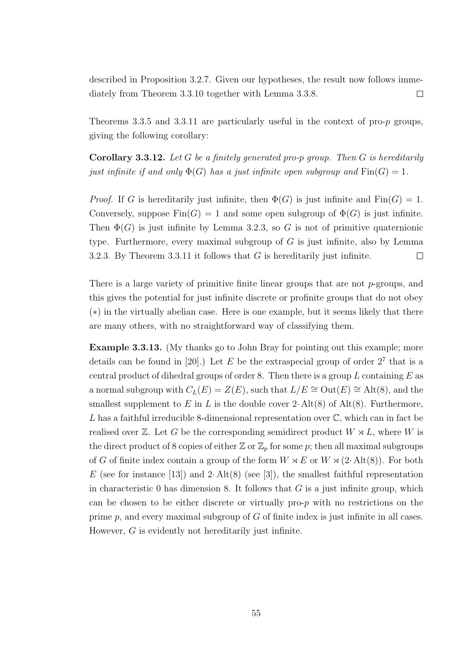described in Proposition 3.2.7. Given our hypotheses, the result now follows immediately from Theorem 3.3.10 together with Lemma 3.3.8.  $\Box$ 

Theorems 3.3.5 and 3.3.11 are particularly useful in the context of pro- $p$  groups, giving the following corollary:

**Corollary 3.3.12.** Let G be a finitely generated pro-p group. Then G is hereditarily just infinite if and only  $\Phi(G)$  has a just infinite open subgroup and  $\text{Fin}(G) = 1$ .

*Proof.* If G is hereditarily just infinite, then  $\Phi(G)$  is just infinite and Fin $(G) = 1$ . Conversely, suppose  $Fin(G) = 1$  and some open subgroup of  $\Phi(G)$  is just infinite. Then  $\Phi(G)$  is just infinite by Lemma 3.2.3, so G is not of primitive quaternionic type. Furthermore, every maximal subgroup of  $G$  is just infinite, also by Lemma 3.2.3. By Theorem 3.3.11 it follows that  $G$  is hereditarily just infinite.  $\Box$ 

There is a large variety of primitive finite linear groups that are not  $p$ -groups, and this gives the potential for just infinite discrete or profinite groups that do not obey (∗) in the virtually abelian case. Here is one example, but it seems likely that there are many others, with no straightforward way of classifying them.

Example 3.3.13. (My thanks go to John Bray for pointing out this example; more details can be found in [20].) Let E be the extraspecial group of order  $2^7$  that is a central product of dihedral groups of order 8. Then there is a group  $L$  containing  $E$  as a normal subgroup with  $C_L(E) = Z(E)$ , such that  $L/E \cong Out(E) \cong Alt(8)$ , and the smallest supplement to E in L is the double cover  $2 \cdot Alt(8)$  of Alt(8). Furthermore, L has a faithful irreducible 8-dimensional representation over  $\mathbb{C}$ , which can in fact be realised over  $\mathbb{Z}$ . Let G be the corresponding semidirect product  $W \rtimes L$ , where W is the direct product of 8 copies of either  $\mathbb{Z}$  or  $\mathbb{Z}_p$  for some p; then all maximal subgroups of G of finite index contain a group of the form  $W \rtimes E$  or  $W \rtimes (2 \cdot \text{Alt}(8))$ . For both E (see for instance [13]) and 2· Alt(8) (see [3]), the smallest faithful representation in characteristic 0 has dimension 8. It follows that  $G$  is a just infinite group, which can be chosen to be either discrete or virtually pro-p with no restrictions on the prime  $p$ , and every maximal subgroup of  $G$  of finite index is just infinite in all cases. However, G is evidently not hereditarily just infinite.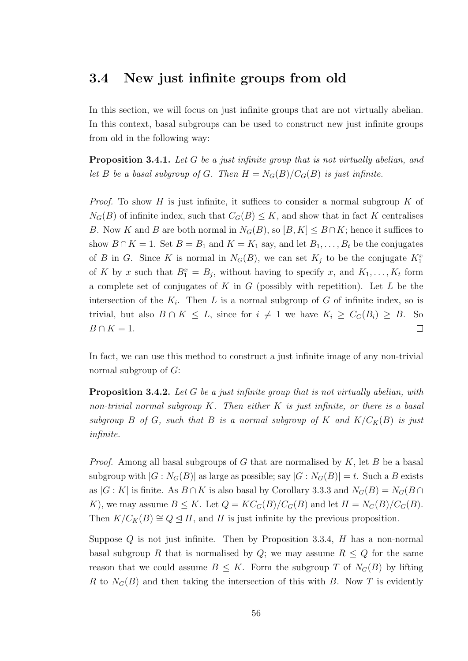#### 3.4 New just infinite groups from old

In this section, we will focus on just infinite groups that are not virtually abelian. In this context, basal subgroups can be used to construct new just infinite groups from old in the following way:

**Proposition 3.4.1.** Let G be a just infinite group that is not virtually abelian, and let B be a basal subgroup of G. Then  $H = N_G(B)/C_G(B)$  is just infinite.

*Proof.* To show H is just infinite, it suffices to consider a normal subgroup  $K$  of  $N_G(B)$  of infinite index, such that  $C_G(B) \leq K$ , and show that in fact K centralises B. Now K and B are both normal in  $N_G(B)$ , so  $[B, K] \leq B \cap K$ ; hence it suffices to show  $B \cap K = 1$ . Set  $B = B_1$  and  $K = K_1$  say, and let  $B_1, \ldots, B_t$  be the conjugates of B in G. Since K is normal in  $N_G(B)$ , we can set  $K_j$  to be the conjugate  $K_1^x$ of K by x such that  $B_1^x = B_j$ , without having to specify x, and  $K_1, \ldots, K_t$  form a complete set of conjugates of  $K$  in  $G$  (possibly with repetition). Let  $L$  be the intersection of the  $K_i$ . Then L is a normal subgroup of G of infinite index, so is trivial, but also  $B \cap K \leq L$ , since for  $i \neq 1$  we have  $K_i \geq C_G(B_i) \geq B$ . So  $B \cap K = 1$ .  $\Box$ 

In fact, we can use this method to construct a just infinite image of any non-trivial normal subgroup of G:

**Proposition 3.4.2.** Let G be a just infinite group that is not virtually abelian, with non-trivial normal subgroup  $K$ . Then either  $K$  is just infinite, or there is a basal subgroup B of G, such that B is a normal subgroup of K and  $K/C_K(B)$  is just infinite.

*Proof.* Among all basal subgroups of G that are normalised by  $K$ , let B be a basal subgroup with  $|G: N_G(B)|$  as large as possible; say  $|G: N_G(B)| = t$ . Such a B exists as  $|G: K|$  is finite. As  $B \cap K$  is also basal by Corollary 3.3.3 and  $N_G(B) = N_G(B) \cap K$ K), we may assume  $B \leq K$ . Let  $Q = KC_G(B)/C_G(B)$  and let  $H = N_G(B)/C_G(B)$ . Then  $K/C_K(B) \cong Q \trianglelefteq H$ , and H is just infinite by the previous proposition.

Suppose  $Q$  is not just infinite. Then by Proposition 3.3.4,  $H$  has a non-normal basal subgroup R that is normalised by Q; we may assume  $R \leq Q$  for the same reason that we could assume  $B \leq K$ . Form the subgroup T of  $N_G(B)$  by lifting R to  $N_G(B)$  and then taking the intersection of this with B. Now T is evidently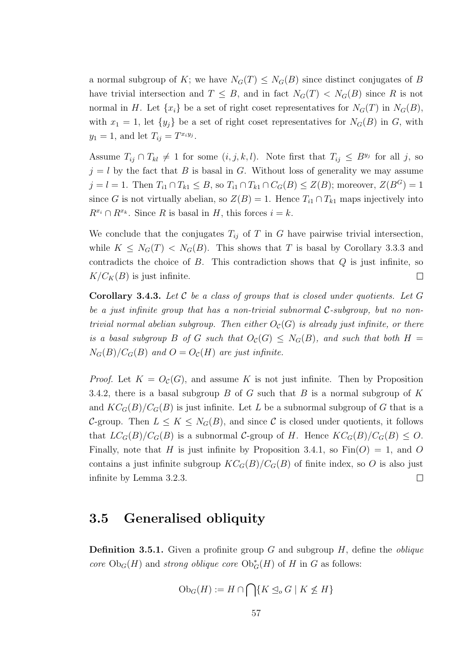a normal subgroup of K; we have  $N_G(T) \leq N_G(B)$  since distinct conjugates of B have trivial intersection and  $T \leq B$ , and in fact  $N_G(T) < N_G(B)$  since R is not normal in H. Let  $\{x_i\}$  be a set of right coset representatives for  $N_G(T)$  in  $N_G(B)$ , with  $x_1 = 1$ , let  $\{y_j\}$  be a set of right coset representatives for  $N_G(B)$  in G, with  $y_1 = 1$ , and let  $T_{ij} = T^{x_i y_j}$ .

Assume  $T_{ij} \cap T_{kl} \neq 1$  for some  $(i, j, k, l)$ . Note first that  $T_{ij} \leq B^{y_j}$  for all j, so  $j = l$  by the fact that B is basal in G. Without loss of generality we may assume  $j = l = 1$ . Then  $T_{i1} \cap T_{k1} \leq B$ , so  $T_{i1} \cap T_{k1} \cap C_G(B) \leq Z(B)$ ; moreover,  $Z(B^G) = 1$ since G is not virtually abelian, so  $Z(B) = 1$ . Hence  $T_{i1} \cap T_{k1}$  maps injectively into  $R^{x_i} \cap R^{x_k}$ . Since R is basal in H, this forces  $i = k$ .

We conclude that the conjugates  $T_{ij}$  of T in G have pairwise trivial intersection, while  $K \leq N_G(T) < N_G(B)$ . This shows that T is basal by Corollary 3.3.3 and contradicts the choice of  $B$ . This contradiction shows that  $Q$  is just infinite, so  $K/C_K(B)$  is just infinite.  $\Box$ 

**Corollary 3.4.3.** Let  $C$  be a class of groups that is closed under quotients. Let  $G$ be a just infinite group that has a non-trivial subnormal  $C$ -subgroup, but no nontrivial normal abelian subgroup. Then either  $O<sub>C</sub>(G)$  is already just infinite, or there is a basal subgroup B of G such that  $O_c(G) \leq N_G(B)$ , and such that both  $H =$  $N_G(B)/C_G(B)$  and  $O=O_{\mathcal{C}}(H)$  are just infinite.

*Proof.* Let  $K = O_{\mathcal{C}}(G)$ , and assume K is not just infinite. Then by Proposition 3.4.2, there is a basal subgroup  $B$  of  $G$  such that  $B$  is a normal subgroup of  $K$ and  $KC_G(B)/C_G(B)$  is just infinite. Let L be a subnormal subgroup of G that is a C-group. Then  $L \leq K \leq N_G(B)$ , and since C is closed under quotients, it follows that  $LC_G(B)/C_G(B)$  is a subnormal C-group of H. Hence  $KC_G(B)/C_G(B) \leq O$ . Finally, note that H is just infinite by Proposition 3.4.1, so  $\text{Fin}(O) = 1$ , and O contains a just infinite subgroup  $KC_G(B)/C_G(B)$  of finite index, so O is also just infinite by Lemma 3.2.3.  $\Box$ 

#### 3.5 Generalised obliquity

**Definition 3.5.1.** Given a profinite group G and subgroup H, define the *oblique* core  $Ob_G(H)$  and strong oblique core  $Ob_G^*(H)$  of H in G as follows:

$$
\mathrm{Ob}_G(H) := H \cap \bigcap \{ K \leq_o G \mid K \nleq H \}
$$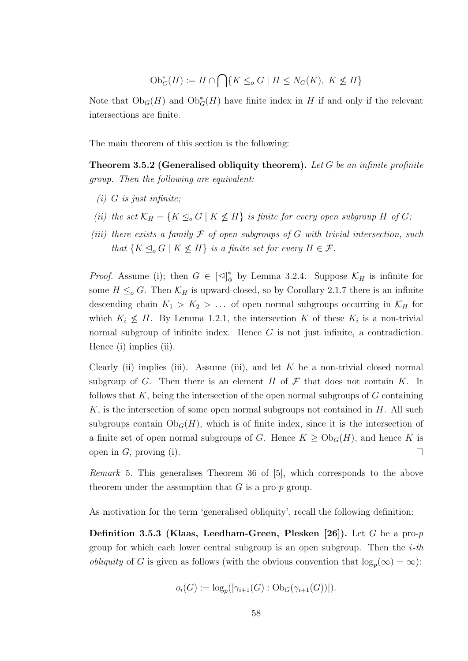$$
\mathrm{Ob}^*_{G}(H) := H \cap \bigcap \{ K \le_o G \mid H \le N_G(K), \ K \not\le H \}
$$

Note that  $Ob_G(H)$  and  $Ob_G^*(H)$  have finite index in H if and only if the relevant intersections are finite.

The main theorem of this section is the following:

**Theorem 3.5.2 (Generalised obliquity theorem).** Let G be an infinite profinite group. Then the following are equivalent:

- $(i)$  G is just infinite;
- (ii) the set  $\mathcal{K}_H = \{K \leq_o G \mid K \not\leq H\}$  is finite for every open subgroup H of G;
- (iii) there exists a family  $\mathcal F$  of open subgroups of G with trivial intersection, such that  $\{K \leq_o G \mid K \nleq H\}$  is a finite set for every  $H \in \mathcal{F}$ .

*Proof.* Assume (i); then  $G \in [\triangle]_d^*$  $\uparrow_{\Phi}^*$  by Lemma 3.2.4. Suppose  $\mathcal{K}_H$  is infinite for some  $H \leq_{o} G$ . Then  $\mathcal{K}_{H}$  is upward-closed, so by Corollary 2.1.7 there is an infinite descending chain  $K_1 > K_2 > ...$  of open normal subgroups occurring in  $\mathcal{K}_H$  for which  $K_i \nleq H$ . By Lemma 1.2.1, the intersection K of these  $K_i$  is a non-trivial normal subgroup of infinite index. Hence  $G$  is not just infinite, a contradiction. Hence (i) implies (ii).

Clearly (ii) implies (iii). Assume (iii), and let  $K$  be a non-trivial closed normal subgroup of G. Then there is an element H of  $\mathcal F$  that does not contain K. It follows that  $K$ , being the intersection of the open normal subgroups of  $G$  containing  $K$ , is the intersection of some open normal subgroups not contained in  $H$ . All such subgroups contain  $Ob_G(H)$ , which is of finite index, since it is the intersection of a finite set of open normal subgroups of G. Hence  $K \geq Ob_G(H)$ , and hence K is open in  $G$ , proving (i).  $\Box$ 

Remark 5. This generalises Theorem 36 of [5], which corresponds to the above theorem under the assumption that  $G$  is a pro- $p$  group.

As motivation for the term 'generalised obliquity', recall the following definition:

**Definition 3.5.3 (Klaas, Leedham-Green, Plesken [26]).** Let G be a pro-p group for which each lower central subgroup is an open subgroup. Then the  $i$ -th *obliquity* of G is given as follows (with the obvious convention that  $\log_p(\infty) = \infty$ ):

$$
o_i(G) := \log_p(|\gamma_{i+1}(G) : \mathrm{Ob}_G(\gamma_{i+1}(G))|).
$$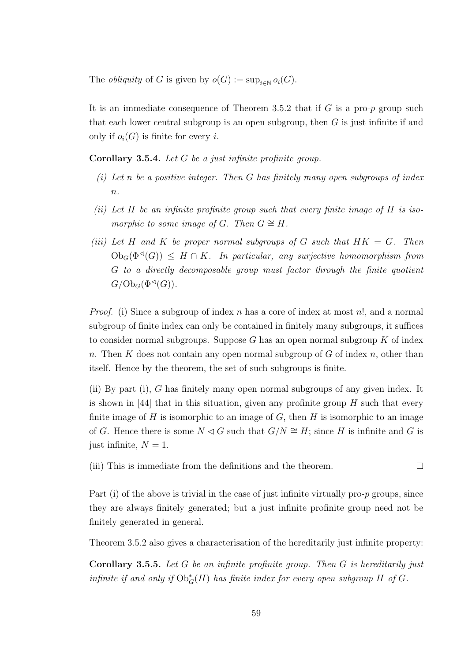The *obliquity* of G is given by  $o(G) := \sup_{i \in \mathbb{N}} o_i(G)$ .

It is an immediate consequence of Theorem 3.5.2 that if  $G$  is a pro- $p$  group such that each lower central subgroup is an open subgroup, then  $G$  is just infinite if and only if  $o_i(G)$  is finite for every i.

Corollary 3.5.4. Let G be a just infinite profinite group.

- (i) Let n be a positive integer. Then  $G$  has finitely many open subgroups of index  $\overline{n}$ .
- (ii) Let H be an infinite profinite group such that every finite image of H is isomorphic to some image of G. Then  $G \cong H$ .
- (iii) Let H and K be proper normal subgroups of G such that  $HK = G$ . Then  $Ob_G(\Phi^{\triangleleft}(G)) \leq H \cap K$ . In particular, any surjective homomorphism from G to a directly decomposable group must factor through the finite quotient  $G/\mathrm{Ob}_G(\Phi^{\lhd}(G)).$

*Proof.* (i) Since a subgroup of index n has a core of index at most n!, and a normal subgroup of finite index can only be contained in finitely many subgroups, it suffices to consider normal subgroups. Suppose  $G$  has an open normal subgroup  $K$  of index n. Then K does not contain any open normal subgroup of G of index n, other than itself. Hence by the theorem, the set of such subgroups is finite.

(ii) By part (i), G has finitely many open normal subgroups of any given index. It is shown in [44] that in this situation, given any profinite group  $H$  such that every finite image of  $H$  is isomorphic to an image of  $G$ , then  $H$  is isomorphic to an image of G. Hence there is some  $N \triangleleft G$  such that  $G/N \cong H$ ; since H is infinite and G is just infinite,  $N = 1$ .

(iii) This is immediate from the definitions and the theorem.  $\Box$ 

Part (i) of the above is trivial in the case of just infinite virtually pro- $p$  groups, since they are always finitely generated; but a just infinite profinite group need not be finitely generated in general.

Theorem 3.5.2 also gives a characterisation of the hereditarily just infinite property:

**Corollary 3.5.5.** Let G be an infinite profinite group. Then G is hereditarily just infinite if and only if  $\mathrm{Ob}^*_G(H)$  has finite index for every open subgroup H of G.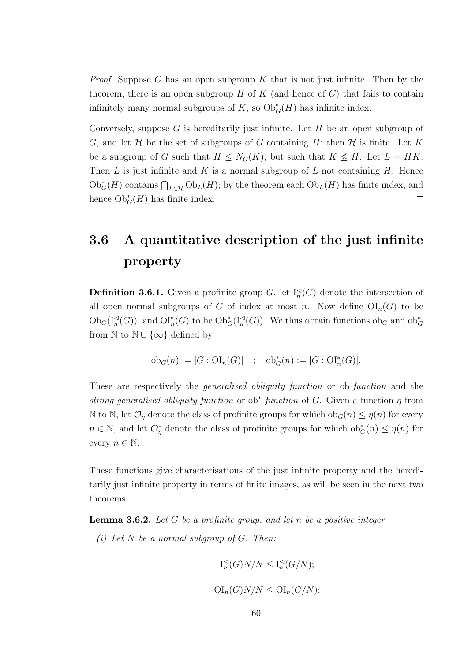*Proof.* Suppose G has an open subgroup K that is not just infinite. Then by the theorem, there is an open subgroup  $H$  of  $K$  (and hence of  $G$ ) that fails to contain infinitely many normal subgroups of K, so  $\mathrm{Ob}^*_G(H)$  has infinite index.

Conversely, suppose G is hereditarily just infinite. Let  $H$  be an open subgroup of G, and let H be the set of subgroups of G containing H; then  $H$  is finite. Let K be a subgroup of G such that  $H \leq N_G(K)$ , but such that  $K \not\leq H$ . Let  $L = HK$ . Then  $L$  is just infinite and  $K$  is a normal subgroup of  $L$  not containing  $H$ . Hence  $\mathrm{Ob}_{G}^{*}(H)$  contains  $\bigcap_{L\in\mathcal{H}}\mathrm{Ob}_{L}(H)$ ; by the theorem each  $\mathrm{Ob}_{L}(H)$  has finite index, and hence  $\mathrm{Ob}^*_G(H)$  has finite index.  $\Box$ 

## 3.6 A quantitative description of the just infinite property

**Definition 3.6.1.** Given a profinite group G, let  $I_n<sup>\triangleleft</sup>(G)$  denote the intersection of all open normal subgroups of G of index at most n. Now define  $\text{OI}_n(G)$  to be  $Ob_G(I_n^{\lhd}(G))$ , and  $\mathrm{OI}_n^*(G)$  to be  $Ob_G^*(I_n^{\lhd}(G))$ . We thus obtain functions  $ob_G$  and  $ob_G^*$ from  $\mathbb N$  to  $\mathbb N \cup \{\infty\}$  defined by

$$
ob_G(n) := |G : \mathrm{OI}_n(G)|
$$
;  $ob_G^*(n) := |G : \mathrm{OI}_n^*(G)|$ .

These are respectively the *generalised obliquity function* or ob-*function* and the strong generalised obliquity function or ob<sup>\*</sup>-function of G. Given a function  $\eta$  from N to N, let  $\mathcal{O}_\eta$  denote the class of profinite groups for which  $ob_G(n) \leq \eta(n)$  for every  $n \in \mathbb{N}$ , and let  $\mathcal{O}_\eta^*$  denote the class of profinite groups for which  $ob_G^*(n) \leq \eta(n)$  for every  $n \in \mathbb{N}$ .

These functions give characterisations of the just infinite property and the hereditarily just infinite property in terms of finite images, as will be seen in the next two theorems.

**Lemma 3.6.2.** Let  $G$  be a profinite group, and let  $n$  be a positive integer.

(i) Let  $N$  be a normal subgroup of  $G$ . Then:

$$
I_n^{\lhd}(G)N/N \leq I_n^{\lhd}(G/N);
$$
  

$$
OI_n(G)N/N \leq Ol_n(G/N);
$$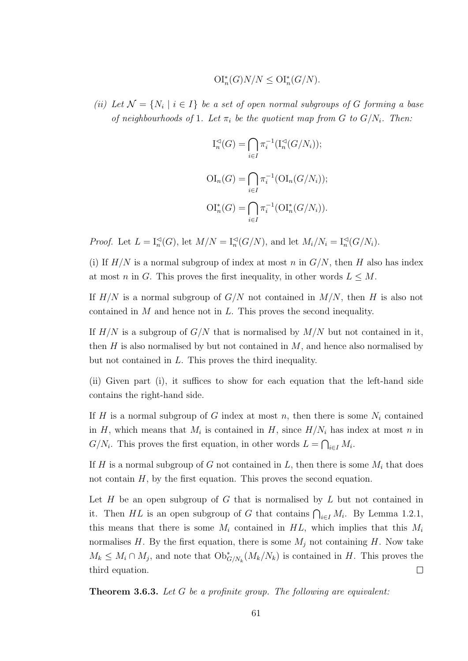$$
\mathrm{OI}_{n}^*(G)N/N \le \mathrm{OI}_{n}^*(G/N).
$$

(ii) Let  $\mathcal{N} = \{N_i \mid i \in I\}$  be a set of open normal subgroups of G forming a base of neighbourhoods of 1. Let  $\pi_i$  be the quotient map from G to  $G/N_i$ . Then:

$$
I_n^{\lhd}(G) = \bigcap_{i \in I} \pi_i^{-1}(\mathcal{I}_n^{\lhd}(G/N_i));
$$
  
\n
$$
\text{OI}_n(G) = \bigcap_{i \in I} \pi_i^{-1}(\text{OI}_n(G/N_i));
$$
  
\n
$$
\text{OI}_n^*(G) = \bigcap_{i \in I} \pi_i^{-1}(\text{OI}_n^*(G/N_i)).
$$

*Proof.* Let  $L = \mathrm{I}_n^{\mathcal{A}}(G)$ , let  $M/N = \mathrm{I}_n^{\mathcal{A}}(G/N)$ , and let  $M_i/N_i = \mathrm{I}_n^{\mathcal{A}}(G/N_i)$ .

(i) If  $H/N$  is a normal subgroup of index at most n in  $G/N$ , then H also has index at most n in G. This proves the first inequality, in other words  $L \leq M$ .

If  $H/N$  is a normal subgroup of  $G/N$  not contained in  $M/N$ , then H is also not contained in  $M$  and hence not in  $L$ . This proves the second inequality.

If  $H/N$  is a subgroup of  $G/N$  that is normalised by  $M/N$  but not contained in it, then  $H$  is also normalised by but not contained in  $M$ , and hence also normalised by but not contained in L. This proves the third inequality.

(ii) Given part (i), it suffices to show for each equation that the left-hand side contains the right-hand side.

If H is a normal subgroup of G index at most n, then there is some  $N_i$  contained in H, which means that  $M_i$  is contained in H, since  $H/N_i$  has index at most n in  $G/N_i$ . This proves the first equation, in other words  $L = \bigcap_{i \in I} M_i$ .

If H is a normal subgroup of G not contained in L, then there is some  $M_i$  that does not contain  $H$ , by the first equation. This proves the second equation.

Let  $H$  be an open subgroup of  $G$  that is normalised by  $L$  but not contained in it. Then HL is an open subgroup of G that contains  $\bigcap_{i\in I} M_i$ . By Lemma 1.2.1, this means that there is some  $M_i$  contained in  $HL$ , which implies that this  $M_i$ normalises H. By the first equation, there is some  $M_j$  not containing H. Now take  $M_k \leq M_i \cap M_j$ , and note that  $\mathrm{Ob}^*_{G/N_k}(M_k/N_k)$  is contained in H. This proves the third equation.  $\Box$ 

Theorem 3.6.3. Let G be a profinite group. The following are equivalent: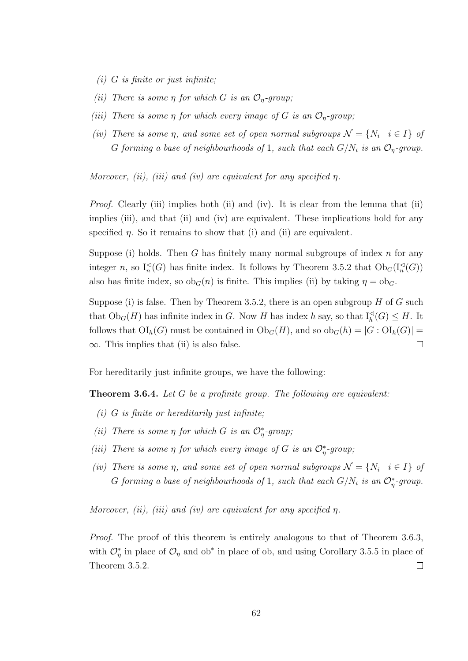- $(i)$  G is finite or just infinite;
- (ii) There is some  $\eta$  for which G is an  $\mathcal{O}_\eta$ -group;
- (iii) There is some  $\eta$  for which every image of G is an  $\mathcal{O}_n$ -group;
- (iv) There is some  $\eta$ , and some set of open normal subgroups  $\mathcal{N} = \{N_i \mid i \in I\}$  of G forming a base of neighbourhoods of 1, such that each  $G/N_i$  is an  $\mathcal{O}_\eta$ -group.

Moreover, (ii), (iii) and (iv) are equivalent for any specified  $\eta$ .

Proof. Clearly (iii) implies both (ii) and (iv). It is clear from the lemma that (ii) implies (iii), and that (ii) and (iv) are equivalent. These implications hold for any specified  $\eta$ . So it remains to show that (i) and (ii) are equivalent.

Suppose (i) holds. Then G has finitely many normal subgroups of index  $n$  for any integer n, so  $I_n<sup>\lhd</sup>(G)$  has finite index. It follows by Theorem 3.5.2 that  $Ob_G(I_n<sup>\lhd</sup>(G))$ also has finite index, so  $ob_G(n)$  is finite. This implies (ii) by taking  $\eta = ob_G$ .

Suppose (i) is false. Then by Theorem 3.5.2, there is an open subgroup  $H$  of  $G$  such that  $Ob_G(H)$  has infinite index in G. Now H has index h say, so that  $I_h^{\lhd}(G) \leq H$ . It follows that  $\text{OI}_h(G)$  must be contained in  $\text{Ob}_G(H)$ , and so  $\text{ob}_G(h) = |G : \text{OI}_h(G)| =$  $\infty$ . This implies that (ii) is also false.  $\Box$ 

For hereditarily just infinite groups, we have the following:

**Theorem 3.6.4.** Let G be a profinite group. The following are equivalent:

- $(i)$  G is finite or hereditarily just infinite;
- (ii) There is some  $\eta$  for which G is an  $\mathcal{O}_\eta^*$ -group;
- (iii) There is some  $\eta$  for which every image of G is an  $\mathcal{O}_\eta^*$ -group;
- (iv) There is some  $\eta$ , and some set of open normal subgroups  $\mathcal{N} = \{N_i \mid i \in I\}$  of G forming a base of neighbourhoods of 1, such that each  $G/N_i$  is an  $\mathcal{O}_\eta^*$ -group.

Moreover, (ii), (iii) and (iv) are equivalent for any specified  $\eta$ .

Proof. The proof of this theorem is entirely analogous to that of Theorem 3.6.3, with  $\mathcal{O}_\eta^*$  in place of  $\mathcal{O}_\eta$  and ob<sup>\*</sup> in place of ob, and using Corollary 3.5.5 in place of Theorem 3.5.2.  $\Box$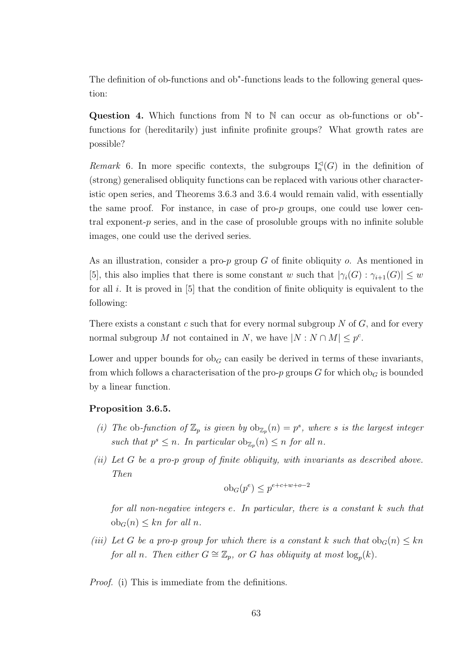The definition of ob-functions and ob<sup>\*</sup>-functions leads to the following general question:

Question 4. Which functions from  $\mathbb N$  to  $\mathbb N$  can occur as ob-functions or ob<sup>\*</sup>functions for (hereditarily) just infinite profinite groups? What growth rates are possible?

Remark 6. In more specific contexts, the subgroups  $I_n<sup>\lhd</sup>(G)$  in the definition of (strong) generalised obliquity functions can be replaced with various other characteristic open series, and Theorems 3.6.3 and 3.6.4 would remain valid, with essentially the same proof. For instance, in case of pro-p groups, one could use lower central exponent- $p$  series, and in the case of prosoluble groups with no infinite soluble images, one could use the derived series.

As an illustration, consider a pro- $p$  group  $G$  of finite obliquity  $o$ . As mentioned in [5], this also implies that there is some constant w such that  $|\gamma_i(G) : \gamma_{i+1}(G)| \leq w$ for all  $i$ . It is proved in [5] that the condition of finite obliquity is equivalent to the following:

There exists a constant c such that for every normal subgroup  $N$  of  $G$ , and for every normal subgroup M not contained in N, we have  $|N : N \cap M| \leq p^{c}$ .

Lower and upper bounds for  $ob<sub>G</sub>$  can easily be derived in terms of these invariants, from which follows a characterisation of the pro-p groups G for which ob<sub>G</sub> is bounded by a linear function.

#### Proposition 3.6.5.

- (i) The ob-function of  $\mathbb{Z}_p$  is given by  $ob_{\mathbb{Z}_p}(n) = p^s$ , where s is the largest integer such that  $p^s \leq n$ . In particular  $\mathrm{ob}_{\mathbb{Z}_p}(n) \leq n$  for all n.
- (ii) Let G be a pro-p group of finite obliquity, with invariants as described above. Then

$$
ob_G(p^e) \le p^{e+c+w+o-2}
$$

for all non-negative integers e. In particular, there is a constant k such that  $ob_G(n) \leq kn$  for all n.

(iii) Let G be a pro-p group for which there is a constant k such that  $ob_G(n) \leq kn$ for all n. Then either  $G \cong \mathbb{Z}_p$ , or G has obliquity at most  $\log_p(k)$ .

Proof. (i) This is immediate from the definitions.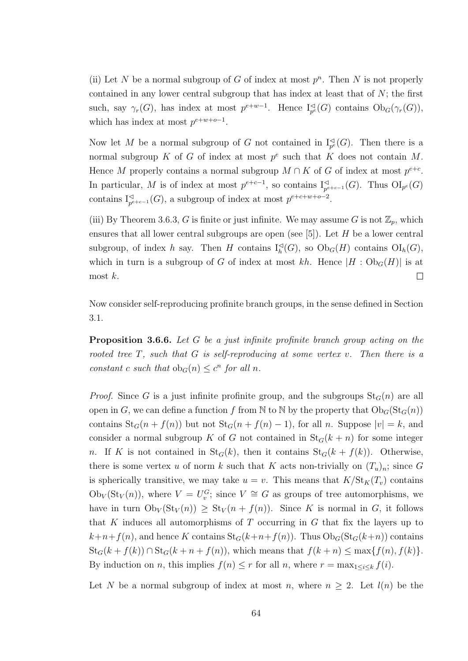(ii) Let N be a normal subgroup of G of index at most  $p<sup>n</sup>$ . Then N is not properly contained in any lower central subgroup that has index at least that of  $N$ ; the first such, say  $\gamma_r(G)$ , has index at most  $p^{e+w-1}$ . Hence  $I_{p^e}^{\lhd}(G)$  contains  $Ob_G(\gamma_r(G))$ , which has index at most  $p^{e+w+o-1}$ .

Now let M be a normal subgroup of G not contained in  $I_{p^e}^{\triangleleft}(G)$ . Then there is a normal subgroup K of G of index at most  $p^e$  such that K does not contain M. Hence M properly contains a normal subgroup  $M \cap K$  of G of index at most  $p^{e+c}$ . In particular, M is of index at most  $p^{e+c-1}$ , so contains  $I_{p^{e+c-1}}^{\lhd}(G)$ . Thus  $\text{OI}_{p^e}(G)$ contains  $I_{p^{e+c-1}}^{\lhd}(G)$ , a subgroup of index at most  $p^{e+c+w+o-2}$ .

(iii) By Theorem 3.6.3, G is finite or just infinite. We may assume G is not  $\mathbb{Z}_p$ , which ensures that all lower central subgroups are open (see  $[5]$ ). Let H be a lower central subgroup, of index h say. Then H contains  $I_h^{\lhd}(G)$ , so  $\mathrm{Ob}_G(H)$  contains  $\mathrm{OI}_h(G)$ , which in turn is a subgroup of G of index at most kh. Hence  $|H : Ob_G(H)|$  is at most  $k$ .  $\Box$ 

Now consider self-reproducing profinite branch groups, in the sense defined in Section 3.1.

Proposition 3.6.6. Let G be a just infinite profinite branch group acting on the rooted tree  $T$ , such that  $G$  is self-reproducing at some vertex v. Then there is a constant c such that  $ob_G(n) \leq c^n$  for all n.

*Proof.* Since G is a just infinite profinite group, and the subgroups  $St_G(n)$  are all open in G, we can define a function f from N to N by the property that  $Ob_G(St_G(n))$ contains  $St_G(n + f(n))$  but not  $St_G(n + f(n) - 1)$ , for all n. Suppose  $|v| = k$ , and consider a normal subgroup K of G not contained in  $St_G(k+n)$  for some integer n. If K is not contained in  $St_G(k)$ , then it contains  $St_G(k + f(k))$ . Otherwise, there is some vertex u of norm k such that K acts non-trivially on  $(T_u)_n$ ; since G is spherically transitive, we may take  $u = v$ . This means that  $K/\text{St}_K(T_v)$  contains  $\mathrm{Ob}_V(\mathrm{St}_V(n))$ , where  $V = U_v^G$ ; since  $V \cong G$  as groups of tree automorphisms, we have in turn  $Ob_V(\text{St}_V(n)) \geq St_V(n + f(n))$ . Since K is normal in G, it follows that K induces all automorphisms of T occurring in  $G$  that fix the layers up to  $k+n+f(n)$ , and hence K contains  $St_G(k+n+f(n))$ . Thus  $Ob_G(St_G(k+n))$  contains  $\operatorname{St}_G(k + f(k)) \cap \operatorname{St}_G(k + n + f(n))$ , which means that  $f(k + n) \le \max\{f(n), f(k)\}.$ By induction on *n*, this implies  $f(n) \leq r$  for all *n*, where  $r = \max_{1 \leq i \leq k} f(i)$ .

Let N be a normal subgroup of index at most n, where  $n \geq 2$ . Let  $l(n)$  be the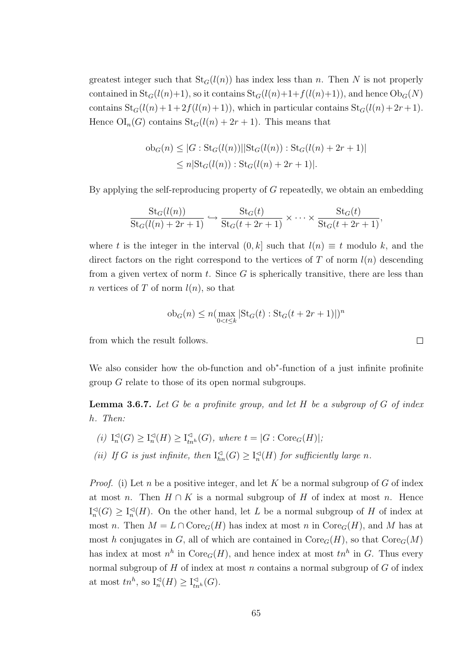greatest integer such that  $St_G(l(n))$  has index less than n. Then N is not properly contained in  $St_G(l(n)+1)$ , so it contains  $St_G(l(n)+1+f(l(n)+1))$ , and hence  $Ob_G(N)$ contains  $St_G(l(n)+1+2f(l(n)+1))$ , which in particular contains  $St_G(l(n)+2r+1)$ . Hence  $\text{OI}_n(G)$  contains  $\text{St}_G(l(n) + 2r + 1)$ . This means that

$$
ob_G(n) \le |G : St_G(l(n))||St_G(l(n)) : St_G(l(n) + 2r + 1)|
$$
  
 
$$
\le n|St_G(l(n)) : St_G(l(n) + 2r + 1)|.
$$

By applying the self-reproducing property of  $G$  repeatedly, we obtain an embedding

$$
\frac{\operatorname{St}_{G}(l(n))}{\operatorname{St}_{G}(l(n)+2r+1)} \hookrightarrow \frac{\operatorname{St}_{G}(t)}{\operatorname{St}_{G}(t+2r+1)} \times \cdots \times \frac{\operatorname{St}_{G}(t)}{\operatorname{St}_{G}(t+2r+1)},
$$

where t is the integer in the interval  $(0, k]$  such that  $l(n) \equiv t$  modulo k, and the direct factors on the right correspond to the vertices of  $T$  of norm  $l(n)$  descending from a given vertex of norm t. Since  $G$  is spherically transitive, there are less than n vertices of T of norm  $l(n)$ , so that

$$
ob_G(n) \le n(\max_{0 < t \le k} |\text{St}_G(t) : \text{St}_G(t + 2r + 1)|)^n
$$

from which the result follows.

We also consider how the ob-function and ob<sup>\*</sup>-function of a just infinite profinite group G relate to those of its open normal subgroups.

**Lemma 3.6.7.** Let  $G$  be a profinite group, and let  $H$  be a subgroup of  $G$  of index h. Then:

- $(i) \, I_n^{\triangleleft}$  $\mathcal{A}_n^{\lhd}(G) \geq \mathcal{I}_n^{\lhd}$  $\mathcal{A}_n^{\lhd}(H) \geq \mathrm{I}_{tn^h}^{\lhd}(G)$ , where  $t = |G : \mathrm{Core}_G(H)|$ ;
- (ii) If G is just infinite, then  $I_{hn}^{\lhd}(G) \geq I_n^{\lhd}$  $\mathbb{Z}_n(H)$  for sufficiently large n.

*Proof.* (i) Let n be a positive integer, and let K be a normal subgroup of G of index at most n. Then  $H \cap K$  is a normal subgroup of H of index at most n. Hence  $\mathrm{I}_n^{\triangleleft}$  $\mathcal{A}_n^{\triangleleft}(G) \geq \mathcal{I}_n^{\triangleleft}$  $\mathbb{R}^d$ (*H*). On the other hand, let *L* be a normal subgroup of *H* of index at most n. Then  $M = L \cap \text{Core}_G(H)$  has index at most n in  $\text{Core}_G(H)$ , and M has at most h conjugates in G, all of which are contained in  $\text{Core}_G(H)$ , so that  $\text{Core}_G(M)$ has index at most  $n^h$  in  $\text{Core}_G(H)$ , and hence index at most  $tn^h$  in G. Thus every normal subgroup of H of index at most n contains a normal subgroup of  $G$  of index at most  $tn^h$ , so  $I_n^{\lhd}(H) \geq I_{tn^h}^{\lhd}(G)$ .

 $\Box$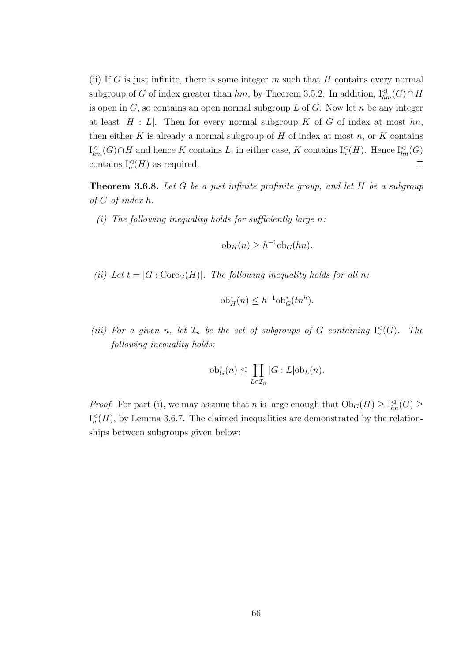(ii) If G is just infinite, there is some integer  $m$  such that  $H$  contains every normal subgroup of G of index greater than  $hm$ , by Theorem 3.5.2. In addition,  $I_{hm}^{\triangleleft}(G) \cap H$ is open in  $G$ , so contains an open normal subgroup  $L$  of  $G$ . Now let  $n$  be any integer at least  $|H : L|$ . Then for every normal subgroup K of G of index at most hn, then either K is already a normal subgroup of H of index at most  $n$ , or K contains  $I_{hm}^{\lhd}(G) \cap H$  and hence K contains L; in either case, K contains  $I_n^{\lhd}(H)$ . Hence  $I_{hn}^{\lhd}(G)$ contains  $I_n<sup>\triangleleft</sup>(H)$  as required.  $\Box$ 

**Theorem 3.6.8.** Let G be a just infinite profinite group, and let H be a subgroup of G of index h.

(i) The following inequality holds for sufficiently large  $n$ :

$$
ob_H(n) \ge h^{-1}ob_G(hn).
$$

(ii) Let  $t = |G : \text{Core}_G(H)|$ . The following inequality holds for all n:

$$
\mathrm{ob}^*_H(n) \le h^{-1} \mathrm{ob}^*_G(tn^h).
$$

(iii) For a given n, let  $\mathcal{I}_n$  be the set of subgroups of G containing  $I_n^{\leq}$  $\mathbb{Z}_n^{\triangleleft}(G)$ . The following inequality holds:

$$
\mathrm{ob}^*_{G}(n) \le \prod_{L \in \mathcal{I}_n} |G:L| \mathrm{ob}_L(n).
$$

*Proof.* For part (i), we may assume that n is large enough that  $Ob_G(H) \geq I_{hn}^{\lhd}(G) \geq$  $\mathrm{I}_n^{\triangleleft}$  $\mathcal{A}_n^{\triangleleft}(H)$ , by Lemma 3.6.7. The claimed inequalities are demonstrated by the relationships between subgroups given below: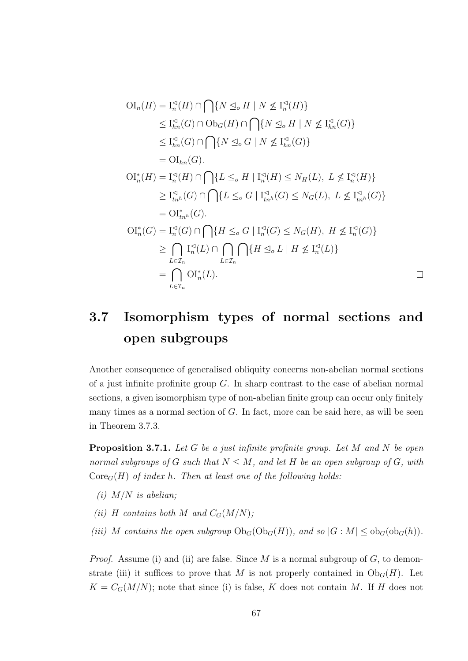$$
OI_n(H) = I_n^{\lhd}(H) \cap \bigcap \{ N \leq_{o} H \mid N \nleq I_n^{\lhd}(H) \}
$$
  
\n
$$
\leq I_{hn}^{\lhd}(G) \cap Ob_G(H) \cap \bigcap \{ N \leq_{o} H \mid N \nleq I_{hn}^{\lhd}(G) \}
$$
  
\n
$$
\leq I_{hn}^{\lhd}(G) \cap \bigcap \{ N \leq_{o} G \mid N \nleq I_{hn}^{\lhd}(G) \}
$$
  
\n
$$
= Ol_{hn}(G).
$$
  
\n
$$
OI_n^*(H) = I_n^{\lhd}(H) \cap \bigcap \{ L \leq_{o} H \mid I_n^{\lhd}(H) \leq N_H(L), L \nleq I_n^{\lhd}(H) \}
$$
  
\n
$$
\geq I_{tn^h}^{\lhd}(G) \cap \bigcap \{ L \leq_{o} G \mid I_{tn^h}^{\lhd}(G) \leq N_G(L), L \nleq I_{tn^h}^{\lhd}(G) \}
$$
  
\n
$$
= Ol_{tn^h}^*(G).
$$
  
\n
$$
OI_n^*(G) = I_n^{\lhd}(G) \cap \bigcap \{ H \leq_{o} G \mid I_n^{\lhd}(G) \leq N_G(H), H \nleq I_n^{\lhd}(G) \}
$$
  
\n
$$
\geq \bigcap_{L \in I_n} I_n^{\lhd}(L) \cap \bigcap_{L \in I_n} \bigcap \{ H \leq_{o} L \mid H \nleq I_n^{\lhd}(L) \}
$$
  
\n
$$
= \bigcap_{L \in I_n} Ol_n^*(L).
$$

### 3.7 Isomorphism types of normal sections and open subgroups

Another consequence of generalised obliquity concerns non-abelian normal sections of a just infinite profinite group  $G$ . In sharp contrast to the case of abelian normal sections, a given isomorphism type of non-abelian finite group can occur only finitely many times as a normal section of  $G$ . In fact, more can be said here, as will be seen in Theorem 3.7.3.

**Proposition 3.7.1.** Let G be a just infinite profinite group. Let M and N be open normal subgroups of G such that  $N \leq M$ , and let H be an open subgroup of G, with  $\text{Core}_G(H)$  of index h. Then at least one of the following holds:

- (i)  $M/N$  is abelian;
- (ii) H contains both M and  $C_G(M/N)$ ;
- (iii) M contains the open subgroup  $Ob_G(Ob_G(H))$ , and so  $|G : M| \leq ob_G(ob_G(h))$ .

*Proof.* Assume (i) and (ii) are false. Since M is a normal subgroup of  $G$ , to demonstrate (iii) it suffices to prove that M is not properly contained in  $Ob_G(H)$ . Let  $K = C_G(M/N)$ ; note that since (i) is false, K does not contain M. If H does not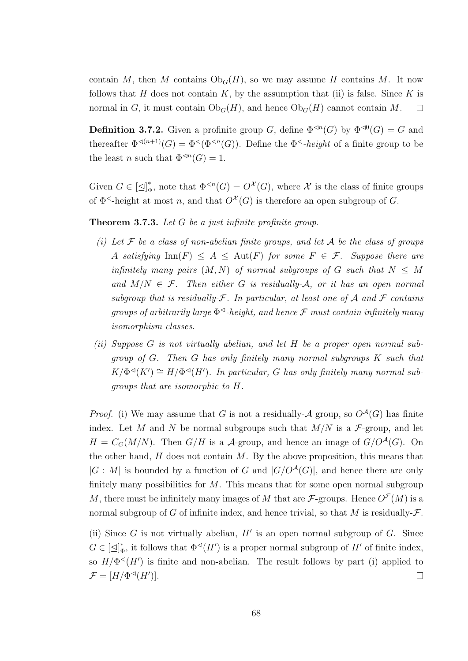contain M, then M contains  $Ob_G(H)$ , so we may assume H contains M. It now follows that H does not contain  $K$ , by the assumption that (ii) is false. Since  $K$  is normal in G, it must contain  $Ob_G(H)$ , and hence  $Ob_G(H)$  cannot contain M.  $\Box$ 

**Definition 3.7.2.** Given a profinite group G, define  $\Phi^{\leq n}(G)$  by  $\Phi^{\leq 0}(G) = G$  and thereafter  $\Phi^{\lhd(n+1)}(G) = \Phi^{\lhd}(\Phi^{\lhd n}(G))$ . Define the  $\Phi^{\lhd}\text{-}height$  of a finite group to be the least *n* such that  $\Phi^{\operatorname{d}n}(G) = 1$ .

Given  $G \in [\triangle]_d^*$ \*, note that  $\Phi^{\preceq n}(G) = O^{\mathcal{X}}(G)$ , where  $\mathcal X$  is the class of finite groups of  $\Phi^{\lhd}$ -height at most n, and that  $O^{\mathcal{X}}(G)$  is therefore an open subgroup of G.

Theorem 3.7.3. Let G be a just infinite profinite group.

- (i) Let  $\mathcal F$  be a class of non-abelian finite groups, and let  $\mathcal A$  be the class of groups A satisfying  $\text{Inn}(F) \leq A \leq \text{Aut}(F)$  for some  $F \in \mathcal{F}$ . Suppose there are infinitely many pairs  $(M, N)$  of normal subgroups of G such that  $N \leq M$ and  $M/N \in \mathcal{F}$ . Then either G is residually-A, or it has an open normal subgroup that is residually- $\mathcal F$ . In particular, at least one of A and F contains groups of arbitrarily large  $\Phi^{\triangleleft}$ -height, and hence  $\mathcal F$  must contain infinitely many isomorphism classes.
- (ii) Suppose G is not virtually abelian, and let H be a proper open normal subgroup of G. Then G has only finitely many normal subgroups K such that  $K/\Phi^{\preceq}(K') \cong H/\Phi^{\preceq}(H')$ . In particular, G has only finitely many normal subgroups that are isomorphic to H.

*Proof.* (i) We may assume that G is not a residually- $A$  group, so  $O^A(G)$  has finite index. Let M and N be normal subgroups such that  $M/N$  is a F-group, and let  $H = C_G(M/N)$ . Then  $G/H$  is a A-group, and hence an image of  $G/O^{\mathcal{A}}(G)$ . On the other hand,  $H$  does not contain  $M$ . By the above proposition, this means that  $|G : M|$  is bounded by a function of G and  $|G/O^{\mathcal{A}}(G)|$ , and hence there are only finitely many possibilities for  $M$ . This means that for some open normal subgroup M, there must be infinitely many images of M that are  $\mathcal{F}\text{-groups.}$  Hence  $O^{\mathcal{F}}(M)$  is a normal subgroup of G of infinite index, and hence trivial, so that M is residually- $\mathcal F$ .

(ii) Since  $G$  is not virtually abelian,  $H'$  is an open normal subgroup of  $G$ . Since  $G \in [\triangleleft]^*_d$  $_{\Phi}^*$ , it follows that  $\Phi \circ (H')$  is a proper normal subgroup of  $H'$  of finite index, so  $H/\Phi^{\preceq}(H')$  is finite and non-abelian. The result follows by part (i) applied to  $\mathcal{F} = [H/\Phi^{\lhd}(H')]$ .  $\Box$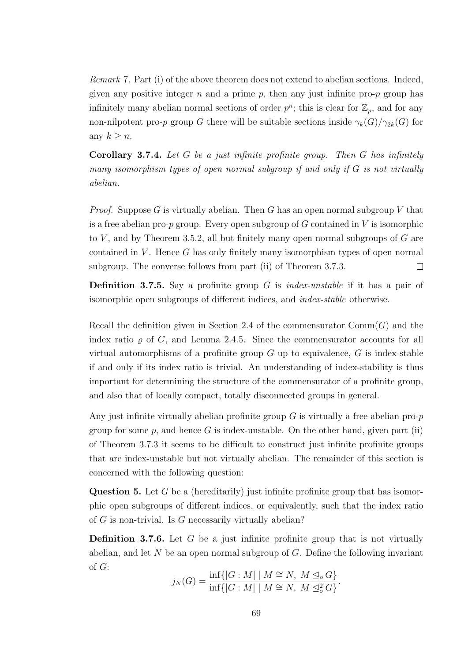Remark 7. Part (i) of the above theorem does not extend to abelian sections. Indeed, given any positive integer  $n$  and a prime  $p$ , then any just infinite pro- $p$  group has infinitely many abelian normal sections of order  $p^n$ ; this is clear for  $\mathbb{Z}_p$ , and for any non-nilpotent pro-p group G there will be suitable sections inside  $\gamma_k(G)/\gamma_{2k}(G)$  for any  $k \geq n$ .

**Corollary 3.7.4.** Let G be a just infinite profinite group. Then G has infinitely many isomorphism types of open normal subgroup if and only if  $G$  is not virtually abelian.

*Proof.* Suppose G is virtually abelian. Then G has an open normal subgroup V that is a free abelian pro-p group. Every open subgroup of  $G$  contained in  $V$  is isomorphic to  $V$ , and by Theorem 3.5.2, all but finitely many open normal subgroups of  $G$  are contained in  $V$ . Hence  $G$  has only finitely many isomorphism types of open normal subgroup. The converse follows from part (ii) of Theorem 3.7.3.  $\Box$ 

**Definition 3.7.5.** Say a profinite group G is *index-unstable* if it has a pair of isomorphic open subgroups of different indices, and index-stable otherwise.

Recall the definition given in Section 2.4 of the commensurator  $Comm(G)$  and the index ratio  $\rho$  of G, and Lemma 2.4.5. Since the commensurator accounts for all virtual automorphisms of a profinite group  $G$  up to equivalence,  $G$  is index-stable if and only if its index ratio is trivial. An understanding of index-stability is thus important for determining the structure of the commensurator of a profinite group, and also that of locally compact, totally disconnected groups in general.

Any just infinite virtually abelian profinite group  $G$  is virtually a free abelian pro- $p$ group for some  $p$ , and hence G is index-unstable. On the other hand, given part (ii) of Theorem 3.7.3 it seems to be difficult to construct just infinite profinite groups that are index-unstable but not virtually abelian. The remainder of this section is concerned with the following question:

**Question 5.** Let G be a (hereditarily) just infinite profinite group that has isomorphic open subgroups of different indices, or equivalently, such that the index ratio of G is non-trivial. Is G necessarily virtually abelian?

**Definition 3.7.6.** Let G be a just infinite profinite group that is not virtually abelian, and let  $N$  be an open normal subgroup of  $G$ . Define the following invariant of G:

$$
j_N(G) = \frac{\inf\{|G : M| \mid M \cong N, M \leq_o G\}}{\inf\{|G : M| \mid M \cong N, M \leq_o^2 G\}}.
$$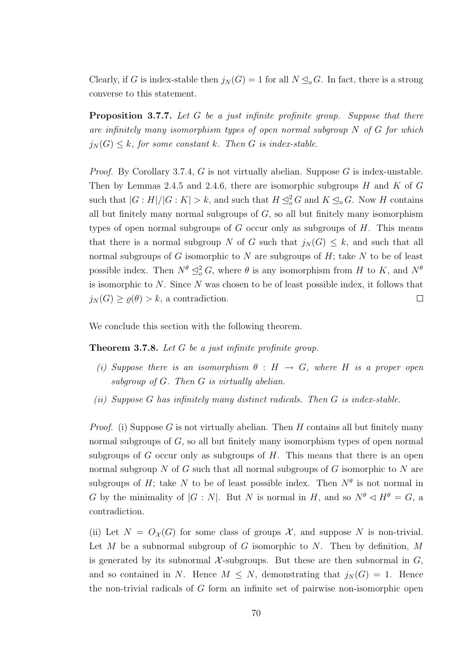Clearly, if G is index-stable then  $j_N(G) = 1$  for all  $N \leq_o G$ . In fact, there is a strong converse to this statement.

Proposition 3.7.7. Let G be a just infinite profinite group. Suppose that there are infinitely many isomorphism types of open normal subgroup  $N$  of  $G$  for which  $j_N(G) \leq k$ , for some constant k. Then G is index-stable.

*Proof.* By Corollary 3.7.4, G is not virtually abelian. Suppose G is index-unstable. Then by Lemmas 2.4.5 and 2.4.6, there are isomorphic subgroups  $H$  and  $K$  of  $G$ such that  $|G:H|/|G:K| > k$ , and such that  $H \leq_o^2 G$  and  $K \leq_o G$ . Now H contains all but finitely many normal subgroups of  $G$ , so all but finitely many isomorphism types of open normal subgroups of  $G$  occur only as subgroups of  $H$ . This means that there is a normal subgroup N of G such that  $j_N(G) \leq k$ , and such that all normal subgroups of  $G$  isomorphic to  $N$  are subgroups of  $H$ ; take  $N$  to be of least possible index. Then  $N^{\theta} \subseteq_{o}^2 G$ , where  $\theta$  is any isomorphism from H to K, and  $N^{\theta}$ is isomorphic to  $N$ . Since  $N$  was chosen to be of least possible index, it follows that  $j_N(G) \ge \varrho(\theta) > k$ , a contradiction.  $\Box$ 

We conclude this section with the following theorem.

Theorem 3.7.8. Let G be a just infinite profinite group.

- (i) Suppose there is an isomorphism  $\theta : H \to G$ , where H is a proper open subgroup of  $G$ . Then  $G$  is virtually abelian.
- (ii) Suppose G has infinitely many distinct radicals. Then  $G$  is index-stable.

*Proof.* (i) Suppose G is not virtually abelian. Then H contains all but finitely many normal subgroups of G, so all but finitely many isomorphism types of open normal subgroups of G occur only as subgroups of  $H$ . This means that there is an open normal subgroup N of G such that all normal subgroups of G isomorphic to N are subgroups of H; take N to be of least possible index. Then  $N^{\theta}$  is not normal in G by the minimality of  $|G : N|$ . But N is normal in H, and so  $N^{\theta} \lhd H^{\theta} = G$ , a contradiction.

(ii) Let  $N = O_{\mathcal{X}}(G)$  for some class of groups X, and suppose N is non-trivial. Let M be a subnormal subgroup of G isomorphic to N. Then by definition, M is generated by its subnormal  $\mathcal{X}$ -subgroups. But these are then subnormal in  $G$ , and so contained in N. Hence  $M \leq N$ , demonstrating that  $j_N(G) = 1$ . Hence the non-trivial radicals of G form an infinite set of pairwise non-isomorphic open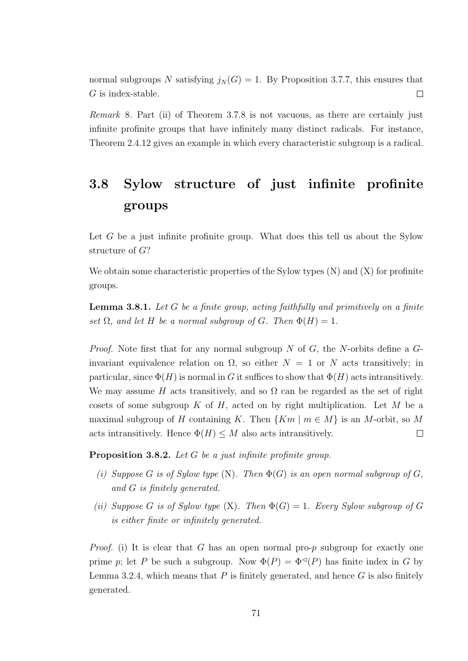normal subgroups N satisfying  $j_N(G) = 1$ . By Proposition 3.7.7, this ensures that G is index-stable.  $\Box$ 

Remark 8. Part (ii) of Theorem 3.7.8 is not vacuous, as there are certainly just infinite profinite groups that have infinitely many distinct radicals. For instance, Theorem 2.4.12 gives an example in which every characteristic subgroup is a radical.

### 3.8 Sylow structure of just infinite profinite groups

Let  $G$  be a just infinite profinite group. What does this tell us about the Sylow structure of G?

We obtain some characteristic properties of the Sylow types  $(N)$  and  $(X)$  for profinite groups.

**Lemma 3.8.1.** Let  $G$  be a finite group, acting faithfully and primitively on a finite set  $\Omega$ , and let H be a normal subgroup of G. Then  $\Phi(H) = 1$ .

*Proof.* Note first that for any normal subgroup N of G, the N-orbits define a  $G$ invariant equivalence relation on  $\Omega$ , so either  $N = 1$  or N acts transitively; in particular, since  $\Phi(H)$  is normal in G it suffices to show that  $\Phi(H)$  acts intransitively. We may assume H acts transitively, and so  $\Omega$  can be regarded as the set of right cosets of some subgroup K of H, acted on by right multiplication. Let M be a maximal subgroup of H containing K. Then  $\{Km \mid m \in M\}$  is an M-orbit, so M acts intransitively. Hence  $\Phi(H) \leq M$  also acts intransitively.  $\Box$ 

Proposition 3.8.2. Let G be a just infinite profinite group.

- (i) Suppose G is of Sylow type  $(N)$ . Then  $\Phi(G)$  is an open normal subgroup of G, and G is finitely generated.
- (ii) Suppose G is of Sylow type  $(X)$ . Then  $\Phi(G) = 1$ . Every Sylow subgroup of G is either finite or infinitely generated.

*Proof.* (i) It is clear that G has an open normal pro-p subgroup for exactly one prime p; let P be such a subgroup. Now  $\Phi(P) = \Phi^{\triangleleft}(P)$  has finite index in G by Lemma 3.2.4, which means that  $P$  is finitely generated, and hence  $G$  is also finitely generated.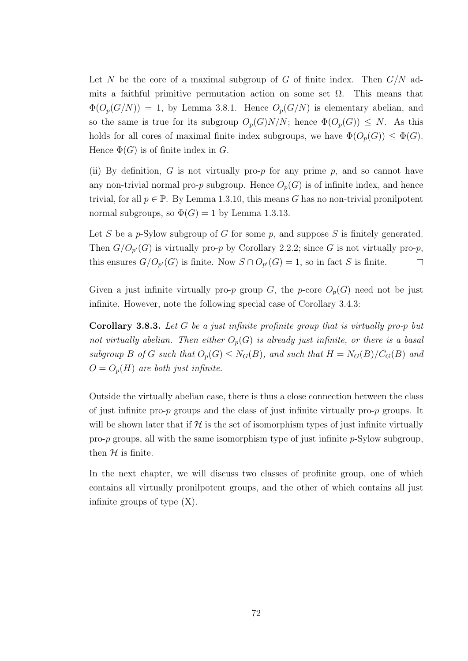Let N be the core of a maximal subgroup of G of finite index. Then  $G/N$  admits a faithful primitive permutation action on some set  $\Omega$ . This means that  $\Phi(O_p(G/N)) = 1$ , by Lemma 3.8.1. Hence  $O_p(G/N)$  is elementary abelian, and so the same is true for its subgroup  $O_p(G)N/N$ ; hence  $\Phi(O_p(G)) \leq N$ . As this holds for all cores of maximal finite index subgroups, we have  $\Phi(O_p(G)) \leq \Phi(G)$ . Hence  $\Phi(G)$  is of finite index in G.

(ii) By definition, G is not virtually pro-p for any prime p, and so cannot have any non-trivial normal pro-p subgroup. Hence  $O_p(G)$  is of infinite index, and hence trivial, for all  $p \in \mathbb{P}$ . By Lemma 1.3.10, this means G has no non-trivial pronilpotent normal subgroups, so  $\Phi(G) = 1$  by Lemma 1.3.13.

Let S be a p-Sylow subgroup of G for some  $p$ , and suppose S is finitely generated. Then  $G/O_{p'}(G)$  is virtually pro-p by Corollary 2.2.2; since G is not virtually pro-p, this ensures  $G/O_{p'}(G)$  is finite. Now  $S \cap O_{p'}(G) = 1$ , so in fact S is finite.  $\Box$ 

Given a just infinite virtually pro-p group G, the p-core  $O_p(G)$  need not be just infinite. However, note the following special case of Corollary 3.4.3:

Corollary 3.8.3. Let G be a just infinite profinite group that is virtually pro-p but not virtually abelian. Then either  $O_p(G)$  is already just infinite, or there is a basal subgroup B of G such that  $O_p(G) \leq N_G(B)$ , and such that  $H = N_G(B)/C_G(B)$  and  $O = O_p(H)$  are both just infinite.

Outside the virtually abelian case, there is thus a close connection between the class of just infinite pro- $p$  groups and the class of just infinite virtually pro- $p$  groups. It will be shown later that if  $H$  is the set of isomorphism types of just infinite virtually pro- $p$  groups, all with the same isomorphism type of just infinite  $p$ -Sylow subgroup, then  $H$  is finite.

In the next chapter, we will discuss two classes of profinite group, one of which contains all virtually pronilpotent groups, and the other of which contains all just infinite groups of type (X).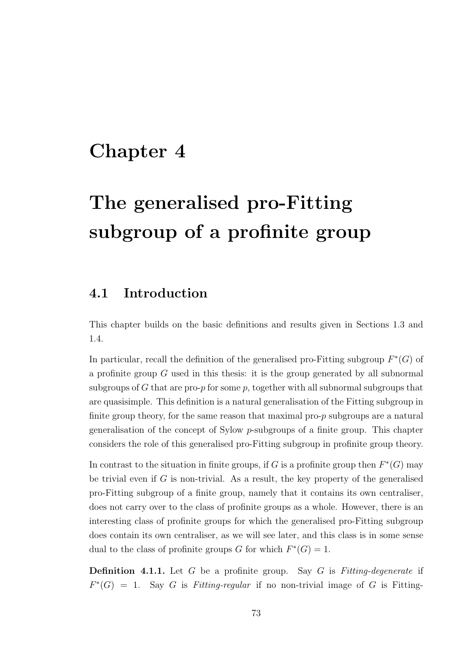# Chapter 4

# The generalised pro-Fitting subgroup of a profinite group

## 4.1 Introduction

This chapter builds on the basic definitions and results given in Sections 1.3 and 1.4.

In particular, recall the definition of the generalised pro-Fitting subgroup  $F^*(G)$  of a profinite group  $G$  used in this thesis: it is the group generated by all subnormal subgroups of G that are pro- $p$  for some  $p$ , together with all subnormal subgroups that are quasisimple. This definition is a natural generalisation of the Fitting subgroup in finite group theory, for the same reason that maximal pro-p subgroups are a natural generalisation of the concept of Sylow p-subgroups of a finite group. This chapter considers the role of this generalised pro-Fitting subgroup in profinite group theory.

In contrast to the situation in finite groups, if G is a profinite group then  $F^*(G)$  may be trivial even if  $G$  is non-trivial. As a result, the key property of the generalised pro-Fitting subgroup of a finite group, namely that it contains its own centraliser, does not carry over to the class of profinite groups as a whole. However, there is an interesting class of profinite groups for which the generalised pro-Fitting subgroup does contain its own centraliser, as we will see later, and this class is in some sense dual to the class of profinite groups G for which  $F^*(G) = 1$ .

**Definition 4.1.1.** Let G be a profinite group. Say G is Fitting-degenerate if  $F^*(G) = 1$ . Say G is Fitting-regular if no non-trivial image of G is Fitting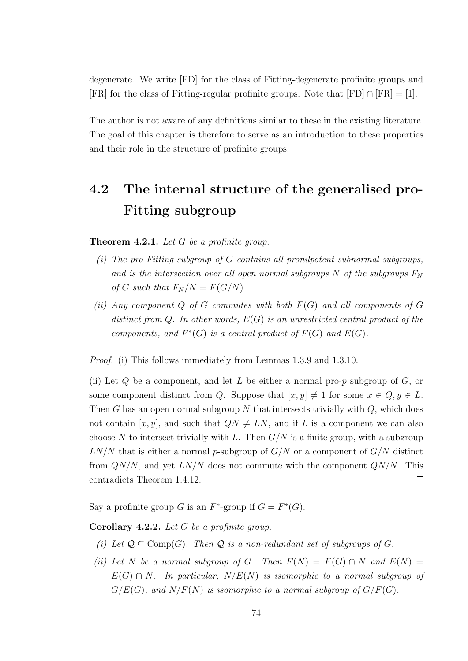degenerate. We write [FD] for the class of Fitting-degenerate profinite groups and [FR] for the class of Fitting-regular profinite groups. Note that  $[FD] \cap [FR] = [1]$ .

The author is not aware of any definitions similar to these in the existing literature. The goal of this chapter is therefore to serve as an introduction to these properties and their role in the structure of profinite groups.

# 4.2 The internal structure of the generalised pro-Fitting subgroup

**Theorem 4.2.1.** Let  $G$  be a profinite group.

- (i) The pro-Fitting subgroup of  $G$  contains all pronilpotent subnormal subgroups, and is the intersection over all open normal subgroups N of the subgroups  $F_N$ of G such that  $F_N/N = F(G/N)$ .
- (ii) Any component  $Q$  of  $G$  commutes with both  $F(G)$  and all components of  $G$ distinct from Q. In other words,  $E(G)$  is an unrestricted central product of the components, and  $F^*(G)$  is a central product of  $F(G)$  and  $E(G)$ .

Proof. (i) This follows immediately from Lemmas 1.3.9 and 1.3.10.

(ii) Let  $Q$  be a component, and let  $L$  be either a normal pro- $p$  subgroup of  $G$ , or some component distinct from Q. Suppose that  $[x, y] \neq 1$  for some  $x \in Q, y \in L$ . Then G has an open normal subgroup N that intersects trivially with  $Q$ , which does not contain  $[x, y]$ , and such that  $QN \neq LN$ , and if L is a component we can also choose N to intersect trivially with L. Then  $G/N$  is a finite group, with a subgroup  $LN/N$  that is either a normal p-subgroup of  $G/N$  or a component of  $G/N$  distinct from  $\frac{Q}{N}$ , and yet  $\frac{LN}{N}$  does not commute with the component  $\frac{QN}{N}$ . This contradicts Theorem 1.4.12.  $\Box$ 

Say a profinite group G is an  $F^*$ -group if  $G = F^*(G)$ .

Corollary 4.2.2. Let G be a profinite group.

- (i) Let  $\mathcal{Q} \subseteq \text{Comp}(G)$ . Then  $\mathcal{Q}$  is a non-redundant set of subgroups of G.
- (ii) Let N be a normal subgroup of G. Then  $F(N) = F(G) \cap N$  and  $E(N) =$  $E(G) \cap N$ . In particular,  $N/E(N)$  is isomorphic to a normal subgroup of  $G/E(G)$ , and  $N/F(N)$  is isomorphic to a normal subgroup of  $G/F(G)$ .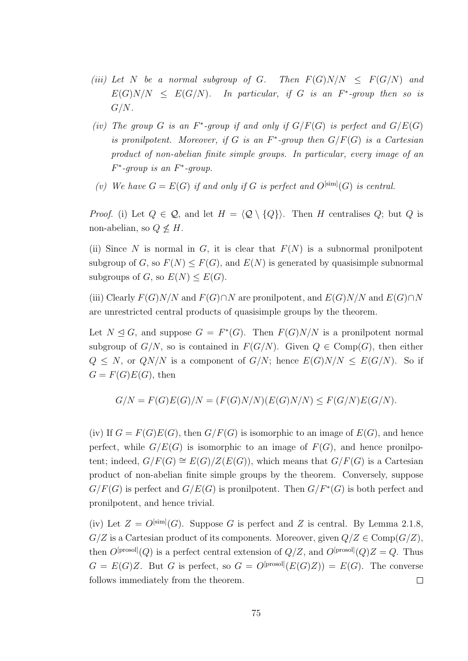- (iii) Let N be a normal subgroup of G. Then  $F(G)N/N \leq F(G/N)$  and  $E(G)N/N \leq E(G/N)$ . In particular, if G is an F<sup>\*</sup>-group then so is  $G/N$ .
- (iv) The group G is an  $F^*$ -group if and only if  $G/F(G)$  is perfect and  $G/E(G)$ is pronilpotent. Moreover, if G is an  $F^*$ -group then  $G/F(G)$  is a Cartesian product of non-abelian finite simple groups. In particular, every image of an  $F^*$ -group is an  $F^*$ -group.
- (v) We have  $G = E(G)$  if and only if G is perfect and  $O^{[\text{sim}]}(G)$  is central.

*Proof.* (i) Let  $Q \in \mathcal{Q}$ , and let  $H = \langle \mathcal{Q} \setminus \{Q\}\rangle$ . Then H centralises  $Q$ ; but Q is non-abelian, so  $Q \not\leq H$ .

(ii) Since N is normal in G, it is clear that  $F(N)$  is a subnormal pronilpotent subgroup of G, so  $F(N) \leq F(G)$ , and  $E(N)$  is generated by quasisimple subnormal subgroups of G, so  $E(N) \leq E(G)$ .

(iii) Clearly  $F(G)N/N$  and  $F(G) \cap N$  are pronilpotent, and  $E(G)N/N$  and  $E(G) \cap N$ are unrestricted central products of quasisimple groups by the theorem.

Let  $N \trianglelefteq G$ , and suppose  $G = F^*(G)$ . Then  $F(G)N/N$  is a pronilpotent normal subgroup of  $G/N$ , so is contained in  $F(G/N)$ . Given  $Q \in \text{Comp}(G)$ , then either  $Q \leq N$ , or  $QN/N$  is a component of  $G/N$ ; hence  $E(G)N/N \leq E(G/N)$ . So if  $G = F(G)E(G)$ , then

$$
G/N = F(G)E(G)/N = (F(G)N/N)(E(G)N/N) \le F(G/N)E(G/N).
$$

(iv) If  $G = F(G)E(G)$ , then  $G/F(G)$  is isomorphic to an image of  $E(G)$ , and hence perfect, while  $G/E(G)$  is isomorphic to an image of  $F(G)$ , and hence pronilpotent; indeed,  $G/F(G) \cong E(G)/Z(E(G))$ , which means that  $G/F(G)$  is a Cartesian product of non-abelian finite simple groups by the theorem. Conversely, suppose  $G/F(G)$  is perfect and  $G/E(G)$  is pronilpotent. Then  $G/F^*(G)$  is both perfect and pronilpotent, and hence trivial.

(iv) Let  $Z = O^{[\text{sim}]}(G)$ . Suppose G is perfect and Z is central. By Lemma 2.1.8,  $G/Z$  is a Cartesian product of its components. Moreover, given  $Q/Z \in \text{Comp}(G/Z)$ , then  $O^{[\text{prosol}]}(Q)$  is a perfect central extension of  $Q/Z$ , and  $O^{[\text{prosol}]}(Q)Z = Q$ . Thus  $G = E(G)Z$ . But G is perfect, so  $G = O^{[prosol]}(E(G)Z) = E(G)$ . The converse follows immediately from the theorem.  $\Box$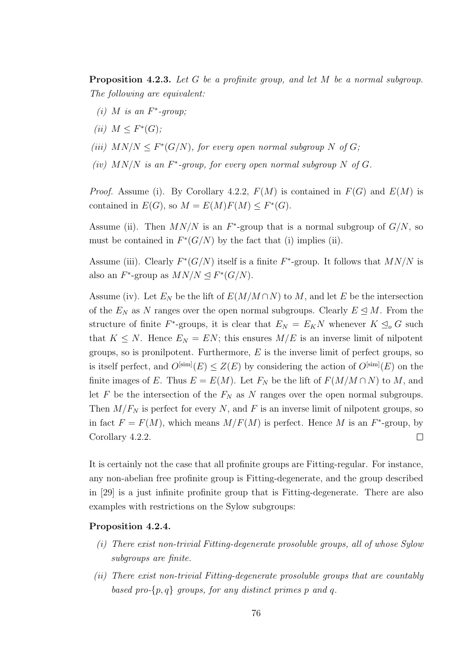Proposition 4.2.3. Let G be a profinite group, and let M be a normal subgroup. The following are equivalent:

- (i) M is an  $F^*$ -group;
- (ii)  $M \leq F^*(G);$
- (iii)  $MN/N \leq F^*(G/N)$ , for every open normal subgroup N of G;
- (iv)  $MN/N$  is an  $F^*$ -group, for every open normal subgroup N of G.

*Proof.* Assume (i). By Corollary 4.2.2,  $F(M)$  is contained in  $F(G)$  and  $E(M)$  is contained in  $E(G)$ , so  $M = E(M)F(M) \leq F^*(G)$ .

Assume (ii). Then  $MN/N$  is an  $F^*$ -group that is a normal subgroup of  $G/N$ , so must be contained in  $F^*(G/N)$  by the fact that (i) implies (ii).

Assume (iii). Clearly  $F^*(G/N)$  itself is a finite  $F^*$ -group. It follows that  $MN/N$  is also an  $F^*$ -group as  $MN/N \trianglelefteq F^*(G/N)$ .

Assume (iv). Let  $E_N$  be the lift of  $E(M/M\cap N)$  to M, and let E be the intersection of the  $E_N$  as N ranges over the open normal subgroups. Clearly  $E \leq M$ . From the structure of finite  $F^*$ -groups, it is clear that  $E_N = E_K N$  whenever  $K \leq_o G$  such that  $K \leq N$ . Hence  $E_N = EN$ ; this ensures  $M/E$  is an inverse limit of nilpotent groups, so is pronilpotent. Furthermore,  $E$  is the inverse limit of perfect groups, so is itself perfect, and  $O^{[\text{sim}]}(E) \leq Z(E)$  by considering the action of  $O^{[\text{sim}]}(E)$  on the finite images of E. Thus  $E = E(M)$ . Let  $F_N$  be the lift of  $F(M/M \cap N)$  to M, and let F be the intersection of the  $F_N$  as N ranges over the open normal subgroups. Then  $M/F_N$  is perfect for every N, and F is an inverse limit of nilpotent groups, so in fact  $F = F(M)$ , which means  $M/F(M)$  is perfect. Hence M is an  $F^*$ -group, by Corollary 4.2.2.  $\Box$ 

It is certainly not the case that all profinite groups are Fitting-regular. For instance, any non-abelian free profinite group is Fitting-degenerate, and the group described in [29] is a just infinite profinite group that is Fitting-degenerate. There are also examples with restrictions on the Sylow subgroups:

#### Proposition 4.2.4.

- (i) There exist non-trivial Fitting-degenerate prosoluble groups, all of whose Sylow subgroups are finite.
- (ii) There exist non-trivial Fitting-degenerate prosoluble groups that are countably based pro- $\{p,q\}$  groups, for any distinct primes p and q.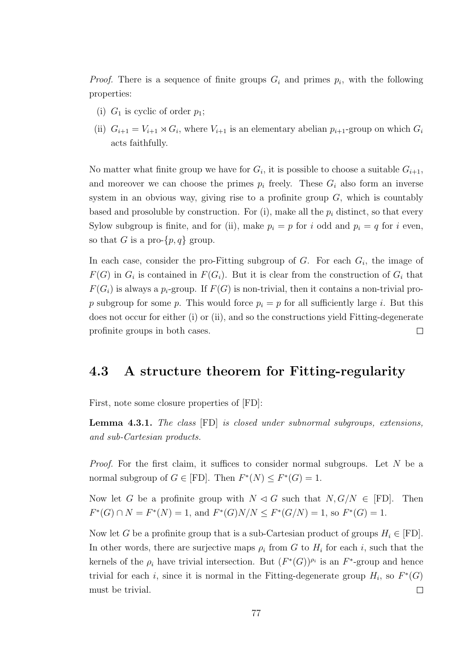*Proof.* There is a sequence of finite groups  $G_i$  and primes  $p_i$ , with the following properties:

- (i)  $G_1$  is cyclic of order  $p_1$ ;
- (ii)  $G_{i+1} = V_{i+1} \rtimes G_i$ , where  $V_{i+1}$  is an elementary abelian  $p_{i+1}$ -group on which  $G_i$ acts faithfully.

No matter what finite group we have for  $G_i$ , it is possible to choose a suitable  $G_{i+1}$ , and moreover we can choose the primes  $p_i$  freely. These  $G_i$  also form an inverse system in an obvious way, giving rise to a profinite group  $G$ , which is countably based and prosoluble by construction. For (i), make all the  $p_i$  distinct, so that every Sylow subgroup is finite, and for (ii), make  $p_i = p$  for i odd and  $p_i = q$  for i even, so that G is a pro- $\{p,q\}$  group.

In each case, consider the pro-Fitting subgroup of  $G$ . For each  $G_i$ , the image of  $F(G)$  in  $G_i$  is contained in  $F(G_i)$ . But it is clear from the construction of  $G_i$  that  $F(G_i)$  is always a  $p_i$ -group. If  $F(G)$  is non-trivial, then it contains a non-trivial prop subgroup for some p. This would force  $p_i = p$  for all sufficiently large i. But this does not occur for either (i) or (ii), and so the constructions yield Fitting-degenerate profinite groups in both cases.  $\Box$ 

### 4.3 A structure theorem for Fitting-regularity

First, note some closure properties of [FD]:

Lemma 4.3.1. The class [FD] is closed under subnormal subgroups, extensions, and sub-Cartesian products.

*Proof.* For the first claim, it suffices to consider normal subgroups. Let  $N$  be a normal subgroup of  $G \in [FD]$ . Then  $F^*(N) \leq F^*(G) = 1$ .

Now let G be a profinite group with  $N \triangleleft G$  such that  $N, G/N \in [FD]$ . Then  $F^*(G) \cap N = F^*(N) = 1$ , and  $F^*(G)N/N \leq F^*(G/N) = 1$ , so  $F^*(G) = 1$ .

Now let G be a profinite group that is a sub-Cartesian product of groups  $H_i \in [FD]$ . In other words, there are surjective maps  $\rho_i$  from G to  $H_i$  for each i, such that the kernels of the  $\rho_i$  have trivial intersection. But  $(F^*(G))^{\rho_i}$  is an  $F^*$ -group and hence trivial for each i, since it is normal in the Fitting-degenerate group  $H_i$ , so  $F^*(G)$ must be trivial.  $\Box$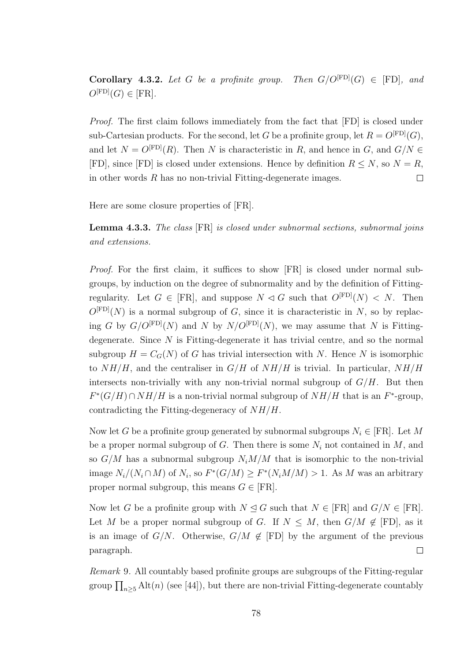**Corollary 4.3.2.** Let G be a profinite group. Then  $G/O^{[FD]}(G) \in [FD]$ , and  $O^{[FD]}(G) \in [FR]$ .

Proof. The first claim follows immediately from the fact that [FD] is closed under sub-Cartesian products. For the second, let G be a profinite group, let  $R = O^{[FD]}(G)$ , and let  $N = O^{\text{[FD]}}(R)$ . Then N is characteristic in R, and hence in G, and  $G/N \in$ [FD], since [FD] is closed under extensions. Hence by definition  $R \leq N$ , so  $N = R$ , in other words R has no non-trivial Fitting-degenerate images.  $\Box$ 

Here are some closure properties of [FR].

Lemma 4.3.3. The class [FR] is closed under subnormal sections, subnormal joins and extensions.

Proof. For the first claim, it suffices to show [FR] is closed under normal subgroups, by induction on the degree of subnormality and by the definition of Fittingregularity. Let  $G \in [FR]$ , and suppose  $N \triangleleft G$  such that  $O^{[FD]}(N) \triangleleft N$ . Then  $O^{[FD]}(N)$  is a normal subgroup of G, since it is characteristic in N, so by replacing G by  $G/O^{[FD]}(N)$  and N by  $N/O^{[FD]}(N)$ , we may assume that N is Fittingdegenerate. Since  $N$  is Fitting-degenerate it has trivial centre, and so the normal subgroup  $H = C_G(N)$  of G has trivial intersection with N. Hence N is isomorphic to  $NH/H$ , and the centraliser in  $G/H$  of  $NH/H$  is trivial. In particular,  $NH/H$ intersects non-trivially with any non-trivial normal subgroup of  $G/H$ . But then  $F^*(G/H) \cap NH/H$  is a non-trivial normal subgroup of  $NH/H$  that is an  $F^*$ -group, contradicting the Fitting-degeneracy of  $NH/H$ .

Now let G be a profinite group generated by subnormal subgroups  $N_i \in [FR]$ . Let M be a proper normal subgroup of G. Then there is some  $N_i$  not contained in M, and so  $G/M$  has a subnormal subgroup  $N_iM/M$  that is isomorphic to the non-trivial image  $N_i/(N_i \cap M)$  of  $N_i$ , so  $F^*(G/M) \ge F^*(N_i M/M) > 1$ . As M was an arbitrary proper normal subgroup, this means  $G \in [FR]$ .

Now let G be a profinite group with  $N \triangleleft G$  such that  $N \in [FR]$  and  $G/N \in [FR]$ . Let M be a proper normal subgroup of G. If  $N \leq M$ , then  $G/M \notin [FD]$ , as it is an image of  $G/N$ . Otherwise,  $G/M \notin [FD]$  by the argument of the previous paragraph.  $\Box$ 

Remark 9. All countably based profinite groups are subgroups of the Fitting-regular group  $\prod_{n\geq 5}$  Alt $(n)$  (see [44]), but there are non-trivial Fitting-degenerate countably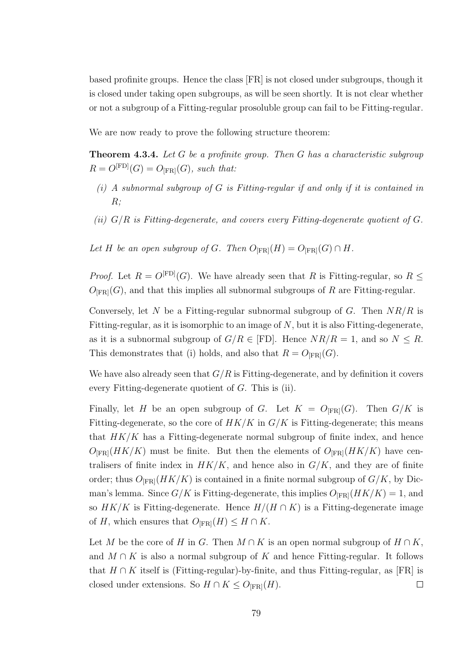based profinite groups. Hence the class [FR] is not closed under subgroups, though it is closed under taking open subgroups, as will be seen shortly. It is not clear whether or not a subgroup of a Fitting-regular prosoluble group can fail to be Fitting-regular.

We are now ready to prove the following structure theorem:

**Theorem 4.3.4.** Let G be a profinite group. Then G has a characteristic subgroup  $R = O<sup>[FD]</sup>(G) = O<sub>[FR]</sub>(G)$ , such that:

- $(i)$  A subnormal subgroup of G is Fitting-regular if and only if it is contained in  $R;$
- (ii)  $G/R$  is Fitting-degenerate, and covers every Fitting-degenerate quotient of  $G$ .

Let H be an open subgroup of G. Then  $O_{[FR]}(H) = O_{[FR]}(G) \cap H$ .

*Proof.* Let  $R = O^{[FD]}(G)$ . We have already seen that R is Fitting-regular, so  $R \leq$  $O_{FRI}(G)$ , and that this implies all subnormal subgroups of R are Fitting-regular.

Conversely, let N be a Fitting-regular subnormal subgroup of G. Then  $NR/R$  is Fitting-regular, as it is isomorphic to an image of  $N$ , but it is also Fitting-degenerate, as it is a subnormal subgroup of  $G/R \in [FD]$ . Hence  $NR/R = 1$ , and so  $N \leq R$ . This demonstrates that (i) holds, and also that  $R = O_{[FR]}(G)$ .

We have also already seen that  $G/R$  is Fitting-degenerate, and by definition it covers every Fitting-degenerate quotient of G. This is (ii).

Finally, let H be an open subgroup of G. Let  $K = O_{[FR]}(G)$ . Then  $G/K$  is Fitting-degenerate, so the core of  $HK/K$  in  $G/K$  is Fitting-degenerate; this means that  $HK/K$  has a Fitting-degenerate normal subgroup of finite index, and hence  $O_{FRI}(HK/K)$  must be finite. But then the elements of  $O_{FRI}(HK/K)$  have centralisers of finite index in  $HK/K$ , and hence also in  $G/K$ , and they are of finite order; thus  $O_{[FR]}(HK/K)$  is contained in a finite normal subgroup of  $G/K$ , by Dicman's lemma. Since  $G/K$  is Fitting-degenerate, this implies  $O_{[FR]}(HK/K) = 1$ , and so  $HK/K$  is Fitting-degenerate. Hence  $H/(H \cap K)$  is a Fitting-degenerate image of H, which ensures that  $O_{[FR]}(H) \leq H \cap K$ .

Let M be the core of H in G. Then  $M \cap K$  is an open normal subgroup of  $H \cap K$ . and  $M \cap K$  is also a normal subgroup of K and hence Fitting-regular. It follows that  $H \cap K$  itself is (Fitting-regular)-by-finite, and thus Fitting-regular, as [FR] is closed under extensions. So  $H \cap K \leq O_{[FR]}(H)$ .  $\Box$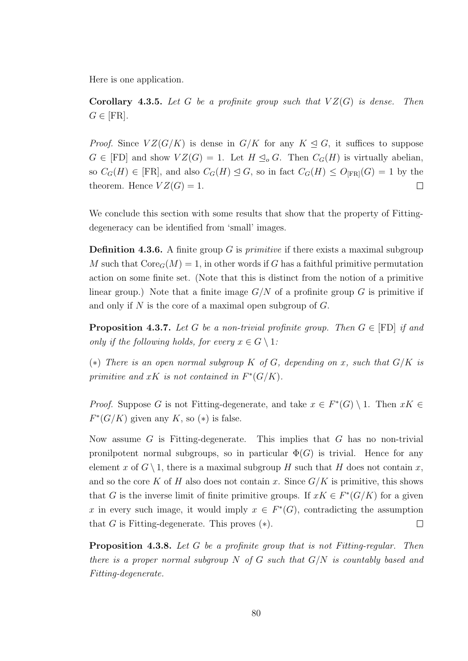Here is one application.

**Corollary 4.3.5.** Let G be a profinite group such that  $VZ(G)$  is dense. Then  $G \in [FR]$ .

*Proof.* Since  $VZ(G/K)$  is dense in  $G/K$  for any  $K \triangleleft G$ , it suffices to suppose  $G \in [FD]$  and show  $VZ(G) = 1$ . Let  $H \subseteq_{o} G$ . Then  $C_{G}(H)$  is virtually abelian, so  $C_G(H) \in [FR]$ , and also  $C_G(H) \leq G$ , so in fact  $C_G(H) \leq O_{[FR]}(G) = 1$  by the theorem. Hence  $VZ(G) = 1$ .  $\Box$ 

We conclude this section with some results that show that the property of Fittingdegeneracy can be identified from 'small' images.

**Definition 4.3.6.** A finite group G is *primitive* if there exists a maximal subgroup M such that  $\text{Core}_G(M) = 1$ , in other words if G has a faithful primitive permutation action on some finite set. (Note that this is distinct from the notion of a primitive linear group.) Note that a finite image  $G/N$  of a profinite group G is primitive if and only if N is the core of a maximal open subgroup of  $G$ .

**Proposition 4.3.7.** Let G be a non-trivial profinite group. Then  $G \in [FD]$  if and only if the following holds, for every  $x \in G \setminus 1$ :

(\*) There is an open normal subgroup K of G, depending on x, such that  $G/K$  is primitive and  $xK$  is not contained in  $F^*(G/K)$ .

*Proof.* Suppose G is not Fitting-degenerate, and take  $x \in F^*(G) \setminus 1$ . Then  $xK \in F^*(G)$  $F^*(G/K)$  given any K, so  $(*)$  is false.

Now assume  $G$  is Fitting-degenerate. This implies that  $G$  has no non-trivial pronilpotent normal subgroups, so in particular  $\Phi(G)$  is trivial. Hence for any element x of  $G \setminus 1$ , there is a maximal subgroup H such that H does not contain x, and so the core K of H also does not contain x. Since  $G/K$  is primitive, this shows that G is the inverse limit of finite primitive groups. If  $xK \in F^*(G/K)$  for a given x in every such image, it would imply  $x \in F^*(G)$ , contradicting the assumption that G is Fitting-degenerate. This proves  $(*)$ .  $\Box$ 

Proposition 4.3.8. Let G be a profinite group that is not Fitting-regular. Then there is a proper normal subgroup N of G such that  $G/N$  is countably based and Fitting-degenerate.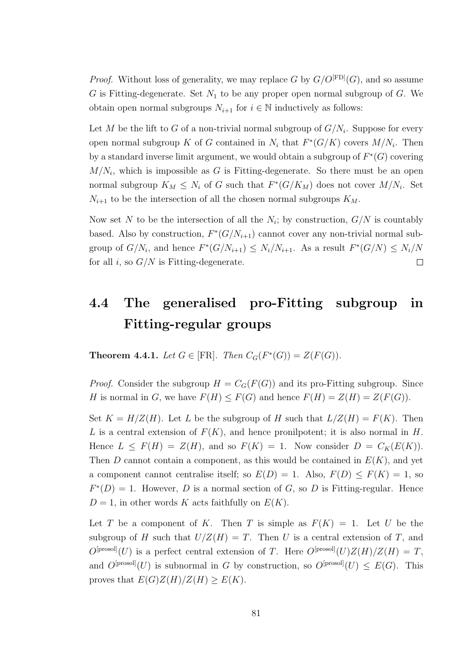*Proof.* Without loss of generality, we may replace G by  $G/O^{[FD]}(G)$ , and so assume G is Fitting-degenerate. Set  $N_1$  to be any proper open normal subgroup of G. We obtain open normal subgroups  $N_{i+1}$  for  $i \in \mathbb{N}$  inductively as follows:

Let M be the lift to G of a non-trivial normal subgroup of  $G/N_i$ . Suppose for every open normal subgroup K of G contained in  $N_i$  that  $F^*(G/K)$  covers  $M/N_i$ . Then by a standard inverse limit argument, we would obtain a subgroup of  $F^*(G)$  covering  $M/N_i$ , which is impossible as G is Fitting-degenerate. So there must be an open normal subgroup  $K_M \leq N_i$  of G such that  $F^*(G/K_M)$  does not cover  $M/N_i$ . Set  $N_{i+1}$  to be the intersection of all the chosen normal subgroups  $K_M$ .

Now set N to be the intersection of all the  $N_i$ ; by construction,  $G/N$  is countably based. Also by construction,  $F^*(G/N_{i+1})$  cannot cover any non-trivial normal subgroup of  $G/N_i$ , and hence  $F^*(G/N_{i+1}) \leq N_i/N_{i+1}$ . As a result  $F^*(G/N) \leq N_i/N$ for all i, so  $G/N$  is Fitting-degenerate.  $\Box$ 

## 4.4 The generalised pro-Fitting subgroup in Fitting-regular groups

**Theorem 4.4.1.** Let  $G \in [FR]$ . Then  $C_G(F^*(G)) = Z(F(G))$ .

*Proof.* Consider the subgroup  $H = C_G(F(G))$  and its pro-Fitting subgroup. Since H is normal in G, we have  $F(H) \leq F(G)$  and hence  $F(H) = Z(H) = Z(F(G))$ .

Set  $K = H/Z(H)$ . Let L be the subgroup of H such that  $L/Z(H) = F(K)$ . Then L is a central extension of  $F(K)$ , and hence pronilpotent; it is also normal in H. Hence  $L \leq F(H) = Z(H)$ , and so  $F(K) = 1$ . Now consider  $D = C_K(E(K))$ . Then D cannot contain a component, as this would be contained in  $E(K)$ , and yet a component cannot centralise itself; so  $E(D) = 1$ . Also,  $F(D) \leq F(K) = 1$ , so  $F^*(D) = 1$ . However, D is a normal section of G, so D is Fitting-regular. Hence  $D=1$ , in other words K acts faithfully on  $E(K)$ .

Let T be a component of K. Then T is simple as  $F(K) = 1$ . Let U be the subgroup of H such that  $U/Z(H) = T$ . Then U is a central extension of T, and  $O^{[\text{prosol}]}(U)$  is a perfect central extension of T. Here  $O^{[\text{prosol}]}(U)Z(H)/Z(H) = T$ , and  $O^{[prosol]}(U)$  is subnormal in G by construction, so  $O^{[prosol]}(U) \leq E(G)$ . This proves that  $E(G)Z(H)/Z(H) > E(K)$ .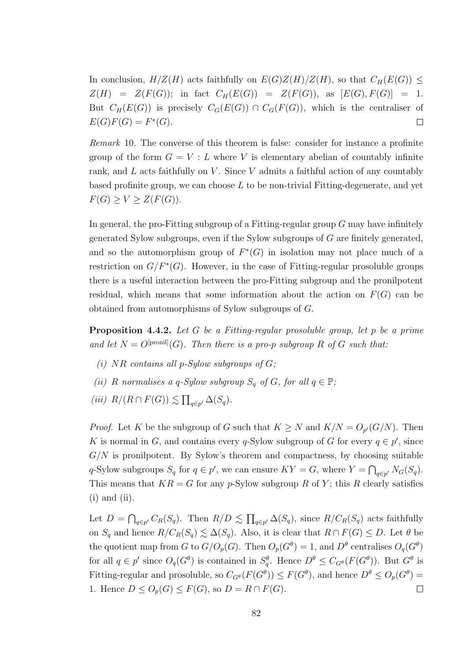In conclusion,  $H/Z(H)$  acts faithfully on  $E(G)Z(H)/Z(H)$ , so that  $C_H(E(G)) \le$  $Z(H) = Z(F(G));$  in fact  $C_H(E(G)) = Z(F(G)),$  as  $[E(G), F(G)] = 1.$ But  $C_H(E(G))$  is precisely  $C_G(E(G)) \cap C_G(F(G))$ , which is the centraliser of  $E(G)F(G) = F^*(G).$  $\Box$ 

Remark 10. The converse of this theorem is false: consider for instance a profinite group of the form  $G = V : L$  where V is elementary abelian of countably infinite rank, and  $L$  acts faithfully on  $V$ . Since  $V$  admits a faithful action of any countably based profinite group, we can choose  $L$  to be non-trivial Fitting-degenerate, and yet  $F(G) \geq V \geq Z(F(G)).$ 

In general, the pro-Fitting subgroup of a Fitting-regular group  $G$  may have infinitely generated Sylow subgroups, even if the Sylow subgroups of G are finitely generated, and so the automorphism group of  $F^*(G)$  in isolation may not place much of a restriction on  $G/F^*(G)$ . However, in the case of Fitting-regular prosoluble groups there is a useful interaction between the pro-Fitting subgroup and the pronilpotent residual, which means that some information about the action on  $F(G)$  can be obtained from automorphisms of Sylow subgroups of G.

**Proposition 4.4.2.** Let G be a Fitting-regular prosoluble group, let p be a prime and let  $N = O^{[proni]}(G)$ . Then there is a pro-p subgroup R of G such that:

- (i)  $NR$  contains all p-Sylow subgroups of  $G$ ;
- (ii) R normalises a q-Sylow subgroup  $S_q$  of G, for all  $q \in \mathbb{P}$ ;
- (iii)  $R/(R \cap F(G)) \lesssim \prod_{q \in p'} \Delta(S_q)$ .

*Proof.* Let K be the subgroup of G such that  $K \geq N$  and  $K/N = O_{p'}(G/N)$ . Then K is normal in G, and contains every q-Sylow subgroup of G for every  $q \in p'$ , since  $G/N$  is pronilpotent. By Sylow's theorem and compactness, by choosing suitable q-Sylow subgroups  $S_q$  for  $q \in p'$ , we can ensure  $KY = G$ , where  $Y = \bigcap_{q \in p'} N_G(S_q)$ . This means that  $KR = G$  for any p-Sylow subgroup R of Y; this R clearly satisfies  $(i)$  and  $(ii)$ .

Let  $D = \bigcap_{q \in p'} C_R(S_q)$ . Then  $R/D \lesssim \prod_{q \in p'} \Delta(S_q)$ , since  $R/C_R(S_q)$  acts faithfully on  $S_q$  and hence  $R/C_R(S_q) \leq \Delta(S_q)$ . Also, it is clear that  $R \cap F(G) \leq D$ . Let  $\theta$  be the quotient map from G to  $G/O_p(G)$ . Then  $O_p(G^{\theta}) = 1$ , and  $D^{\theta}$  centralises  $O_q(G^{\theta})$ for all  $q \in p'$  since  $O_q(G^{\theta})$  is contained in  $S_q^{\theta}$ . Hence  $D^{\theta} \leq C_{G^{\theta}}(F(G^{\theta}))$ . But  $G^{\theta}$  is Fitting-regular and prosoluble, so  $C_{G^{\theta}}(F(G^{\theta})) \le F(G^{\theta})$ , and hence  $D^{\theta} \le O_p(G^{\theta}) =$ 1. Hence  $D \leq O_p(G) \leq F(G)$ , so  $D = R \cap F(G)$ .  $\Box$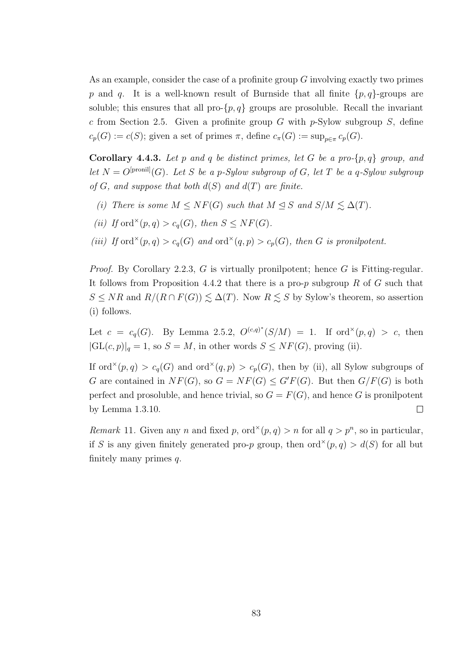As an example, consider the case of a profinite group G involving exactly two primes p and q. It is a well-known result of Burnside that all finite  $\{p, q\}$ -groups are soluble; this ensures that all pro- $\{p, q\}$  groups are prosoluble. Recall the invariant c from Section 2.5. Given a profinite group G with  $p$ -Sylow subgroup S, define  $c_p(G) := c(S)$ ; given a set of primes  $\pi$ , define  $c_{\pi}(G) := \sup_{p \in \pi} c_p(G)$ .

**Corollary 4.4.3.** Let p and q be distinct primes, let G be a pro- $\{p,q\}$  group, and let  $N = O^{[pronil]}(G)$ . Let S be a p-Sylow subgroup of G, let T be a q-Sylow subgroup of G, and suppose that both  $d(S)$  and  $d(T)$  are finite.

- (i) There is some  $M \leq NF(G)$  such that  $M \leq S$  and  $S/M \leq \Delta(T)$ .
- (ii) If ord<sup> $\times$ </sup>(p,q) > c<sub>q</sub>(G), then  $S \leq NF(G)$ .
- (iii) If ord<sup> $\times$ </sup>(p,q) > c<sub>q</sub>(G) and ord<sup> $\times$ </sup>(q,p) > c<sub>p</sub>(G), then G is pronilpotent.

*Proof.* By Corollary 2.2.3,  $G$  is virtually pronilpotent; hence  $G$  is Fitting-regular. It follows from Proposition 4.4.2 that there is a pro-p subgroup R of G such that  $S \leq NR$  and  $R/(R \cap F(G)) \leq \Delta(T)$ . Now  $R \leq S$  by Sylow's theorem, so assertion (i) follows.

Let  $c = c_q(G)$ . By Lemma 2.5.2,  $O^{(c,q)^*}(S/M) = 1$ . If ord<sup>x</sup> $(p,q) > c$ , then  $|GL(c, p)|_q = 1$ , so  $S = M$ , in other words  $S \leq NF(G)$ , proving (ii).

If ord<sup> $\times$ </sup>(p, q) > c<sub>q</sub>(G) and ord<sup> $\times$ </sup>(q, p) > c<sub>p</sub>(G), then by (ii), all Sylow subgroups of G are contained in  $NF(G)$ , so  $G = NF(G) \le G'F(G)$ . But then  $G/F(G)$  is both perfect and prosoluble, and hence trivial, so  $G = F(G)$ , and hence G is pronilpotent by Lemma 1.3.10.  $\Box$ 

Remark 11. Given any n and fixed p, ord<sup> $\times$ </sup>(p, q) > n for all  $q > p<sup>n</sup>$ , so in particular, if S is any given finitely generated pro-p group, then  $ord^{\times}(p,q) > d(S)$  for all but finitely many primes  $q$ .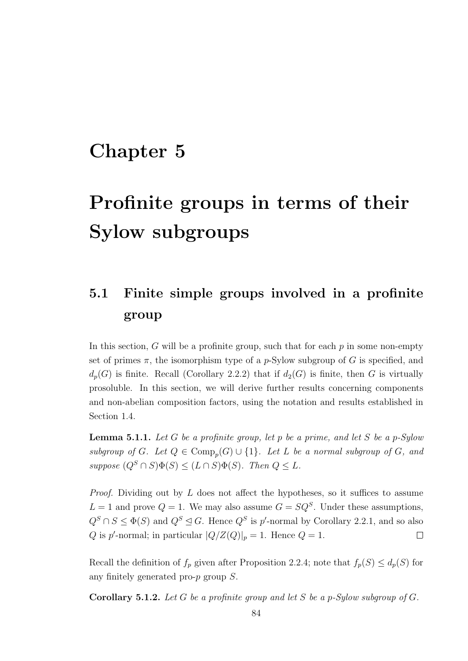# Chapter 5

# Profinite groups in terms of their Sylow subgroups

## 5.1 Finite simple groups involved in a profinite group

In this section,  $G$  will be a profinite group, such that for each  $p$  in some non-empty set of primes  $\pi$ , the isomorphism type of a *p*-Sylow subgroup of G is specified, and  $d_p(G)$  is finite. Recall (Corollary 2.2.2) that if  $d_2(G)$  is finite, then G is virtually prosoluble. In this section, we will derive further results concerning components and non-abelian composition factors, using the notation and results established in Section 1.4.

**Lemma 5.1.1.** Let G be a profinite group, let p be a prime, and let S be a p-Sylow subgroup of G. Let  $Q \in \text{Comp}_p(G) \cup \{1\}$ . Let L be a normal subgroup of G, and suppose  $(Q^S \cap S)\Phi(S) \leq (L \cap S)\Phi(S)$ . Then  $Q \leq L$ .

*Proof.* Dividing out by  $L$  does not affect the hypotheses, so it suffices to assume  $L = 1$  and prove  $Q = 1$ . We may also assume  $G = SQ<sup>S</sup>$ . Under these assumptions,  $Q^S \cap S \leq \Phi(S)$  and  $Q^S \trianglelefteq G$ . Hence  $Q^S$  is p'-normal by Corollary 2.2.1, and so also Q is p'-normal; in particular  $|Q/Z(Q)|_p = 1$ . Hence  $Q = 1$ .  $\Box$ 

Recall the definition of  $f_p$  given after Proposition 2.2.4; note that  $f_p(S) \leq d_p(S)$  for any finitely generated pro-p group S.

**Corollary 5.1.2.** Let G be a profinite group and let S be a p-Sylow subgroup of G.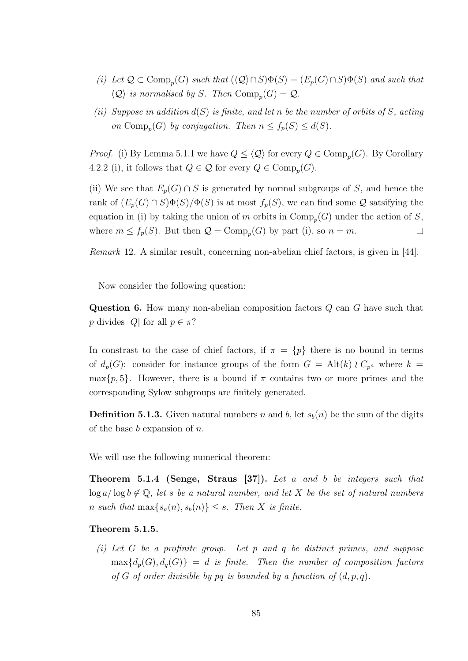- (i) Let  $\mathcal{Q} \subset \text{Comp}_p(G)$  such that  $(\langle \mathcal{Q} \rangle \cap S)\Phi(S) = (E_p(G) \cap S)\Phi(S)$  and such that  $\langle \mathcal{Q} \rangle$  is normalised by S. Then  $\mathrm{Comp}_p(G) = \mathcal{Q}$ .
- (ii) Suppose in addition  $d(S)$  is finite, and let n be the number of orbits of S, acting on Comp<sub>p</sub> $(G)$  by conjugation. Then  $n \leq f_p(S) \leq d(S)$ .

*Proof.* (i) By Lemma 5.1.1 we have  $Q \leq \langle Q \rangle$  for every  $Q \in \text{Comp}_p(G)$ . By Corollary 4.2.2 (i), it follows that  $Q \in \mathcal{Q}$  for every  $Q \in \text{Comp}_p(G)$ .

(ii) We see that  $E_p(G) \cap S$  is generated by normal subgroups of S, and hence the rank of  $(E_p(G) \cap S)\Phi(S)/\Phi(S)$  is at most  $f_p(S)$ , we can find some  $\mathcal Q$  satsifying the equation in (i) by taking the union of m orbits in  $\text{Comp}_p(G)$  under the action of S, where  $m \le f_p(S)$ . But then  $\mathcal{Q} = \text{Comp}_p(G)$  by part (i), so  $n = m$ .  $\Box$ 

Remark 12. A similar result, concerning non-abelian chief factors, is given in [44].

Now consider the following question:

Question 6. How many non-abelian composition factors Q can G have such that p divides |Q| for all  $p \in \pi$ ?

In constrast to the case of chief factors, if  $\pi = \{p\}$  there is no bound in terms of  $d_p(G)$ : consider for instance groups of the form  $G = Alt(k) \wr C_{p^n}$  where  $k =$  $\max\{p, 5\}$ . However, there is a bound if  $\pi$  contains two or more primes and the corresponding Sylow subgroups are finitely generated.

**Definition 5.1.3.** Given natural numbers n and b, let  $s_b(n)$  be the sum of the digits of the base  $b$  expansion of  $n$ .

We will use the following numerical theorem:

Theorem 5.1.4 (Senge, Straus [37]). Let a and b be integers such that  $\log a / \log b \notin \mathbb{Q}$ , let s be a natural number, and let X be the set of natural numbers n such that  $\max\{s_a(n), s_b(n)\} \leq s$ . Then X is finite.

#### Theorem 5.1.5.

(i) Let G be a profinite group. Let p and q be distinct primes, and suppose  $\max\{d_n(G), d_n(G)\} = d$  is finite. Then the number of composition factors of G of order divisible by pq is bounded by a function of  $(d, p, q)$ .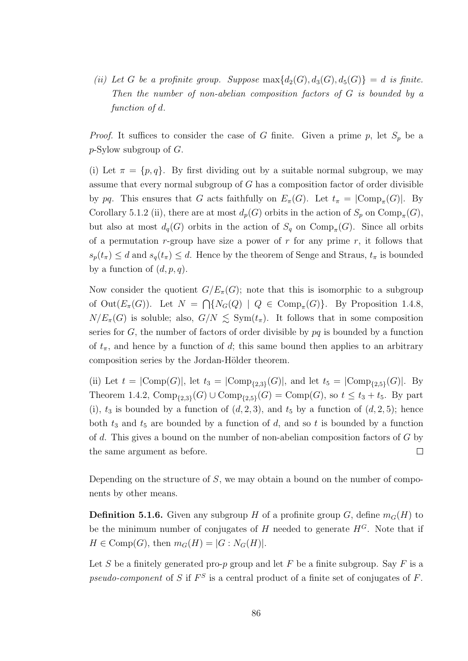(ii) Let G be a profinite group. Suppose  $\max\{d_2(G), d_3(G), d_5(G)\} = d$  is finite. Then the number of non-abelian composition factors of G is bounded by a function of d.

*Proof.* It suffices to consider the case of G finite. Given a prime p, let  $S_p$  be a  $p$ -Sylow subgroup of  $G$ .

(i) Let  $\pi = \{p, q\}$ . By first dividing out by a suitable normal subgroup, we may assume that every normal subgroup of  $G$  has a composition factor of order divisible by pq. This ensures that G acts faithfully on  $E_{\pi}(G)$ . Let  $t_{\pi} = |\text{Comp}_{\pi}(G)|$ . By Corollary 5.1.2 (ii), there are at most  $d_p(G)$  orbits in the action of  $S_p$  on  $\text{Comp}_{\pi}(G)$ , but also at most  $d_q(G)$  orbits in the action of  $S_q$  on  $\text{Comp}_{\pi}(G)$ . Since all orbits of a permutation r-group have size a power of  $r$  for any prime  $r$ , it follows that  $s_p(t_\pi) \leq d$  and  $s_q(t_\pi) \leq d$ . Hence by the theorem of Senge and Straus,  $t_\pi$  is bounded by a function of  $(d, p, q)$ .

Now consider the quotient  $G/E_{\pi}(G)$ ; note that this is isomorphic to a subgroup of  $Out(E_{\pi}(G))$ . Let  $N = \bigcap \{N_G(Q) \mid Q \in \text{Comp}_{\pi}(G)\}\$ . By Proposition 1.4.8,  $N/E_{\pi}(G)$  is soluble; also,  $G/N \leq \text{Sym}(t_{\pi})$ . It follows that in some composition series for G, the number of factors of order divisible by  $pq$  is bounded by a function of  $t_{\pi}$ , and hence by a function of d; this same bound then applies to an arbitrary composition series by the Jordan-Hölder theorem.

(ii) Let  $t = |Comp(G)|$ , let  $t_3 = |Comp_{\{2,3\}}(G)|$ , and let  $t_5 = |Comp_{\{2,5\}}(G)|$ . By Theorem 1.4.2,  $\text{Comp}_{\{2,3\}}(G) \cup \text{Comp}_{\{2,5\}}(G) = \text{Comp}(G)$ , so  $t \leq t_3 + t_5$ . By part (i),  $t_3$  is bounded by a function of  $(d, 2, 3)$ , and  $t_5$  by a function of  $(d, 2, 5)$ ; hence both  $t_3$  and  $t_5$  are bounded by a function of d, and so t is bounded by a function of d. This gives a bound on the number of non-abelian composition factors of G by the same argument as before.  $\Box$ 

Depending on the structure of  $S$ , we may obtain a bound on the number of components by other means.

**Definition 5.1.6.** Given any subgroup H of a profinite group G, define  $m_G(H)$  to be the minimum number of conjugates of H needed to generate  $H^G$ . Note that if  $H \in \text{Comp}(G)$ , then  $m_G(H) = |G : N_G(H)|$ .

Let S be a finitely generated pro-p group and let F be a finite subgroup. Say F is a pseudo-component of S if  $F^S$  is a central product of a finite set of conjugates of F.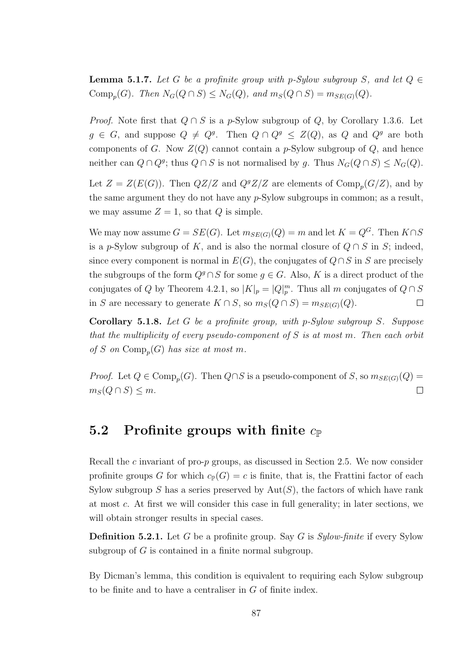**Lemma 5.1.7.** Let G be a profinite group with p-Sylow subgroup S, and let  $Q \in$ Comp<sub>p</sub> $(G)$ . Then  $N_G(Q \cap S) \leq N_G(Q)$ , and  $m_S(Q \cap S) = m_{SE(G)}(Q)$ .

*Proof.* Note first that  $Q \cap S$  is a p-Sylow subgroup of Q, by Corollary 1.3.6. Let  $g \in G$ , and suppose  $Q \neq Q^g$ . Then  $Q \cap Q^g \leq Z(Q)$ , as Q and  $Q^g$  are both components of G. Now  $Z(Q)$  cannot contain a p-Sylow subgroup of Q, and hence neither can  $Q \cap Q^g$ ; thus  $Q \cap S$  is not normalised by g. Thus  $N_G(Q \cap S) \leq N_G(Q)$ .

Let  $Z = Z(E(G))$ . Then  $QZ/Z$  and  $QZ/Z$  are elements of  $Comp_p(G/Z)$ , and by the same argument they do not have any p-Sylow subgroups in common; as a result, we may assume  $Z = 1$ , so that Q is simple.

We may now assume  $G = SE(G)$ . Let  $m_{SE(G)}(Q) = m$  and let  $K = Q^G$ . Then  $K \cap S$ is a p-Sylow subgroup of K, and is also the normal closure of  $Q \cap S$  in S; indeed, since every component is normal in  $E(G)$ , the conjugates of  $Q \cap S$  in S are precisely the subgroups of the form  $Q^g \cap S$  for some  $g \in G$ . Also, K is a direct product of the conjugates of Q by Theorem 4.2.1, so  $|K|_p = |Q|_p^m$ . Thus all m conjugates of  $Q \cap S$ in S are necessary to generate  $K \cap S$ , so  $m_S(Q \cap S) = m_{SE(G)}(Q)$ .  $\Box$ 

Corollary 5.1.8. Let G be a profinite group, with p-Sylow subgroup S. Suppose that the multiplicity of every pseudo-component of  $S$  is at most m. Then each orbit of S on  $\text{Comp}_p(G)$  has size at most m.

*Proof.* Let  $Q \in \text{Comp}_p(G)$ . Then  $Q \cap S$  is a pseudo-component of S, so  $m_{SE(G)}(Q)$  =  $m_S(Q \cap S) \leq m$ .  $\Box$ 

### 5.2 Profinite groups with finite  $c_{\mathbb{P}}$

Recall the c invariant of pro- $p$  groups, as discussed in Section 2.5. We now consider profinite groups G for which  $c_{\mathbb{P}}(G) = c$  is finite, that is, the Frattini factor of each Sylow subgroup S has a series preserved by  $Aut(S)$ , the factors of which have rank at most c. At first we will consider this case in full generality; in later sections, we will obtain stronger results in special cases.

**Definition 5.2.1.** Let G be a profinite group. Say G is  $Sylow-finite$  if every Sylow subgroup of G is contained in a finite normal subgroup.

By Dicman's lemma, this condition is equivalent to requiring each Sylow subgroup to be finite and to have a centraliser in  $G$  of finite index.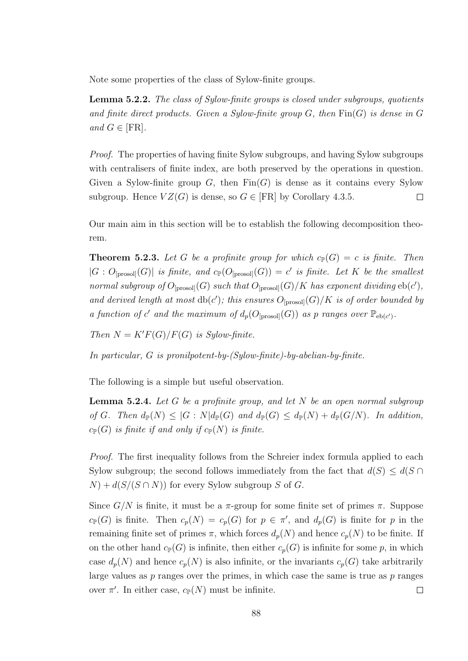Note some properties of the class of Sylow-finite groups.

Lemma 5.2.2. The class of Sylow-finite groups is closed under subgroups, quotients and finite direct products. Given a Sylow-finite group  $G$ , then  $\text{Fin}(G)$  is dense in G and  $G \in [FR]$ .

Proof. The properties of having finite Sylow subgroups, and having Sylow subgroups with centralisers of finite index, are both preserved by the operations in question. Given a Sylow-finite group  $G$ , then  $\text{Fin}(G)$  is dense as it contains every Sylow subgroup. Hence  $VZ(G)$  is dense, so  $G \in [FR]$  by Corollary 4.3.5.  $\Box$ 

Our main aim in this section will be to establish the following decomposition theorem.

**Theorem 5.2.3.** Let G be a profinite group for which  $c_{\mathbb{P}}(G) = c$  is finite. Then  $|G:O_{[\text{prosol}]}(G)|$  is finite, and  $c_{\mathbb{P}}(O_{[\text{prosol}]}(G)) = c'$  is finite. Let K be the smallest normal subgroup of  $O_{\text{[prosol]}}(G)$  such that  $O_{\text{[prosol]}}(G)/K$  has exponent dividing  $eb(c')$ , and derived length at most  $db(c')$ ; this ensures  $O_{[prosol]}(G)/K$  is of order bounded by a function of c' and the maximum of  $d_p(O_{[\text{prosol}]}(G))$  as p ranges over  $\mathbb{P}_{eb(c')}$ .

Then  $N = K'F(G)/F(G)$  is Sylow-finite.

In particular, G is pronilpotent-by-(Sylow-finite)-by-abelian-by-finite.

The following is a simple but useful observation.

**Lemma 5.2.4.** Let G be a profinite group, and let N be an open normal subgroup of G. Then  $d_{\mathbb{P}}(N) \leq |G:N|d_{\mathbb{P}}(G)$  and  $d_{\mathbb{P}}(G) \leq d_{\mathbb{P}}(N) + d_{\mathbb{P}}(G/N)$ . In addition,  $c_{\mathbb{P}}(G)$  is finite if and only if  $c_{\mathbb{P}}(N)$  is finite.

Proof. The first inequality follows from the Schreier index formula applied to each Sylow subgroup; the second follows immediately from the fact that  $d(S) \leq d(S \cap S)$  $N$  +  $d(S/(S \cap N))$  for every Sylow subgroup S of G.

Since  $G/N$  is finite, it must be a  $\pi$ -group for some finite set of primes  $\pi$ . Suppose  $c_{\mathbb{P}}(G)$  is finite. Then  $c_p(N) = c_p(G)$  for  $p \in \pi'$ , and  $d_p(G)$  is finite for p in the remaining finite set of primes  $\pi$ , which forces  $d_p(N)$  and hence  $c_p(N)$  to be finite. If on the other hand  $c_{\mathbb{P}}(G)$  is infinite, then either  $c_p(G)$  is infinite for some p, in which case  $d_p(N)$  and hence  $c_p(N)$  is also infinite, or the invariants  $c_p(G)$  take arbitrarily large values as  $p$  ranges over the primes, in which case the same is true as  $p$  ranges over  $\pi'$ . In either case,  $c_{\mathbb{P}}(N)$  must be infinite.  $\Box$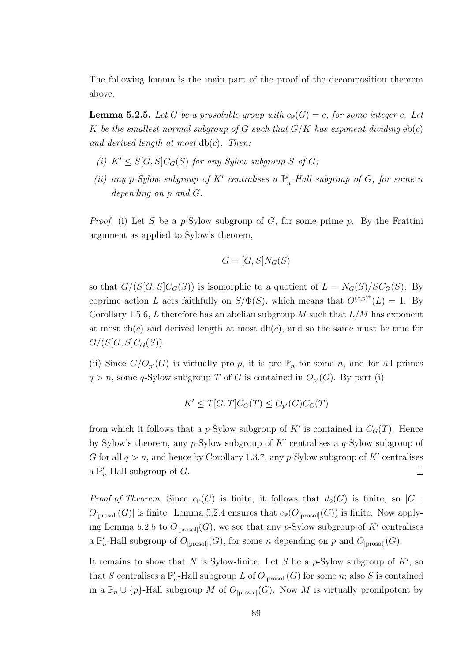The following lemma is the main part of the proof of the decomposition theorem above.

**Lemma 5.2.5.** Let G be a prosoluble group with  $c_{\mathbb{P}}(G) = c$ , for some integer c. Let K be the smallest normal subgroup of G such that  $G/K$  has exponent dividing  $eb(c)$ and derived length at most  $db(c)$ . Then:

- (i)  $K' \leq S[G, S]C_G(S)$  for any Sylow subgroup S of G;
- (ii) any p-Sylow subgroup of  $K'$  centralises a  $\mathbb{P}'_n$ -Hall subgroup of G, for some n depending on p and G.

*Proof.* (i) Let S be a p-Sylow subgroup of G, for some prime p. By the Frattini argument as applied to Sylow's theorem,

$$
G = [G, S]N_G(S)
$$

so that  $G/(S[G, S]C_G(S))$  is isomorphic to a quotient of  $L = N_G(S)/SC_G(S)$ . By coprime action L acts faithfully on  $S/\Phi(S)$ , which means that  $O^{(c,p)^*}(L) = 1$ . By Corollary 1.5.6, L therefore has an abelian subgroup M such that  $L/M$  has exponent at most  $eb(c)$  and derived length at most  $db(c)$ , and so the same must be true for  $G/(S[G, S]C_G(S)).$ 

(ii) Since  $G/O_{p'}(G)$  is virtually pro-p, it is pro- $\mathbb{P}_n$  for some n, and for all primes  $q > n$ , some q-Sylow subgroup T of G is contained in  $O_{p'}(G)$ . By part (i)

$$
K' \le T[G, T]C_G(T) \le O_{p'}(G)C_G(T)
$$

from which it follows that a p-Sylow subgroup of  $K'$  is contained in  $C_G(T)$ . Hence by Sylow's theorem, any  $p$ -Sylow subgroup of  $K'$  centralises a  $q$ -Sylow subgroup of G for all  $q > n$ , and hence by Corollary 1.3.7, any p-Sylow subgroup of K' centralises a  $\mathbb{P}'_n$ -Hall subgroup of G.  $\Box$ 

*Proof of Theorem.* Since  $c_{\mathbb{P}}(G)$  is finite, it follows that  $d_2(G)$  is finite, so  $|G|$ :  $O_{\text{[prosol]}}(G)$  is finite. Lemma 5.2.4 ensures that  $c_{\mathbb{P}}(O_{\text{[prosol]}}(G))$  is finite. Now applying Lemma 5.2.5 to  $O_{\text{[prosol]}}(G)$ , we see that any p-Sylow subgroup of K' centralises a  $\mathbb{P}'_n$ -Hall subgroup of  $O_{\text{[prosol]}}(G)$ , for some n depending on p and  $O_{\text{[prosol]}}(G)$ .

It remains to show that N is Sylow-finite. Let S be a  $p$ -Sylow subgroup of K', so that S centralises a  $\mathbb{P}'_n$ -Hall subgroup L of  $O_{\text{[prosol]}}(G)$  for some n; also S is contained in a  $\mathbb{P}_n \cup \{p\}$ -Hall subgroup M of  $O_{\text{[prosol]}}(G)$ . Now M is virtually pronilpotent by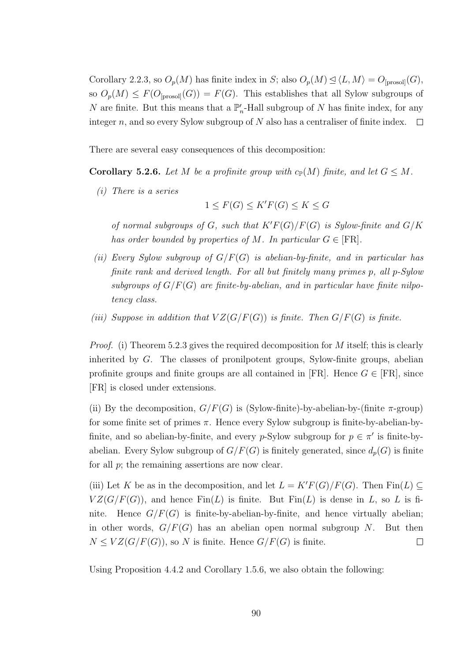Corollary 2.2.3, so  $O_p(M)$  has finite index in S; also  $O_p(M) \leq \langle L, M \rangle = O_{\text{[prosol]}}(G)$ , so  $O_p(M) \leq F(O_{\text{[prosol]}}(G)) = F(G)$ . This establishes that all Sylow subgroups of N are finite. But this means that a  $\mathbb{P}'_n$ -Hall subgroup of N has finite index, for any integer  $n$ , and so every Sylow subgroup of  $N$  also has a centraliser of finite index.  $\Box$ 

There are several easy consequences of this decomposition:

**Corollary 5.2.6.** Let M be a profinite group with  $c_{\mathbb{P}}(M)$  finite, and let  $G \leq M$ .

(i) There is a series

$$
1 \le F(G) \le K'F(G) \le K \le G
$$

of normal subgroups of G, such that  $K'F(G)/F(G)$  is Sylow-finite and  $G/K$ has order bounded by properties of M. In particular  $G \in [FR]$ .

- (ii) Every Sylow subgroup of  $G/F(G)$  is abelian-by-finite, and in particular has finite rank and derived length. For all but finitely many primes p, all p-Sylow subgroups of  $G/F(G)$  are finite-by-abelian, and in particular have finite nilpotency class.
- (iii) Suppose in addition that  $VZ(G/F(G))$  is finite. Then  $G/F(G)$  is finite.

*Proof.* (i) Theorem 5.2.3 gives the required decomposition for M itself; this is clearly inherited by G. The classes of pronilpotent groups, Sylow-finite groups, abelian profinite groups and finite groups are all contained in [FR]. Hence  $G \in [FR]$ , since [FR] is closed under extensions.

(ii) By the decomposition,  $G/F(G)$  is (Sylow-finite)-by-abelian-by-(finite  $\pi$ -group) for some finite set of primes  $\pi$ . Hence every Sylow subgroup is finite-by-abelian-byfinite, and so abelian-by-finite, and every *p*-Sylow subgroup for  $p \in \pi'$  is finite-byabelian. Every Sylow subgroup of  $G/F(G)$  is finitely generated, since  $d_p(G)$  is finite for all  $p$ ; the remaining assertions are now clear.

(iii) Let K be as in the decomposition, and let  $L = K'F(G)/F(G)$ . Then Fin(L) ⊂  $VZ(G/F(G))$ , and hence  $\text{Fin}(L)$  is finite. But  $\text{Fin}(L)$  is dense in L, so L is finite. Hence  $G/F(G)$  is finite-by-abelian-by-finite, and hence virtually abelian; in other words,  $G/F(G)$  has an abelian open normal subgroup N. But then  $N \leq VZ(G/F(G))$ , so N is finite. Hence  $G/F(G)$  is finite.  $\Box$ 

Using Proposition 4.4.2 and Corollary 1.5.6, we also obtain the following: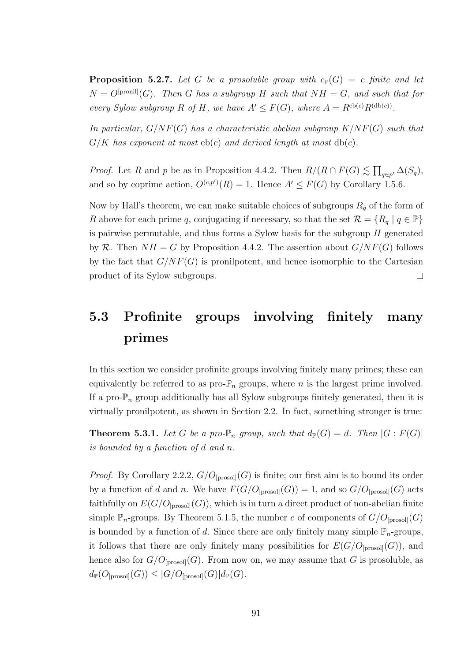**Proposition 5.2.7.** Let G be a prosoluble group with  $c_{\mathbb{P}}(G) = c$  finite and let  $N = O<sup>[pronil]</sup>(G)$ . Then G has a subgroup H such that  $NH = G$ , and such that for every Sylow subgroup R of H, we have  $A' \leq F(G)$ , where  $A = R^{\text{eb}(c)}R^{(\text{db}(c))}$ .

In particular,  $G/NF(G)$  has a characteristic abelian subgroup  $K/NF(G)$  such that  $G/K$  has exponent at most  $eb(c)$  and derived length at most  $db(c)$ .

*Proof.* Let R and p be as in Proposition 4.4.2. Then  $R/(R \cap F(G) \lesssim \prod_{q \in p'} \Delta(S_q)$ , and so by coprime action,  $O^{(c,p')}(R) = 1$ . Hence  $A' \leq F(G)$  by Corollary 1.5.6.

Now by Hall's theorem, we can make suitable choices of subgroups  $R_q$  of the form of R above for each prime q, conjugating if necessary, so that the set  $\mathcal{R} = \{R_q \mid q \in \mathbb{P}\}\$ is pairwise permutable, and thus forms a Sylow basis for the subgroup H generated by R. Then  $NH = G$  by Proposition 4.4.2. The assertion about  $G/NF(G)$  follows by the fact that  $G/NF(G)$  is pronilpotent, and hence isomorphic to the Cartesian product of its Sylow subgroups.  $\Box$ 

## 5.3 Profinite groups involving finitely many primes

In this section we consider profinite groups involving finitely many primes; these can equivalently be referred to as  $\text{pro-}\mathbb{P}_n$  groups, where n is the largest prime involved. If a pro- $\mathbb{P}_n$  group additionally has all Sylow subgroups finitely generated, then it is virtually pronilpotent, as shown in Section 2.2. In fact, something stronger is true:

**Theorem 5.3.1.** Let G be a pro- $\mathbb{P}_n$  group, such that  $d_{\mathbb{P}}(G) = d$ . Then  $|G : F(G)|$ is bounded by a function of d and n.

*Proof.* By Corollary 2.2.2,  $G/O_{\text{[prosol]}}(G)$  is finite; our first aim is to bound its order by a function of d and n. We have  $F(G/O_{[\text{prosol}]}(G)) = 1$ , and so  $G/O_{[\text{prosol}]}(G)$  acts faithfully on  $E(G/O_{\text{[prosol]}}(G))$ , which is in turn a direct product of non-abelian finite simple  $\mathbb{P}_n$ -groups. By Theorem 5.1.5, the number e of components of  $G/O_{\text{[prosol]}}(G)$ is bounded by a function of d. Since there are only finitely many simple  $\mathbb{P}_n$ -groups, it follows that there are only finitely many possibilities for  $E(G/O_{[\text{prosol}]}(G))$ , and hence also for  $G/O_{\text{[prosol]}}(G)$ . From now on, we may assume that G is prosoluble, as  $d_{\mathbb{P}}(O_{[\text{prosol}]}(G)) \leq |G/O_{[\text{prosol}]}(G)|d_{\mathbb{P}}(G).$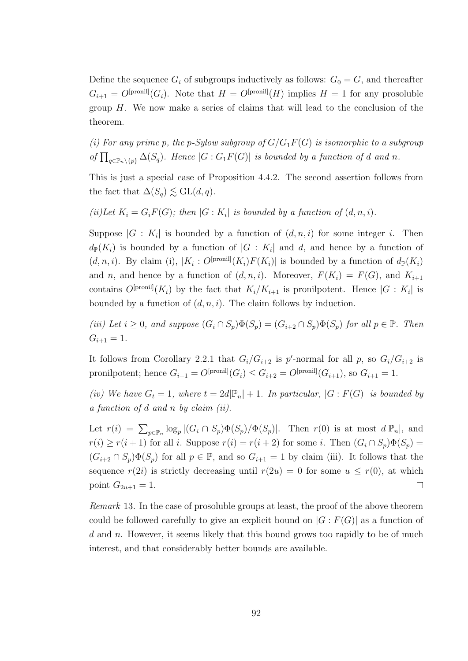Define the sequence  $G_i$  of subgroups inductively as follows:  $G_0 = G$ , and thereafter  $G_{i+1} = O^{[pronil]}(G_i)$ . Note that  $H = O^{[pronil]}(H)$  implies  $H = 1$  for any prosoluble group  $H$ . We now make a series of claims that will lead to the conclusion of the theorem.

(i) For any prime p, the p-Sylow subgroup of  $G/G_1F(G)$  is isomorphic to a subgroup of  $\prod_{q \in \mathbb{P}_n \setminus \{p\}} \Delta(S_q)$ . Hence  $|G: G_1F(G)|$  is bounded by a function of d and n.

This is just a special case of Proposition 4.4.2. The second assertion follows from the fact that  $\Delta(S_q) \lesssim \text{GL}(d,q)$ .

(ii)Let  $K_i = G_i F(G)$ ; then  $|G: K_i|$  is bounded by a function of  $(d, n, i)$ .

Suppose  $|G: K_i|$  is bounded by a function of  $(d, n, i)$  for some integer i. Then  $d_{\mathbb{P}}(K_i)$  is bounded by a function of  $|G: K_i|$  and d, and hence by a function of  $(d, n, i)$ . By claim (i),  $|K_i: O^{[pronil]}(K_i)F(K_i)|$  is bounded by a function of  $d_{\mathbb{P}}(K_i)$ and n, and hence by a function of  $(d, n, i)$ . Moreover,  $F(K_i) = F(G)$ , and  $K_{i+1}$ contains  $O^{[pronil]}(K_i)$  by the fact that  $K_i/K_{i+1}$  is pronilpotent. Hence  $|G:K_i|$  is bounded by a function of  $(d, n, i)$ . The claim follows by induction.

(iii) Let  $i \geq 0$ , and suppose  $(G_i \cap S_p)\Phi(S_p) = (G_{i+2} \cap S_p)\Phi(S_p)$  for all  $p \in \mathbb{P}$ . Then  $G_{i+1} = 1.$ 

It follows from Corollary 2.2.1 that  $G_i/G_{i+2}$  is p'-normal for all p, so  $G_i/G_{i+2}$  is pronilpotent; hence  $G_{i+1} = O^{[pronil]}(G_i) \leq G_{i+2} = O^{[pronil]}(G_{i+1}),$  so  $G_{i+1} = 1$ .

(iv) We have  $G_t = 1$ , where  $t = 2d|\mathbb{P}_n| + 1$ . In particular,  $|G : F(G)|$  is bounded by a function of d and n by claim (ii).

Let  $r(i) = \sum_{p \in \mathbb{P}_n} \log_p |(G_i \cap S_p) \Phi(S_p) / \Phi(S_p)|$ . Then  $r(0)$  is at most  $d|\mathbb{P}_n|$ , and  $r(i) \geq r(i+1)$  for all i. Suppose  $r(i) = r(i+2)$  for some i. Then  $(G_i \cap S_p) \Phi(S_p) =$  $(G_{i+2} \cap S_p)\Phi(S_p)$  for all  $p \in \mathbb{P}$ , and so  $G_{i+1} = 1$  by claim (iii). It follows that the sequence  $r(2i)$  is strictly decreasing until  $r(2u) = 0$  for some  $u \leq r(0)$ , at which point  $G_{2u+1} = 1$ .  $\Box$ 

Remark 13. In the case of prosoluble groups at least, the proof of the above theorem could be followed carefully to give an explicit bound on  $|G : F(G)|$  as a function of  $d$  and n. However, it seems likely that this bound grows too rapidly to be of much interest, and that considerably better bounds are available.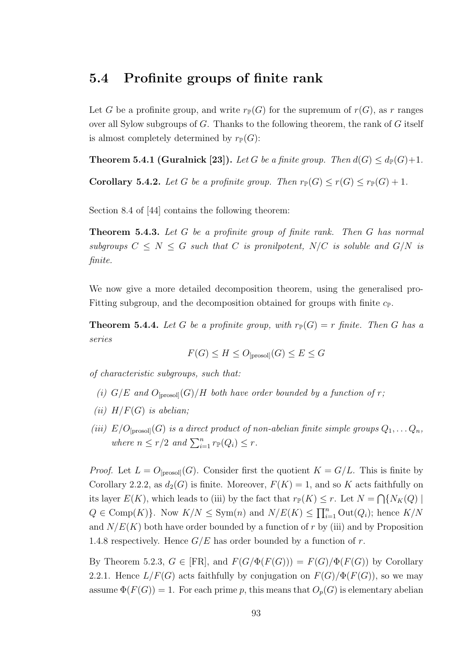## 5.4 Profinite groups of finite rank

Let G be a profinite group, and write  $r_{\mathbb{P}}(G)$  for the supremum of  $r(G)$ , as r ranges over all Sylow subgroups of G. Thanks to the following theorem, the rank of G itself is almost completely determined by  $r_{\mathbb{P}}(G)$ :

**Theorem 5.4.1 (Guralnick [23]).** Let G be a finite group. Then  $d(G) \leq d_{\mathbb{P}}(G)+1$ .

Corollary 5.4.2. Let G be a profinite group. Then  $r_{\mathbb{P}}(G) \le r(G) \le r_{\mathbb{P}}(G) + 1$ .

Section 8.4 of [44] contains the following theorem:

Theorem 5.4.3. Let G be a profinite group of finite rank. Then G has normal subgroups  $C \leq N \leq G$  such that C is pronilpotent,  $N/C$  is soluble and  $G/N$  is finite.

We now give a more detailed decomposition theorem, using the generalised pro-Fitting subgroup, and the decomposition obtained for groups with finite  $c_{\mathbb{P}}$ .

**Theorem 5.4.4.** Let G be a profinite group, with  $r_{\mathbb{P}}(G) = r$  finite. Then G has a series

$$
F(G) \le H \le O_{[\text{prosol}]}(G) \le E \le G
$$

of characteristic subgroups, such that:

- (i)  $G/E$  and  $O_{\text{[prosol]}}(G)/H$  both have order bounded by a function of r;
- (ii)  $H/F(G)$  is abelian;
- (iii)  $E/O_{\text{[prosol]}}(G)$  is a direct product of non-abelian finite simple groups  $Q_1, \ldots Q_n$ , where  $n \leq r/2$  and  $\sum_{i=1}^{n} r_{\mathbb{P}}(Q_i) \leq r$ .

*Proof.* Let  $L = O_{\text{[prosol]}}(G)$ . Consider first the quotient  $K = G/L$ . This is finite by Corollary 2.2.2, as  $d_2(G)$  is finite. Moreover,  $F(K) = 1$ , and so K acts faithfully on its layer  $E(K)$ , which leads to (iii) by the fact that  $r_{\mathbb{P}}(K) \leq r$ . Let  $N = \bigcap \{N_K(Q) \mid$  $Q \in \text{Comp}(K)$ . Now  $K/N \leq \text{Sym}(n)$  and  $N/E(K) \leq \prod_{i=1}^{n} \text{Out}(Q_i)$ ; hence  $K/N$ and  $N/E(K)$  both have order bounded by a function of r by (iii) and by Proposition 1.4.8 respectively. Hence  $G/E$  has order bounded by a function of r.

By Theorem 5.2.3,  $G \in [FR]$ , and  $F(G/\Phi(F(G))) = F(G)/\Phi(F(G))$  by Corollary 2.2.1. Hence  $L/F(G)$  acts faithfully by conjugation on  $F(G)/\Phi(F(G))$ , so we may assume  $\Phi(F(G)) = 1$ . For each prime p, this means that  $O_p(G)$  is elementary abelian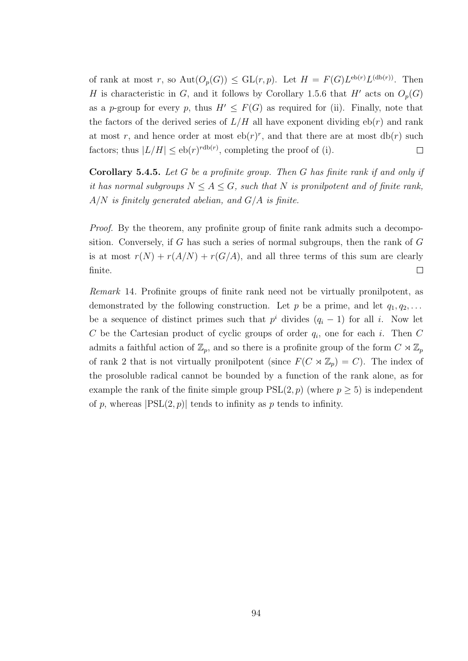of rank at most r, so  $\text{Aut}(O_p(G)) \leq \text{GL}(r, p)$ . Let  $H = F(G)L^{\text{eb}(r)}L^{(\text{db}(r))}$ . Then H is characteristic in G, and it follows by Corollary 1.5.6 that H' acts on  $O_p(G)$ as a p-group for every p, thus  $H' \leq F(G)$  as required for (ii). Finally, note that the factors of the derived series of  $L/H$  all have exponent dividing  $eb(r)$  and rank at most r, and hence order at most  $eb(r)^r$ , and that there are at most  $db(r)$  such factors; thus  $|L/H| \leq e^{bt(r)}$ , completing the proof of (i).  $\Box$ 

**Corollary 5.4.5.** Let  $G$  be a profinite group. Then  $G$  has finite rank if and only if it has normal subgroups  $N \leq A \leq G$ , such that N is pronilpotent and of finite rank,  $A/N$  is finitely generated abelian, and  $G/A$  is finite.

Proof. By the theorem, any profinite group of finite rank admits such a decomposition. Conversely, if  $G$  has such a series of normal subgroups, then the rank of  $G$ is at most  $r(N) + r(A/N) + r(G/A)$ , and all three terms of this sum are clearly finite.  $\Box$ 

Remark 14. Profinite groups of finite rank need not be virtually pronilpotent, as demonstrated by the following construction. Let p be a prime, and let  $q_1, q_2, \ldots$ be a sequence of distinct primes such that  $p^i$  divides  $(q_i - 1)$  for all i. Now let C be the Cartesian product of cyclic groups of order  $q_i$ , one for each i. Then C admits a faithful action of  $\mathbb{Z}_p$ , and so there is a profinite group of the form  $C \rtimes \mathbb{Z}_p$ of rank 2 that is not virtually pronilpotent (since  $F(C \rtimes \mathbb{Z}_p) = C$ ). The index of the prosoluble radical cannot be bounded by a function of the rank alone, as for example the rank of the finite simple group  $PSL(2, p)$  (where  $p \ge 5$ ) is independent of p, whereas  $|PSL(2, p)|$  tends to infinity as p tends to infinity.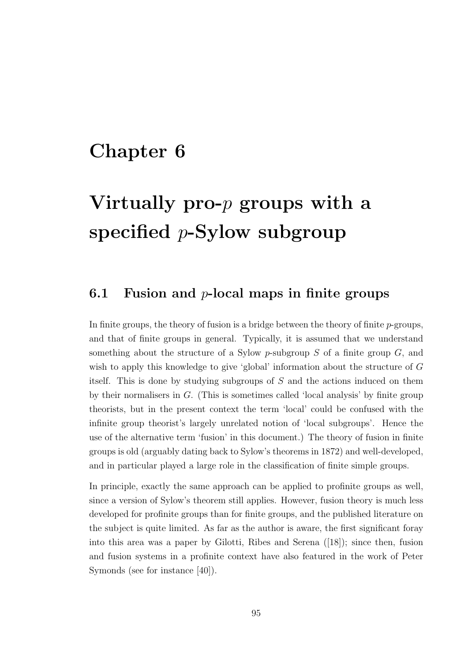# Chapter 6

# Virtually pro- $p$  groups with a specified  $p$ -Sylow subgroup

### 6.1 Fusion and  $p$ -local maps in finite groups

In finite groups, the theory of fusion is a bridge between the theory of finite  $p$ -groups, and that of finite groups in general. Typically, it is assumed that we understand something about the structure of a Sylow  $p$ -subgroup  $S$  of a finite group  $G$ , and wish to apply this knowledge to give 'global' information about the structure of G itself. This is done by studying subgroups of S and the actions induced on them by their normalisers in G. (This is sometimes called 'local analysis' by finite group theorists, but in the present context the term 'local' could be confused with the infinite group theorist's largely unrelated notion of 'local subgroups'. Hence the use of the alternative term 'fusion' in this document.) The theory of fusion in finite groups is old (arguably dating back to Sylow's theorems in 1872) and well-developed, and in particular played a large role in the classification of finite simple groups.

In principle, exactly the same approach can be applied to profinite groups as well, since a version of Sylow's theorem still applies. However, fusion theory is much less developed for profinite groups than for finite groups, and the published literature on the subject is quite limited. As far as the author is aware, the first significant foray into this area was a paper by Gilotti, Ribes and Serena ([18]); since then, fusion and fusion systems in a profinite context have also featured in the work of Peter Symonds (see for instance [40]).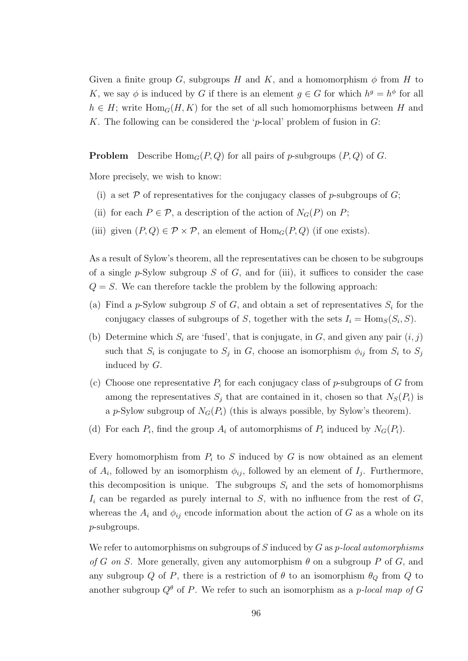Given a finite group G, subgroups H and K, and a homomorphism  $\phi$  from H to K, we say  $\phi$  is induced by G if there is an element  $g \in G$  for which  $h^g = h^{\phi}$  for all  $h \in H$ ; write  $\text{Hom}_G(H, K)$  for the set of all such homomorphisms between H and K. The following can be considered the 'p-local' problem of fusion in  $G$ :

**Problem** Describe  $\text{Hom}_G(P,Q)$  for all pairs of p-subgroups  $(P,Q)$  of G.

More precisely, we wish to know:

- (i) a set  $P$  of representatives for the conjugacy classes of p-subgroups of  $G$ ;
- (ii) for each  $P \in \mathcal{P}$ , a description of the action of  $N_G(P)$  on  $P$ ;
- (iii) given  $(P,Q) \in \mathcal{P} \times \mathcal{P}$ , an element of  $\text{Hom}_G(P,Q)$  (if one exists).

As a result of Sylow's theorem, all the representatives can be chosen to be subgroups of a single  $p$ -Sylow subgroup S of G, and for (iii), it suffices to consider the case  $Q = S$ . We can therefore tackle the problem by the following approach:

- (a) Find a p-Sylow subgroup S of G, and obtain a set of representatives  $S_i$  for the conjugacy classes of subgroups of S, together with the sets  $I_i = \text{Hom}_S(S_i, S)$ .
- (b) Determine which  $S_i$  are 'fused', that is conjugate, in G, and given any pair  $(i, j)$ such that  $S_i$  is conjugate to  $S_j$  in G, choose an isomorphism  $\phi_{ij}$  from  $S_i$  to  $S_j$ induced by G.
- (c) Choose one representative  $P_i$  for each conjugacy class of p-subgroups of G from among the representatives  $S_j$  that are contained in it, chosen so that  $N_S(P_i)$  is a p-Sylow subgroup of  $N_G(P_i)$  (this is always possible, by Sylow's theorem).
- (d) For each  $P_i$ , find the group  $A_i$  of automorphisms of  $P_i$  induced by  $N_G(P_i)$ .

Every homomorphism from  $P_i$  to S induced by G is now obtained as an element of  $A_i$ , followed by an isomorphism  $\phi_{ij}$ , followed by an element of  $I_j$ . Furthermore, this decomposition is unique. The subgroups  $S_i$  and the sets of homomorphisms  $I_i$  can be regarded as purely internal to S, with no influence from the rest of  $G$ , whereas the  $A_i$  and  $\phi_{ij}$  encode information about the action of G as a whole on its p-subgroups.

We refer to automorphisms on subgroups of S induced by  $G$  as p-local automorphisms of G on S. More generally, given any automorphism  $\theta$  on a subgroup P of G, and any subgroup Q of P, there is a restriction of  $\theta$  to an isomorphism  $\theta_Q$  from Q to another subgroup  $Q^{\theta}$  of P. We refer to such an isomorphism as a p-local map of G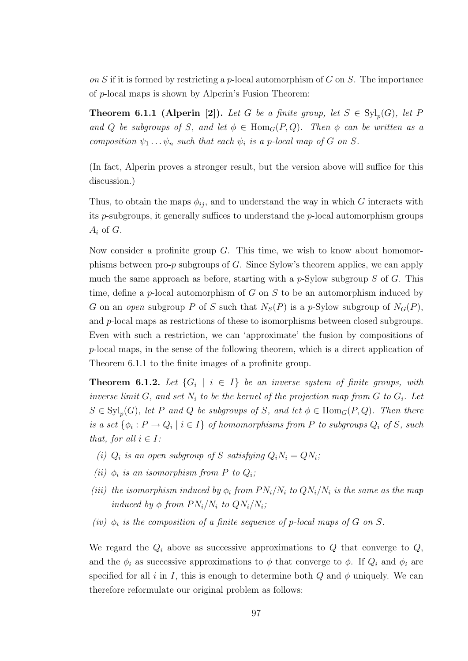on S if it is formed by restricting a p-local automorphism of G on S. The importance of p-local maps is shown by Alperin's Fusion Theorem:

**Theorem 6.1.1 (Alperin [2]).** Let G be a finite group, let  $S \in \mathrm{Syl}_p(G)$ , let F and Q be subgroups of S, and let  $\phi \in \text{Hom}_G(P,Q)$ . Then  $\phi$  can be written as a composition  $\psi_1 \dots \psi_n$  such that each  $\psi_i$  is a p-local map of G on S.

(In fact, Alperin proves a stronger result, but the version above will suffice for this discussion.)

Thus, to obtain the maps  $\phi_{ij}$ , and to understand the way in which G interacts with its p-subgroups, it generally suffices to understand the p-local automorphism groups  $A_i$  of  $G$ .

Now consider a profinite group  $G$ . This time, we wish to know about homomorphisms between pro-p subgroups of G. Since Sylow's theorem applies, we can apply much the same approach as before, starting with a  $p\text{-Sylow subgroup } S$  of G. This time, define a p-local automorphism of G on S to be an automorphism induced by G on an open subgroup P of S such that  $N_S(P)$  is a p-Sylow subgroup of  $N_G(P)$ , and p-local maps as restrictions of these to isomorphisms between closed subgroups. Even with such a restriction, we can 'approximate' the fusion by compositions of p-local maps, in the sense of the following theorem, which is a direct application of Theorem 6.1.1 to the finite images of a profinite group.

**Theorem 6.1.2.** Let  $\{G_i \mid i \in I\}$  be an inverse system of finite groups, with inverse limit G, and set  $N_i$  to be the kernel of the projection map from G to  $G_i$ . Let  $S \in \mathrm{Syl}_p(G)$ , let P and Q be subgroups of S, and let  $\phi \in \mathrm{Hom}_G(P,Q)$ . Then there is a set  $\{\phi_i : P \to Q_i \mid i \in I\}$  of homomorphisms from P to subgroups  $Q_i$  of S, such that, for all  $i \in I$ :

- (i)  $Q_i$  is an open subgroup of S satisfying  $Q_i N_i = Q N_i$ ;
- (ii)  $\phi_i$  is an isomorphism from P to  $Q_i$ ;
- (iii) the isomorphism induced by  $\phi_i$  from  $PN_i/N_i$  to  $QN_i/N_i$  is the same as the map induced by  $\phi$  from  $PN_i/N_i$  to  $QN_i/N_i$ ;
- (iv)  $\phi_i$  is the composition of a finite sequence of p-local maps of G on S.

We regard the  $Q_i$  above as successive approximations to  $Q$  that converge to  $Q$ , and the  $\phi_i$  as successive approximations to  $\phi$  that converge to  $\phi$ . If  $Q_i$  and  $\phi_i$  are specified for all i in I, this is enough to determine both Q and  $\phi$  uniquely. We can therefore reformulate our original problem as follows: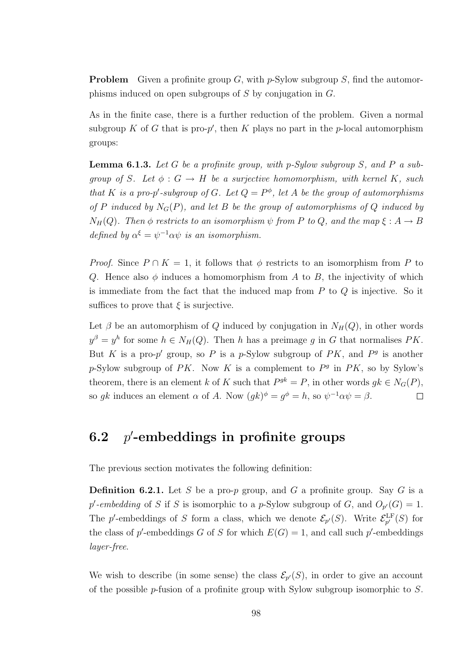**Problem** Given a profinite group G, with  $p$ -Sylow subgroup S, find the automorphisms induced on open subgroups of S by conjugation in G.

As in the finite case, there is a further reduction of the problem. Given a normal subgroup K of G that is pro- $p'$ , then K plays no part in the p-local automorphism groups:

**Lemma 6.1.3.** Let G be a profinite group, with p-Sylow subgroup S, and P a subgroup of S. Let  $\phi : G \to H$  be a surjective homomorphism, with kernel K, such that K is a pro-p'-subgroup of G. Let  $Q = P^{\phi}$ , let A be the group of automorphisms of P induced by  $N_G(P)$ , and let B be the group of automorphisms of Q induced by  $N_H(Q)$ . Then  $\phi$  restricts to an isomorphism  $\psi$  from P to Q, and the map  $\xi : A \to B$ defined by  $\alpha^{\xi} = \psi^{-1} \alpha \psi$  is an isomorphism.

*Proof.* Since  $P \cap K = 1$ , it follows that  $\phi$  restricts to an isomorphism from P to Q. Hence also  $\phi$  induces a homomorphism from A to B, the injectivity of which is immediate from the fact that the induced map from  $P$  to  $Q$  is injective. So it suffices to prove that  $\xi$  is surjective.

Let  $\beta$  be an automorphism of Q induced by conjugation in  $N_H(Q)$ , in other words  $y^{\beta} = y^h$  for some  $h \in N_H(Q)$ . Then h has a preimage g in G that normalises PK. But K is a pro-p' group, so P is a p-Sylow subgroup of PK, and  $P<sup>g</sup>$  is another p-Sylow subgroup of PK. Now K is a complement to  $P<sup>g</sup>$  in PK, so by Sylow's theorem, there is an element k of K such that  $P^{gk} = P$ , in other words  $gk \in N_G(P)$ , so gk induces an element  $\alpha$  of A. Now  $(gk)^{\phi} = g^{\phi} = h$ , so  $\psi^{-1} \alpha \psi = \beta$ .  $\Box$ 

#### 6.2 p '-embeddings in profinite groups

The previous section motivates the following definition:

**Definition 6.2.1.** Let S be a pro-p group, and G a profinite group. Say G is a p'-embedding of S if S is isomorphic to a p-Sylow subgroup of G, and  $O_{p'}(G) = 1$ . The p'-embeddings of S form a class, which we denote  $\mathcal{E}_{p'}(S)$ . Write  $\mathcal{E}_{p'}^{\text{LF}}(S)$  for the class of p'-embeddings G of S for which  $E(G) = 1$ , and call such p'-embeddings layer-free.

We wish to describe (in some sense) the class  $\mathcal{E}_{p}(S)$ , in order to give an account of the possible p-fusion of a profinite group with Sylow subgroup isomorphic to S.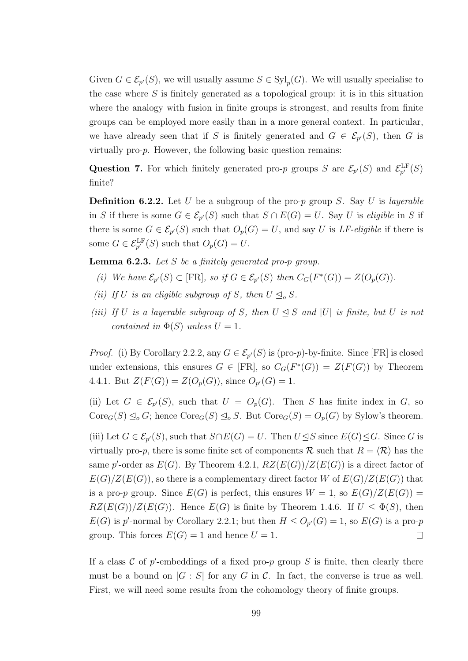Given  $G \in \mathcal{E}_{p'}(S)$ , we will usually assume  $S \in \mathrm{Syl}_p(G)$ . We will usually specialise to the case where  $S$  is finitely generated as a topological group: it is in this situation where the analogy with fusion in finite groups is strongest, and results from finite groups can be employed more easily than in a more general context. In particular, we have already seen that if S is finitely generated and  $G \in \mathcal{E}_{p'}(S)$ , then G is virtually pro-p. However, the following basic question remains:

Question 7. For which finitely generated pro-p groups S are  $\mathcal{E}_{p'}(S)$  and  $\mathcal{E}_{p'}^{\text{LF}}(S)$ finite?

**Definition 6.2.2.** Let U be a subgroup of the pro-p group S. Say U is layerable in S if there is some  $G \in \mathcal{E}_{p'}(S)$  such that  $S \cap E(G) = U$ . Say U is eligible in S if there is some  $G \in \mathcal{E}_{p'}(S)$  such that  $O_p(G) = U$ , and say U is LF-eligible if there is some  $G \in \mathcal{E}_{p'}^{\mathrm{LF}}(S)$  such that  $O_p(G) = U$ .

**Lemma 6.2.3.** Let S be a finitely generated pro-p group.

- (i) We have  $\mathcal{E}_{p}(S) \subset [\text{FR}]$ , so if  $G \in \mathcal{E}_{p}(S)$  then  $C_G(F^*(G)) = Z(O_p(G))$ .
- (ii) If U is an eligible subgroup of S, then  $U \leq_{o} S$ .
- (iii) If U is a layerable subgroup of S, then  $U \leq S$  and |U| is finite, but U is not contained in  $\Phi(S)$  unless  $U = 1$ .

*Proof.* (i) By Corollary 2.2.2, any  $G \in \mathcal{E}_{p}(S)$  is (pro-p)-by-finite. Since [FR] is closed under extensions, this ensures  $G \in [FR]$ , so  $C_G(F^*(G)) = Z(F(G))$  by Theorem 4.4.1. But  $Z(F(G)) = Z(O_p(G))$ , since  $O_{p'}(G) = 1$ .

(ii) Let  $G \in \mathcal{E}_{p'}(S)$ , such that  $U = O_p(G)$ . Then S has finite index in G, so  $\text{Core}_G(S) \subseteq_o G$ ; hence  $\text{Core}_G(S) \subseteq_o S$ . But  $\text{Core}_G(S) = O_p(G)$  by Sylow's theorem.

(iii) Let  $G \in \mathcal{E}_{p'}(S)$ , such that  $S \cap E(G) = U$ . Then  $U \trianglelefteq S$  since  $E(G) \trianglelefteq G$ . Since G is virtually pro-p, there is some finite set of components  $\mathcal R$  such that  $R = \langle \mathcal R \rangle$  has the same p'-order as  $E(G)$ . By Theorem 4.2.1,  $RZ(E(G))/Z(E(G))$  is a direct factor of  $E(G)/Z(E(G))$ , so there is a complementary direct factor W of  $E(G)/Z(E(G))$  that is a pro-p group. Since  $E(G)$  is perfect, this ensures  $W = 1$ , so  $E(G)/Z(E(G)) =$  $RZ(E(G))/Z(E(G))$ . Hence  $E(G)$  is finite by Theorem 1.4.6. If  $U \leq \Phi(S)$ , then  $E(G)$  is p'-normal by Corollary 2.2.1; but then  $H \leq O_{p'}(G) = 1$ , so  $E(G)$  is a pro-p group. This forces  $E(G) = 1$  and hence  $U = 1$ .  $\Box$ 

If a class  $\mathcal C$  of p'-embeddings of a fixed pro-p group  $S$  is finite, then clearly there must be a bound on  $|G : S|$  for any G in C. In fact, the converse is true as well. First, we will need some results from the cohomology theory of finite groups.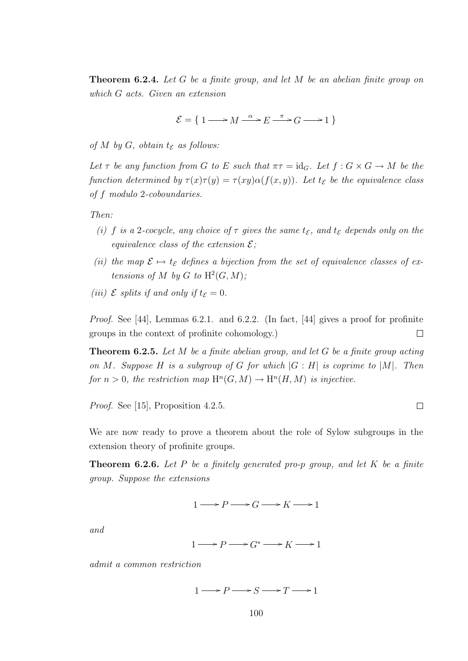**Theorem 6.2.4.** Let G be a finite group, and let M be an abelian finite group on which G acts. Given an extension

 $\mathcal{E} = \left\{ 1 \longrightarrow M \stackrel{\alpha}{\longrightarrow} E \stackrel{\pi}{\longrightarrow} G \longrightarrow 1 \right\}$ 

of M by G, obtain  $t_{\mathcal{E}}$  as follows:

Let  $\tau$  be any function from G to E such that  $\pi \tau = id_G$ . Let  $f : G \times G \to M$  be the function determined by  $\tau(x)\tau(y) = \tau(xy)\alpha(f(x, y))$ . Let  $t_{\mathcal{E}}$  be the equivalence class of f modulo 2-coboundaries.

Then:

- (i) f is a 2-cocycle, any choice of  $\tau$  gives the same  $t_{\mathcal{E}}$ , and  $t_{\mathcal{E}}$  depends only on the equivalence class of the extension  $\mathcal{E}$ ;
- (ii) the map  $\mathcal{E} \mapsto t_{\mathcal{E}}$  defines a bijection from the set of equivalence classes of extensions of M by G to  $H^2(G,M)$ ;
- (iii)  $\mathcal E$  splits if and only if  $t_{\mathcal E} = 0$ .

Proof. See [44], Lemmas 6.2.1. and 6.2.2. (In fact, [44] gives a proof for profinite  $\Box$ groups in the context of profinite cohomology.)

**Theorem 6.2.5.** Let M be a finite abelian group, and let G be a finite group acting on M. Suppose H is a subgroup of G for which  $|G:H|$  is coprime to  $|M|$ . Then for  $n > 0$ , the restriction map  $H^n(G, M) \to H^n(H, M)$  is injective.

Proof. See [15], Proposition 4.2.5.

We are now ready to prove a theorem about the role of Sylow subgroups in the extension theory of profinite groups.

 $\Box$ 

**Theorem 6.2.6.** Let P be a finitely generated pro-p group, and let K be a finite group. Suppose the extensions

 $1 \longrightarrow P \longrightarrow G \longrightarrow K \longrightarrow 1$ 

and

$$
1 \longrightarrow P \longrightarrow G^* \longrightarrow K \longrightarrow 1
$$

admit a common restriction

 $1 \longrightarrow P \longrightarrow S \longrightarrow T \longrightarrow 1$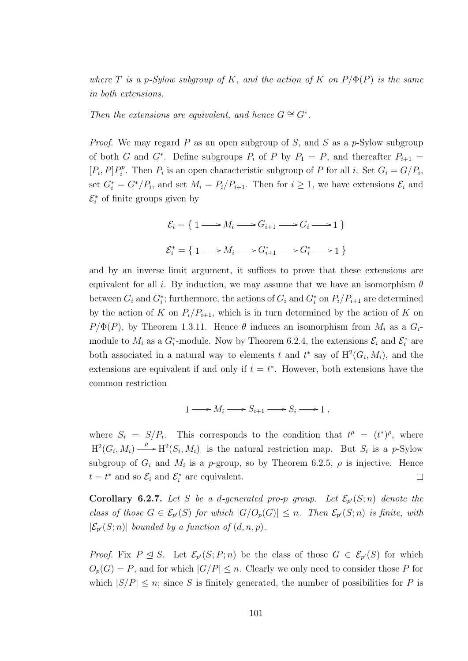where T is a p-Sylow subgroup of K, and the action of K on  $P/\Phi(P)$  is the same in both extensions.

Then the extensions are equivalent, and hence  $G \cong G^*$ .

*Proof.* We may regard P as an open subgroup of S, and S as a p-Sylow subgroup of both G and G<sup>\*</sup>. Define subgroups  $P_i$  of P by  $P_1 = P$ , and thereafter  $P_{i+1} =$  $[P_i, P]P_i^p$  $E_i^p$ . Then  $P_i$  is an open characteristic subgroup of P for all i. Set  $G_i = G/P_i$ , set  $G_i^* = G^*/P_i$ , and set  $M_i = P_i/P_{i+1}$ . Then for  $i \geq 1$ , we have extensions  $\mathcal{E}_i$  and  $\mathcal{E}_i^*$  of finite groups given by

$$
\mathcal{E}_i = \{ 1 \longrightarrow M_i \longrightarrow G_{i+1} \longrightarrow G_i \longrightarrow 1 \}
$$
  

$$
\mathcal{E}_i^* = \{ 1 \longrightarrow M_i \longrightarrow G_{i+1}^* \longrightarrow G_i^* \longrightarrow 1 \}
$$

and by an inverse limit argument, it suffices to prove that these extensions are equivalent for all i. By induction, we may assume that we have an isomorphism  $\theta$ between  $G_i$  and  $G_i^*$ ; furthermore, the actions of  $G_i$  and  $G_i^*$  on  $P_i/P_{i+1}$  are determined by the action of K on  $P_i/P_{i+1}$ , which is in turn determined by the action of K on  $P/\Phi(P)$ , by Theorem 1.3.11. Hence  $\theta$  induces an isomorphism from  $M_i$  as a  $G_i$ module to  $M_i$  as a  $G_i^*$ -module. Now by Theorem 6.2.4, the extensions  $\mathcal{E}_i$  and  $\mathcal{E}_i^*$  are both associated in a natural way to elements t and  $t^*$  say of  $\mathrm{H}^2(G_i, M_i)$ , and the extensions are equivalent if and only if  $t = t^*$ . However, both extensions have the common restriction

$$
1 \longrightarrow M_i \longrightarrow S_{i+1} \longrightarrow S_i \longrightarrow 1 ,
$$

where  $S_i = S/P_i$ . This corresponds to the condition that  $t^{\rho} = (t^*)^{\rho}$ , where  $H^2(G_i, M_i) \longrightarrow H^2(S_i, M_i)$  is the natural restriction map. But  $S_i$  is a p-Sylow subgroup of  $G_i$  and  $M_i$  is a p-group, so by Theorem 6.2.5,  $\rho$  is injective. Hence  $t = t^*$  and so  $\mathcal{E}_i$  and  $\mathcal{E}_i^*$  are equivalent.  $\Box$ 

**Corollary 6.2.7.** Let S be a d-generated pro-p group. Let  $\mathcal{E}_{p}(S;n)$  denote the class of those  $G \in \mathcal{E}_{p}(S)$  for which  $|G/O_p(G)| \leq n$ . Then  $\mathcal{E}_{p}(S;n)$  is finite, with  $|\mathcal{E}_{p'}(S;n)|$  bounded by a function of  $(d,n,p)$ .

*Proof.* Fix  $P \subseteq S$ . Let  $\mathcal{E}_{p}(S; P; n)$  be the class of those  $G \in \mathcal{E}_{p}(S)$  for which  $O_p(G) = P$ , and for which  $|G/P| \leq n$ . Clearly we only need to consider those P for which  $|S/P| \leq n$ ; since S is finitely generated, the number of possibilities for P is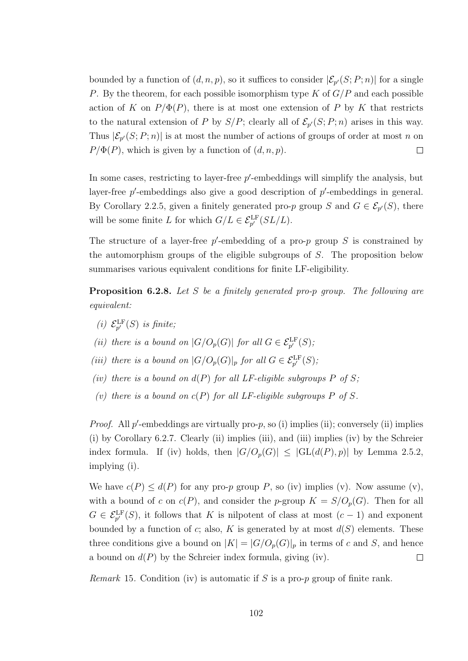bounded by a function of  $(d, n, p)$ , so it suffices to consider  $|\mathcal{E}_{p'}(S; P; n)|$  for a single P. By the theorem, for each possible isomorphism type K of  $G/P$  and each possible action of K on  $P/\Phi(P)$ , there is at most one extension of P by K that restricts to the natural extension of P by  $S/P$ ; clearly all of  $\mathcal{E}_{p'}(S;P;n)$  arises in this way. Thus  $|\mathcal{E}_{p'}(S;P;n)|$  is at most the number of actions of groups of order at most n on  $P/\Phi(P)$ , which is given by a function of  $(d, n, p)$ .  $\Box$ 

In some cases, restricting to layer-free  $p'$ -embeddings will simplify the analysis, but layer-free  $p'$ -embeddings also give a good description of  $p'$ -embeddings in general. By Corollary 2.2.5, given a finitely generated pro-p group S and  $G \in \mathcal{E}_{p}(S)$ , there will be some finite L for which  $G/L \in \mathcal{E}_{p'}^{\text{LF}}(SL/L)$ .

The structure of a layer-free  $p'$ -embedding of a pro- $p$  group  $S$  is constrained by the automorphism groups of the eligible subgroups of  $S$ . The proposition below summarises various equivalent conditions for finite LF-eligibility.

Proposition 6.2.8. Let S be a finitely generated pro-p group. The following are equivalent:

- (i)  $\mathcal{E}_{p'}^{\text{LF}}(S)$  is finite;
- (ii) there is a bound on  $|G/O_p(G)|$  for all  $G \in \mathcal{E}_{p'}^{\text{LF}}(S)$ ;
- (iii) there is a bound on  $|G/O_p(G)|_p$  for all  $G \in \mathcal{E}_{p'}^{\text{LF}}(S)$ ;
- (iv) there is a bound on  $d(P)$  for all LF-eligible subgroups P of S;
- (v) there is a bound on  $c(P)$  for all LF-eligible subgroups P of S.

*Proof.* All  $p'$ -embeddings are virtually pro- $p$ , so (i) implies (ii); conversely (ii) implies (i) by Corollary 6.2.7. Clearly (ii) implies (iii), and (iii) implies (iv) by the Schreier index formula. If (iv) holds, then  $|G/O_p(G)| \leq |GL(d(P), p)|$  by Lemma 2.5.2, implying (i).

We have  $c(P) \leq d(P)$  for any pro-p group P, so (iv) implies (v). Now assume (v), with a bound of c on  $c(P)$ , and consider the p-group  $K = S/O_p(G)$ . Then for all  $G \in \mathcal{E}_{p'}^{\mathrm{LF}}(S)$ , it follows that K is nilpotent of class at most  $(c-1)$  and exponent bounded by a function of c; also, K is generated by at most  $d(S)$  elements. These three conditions give a bound on  $|K| = |G/O_p(G)|_p$  in terms of c and S, and hence a bound on  $d(P)$  by the Schreier index formula, giving (iv).  $\Box$ 

*Remark* 15. Condition (iv) is automatic if S is a pro-p group of finite rank.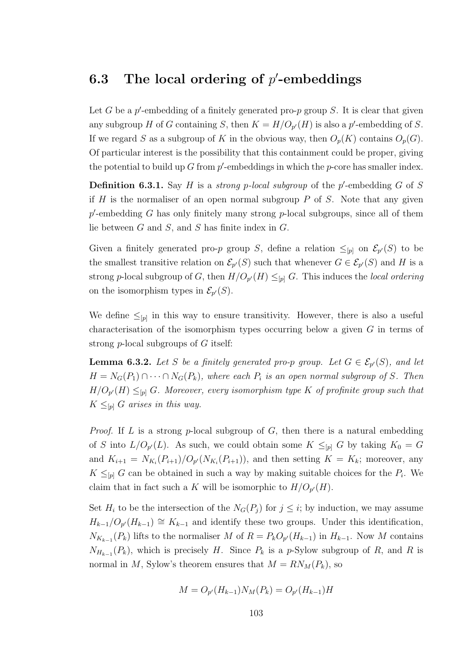## 6.3 The local ordering of  $p'$ -embeddings

Let G be a  $p'$ -embedding of a finitely generated pro- $p$  group S. It is clear that given any subgroup H of G containing S, then  $K = H/O_{p'}(H)$  is also a p'-embedding of S. If we regard S as a subgroup of K in the obvious way, then  $O_p(K)$  contains  $O_p(G)$ . Of particular interest is the possibility that this containment could be proper, giving the potential to build up  $G$  from  $p'$ -embeddings in which the  $p$ -core has smaller index.

**Definition 6.3.1.** Say H is a *strong p-local subgroup* of the  $p'$ -embedding G of S if  $H$  is the normaliser of an open normal subgroup  $P$  of  $S$ . Note that any given  $p'$ -embedding G has only finitely many strong  $p$ -local subgroups, since all of them lie between  $G$  and  $S$ , and  $S$  has finite index in  $G$ .

Given a finitely generated pro-p group S, define a relation  $\leq_{[p]}$  on  $\mathcal{E}_{p'}(S)$  to be the smallest transitive relation on  $\mathcal{E}_{p'}(S)$  such that whenever  $G \in \mathcal{E}_{p'}(S)$  and H is a strong p-local subgroup of G, then  $H/O_{p'}(H) \leq_{[p]} G$ . This induces the *local ordering* on the isomorphism types in  $\mathcal{E}_{p'}(S)$ .

We define  $\leq_{[p]}$  in this way to ensure transitivity. However, there is also a useful characterisation of the isomorphism types occurring below a given G in terms of strong p-local subgroups of G itself:

**Lemma 6.3.2.** Let S be a finitely generated pro-p group. Let  $G \in \mathcal{E}_{p}(S)$ , and let  $H = N_G(P_1) \cap \cdots \cap N_G(P_k)$ , where each  $P_i$  is an open normal subgroup of S. Then  $H/O_{p'}(H) \leq_{[p]} G$ . Moreover, every isomorphism type K of profinite group such that  $K \leq_{p} G$  arises in this way.

*Proof.* If  $L$  is a strong  $p$ -local subgroup of  $G$ , then there is a natural embedding of S into  $L/O_{p}(L)$ . As such, we could obtain some  $K \leq_{[p]} G$  by taking  $K_0 = G$ and  $K_{i+1} = N_{K_i}(P_{i+1})/O_{p'}(N_{K_i}(P_{i+1}))$ , and then setting  $K = K_k$ ; moreover, any  $K \leq_{[p]} G$  can be obtained in such a way by making suitable choices for the  $P_i$ . We claim that in fact such a K will be isomorphic to  $H/O_{p'}(H)$ .

Set  $H_i$  to be the intersection of the  $N_G(P_j)$  for  $j \leq i$ ; by induction, we may assume  $H_{k-1}/O_{p'}(H_{k-1}) \cong K_{k-1}$  and identify these two groups. Under this identification,  $N_{K_{k-1}}(P_k)$  lifts to the normaliser M of  $R = P_k O_{p'}(H_{k-1})$  in  $H_{k-1}$ . Now M contains  $N_{H_{k-1}}(P_k)$ , which is precisely H. Since  $P_k$  is a p-Sylow subgroup of R, and R is normal in M, Sylow's theorem ensures that  $M = RN_M(P_k)$ , so

$$
M = O_{p'}(H_{k-1})N_M(P_k) = O_{p'}(H_{k-1})H
$$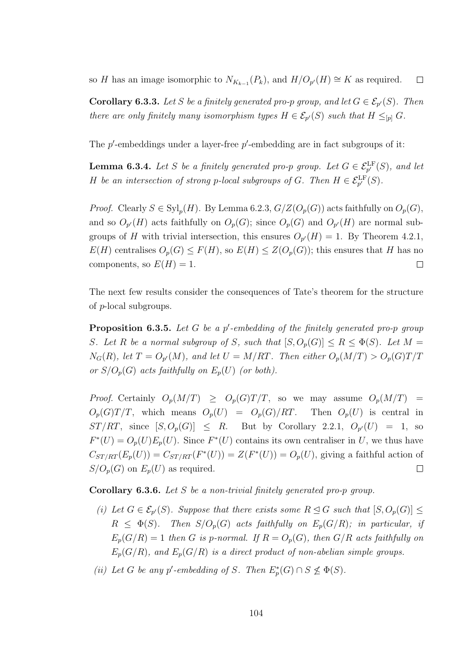so H has an image isomorphic to  $N_{K_{k-1}}(P_k)$ , and  $H/O_{p'}(H) \cong K$  as required.  $\Box$ 

**Corollary 6.3.3.** Let S be a finitely generated pro-p group, and let  $G \in \mathcal{E}_{p'}(S)$ . Then there are only finitely many isomorphism types  $H \in \mathcal{E}_{p}(S)$  such that  $H \leq_{[p]} G$ .

The  $p'$ -embeddings under a layer-free  $p'$ -embedding are in fact subgroups of it:

**Lemma 6.3.4.** Let S be a finitely generated pro-p group. Let  $G \in \mathcal{E}_{p'}^{\text{LF}}(S)$ , and let H be an intersection of strong p-local subgroups of G. Then  $H \in \mathcal{E}_{p'}^{\text{LF}}(S)$ .

*Proof.* Clearly  $S \in \mathrm{Syl}_p(H)$ . By Lemma 6.2.3,  $G/Z(O_p(G))$  acts faithfully on  $O_p(G)$ , and so  $O_{p'}(H)$  acts faithfully on  $O_p(G)$ ; since  $O_p(G)$  and  $O_{p'}(H)$  are normal subgroups of H with trivial intersection, this ensures  $O_{p'}(H) = 1$ . By Theorem 4.2.1,  $E(H)$  centralises  $O_p(G) \leq F(H)$ , so  $E(H) \leq Z(O_p(G))$ ; this ensures that H has no components, so  $E(H) = 1$ .  $\Box$ 

The next few results consider the consequences of Tate's theorem for the structure of p-local subgroups.

**Proposition 6.3.5.** Let  $G$  be a  $p'$ -embedding of the finitely generated pro-p group S. Let R be a normal subgroup of S, such that  $[S, O_p(G)] \le R \le \Phi(S)$ . Let  $M =$  $N_G(R)$ , let  $T = O_{p'}(M)$ , and let  $U = M/RT$ . Then either  $O_p(M/T) > O_p(G)T/T$ or  $S/O_p(G)$  acts faithfully on  $E_p(U)$  (or both).

*Proof.* Certainly  $O_p(M/T) \geq O_p(G)T/T$ , so we may assume  $O_p(M/T)$  $O_p(G)T/T$ , which means  $O_p(U) = O_p(G)/RT$ . Then  $O_p(U)$  is central in  $ST/RT$ , since  $[S, O_p(G)] \leq R$ . But by Corollary 2.2.1,  $O_{p'}(U) = 1$ , so  $F^*(U) = O_p(U)E_p(U)$ . Since  $F^*(U)$  contains its own centraliser in U, we thus have  $C_{ST/RT}(E_p(U)) = C_{ST/RT}(F^*(U)) = Z(F^*(U)) = O_p(U)$ , giving a faithful action of  $S/O_p(G)$  on  $E_p(U)$  as required.  $\Box$ 

Corollary 6.3.6. Let S be a non-trivial finitely generated pro-p group.

- (i) Let  $G \in \mathcal{E}_{p'}(S)$ . Suppose that there exists some  $R \trianglelefteq G$  such that  $[S, O_p(G)] \leq$  $R \leq \Phi(S)$ . Then  $S/O_p(G)$  acts faithfully on  $E_p(G/R)$ ; in particular, if  $E_p(G/R) = 1$  then G is p-normal. If  $R = O_p(G)$ , then  $G/R$  acts faithfully on  $E_p(G/R)$ , and  $E_p(G/R)$  is a direct product of non-abelian simple groups.
- (ii) Let G be any p'-embedding of S. Then  $E_p^*(G) \cap S \nleq \Phi(S)$ .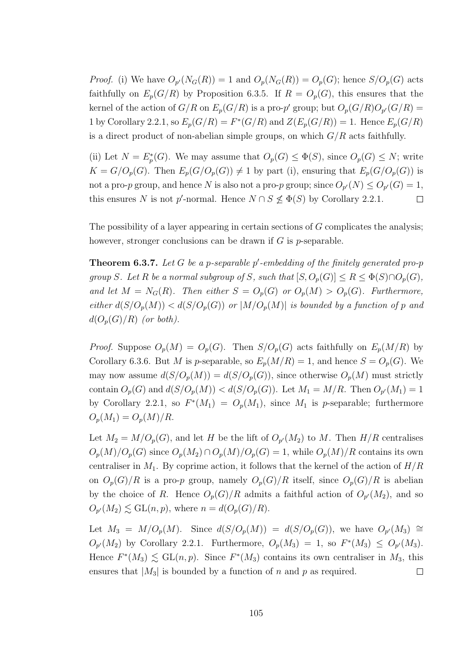*Proof.* (i) We have  $O_{p'}(N_G(R)) = 1$  and  $O_p(N_G(R)) = O_p(G)$ ; hence  $S/O_p(G)$  acts faithfully on  $E_p(G/R)$  by Proposition 6.3.5. If  $R = O_p(G)$ , this ensures that the kernel of the action of  $G/R$  on  $E_p(G/R)$  is a pro-p' group; but  $O_p(G/R)O_{p'}(G/R)$  = 1 by Corollary 2.2.1, so  $E_p(G/R) = F^*(G/R)$  and  $Z(E_p(G/R)) = 1$ . Hence  $E_p(G/R)$ is a direct product of non-abelian simple groups, on which  $G/R$  acts faithfully.

(ii) Let  $N = E_p^*(G)$ . We may assume that  $O_p(G) \leq \Phi(S)$ , since  $O_p(G) \leq N$ ; write  $K = G/O_p(G)$ . Then  $E_p(G/O_p(G)) \neq 1$  by part (i), ensuring that  $E_p(G/O_p(G))$  is not a pro-p group, and hence N is also not a pro-p group; since  $O_{p'}(N) \leq O_{p'}(G) = 1$ , this ensures N is not p'-normal. Hence  $N \cap S \nleq \Phi(S)$  by Corollary 2.2.1.  $\Box$ 

The possibility of a layer appearing in certain sections of  $G$  complicates the analysis; however, stronger conclusions can be drawn if  $G$  is  $p$ -separable.

**Theorem 6.3.7.** Let G be a p-separable p'-embedding of the finitely generated pro-p group S. Let R be a normal subgroup of S, such that  $[S, O_p(G)] \leq R \leq \Phi(S) \cap O_p(G)$ , and let  $M = N_G(R)$ . Then either  $S = O_p(G)$  or  $O_p(M) > O_p(G)$ . Furthermore, either  $d(S/O_p(M)) < d(S/O_p(G))$  or  $|M/O_p(M)|$  is bounded by a function of p and  $d(O_p(G)/R)$  (or both).

*Proof.* Suppose  $O_p(M) = O_p(G)$ . Then  $S/O_p(G)$  acts faithfully on  $E_p(M/R)$  by Corollary 6.3.6. But M is p-separable, so  $E_p(M/R) = 1$ , and hence  $S = O_p(G)$ . We may now assume  $d(S/O_p(M)) = d(S/O_p(G))$ , since otherwise  $O_p(M)$  must strictly contain  $O_p(G)$  and  $d(S/O_p(M)) < d(S/O_p(G))$ . Let  $M_1 = M/R$ . Then  $O_{p'}(M_1) = 1$ by Corollary 2.2.1, so  $F^*(M_1) = O_p(M_1)$ , since  $M_1$  is p-separable; furthermore  $O_p(M_1) = O_p(M)/R$ .

Let  $M_2 = M/O_p(G)$ , and let H be the lift of  $O_{p'}(M_2)$  to M. Then  $H/R$  centralises  $O_p(M)/O_p(G)$  since  $O_p(M_2) \cap O_p(M)/O_p(G) = 1$ , while  $O_p(M)/R$  contains its own centraliser in  $M_1$ . By coprime action, it follows that the kernel of the action of  $H/R$ on  $O_p(G)/R$  is a pro-p group, namely  $O_p(G)/R$  itself, since  $O_p(G)/R$  is abelian by the choice of R. Hence  $O_p(G)/R$  admits a faithful action of  $O_{p'}(M_2)$ , and so  $O_{p'}(M_2) \lesssim \mathrm{GL}(n, p)$ , where  $n = d(O_p(G)/R)$ .

Let  $M_3 = M/O_p(M)$ . Since  $d(S/O_p(M)) = d(S/O_p(G))$ , we have  $O_{p}(M_3) \cong$  $O_{p'}(M_2)$  by Corollary 2.2.1. Furthermore,  $O_p(M_3) = 1$ , so  $F^*(M_3) \leq O_{p'}(M_3)$ . Hence  $F^*(M_3) \lesssim \text{GL}(n, p)$ . Since  $F^*(M_3)$  contains its own centraliser in  $M_3$ , this ensures that  $|M_3|$  is bounded by a function of n and p as required.  $\Box$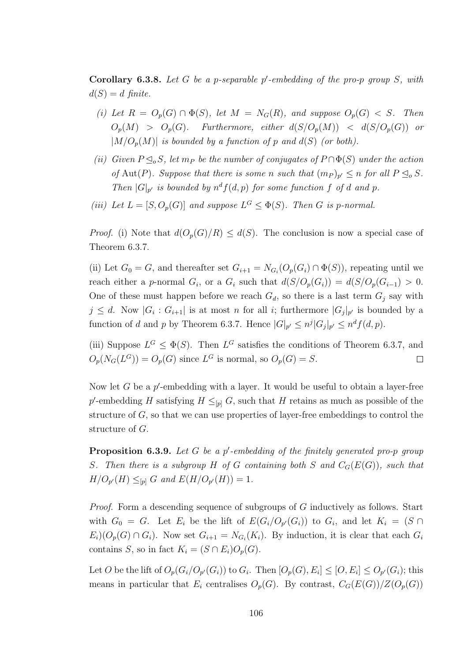**Corollary 6.3.8.** Let G be a p-separable p'-embedding of the pro-p group S, with  $d(S) = d$  finite.

- (i) Let  $R = O_p(G) \cap \Phi(S)$ , let  $M = N_G(R)$ , and suppose  $O_p(G) < S$ . Then  $O_p(M) > O_p(G)$ . Furthermore, either  $d(S/O_p(M)) < d(S/O_p(G))$  or  $|M/O_n(M)|$  is bounded by a function of p and  $d(S)$  (or both).
- (ii) Given  $P \leq_{o} S$ , let m<sub>P</sub> be the number of conjugates of  $P \cap \Phi(S)$  under the action of Aut(P). Suppose that there is some n such that  $(m_P)_{p'} \le n$  for all  $P \le o S$ . Then  $|G|_{p'}$  is bounded by  $n^d f(d, p)$  for some function f of d and p.
- (iii) Let  $L = [S, O_p(G)]$  and suppose  $L^G \leq \Phi(S)$ . Then G is p-normal.

*Proof.* (i) Note that  $d(O_p(G)/R) \leq d(S)$ . The conclusion is now a special case of Theorem 6.3.7.

(ii) Let  $G_0 = G$ , and thereafter set  $G_{i+1} = N_{G_i}(O_p(G_i) \cap \Phi(S))$ , repeating until we reach either a p-normal  $G_i$ , or a  $G_i$  such that  $d(S/O_p(G_i)) = d(S/O_p(G_{i-1}) > 0$ . One of these must happen before we reach  $G_d$ , so there is a last term  $G_i$  say with  $j \leq d$ . Now  $|G_i: G_{i+1}|$  is at most n for all i; furthermore  $|G_j|_{p'}$  is bounded by a function of d and p by Theorem 6.3.7. Hence  $|G|_{p'} \leq n^j |G_j|_{p'} \leq n^d f(d, p)$ .

(iii) Suppose  $L^G \leq \Phi(S)$ . Then  $L^G$  satisfies the conditions of Theorem 6.3.7, and  $O_p(N_G(L^G)) = O_p(G)$  since  $L^G$  is normal, so  $O_p(G) = S$ .  $\Box$ 

Now let  $G$  be a  $p'$ -embedding with a layer. It would be useful to obtain a layer-free p'-embedding H satisfying  $H \leq_{[p]} G$ , such that H retains as much as possible of the structure of  $G$ , so that we can use properties of layer-free embeddings to control the structure of G.

**Proposition 6.3.9.** Let G be a p'-embedding of the finitely generated pro-p group S. Then there is a subgroup H of G containing both S and  $C_G(E(G))$ , such that  $H/O_{p'}(H) \leq_{[p]} G$  and  $E(H/O_{p'}(H)) = 1$ .

Proof. Form a descending sequence of subgroups of G inductively as follows. Start with  $G_0 = G$ . Let  $E_i$  be the lift of  $E(G_i/O_{p'}(G_i))$  to  $G_i$ , and let  $K_i = (S \cap$  $E_i(C_p(G) \cap G_i)$ . Now set  $G_{i+1} = N_{G_i}(K_i)$ . By induction, it is clear that each  $G_i$ contains S, so in fact  $K_i = (S \cap E_i)O_p(G)$ .

Let O be the lift of  $O_p(G_i/O_{p'}(G_i))$  to  $G_i$ . Then  $[O_p(G), E_i] \leq [O, E_i] \leq O_{p'}(G_i)$ ; this means in particular that  $E_i$  centralises  $O_p(G)$ . By contrast,  $C_G(E(G))/Z(O_p(G))$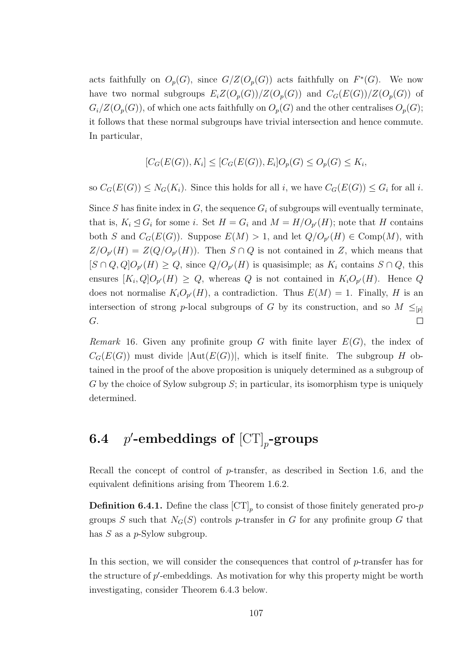acts faithfully on  $O_p(G)$ , since  $G/Z(O_p(G))$  acts faithfully on  $F^*(G)$ . We now have two normal subgroups  $E_iZ(O_p(G))/Z(O_p(G))$  and  $C_G(E(G))/Z(O_p(G))$  of  $G_i/Z(O_p(G))$ , of which one acts faithfully on  $O_p(G)$  and the other centralises  $O_p(G)$ ; it follows that these normal subgroups have trivial intersection and hence commute. In particular,

$$
[C_G(E(G)), K_i] \le [C_G(E(G)), E_i]O_p(G) \le O_p(G) \le K_i,
$$

so  $C_G(E(G)) \leq N_G(K_i)$ . Since this holds for all i, we have  $C_G(E(G)) \leq G_i$  for all i.

Since S has finite index in G, the sequence  $G_i$  of subgroups will eventually terminate, that is,  $K_i \trianglelefteq G_i$  for some i. Set  $H = G_i$  and  $M = H/O_{p'}(H)$ ; note that H contains both S and  $C_G(E(G))$ . Suppose  $E(M) > 1$ , and let  $Q/O_{p'}(H) \in \text{Comp}(M)$ , with  $Z/O_{p'}(H) = Z(Q/O_{p'}(H))$ . Then  $S \cap Q$  is not contained in Z, which means that  $[S \cap Q, Q]O_{p'}(H) \geq Q$ , since  $Q/O_{p'}(H)$  is quasisimple; as  $K_i$  contains  $S \cap Q$ , this ensures  $[K_i, Q]O_{p'}(H) \ge Q$ , whereas Q is not contained in  $K_iO_{p'}(H)$ . Hence Q does not normalise  $K_i O_{p'}(H)$ , a contradiction. Thus  $E(M) = 1$ . Finally, H is an intersection of strong p-local subgroups of G by its construction, and so  $M \leq_{p}$ G.  $\Box$ 

Remark 16. Given any profinite group G with finite layer  $E(G)$ , the index of  $C_G(E(G))$  must divide  $|\text{Aut}(E(G))|$ , which is itself finite. The subgroup H obtained in the proof of the above proposition is uniquely determined as a subgroup of  $G$  by the choice of Sylow subgroup  $S$ ; in particular, its isomorphism type is uniquely determined.

#### 6.4  $\mathsf{C}^\prime\text{-}\mathbf{embeddings of } [\operatorname{CT}]_p\text{-}\mathbf{groups}$

Recall the concept of control of p-transfer, as described in Section 1.6, and the equivalent definitions arising from Theorem 1.6.2.

**Definition 6.4.1.** Define the class  $\left[\text{CT}\right]_p$  to consist of those finitely generated pro-*p* groups S such that  $N_G(S)$  controls p-transfer in G for any profinite group G that has  $S$  as a  $p$ -Sylow subgroup.

In this section, we will consider the consequences that control of  $p$ -transfer has for the structure of  $p'$ -embeddings. As motivation for why this property might be worth investigating, consider Theorem 6.4.3 below.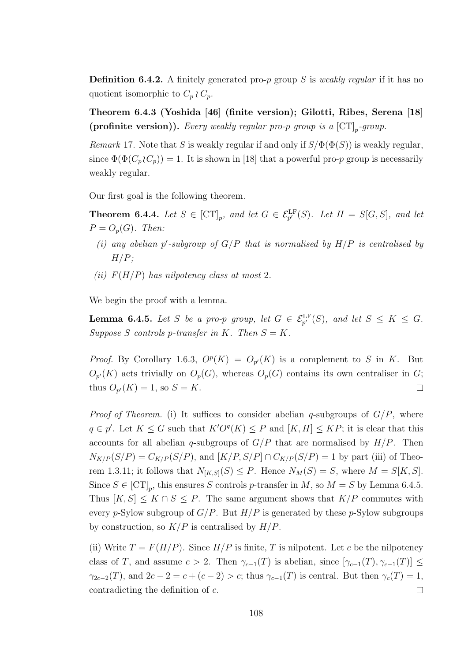**Definition 6.4.2.** A finitely generated pro-p group S is weakly regular if it has no quotient isomorphic to  $C_p \wr C_p$ .

Theorem 6.4.3 (Yoshida [46] (finite version); Gilotti, Ribes, Serena [18] (profinite version)). Every weakly regular pro-p group is a  $\left[\mathrm{CT}\right]_p$ -group.

Remark 17. Note that S is weakly regular if and only if  $S/\Phi(\Phi(S))$  is weakly regular, since  $\Phi(\Phi(C_p \n\wr C_p)) = 1$ . It is shown in [18] that a powerful pro-p group is necessarily weakly regular.

Our first goal is the following theorem.

**Theorem 6.4.4.** Let  $S \in [CT]_p$ , and let  $G \in \mathcal{E}_{p'}^{\text{LF}}(S)$ . Let  $H = S[G, S]$ , and let  $P = O_p(G)$ . Then:

- (i) any abelian p'-subgroup of  $G/P$  that is normalised by  $H/P$  is centralised by  $H/P$ ;
- (ii)  $F(H/P)$  has nilpotency class at most 2.

We begin the proof with a lemma.

**Lemma 6.4.5.** Let S be a pro-p group, let  $G \in \mathcal{E}_{p'}^{\text{LF}}(S)$ , and let  $S \leq K \leq G$ . Suppose S controls p-transfer in K. Then  $S = K$ .

*Proof.* By Corollary 1.6.3,  $O^p(K) = O_{p'}(K)$  is a complement to S in K. But  $O_{p'}(K)$  acts trivially on  $O_p(G)$ , whereas  $O_p(G)$  contains its own centraliser in G; thus  $O_{p}(K) = 1$ , so  $S = K$ .  $\Box$ 

*Proof of Theorem.* (i) It suffices to consider abelian q-subgroups of  $G/P$ , where  $q \in p'$ . Let  $K \leq G$  such that  $K'O<sup>q</sup>(K) \leq P$  and  $[K, H] \leq KP$ ; it is clear that this accounts for all abelian q-subgroups of  $G/P$  that are normalised by  $H/P$ . Then  $N_{K/P}(S/P) = C_{K/P}(S/P)$ , and  $[K/P, S/P] \cap C_{K/P}(S/P) = 1$  by part (iii) of Theorem 1.3.11; it follows that  $N_{[K,S]}(S) \leq P$ . Hence  $N_M(S) = S$ , where  $M = S[K, S]$ . Since  $S \in [CT]_p$ , this ensures S controls p-transfer in M, so  $M = S$  by Lemma 6.4.5. Thus  $[K, S] \leq K \cap S \leq P$ . The same argument shows that  $K/P$  commutes with every p-Sylow subgroup of  $G/P$ . But  $H/P$  is generated by these p-Sylow subgroups by construction, so  $K/P$  is centralised by  $H/P$ .

(ii) Write  $T = F(H/P)$ . Since  $H/P$  is finite, T is nilpotent. Let c be the nilpotency class of T, and assume  $c > 2$ . Then  $\gamma_{c-1}(T)$  is abelian, since  $[\gamma_{c-1}(T), \gamma_{c-1}(T)] \leq$  $\gamma_{2c-2}(T)$ , and  $2c-2=c+(c-2)>c$ ; thus  $\gamma_{c-1}(T)$  is central. But then  $\gamma_c(T)=1$ , contradicting the definition of c.  $\Box$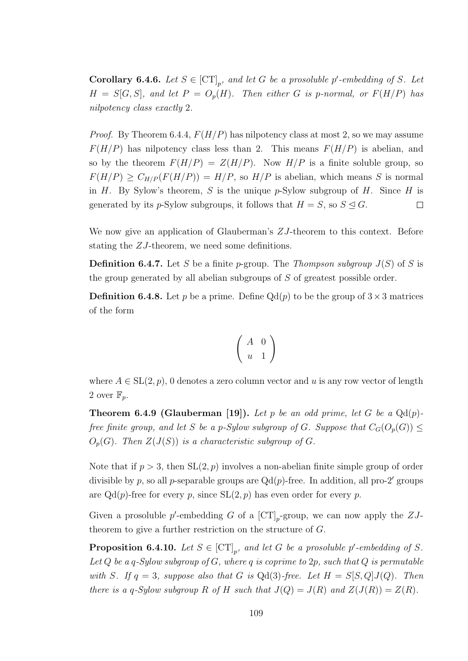**Corollary 6.4.6.** Let  $S \in [CT]_p$ , and let G be a prosoluble p'-embedding of S. Let  $H = S[G, S]$ , and let  $P = O_p(H)$ . Then either G is p-normal, or  $F(H/P)$  has nilpotency class exactly 2.

*Proof.* By Theorem 6.4.4,  $F(H/P)$  has nilpotency class at most 2, so we may assume  $F(H/P)$  has nilpotency class less than 2. This means  $F(H/P)$  is abelian, and so by the theorem  $F(H/P) = Z(H/P)$ . Now  $H/P$  is a finite soluble group, so  $F(H/P) \geq C_{H/P}(F(H/P)) = H/P$ , so  $H/P$  is abelian, which means S is normal in H. By Sylow's theorem, S is the unique  $p$ -Sylow subgroup of H. Since H is generated by its p-Sylow subgroups, it follows that  $H = S$ , so  $S \triangleleft G$ .  $\Box$ 

We now give an application of Glauberman's  $ZJ$ -theorem to this context. Before stating the ZJ-theorem, we need some definitions.

**Definition 6.4.7.** Let S be a finite p-group. The Thompson subgroup  $J(S)$  of S is the group generated by all abelian subgroups of S of greatest possible order.

**Definition 6.4.8.** Let p be a prime. Define  $Qd(p)$  to be the group of  $3 \times 3$  matrices of the form

$$
\left(\begin{array}{cc} A & 0 \\ u & 1 \end{array}\right)
$$

where  $A \in SL(2, p)$ , 0 denotes a zero column vector and u is any row vector of length 2 over  $\mathbb{F}_p$ .

**Theorem 6.4.9 (Glauberman [19]).** Let p be an odd prime, let G be a  $Qd(p)$ free finite group, and let S be a p-Sylow subgroup of G. Suppose that  $C_G(O_p(G)) \leq$  $O_p(G)$ . Then  $Z(J(S))$  is a characteristic subgroup of G.

Note that if  $p > 3$ , then  $SL(2, p)$  involves a non-abelian finite simple group of order divisible by p, so all p-separable groups are  $Qd(p)$ -free. In addition, all pro-2' groups are  $Qd(p)$ -free for every p, since  $SL(2, p)$  has even order for every p.

Given a prosoluble p'-embedding G of a  $\left[\text{CT}\right]_p$ -group, we can now apply the  $ZJ$ theorem to give a further restriction on the structure of G.

**Proposition 6.4.10.** Let  $S \in [CT]_p$ , and let G be a prosoluble p'-embedding of S. Let Q be a q-Sylow subgroup of G, where q is coprime to 2p, such that Q is permutable with S. If  $q = 3$ , suppose also that G is Qd(3)-free. Let  $H = S[S, Q]J(Q)$ . Then there is a q-Sylow subgroup R of H such that  $J(Q) = J(R)$  and  $Z(J(R)) = Z(R)$ .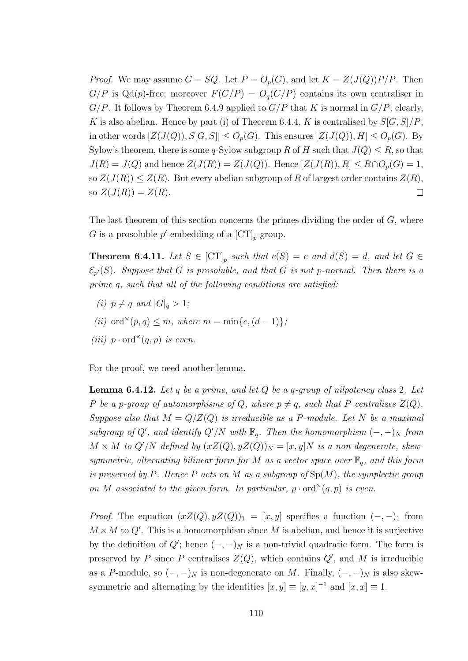*Proof.* We may assume  $G = SQ$ . Let  $P = O_p(G)$ , and let  $K = Z(J(Q))P/P$ . Then  $G/P$  is  $Qd(p)$ -free; moreover  $F(G/P) = O_q(G/P)$  contains its own centraliser in  $G/P$ . It follows by Theorem 6.4.9 applied to  $G/P$  that K is normal in  $G/P$ ; clearly, K is also abelian. Hence by part (i) of Theorem 6.4.4, K is centralised by  $S[G, S]/P$ . in other words  $[Z(J(Q)), S[G, S]] \leq O_p(G)$ . This ensures  $[Z(J(Q)), H] \leq O_p(G)$ . By Sylow's theorem, there is some q-Sylow subgroup R of H such that  $J(Q) \leq R$ , so that  $J(R) = J(Q)$  and hence  $Z(J(R)) = Z(J(Q))$ . Hence  $[Z(J(R)), R] \leq R \cap O_p(G) = 1$ , so  $Z(J(R)) \leq Z(R)$ . But every abelian subgroup of R of largest order contains  $Z(R)$ , so  $Z(J(R)) = Z(R)$ .  $\Box$ 

The last theorem of this section concerns the primes dividing the order of  $G$ , where G is a prosoluble  $p'$ -embedding of a  $\left[\text{CT}\right]_p$ -group.

**Theorem 6.4.11.** Let  $S \in [CT]_p$  such that  $c(S) = c$  and  $d(S) = d$ , and let  $G \in$  $\mathcal{E}_{p'}(S)$ . Suppose that G is prosoluble, and that G is not p-normal. Then there is a prime q, such that all of the following conditions are satisfied:

- (i)  $p \neq q$  and  $|G|_q > 1$ ;
- (ii) ord<sup>×</sup>(p,q)  $\leq m$ , where  $m = \min\{c, (d-1)\}\;$
- (iii)  $p \cdot \text{ord}^{\times}(q, p)$  is even.

For the proof, we need another lemma.

**Lemma 6.4.12.** Let q be a prime, and let  $Q$  be a q-group of nilpotency class 2. Let P be a p-group of automorphisms of Q, where  $p \neq q$ , such that P centralises  $Z(Q)$ . Suppose also that  $M = Q/Z(Q)$  is irreducible as a P-module. Let N be a maximal subgroup of Q', and identify  $Q'/N$  with  $\mathbb{F}_q$ . Then the homomorphism  $(-, -)_N$  from  $M \times M$  to  $Q'/N$  defined by  $(xZ(Q), yZ(Q))_N = [x, y]N$  is a non-degenerate, skewsymmetric, alternating bilinear form for M as a vector space over  $\mathbb{F}_q$ , and this form is preserved by P. Hence P acts on M as a subgroup of  $Sp(M)$ , the symplectic group on M associated to the given form. In particular,  $p \cdot \text{ord}^{\times}(q, p)$  is even.

*Proof.* The equation  $(xZ(Q), yZ(Q))_1 = [x, y]$  specifies a function  $(-, -)_1$  from  $M \times M$  to Q'. This is a homomorphism since M is abelian, and hence it is surjective by the definition of  $Q'$ ; hence  $(-, -)_N$  is a non-trivial quadratic form. The form is preserved by P since P centralises  $Z(Q)$ , which contains  $Q'$ , and M is irreducible as a P-module, so  $(-, -)_N$  is non-degenerate on M. Finally,  $(-, -)_N$  is also skewsymmetric and alternating by the identities  $[x, y] \equiv [y, x]^{-1}$  and  $[x, x] \equiv 1$ .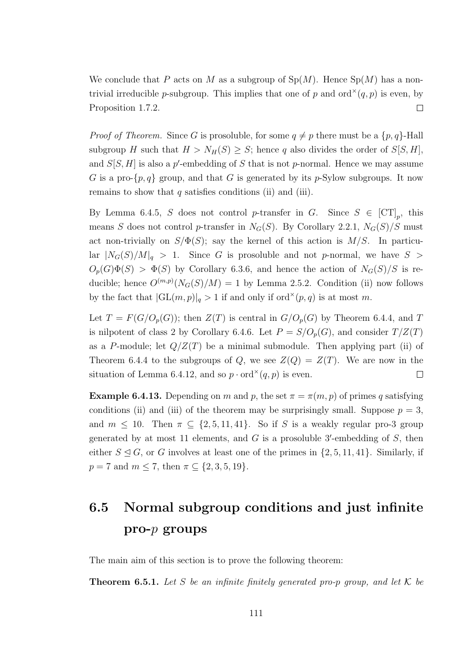We conclude that P acts on M as a subgroup of  $Sp(M)$ . Hence  $Sp(M)$  has a nontrivial irreducible *p*-subgroup. This implies that one of p and  $\text{ord}^{\times}(q, p)$  is even, by Proposition 1.7.2.  $\Box$ 

*Proof of Theorem.* Since G is prosoluble, for some  $q \neq p$  there must be a  $\{p, q\}$ -Hall subgroup H such that  $H > N_H(S) \geq S$ ; hence q also divides the order of  $S[S, H]$ , and  $S[S, H]$  is also a p'-embedding of S that is not p-normal. Hence we may assume G is a pro- $\{p, q\}$  group, and that G is generated by its p-Sylow subgroups. It now remains to show that  $q$  satisfies conditions (ii) and (iii).

By Lemma 6.4.5, S does not control p-transfer in G. Since  $S \in [CT]_p$ , this means S does not control p-transfer in  $N_G(S)$ . By Corollary 2.2.1,  $N_G(S)/S$  must act non-trivially on  $S/\Phi(S)$ ; say the kernel of this action is  $M/S$ . In particu- $\text{lar } |N_G(S)/M|_q > 1.$  Since G is prosoluble and not p-normal, we have  $S >$  $O_p(G)\Phi(S) > \Phi(S)$  by Corollary 6.3.6, and hence the action of  $N_G(S)/S$  is reducible; hence  $O^{(m,p)}(N_G(S)/M) = 1$  by Lemma 2.5.2. Condition (ii) now follows by the fact that  $|GL(m, p)|_q > 1$  if and only if ord<sup> $\times$ </sup>( $p, q$ ) is at most m.

Let  $T = F(G/O_p(G))$ ; then  $Z(T)$  is central in  $G/O_p(G)$  by Theorem 6.4.4, and T is nilpotent of class 2 by Corollary 6.4.6. Let  $P = S/O_p(G)$ , and consider  $T/Z(T)$ as a P-module; let  $Q/Z(T)$  be a minimal submodule. Then applying part (ii) of Theorem 6.4.4 to the subgroups of Q, we see  $Z(Q) = Z(T)$ . We are now in the situation of Lemma 6.4.12, and so  $p \cdot ord^{\times}(q, p)$  is even.  $\Box$ 

**Example 6.4.13.** Depending on m and p, the set  $\pi = \pi(m, p)$  of primes q satisfying conditions (ii) and (iii) of the theorem may be surprisingly small. Suppose  $p = 3$ , and  $m \leq 10$ . Then  $\pi \subseteq \{2, 5, 11, 41\}$ . So if S is a weakly regular pro-3 group generated by at most 11 elements, and  $G$  is a prosoluble 3'-embedding of  $S$ , then either  $S \leq G$ , or G involves at least one of the primes in  $\{2, 5, 11, 41\}$ . Similarly, if  $p = 7$  and  $m \le 7$ , then  $\pi \subseteq \{2, 3, 5, 19\}.$ 

## 6.5 Normal subgroup conditions and just infinite  $\mathbf{p}$  pro- $p$  groups

The main aim of this section is to prove the following theorem:

**Theorem 6.5.1.** Let S be an infinite finitely generated pro-p group, and let K be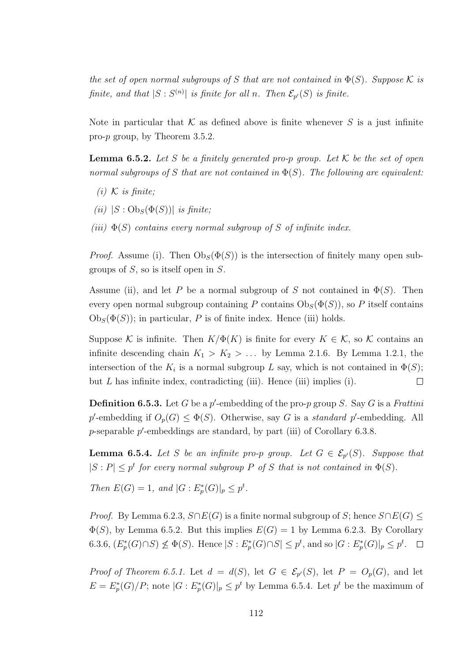the set of open normal subgroups of S that are not contained in  $\Phi(S)$ . Suppose K is finite, and that  $|S: S^{(n)}|$  is finite for all n. Then  $\mathcal{E}_{p'}(S)$  is finite.

Note in particular that  $K$  as defined above is finite whenever S is a just infinite pro-p group, by Theorem 3.5.2.

**Lemma 6.5.2.** Let S be a finitely generated pro-p group. Let  $K$  be the set of open normal subgroups of S that are not contained in  $\Phi(S)$ . The following are equivalent:

- $(i)$  K is finite;
- (ii)  $|S : \mathrm{Ob}_S(\Phi(S))|$  is finite;
- (iii)  $\Phi(S)$  contains every normal subgroup of S of infinite index.

*Proof.* Assume (i). Then  $\mathrm{Ob}_S(\Phi(S))$  is the intersection of finitely many open subgroups of  $S$ , so is itself open in  $S$ .

Assume (ii), and let P be a normal subgroup of S not contained in  $\Phi(S)$ . Then every open normal subgroup containing P contains  $\mathrm{Ob}_S(\Phi(S))$ , so P itself contains  $Ob_S(\Phi(S))$ ; in particular, P is of finite index. Hence (iii) holds.

Suppose K is infinite. Then  $K/\Phi(K)$  is finite for every  $K \in \mathcal{K}$ , so K contains an infinite descending chain  $K_1 > K_2 > ...$  by Lemma 2.1.6. By Lemma 1.2.1, the intersection of the  $K_i$  is a normal subgroup L say, which is not contained in  $\Phi(S)$ ; but  $L$  has infinite index, contradicting (iii). Hence (iii) implies (i).  $\Box$ 

**Definition 6.5.3.** Let G be a p'-embedding of the pro-p group S. Say G is a Frattini p'-embedding if  $O_p(G) \leq \Phi(S)$ . Otherwise, say G is a standard p'-embedding. All  $p$ -separable  $p'$ -embeddings are standard, by part (iii) of Corollary 6.3.8.

**Lemma 6.5.4.** Let S be an infinite pro-p group. Let  $G \in \mathcal{E}_{p}(S)$ . Suppose that  $|S: P| \leq p^t$  for every normal subgroup P of S that is not contained in  $\Phi(S)$ .

Then  $E(G) = 1$ , and  $|G : E_p^*(G)|_p \leq p^t$ .

*Proof.* By Lemma 6.2.3,  $S \cap E(G)$  is a finite normal subgroup of S; hence  $S \cap E(G) \leq$  $\Phi(S)$ , by Lemma 6.5.2. But this implies  $E(G) = 1$  by Lemma 6.2.3. By Corollary 6.3.6,  $(E_p^*(G) \cap S) \nleq \Phi(S)$ . Hence  $|S : E_p^*(G) \cap S| \leq p^t$ , and so  $|G : E_p^*(G)|_p \leq p^t$ .

*Proof of Theorem 6.5.1.* Let  $d = d(S)$ , let  $G \in \mathcal{E}_{p}(S)$ , let  $P = O_p(G)$ , and let  $E = E_p^*(G)/P$ ; note  $|G : E_p^*(G)|_p \leq p^t$  by Lemma 6.5.4. Let  $p^t$  be the maximum of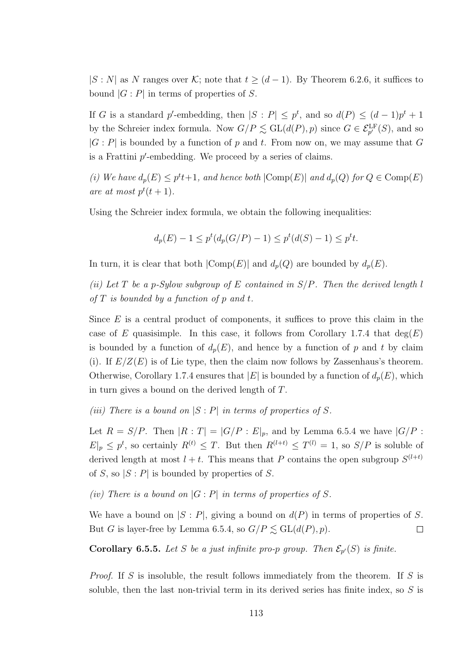$|S: N|$  as N ranges over K; note that  $t \geq (d-1)$ . By Theorem 6.2.6, it suffices to bound  $|G : P|$  in terms of properties of S.

If G is a standard p'-embedding, then  $|S: P| \leq p^t$ , and so  $d(P) \leq (d-1)p^t + 1$ by the Schreier index formula. Now  $G/P \lesssim \mathrm{GL}(d(P), p)$  since  $G \in \mathcal{E}_{p'}^{\mathrm{LF}}(S)$ , and so  $|G : P|$  is bounded by a function of p and t. From now on, we may assume that G is a Frattini  $p'$ -embedding. We proceed by a series of claims.

(i) We have  $d_p(E) \leq p^t t + 1$ , and hence both  $|\text{Comp}(E)|$  and  $d_p(Q)$  for  $Q \in \text{Comp}(E)$ are at most  $p^t(t+1)$ .

Using the Schreier index formula, we obtain the following inequalities:

$$
d_p(E) - 1 \le p^t(d_p(G/P) - 1) \le p^t(d(S) - 1) \le p^t t.
$$

In turn, it is clear that both  $|\text{Comp}(E)|$  and  $d_p(Q)$  are bounded by  $d_p(E)$ .

(ii) Let T be a p-Sylow subgroup of E contained in  $S/P$ . Then the derived length l of  $T$  is bounded by a function of  $p$  and  $t$ .

Since  $E$  is a central product of components, it suffices to prove this claim in the case of E quasisimple. In this case, it follows from Corollary 1.7.4 that  $deg(E)$ is bounded by a function of  $d_p(E)$ , and hence by a function of p and t by claim (i). If  $E/Z(E)$  is of Lie type, then the claim now follows by Zassenhaus's theorem. Otherwise, Corollary 1.7.4 ensures that  $|E|$  is bounded by a function of  $d_p(E)$ , which in turn gives a bound on the derived length of T.

(iii) There is a bound on  $|S : P|$  in terms of properties of S.

Let  $R = S/P$ . Then  $|R : T| = |G/P : E|_p$ , and by Lemma 6.5.4 we have  $|G/P : E|_p$ .  $E|_p \leq p^t$ , so certainly  $R^{(t)} \leq T$ . But then  $R^{(l+t)} \leq T^{(l)} = 1$ , so  $S/P$  is soluble of derived length at most  $l + t$ . This means that P contains the open subgroup  $S^{(l+t)}$ of S, so  $|S: P|$  is bounded by properties of S.

(iv) There is a bound on  $|G : P|$  in terms of properties of S.

We have a bound on  $|S : P|$ , giving a bound on  $d(P)$  in terms of properties of S. But G is layer-free by Lemma 6.5.4, so  $G/P \leq GL(d(P), p)$ .  $\Box$ 

**Corollary 6.5.5.** Let S be a just infinite pro-p group. Then  $\mathcal{E}_{p}(S)$  is finite.

Proof. If S is insoluble, the result follows immediately from the theorem. If S is soluble, then the last non-trivial term in its derived series has finite index, so  $S$  is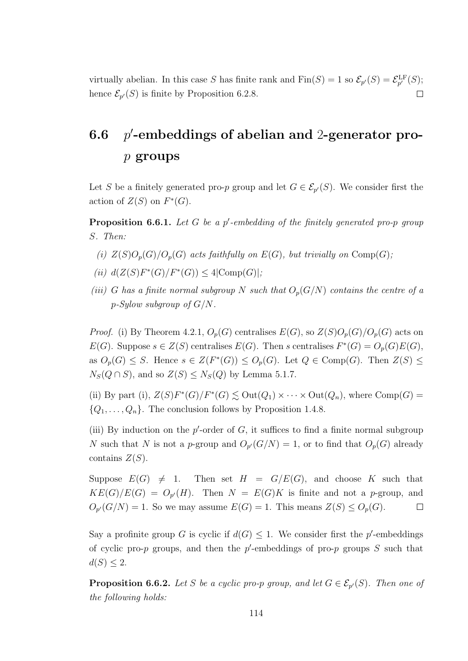virtually abelian. In this case S has finite rank and  $\text{Fin}(S) = 1$  so  $\mathcal{E}_{p'}(S) = \mathcal{E}_{p'}^{\text{LF}}(S);$ hence  $\mathcal{E}_{p'}(S)$  is finite by Proposition 6.2.8.  $\Box$ 

## $6.6$ 0 -embeddings of abelian and 2-generator prop groups

Let S be a finitely generated pro-p group and let  $G \in \mathcal{E}_{p'}(S)$ . We consider first the action of  $Z(S)$  on  $F^*(G)$ .

**Proposition 6.6.1.** Let  $G$  be a  $p'$ -embedding of the finitely generated pro-p group S. Then:

- (i)  $Z(S)O_p(G)/O_p(G)$  acts faithfully on  $E(G)$ , but trivially on  $Comp(G)$ ;
- (*ii*)  $d(Z(S)F^*(G)/F^*(G)) \leq 4|\text{Comp}(G)|;$
- (iii) G has a finite normal subgroup N such that  $O_p(G/N)$  contains the centre of a  $p-Sylow$  subgroup of  $G/N$ .

*Proof.* (i) By Theorem 4.2.1,  $O_p(G)$  centralises  $E(G)$ , so  $Z(S)O_p(G)/O_p(G)$  acts on  $E(G)$ . Suppose  $s \in Z(S)$  centralises  $E(G)$ . Then s centralises  $F^*(G) = O_p(G)E(G)$ , as  $O_p(G) \leq S$ . Hence  $s \in Z(F^*(G)) \leq O_p(G)$ . Let  $Q \in \text{Comp}(G)$ . Then  $Z(S) \leq S$  $N_S(Q \cap S)$ , and so  $Z(S) \leq N_S(Q)$  by Lemma 5.1.7.

(ii) By part (i),  $Z(S)F^*(G)/F^*(G) \lesssim \text{Out}(Q_1) \times \cdots \times \text{Out}(Q_n)$ , where  $\text{Comp}(G) =$  $\{Q_1, \ldots, Q_n\}$ . The conclusion follows by Proposition 1.4.8.

(iii) By induction on the  $p'$ -order of  $G$ , it suffices to find a finite normal subgroup N such that N is not a p-group and  $O_{p'}(G/N) = 1$ , or to find that  $O_p(G)$  already contains  $Z(S)$ .

Suppose  $E(G) \neq 1$ . Then set  $H = G/E(G)$ , and choose K such that  $KE(G)/E(G) = O_{p'}(H)$ . Then  $N = E(G)K$  is finite and not a p-group, and  $O_{p'}(G/N) = 1$ . So we may assume  $E(G) = 1$ . This means  $Z(S) \leq O_p(G)$ .  $\Box$ 

Say a profinite group G is cyclic if  $d(G) \leq 1$ . We consider first the p'-embeddings of cyclic pro-p groups, and then the p'-embeddings of pro-p groups  $S$  such that  $d(S) \leq 2.$ 

**Proposition 6.6.2.** Let S be a cyclic pro-p group, and let  $G \in \mathcal{E}_{p'}(S)$ . Then one of the following holds: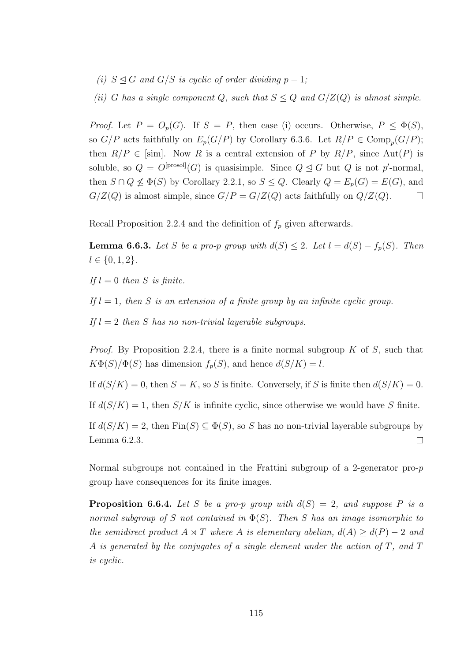- (i)  $S \trianglelefteq G$  and  $G/S$  is cyclic of order dividing  $p-1$ ;
- (ii) G has a single component Q, such that  $S \leq Q$  and  $G/Z(Q)$  is almost simple.

*Proof.* Let  $P = O_p(G)$ . If  $S = P$ , then case (i) occurs. Otherwise,  $P \leq \Phi(S)$ , so  $G/P$  acts faithfully on  $E_p(G/P)$  by Corollary 6.3.6. Let  $R/P \in \text{Comp}_p(G/P)$ ; then  $R/P \in [sim]$ . Now R is a central extension of P by  $R/P$ , since Aut(P) is soluble, so  $Q = O^{[\text{prosol}]}(G)$  is quasisimple. Since  $Q \trianglelefteq G$  but Q is not p'-normal, then  $S \cap Q \nleq \Phi(S)$  by Corollary 2.2.1, so  $S \leq Q$ . Clearly  $Q = E_p(G) = E(G)$ , and  $G/Z(Q)$  is almost simple, since  $G/P = G/Z(Q)$  acts faithfully on  $Q/Z(Q)$ .  $\Box$ 

Recall Proposition 2.2.4 and the definition of  $f_p$  given afterwards.

**Lemma 6.6.3.** Let S be a pro-p group with  $d(S) \leq 2$ . Let  $l = d(S) - f_p(S)$ . Then  $l \in \{0, 1, 2\}.$ 

If  $l = 0$  then S is finite.

If  $l = 1$ , then S is an extension of a finite group by an infinite cyclic group.

If  $l = 2$  then S has no non-trivial layerable subgroups.

*Proof.* By Proposition 2.2.4, there is a finite normal subgroup  $K$  of  $S$ , such that  $K\Phi(S)/\Phi(S)$  has dimension  $f_p(S)$ , and hence  $d(S/K) = l$ .

If  $d(S/K) = 0$ , then  $S = K$ , so S is finite. Conversely, if S is finite then  $d(S/K) = 0$ .

If  $d(S/K) = 1$ , then  $S/K$  is infinite cyclic, since otherwise we would have S finite.

If  $d(S/K) = 2$ , then  $Fin(S) \subset \Phi(S)$ , so S has no non-trivial layerable subgroups by  $\Box$ Lemma 6.2.3.

Normal subgroups not contained in the Frattini subgroup of a 2-generator pro-p group have consequences for its finite images.

**Proposition 6.6.4.** Let S be a pro-p group with  $d(S) = 2$ , and suppose P is a normal subgroup of S not contained in  $\Phi(S)$ . Then S has an image isomorphic to the semidirect product  $A \rtimes T$  where A is elementary abelian,  $d(A) \geq d(P) - 2$  and A is generated by the conjugates of a single element under the action of  $T$ , and  $T$ is cyclic.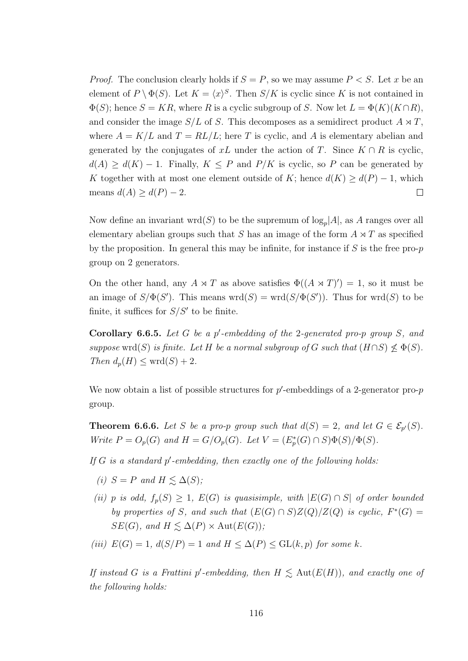*Proof.* The conclusion clearly holds if  $S = P$ , so we may assume  $P < S$ . Let x be an element of  $P \setminus \Phi(S)$ . Let  $K = \langle x \rangle^S$ . Then  $S/K$  is cyclic since K is not contained in  $\Phi(S)$ ; hence  $S = KR$ , where R is a cyclic subgroup of S. Now let  $L = \Phi(K)(K \cap R)$ , and consider the image  $S/L$  of S. This decomposes as a semidirect product  $A \rtimes T$ , where  $A = K/L$  and  $T = RL/L$ ; here T is cyclic, and A is elementary abelian and generated by the conjugates of xL under the action of T. Since  $K \cap R$  is cyclic,  $d(A) \geq d(K) - 1$ . Finally,  $K \leq P$  and  $P/K$  is cyclic, so P can be generated by K together with at most one element outside of K; hence  $d(K) \geq d(P) - 1$ , which means  $d(A) \geq d(P) - 2$ .  $\Box$ 

Now define an invariant wrd $(S)$  to be the supremum of  $\log_p|A|$ , as A ranges over all elementary abelian groups such that S has an image of the form  $A \rtimes T$  as specified by the proposition. In general this may be infinite, for instance if  $S$  is the free pro- $p$ group on 2 generators.

On the other hand, any  $A \rtimes T$  as above satisfies  $\Phi((A \rtimes T)') = 1$ , so it must be an image of  $S/\Phi(S')$ . This means wrd $(S) = \text{wrd}(S/\Phi(S'))$ . Thus for wrd $(S)$  to be finite, it suffices for  $S/S'$  to be finite.

**Corollary 6.6.5.** Let G be a p'-embedding of the 2-generated pro-p group S, and suppose wrd(S) is finite. Let H be a normal subgroup of G such that  $(H \cap S) \nleq \Phi(S)$ . Then  $d_p(H) \leq wrd(S) + 2$ .

We now obtain a list of possible structures for  $p'$ -embeddings of a 2-generator pro- $p$ group.

**Theorem 6.6.6.** Let S be a pro-p group such that  $d(S) = 2$ , and let  $G \in \mathcal{E}_{p}(S)$ . Write  $P = O_p(G)$  and  $H = G/O_p(G)$ . Let  $V = (E_p^*(G) \cap S)\Phi(S)/\Phi(S)$ .

If  $G$  is a standard  $p'$ -embedding, then exactly one of the following holds:

- (i)  $S = P$  and  $H \leq \Delta(S)$ ;
- (ii) p is odd,  $f_p(S) \geq 1$ ,  $E(G)$  is quasisimple, with  $|E(G) \cap S|$  of order bounded by properties of S, and such that  $(E(G) \cap S)Z(Q)/Z(Q)$  is cyclic,  $F^*(G) =$  $SE(G)$ , and  $H \leq \Delta(P) \times Aut(E(G))$ ;

(iii) 
$$
E(G) = 1
$$
,  $d(S/P) = 1$  and  $H \leq \Delta(P) \leq GL(k, p)$  for some k.

If instead G is a Frattini p'-embedding, then  $H \lesssim \text{Aut}(E(H))$ , and exactly one of the following holds: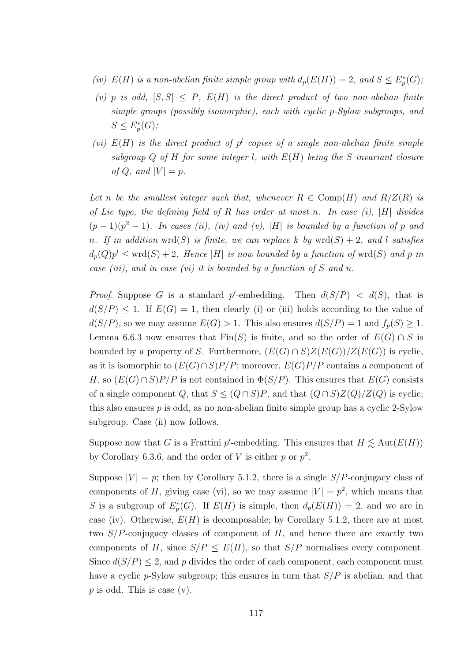- (iv)  $E(H)$  is a non-abelian finite simple group with  $d_p(E(H)) = 2$ , and  $S \leq E_p^*(G)$ ;
- (v) p is odd,  $[S, S] \leq P$ ,  $E(H)$  is the direct product of two non-abelian finite simple groups (possibly isomorphic), each with cyclic p-Sylow subgroups, and  $S \le E_p^*(G);$
- (vi)  $E(H)$  is the direct product of  $p^l$  copies of a single non-abelian finite simple subgroup  $Q$  of  $H$  for some integer l, with  $E(H)$  being the S-invariant closure of Q, and  $|V| = p$ .

Let n be the smallest integer such that, whenever  $R \in \text{Comp}(H)$  and  $R/Z(R)$  is of Lie type, the defining field of R has order at most n. In case  $(i)$ , |H| divides  $(p-1)(p^2-1)$ . In cases (ii), (iv) and (v), |H| is bounded by a function of p and n. If in addition wrd(S) is finite, we can replace k by wrd(S) + 2, and l satisfies  $d_p(Q)p^l \leq \text{wrd}(S) + 2$ . Hence |H| is now bounded by a function of  $\text{wrd}(S)$  and p in case *(iii)*, and in case *(vi)* it is bounded by a function of S and n.

*Proof.* Suppose G is a standard p'-embedding. Then  $d(S/P) < d(S)$ , that is  $d(S/P) \leq 1$ . If  $E(G) = 1$ , then clearly (i) or (iii) holds according to the value of  $d(S/P)$ , so we may assume  $E(G) > 1$ . This also ensures  $d(S/P) = 1$  and  $f_p(S) \ge 1$ . Lemma 6.6.3 now ensures that  $Fin(S)$  is finite, and so the order of  $E(G) \cap S$  is bounded by a property of S. Furthermore,  $(E(G) \cap S)Z(E(G))/Z(E(G))$  is cyclic, as it is isomorphic to  $(E(G) \cap S)P/P$ ; moreover,  $E(G)P/P$  contains a component of H, so  $(E(G) \cap S)P/P$  is not contained in  $\Phi(S/P)$ . This ensures that  $E(G)$  consists of a single component Q, that  $S \leq (Q \cap S)P$ , and that  $(Q \cap S)Z(Q)/Z(Q)$  is cyclic; this also ensures  $p$  is odd, as no non-abelian finite simple group has a cyclic 2-Sylow subgroup. Case (ii) now follows.

Suppose now that G is a Frattini p'-embedding. This ensures that  $H \lesssim \text{Aut}(E(H))$ by Corollary 6.3.6, and the order of V is either p or  $p^2$ .

Suppose  $|V| = p$ ; then by Corollary 5.1.2, there is a single  $S/P$ -conjugacy class of components of H, giving case (vi), so we may assume  $|V| = p^2$ , which means that S is a subgroup of  $E_p^*(G)$ . If  $E(H)$  is simple, then  $d_p(E(H)) = 2$ , and we are in case (iv). Otherwise,  $E(H)$  is decomposable; by Corollary 5.1.2, there are at most two  $S/P$ -conjugacy classes of component of H, and hence there are exactly two components of H, since  $S/P \leq E(H)$ , so that  $S/P$  normalises every component. Since  $d(S/P) \leq 2$ , and p divides the order of each component, each component must have a cyclic p-Sylow subgroup; this ensures in turn that  $S/P$  is abelian, and that  $p$  is odd. This is case  $(v)$ .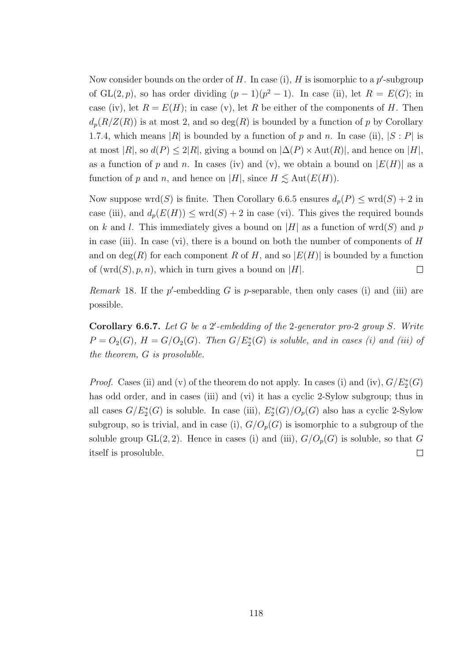Now consider bounds on the order of  $H$ . In case (i),  $H$  is isomorphic to a  $p'$ -subgroup of  $GL(2, p)$ , so has order dividing  $(p-1)(p^2-1)$ . In case (ii), let  $R = E(G)$ ; in case (iv), let  $R = E(H)$ ; in case (v), let R be either of the components of H. Then  $d_p(R/Z(R))$  is at most 2, and so  $deg(R)$  is bounded by a function of p by Corollary 1.7.4, which means |R| is bounded by a function of p and n. In case (ii),  $|S : P|$  is at most  $|R|$ , so  $d(P) \leq 2|R|$ , giving a bound on  $|\Delta(P) \times \text{Aut}(R)|$ , and hence on  $|H|$ , as a function of p and n. In cases (iv) and (v), we obtain a bound on  $|E(H)|$  as a function of p and n, and hence on |H|, since  $H \lesssim \text{Aut}(E(H)).$ 

Now suppose wrd(S) is finite. Then Corollary 6.6.5 ensures  $d_p(P) \leq \text{wrd}(S) + 2$  in case (iii), and  $d_p(E(H)) \leq wrd(S) + 2$  in case (vi). This gives the required bounds on k and l. This immediately gives a bound on |H| as a function of wrd(S) and p in case (iii). In case (vi), there is a bound on both the number of components of  $H$ and on  $deg(R)$  for each component R of H, and so  $|E(H)|$  is bounded by a function of  $(wrd(S), p, n)$ , which in turn gives a bound on |H|.  $\Box$ 

Remark 18. If the  $p'$ -embedding G is p-separable, then only cases (i) and (iii) are possible.

Corollary 6.6.7. Let  $G$  be a  $2'$ -embedding of the 2-generator pro-2 group  $S$ . Write  $P = O_2(G)$ ,  $H = G/O_2(G)$ . Then  $G/E_2^*(G)$  is soluble, and in cases (i) and (iii) of the theorem, G is prosoluble.

*Proof.* Cases (ii) and (v) of the theorem do not apply. In cases (i) and (iv),  $G/E_2^*(G)$ has odd order, and in cases (iii) and (vi) it has a cyclic 2-Sylow subgroup; thus in all cases  $G/E_2^*(G)$  is soluble. In case (iii),  $E_2^*(G)/O_p(G)$  also has a cyclic 2-Sylow subgroup, so is trivial, and in case (i),  $G/O_p(G)$  is isomorphic to a subgroup of the soluble group  $GL(2, 2)$ . Hence in cases (i) and (iii),  $G/O_p(G)$  is soluble, so that G itself is prosoluble.  $\Box$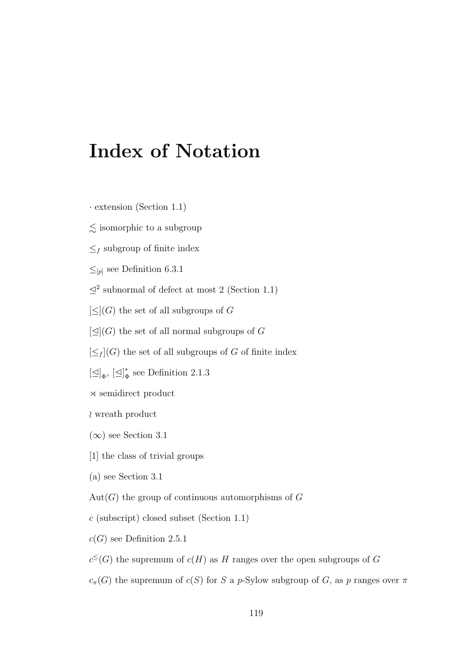## Index of Notation

- · extension (Section 1.1)
- $\lesssim$  isomorphic to a subgroup
- $\leq_f$  subgroup of finite index
- $≤$ <sub>[p]</sub> see Definition 6.3.1
- $\leq^2$  subnormal of defect at most 2 (Section 1.1)
- $[\leq]$ (G) the set of all subgroups of G
- $\lbrack \triangleleft \rbrack (G)$  the set of all normal subgroups of G
- $[\leq_f]$ (G) the set of all subgroups of G of finite index
- $[\triangleleft]_{\Phi}, [\triangleleft]_{\Phi}^*$  $_{\Phi}^*$  see Definition 2.1.3
- $\times$  semidirect product
- $\lambda$  wreath product
- $(\infty)$  see Section 3.1
- [1] the class of trivial groups
- (a) see Section 3.1
- $Aut(G)$  the group of continuous automorphisms of G
- $c$  (subscript) closed subset (Section 1.1)
- $c(G)$  see Definition 2.5.1
- $c^{\leq}(G)$  the supremum of  $c(H)$  as H ranges over the open subgroups of G
- $c_{\pi}(G)$  the supremum of  $c(S)$  for S a p-Sylow subgroup of G, as p ranges over  $\pi$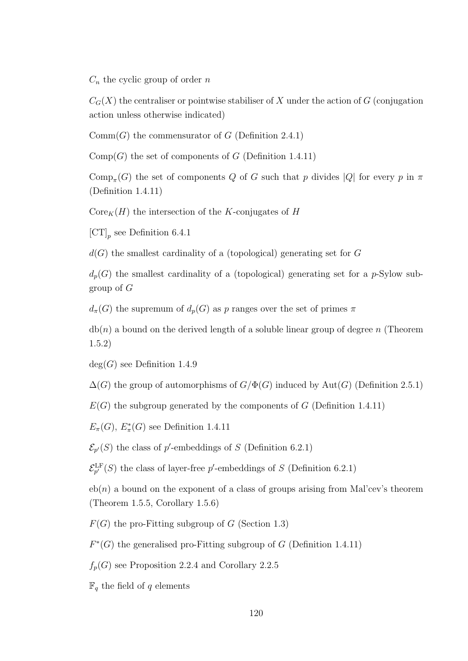$C_n$  the cyclic group of order n

 $C_G(X)$  the centraliser or pointwise stabiliser of X under the action of G (conjugation action unless otherwise indicated)

 $Comm(G)$  the commensurator of G (Definition 2.4.1)

 $Comp(G)$  the set of components of G (Definition 1.4.11)

 $\text{Comp}_{\pi}(G)$  the set of components Q of G such that p divides |Q| for every p in  $\pi$ (Definition 1.4.11)

 $\text{Core}_K(H)$  the intersection of the K-conjugates of H

 $\left[\text{CT}\right]_p$  see Definition 6.4.1

 $d(G)$  the smallest cardinality of a (topological) generating set for G

 $d_p(G)$  the smallest cardinality of a (topological) generating set for a p-Sylow subgroup of G

 $d_{\pi}(G)$  the supremum of  $d_p(G)$  as p ranges over the set of primes  $\pi$ 

 $db(n)$  a bound on the derived length of a soluble linear group of degree n (Theorem 1.5.2)

 $deg(G)$  see Definition 1.4.9

 $\Delta(G)$  the group of automorphisms of  $G/\Phi(G)$  induced by Aut $(G)$  (Definition 2.5.1)

 $E(G)$  the subgroup generated by the components of G (Definition 1.4.11)

 $E_{\pi}(G), E_{\pi}^{*}(G)$  see Definition 1.4.11

 $\mathcal{E}_{p'}(S)$  the class of p'-embeddings of S (Definition 6.2.1)

 $\mathcal{E}_{p'}^{\text{LF}}(S)$  the class of layer-free p'-embeddings of S (Definition 6.2.1)

 $e^{h(n)}$  a bound on the exponent of a class of groups arising from Mal'cev's theorem (Theorem 1.5.5, Corollary 1.5.6)

 $F(G)$  the pro-Fitting subgroup of G (Section 1.3)

 $F^*(G)$  the generalised pro-Fitting subgroup of G (Definition 1.4.11)

 $f_p(G)$  see Proposition 2.2.4 and Corollary 2.2.5

 $\mathbb{F}_q$  the field of q elements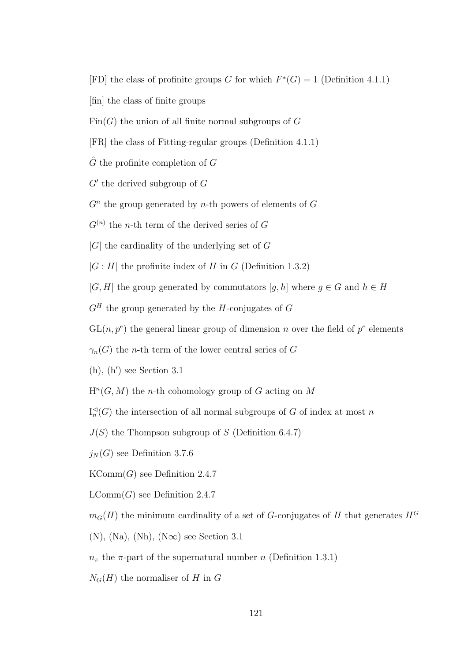- [FD] the class of profinite groups G for which  $F^*(G) = 1$  (Definition 4.1.1)
- [fin] the class of finite groups
- $Fin(G)$  the union of all finite normal subgroups of G
- [FR] the class of Fitting-regular groups (Definition 4.1.1)
- $\hat{G}$  the profinite completion of G
- $G'$  the derived subgroup of  $G$
- $G<sup>n</sup>$  the group generated by *n*-th powers of elements of  $G$
- $G^{(n)}$  the *n*-th term of the derived series of G
- $|G|$  the cardinality of the underlying set of G
- $|G : H|$  the profinite index of H in G (Definition 1.3.2)
- [G, H] the group generated by commutators [q, h] where  $q \in G$  and  $h \in H$
- $G<sup>H</sup>$  the group generated by the H-conjugates of G
- $GL(n, p^e)$  the general linear group of dimension n over the field of  $p^e$  elements
- $\gamma_n(G)$  the *n*-th term of the lower central series of G
- $(h)$ ,  $(h')$  see Section 3.1
- $H<sup>n</sup>(G, M)$  the *n*-th cohomology group of G acting on M
- $\mathrm{I}_n^{\triangleleft}$  $n_n^{\triangleleft}(G)$  the intersection of all normal subgroups of G of index at most n
- $J(S)$  the Thompson subgroup of S (Definition 6.4.7)
- $j_N(G)$  see Definition 3.7.6
- $KComm(G)$  see Definition 2.4.7
- $LComm(G)$  see Definition 2.4.7
- $m_G(H)$  the minimum cardinality of a set of G-conjugates of H that generates  $H^G$
- $(N), (Na), (Nh), (N\infty)$  see Section 3.1
- $n_{\pi}$  the  $\pi$ -part of the supernatural number n (Definition 1.3.1)
- $N_G(H)$  the normaliser of H in G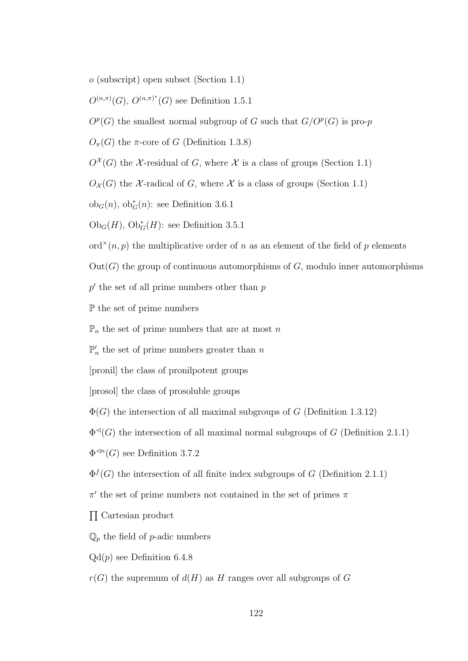o (subscript) open subset (Section 1.1)

 $O^{(n,\pi)}(G)$ ,  $O^{(n,\pi)^{*}}(G)$  see Definition 1.5.1

 $O^p(G)$  the smallest normal subgroup of G such that  $G/O^p(G)$  is pro-p

 $O_{\pi}(G)$  the  $\pi$ -core of G (Definition 1.3.8)

 $O^{\mathcal{X}}(G)$  the X-residual of G, where X is a class of groups (Section 1.1)

 $O_{\mathcal{X}}(G)$  the X-radical of G, where X is a class of groups (Section 1.1)

ob<sub>G</sub> $(n)$ , ob<sub>G</sub> $(n)$ : see Definition 3.6.1

 $Ob_G(H)$ ,  $Ob_G^*(H)$ : see Definition 3.5.1

ord<sup> $\times$ </sup>(n, p) the multiplicative order of n as an element of the field of p elements

 $Out(G)$  the group of continuous automorphisms of G, modulo inner automorphisms

 $p'$  the set of all prime numbers other than  $p$ 

P the set of prime numbers

 $\mathbb{P}_n$  the set of prime numbers that are at most n

 $\mathbb{P}'_n$  the set of prime numbers greater than n

[pronil] the class of pronilpotent groups

[prosol] the class of prosoluble groups

 $\Phi(G)$  the intersection of all maximal subgroups of G (Definition 1.3.12)

 $\Phi^{\preceq}(G)$  the intersection of all maximal normal subgroups of G (Definition 2.1.1)

 $\Phi^{\operatorname{d}_n}(G)$  see Definition 3.7.2

 $\Phi^f(G)$  the intersection of all finite index subgroups of G (Definition 2.1.1)

 $\pi'$  the set of prime numbers not contained in the set of primes  $\pi$ 

 $\prod$  Cartesian product

 $\mathbb{Q}_p$  the field of p-adic numbers

 $Qd(p)$  see Definition 6.4.8

 $r(G)$  the supremum of  $d(H)$  as H ranges over all subgroups of G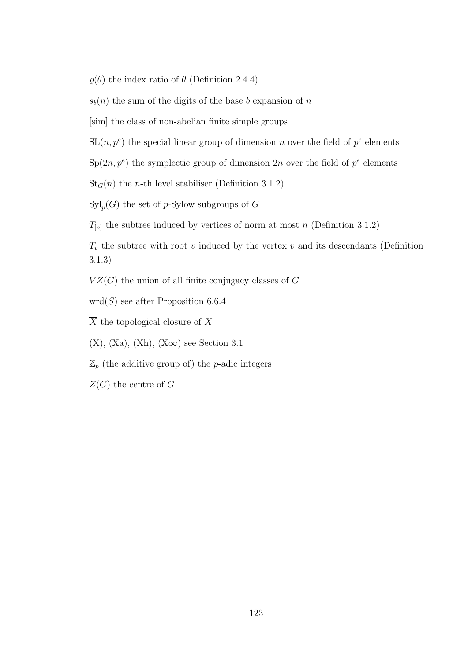$\varrho(\theta)$  the index ratio of  $\theta$  (Definition 2.4.4)

 $s<sub>b</sub>(n)$  the sum of the digits of the base b expansion of n

[sim] the class of non-abelian finite simple groups

- $SL(n, p^e)$  the special linear group of dimension n over the field of  $p^e$  elements
- $\text{Sp}(2n, p^e)$  the symplectic group of dimension  $2n$  over the field of  $p^e$  elements

 $St<sub>G</sub>(n)$  the *n*-th level stabiliser (Definition 3.1.2)

 $\mathrm{Syl}_p(G)$  the set of p-Sylow subgroups of G

 $T_{[n]}$  the subtree induced by vertices of norm at most n (Definition 3.1.2)

 $T_v$  the subtree with root v induced by the vertex v and its descendants (Definition 3.1.3)

 $VZ(G)$  the union of all finite conjugacy classes of G

 $\text{wrd}(S)$  see after Proposition 6.6.4

 $\overline{X}$  the topological closure of X

 $(X)$ ,  $(Xa)$ ,  $(Xh)$ ,  $(X\infty)$  see Section 3.1

 $\mathbb{Z}_p$  (the additive group of) the *p*-adic integers

 $Z(G)$  the centre of G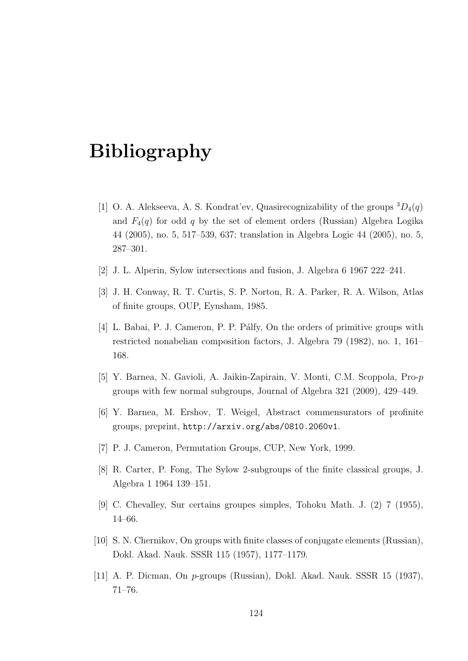## Bibliography

- [1] O. A. Alekseeva, A. S. Kondrat'ev, Quasirecognizability of the groups  ${}^3D_4(q)$ and  $F_4(q)$  for odd q by the set of element orders (Russian) Algebra Logika 44 (2005), no. 5, 517–539, 637; translation in Algebra Logic 44 (2005), no. 5, 287–301.
- [2] J. L. Alperin, Sylow intersections and fusion, J. Algebra 6 1967 222–241.
- [3] J. H. Conway, R. T. Curtis, S. P. Norton, R. A. Parker, R. A. Wilson, Atlas of finite groups, OUP, Eynsham, 1985.
- [4] L. Babai, P. J. Cameron, P. P. P´alfy, On the orders of primitive groups with restricted nonabelian composition factors, J. Algebra 79 (1982), no. 1, 161– 168.
- [5] Y. Barnea, N. Gavioli, A. Jaikin-Zapirain, V. Monti, C.M. Scoppola, Pro-p groups with few normal subgroups, Journal of Algebra 321 (2009), 429–449.
- [6] Y. Barnea, M. Ershov, T. Weigel, Abstract commensurators of profinite groups, preprint, http://arxiv.org/abs/0810.2060v1.
- [7] P. J. Cameron, Permutation Groups, CUP, New York, 1999.
- [8] R. Carter, P. Fong, The Sylow 2-subgroups of the finite classical groups, J. Algebra 1 1964 139–151.
- [9] C. Chevalley, Sur certains groupes simples, Tohoku Math. J. (2) 7 (1955), 14–66.
- [10] S. N. Chernikov, On groups with finite classes of conjugate elements (Russian), Dokl. Akad. Nauk. SSSR 115 (1957), 1177–1179.
- [11] A. P. Dicman, On p-groups (Russian), Dokl. Akad. Nauk. SSSR 15 (1937), 71–76.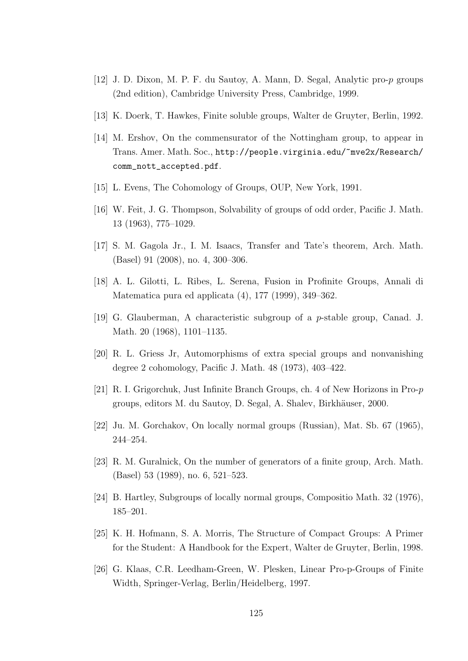- [12] J. D. Dixon, M. P. F. du Sautoy, A. Mann, D. Segal, Analytic pro-p groups (2nd edition), Cambridge University Press, Cambridge, 1999.
- [13] K. Doerk, T. Hawkes, Finite soluble groups, Walter de Gruyter, Berlin, 1992.
- [14] M. Ershov, On the commensurator of the Nottingham group, to appear in Trans. Amer. Math. Soc., http://people.virginia.edu/~mve2x/Research/ comm\_nott\_accepted.pdf.
- [15] L. Evens, The Cohomology of Groups, OUP, New York, 1991.
- [16] W. Feit, J. G. Thompson, Solvability of groups of odd order, Pacific J. Math. 13 (1963), 775–1029.
- [17] S. M. Gagola Jr., I. M. Isaacs, Transfer and Tate's theorem, Arch. Math. (Basel) 91 (2008), no. 4, 300–306.
- [18] A. L. Gilotti, L. Ribes, L. Serena, Fusion in Profinite Groups, Annali di Matematica pura ed applicata (4), 177 (1999), 349–362.
- [19] G. Glauberman, A characteristic subgroup of a p-stable group, Canad. J. Math. 20 (1968), 1101–1135.
- [20] R. L. Griess Jr, Automorphisms of extra special groups and nonvanishing degree 2 cohomology, Pacific J. Math. 48 (1973), 403–422.
- [21] R. I. Grigorchuk, Just Infinite Branch Groups, ch. 4 of New Horizons in Pro-p groups, editors M. du Sautoy, D. Segal, A. Shalev, Birkhäuser, 2000.
- [22] Ju. M. Gorchakov, On locally normal groups (Russian), Mat. Sb. 67 (1965), 244–254.
- [23] R. M. Guralnick, On the number of generators of a finite group, Arch. Math. (Basel) 53 (1989), no. 6, 521–523.
- [24] B. Hartley, Subgroups of locally normal groups, Compositio Math. 32 (1976), 185–201.
- [25] K. H. Hofmann, S. A. Morris, The Structure of Compact Groups: A Primer for the Student: A Handbook for the Expert, Walter de Gruyter, Berlin, 1998.
- [26] G. Klaas, C.R. Leedham-Green, W. Plesken, Linear Pro-p-Groups of Finite Width, Springer-Verlag, Berlin/Heidelberg, 1997.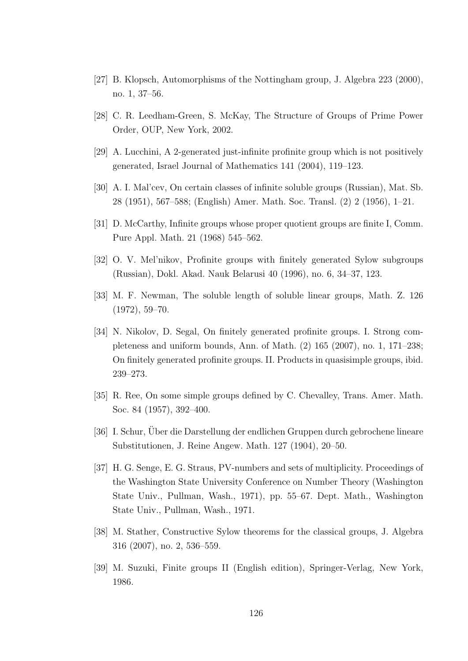- [27] B. Klopsch, Automorphisms of the Nottingham group, J. Algebra 223 (2000), no. 1, 37–56.
- [28] C. R. Leedham-Green, S. McKay, The Structure of Groups of Prime Power Order, OUP, New York, 2002.
- [29] A. Lucchini, A 2-generated just-infinite profinite group which is not positively generated, Israel Journal of Mathematics 141 (2004), 119–123.
- [30] A. I. Mal'cev, On certain classes of infinite soluble groups (Russian), Mat. Sb. 28 (1951), 567–588; (English) Amer. Math. Soc. Transl. (2) 2 (1956), 1–21.
- [31] D. McCarthy, Infinite groups whose proper quotient groups are finite I, Comm. Pure Appl. Math. 21 (1968) 545–562.
- [32] O. V. Mel'nikov, Profinite groups with finitely generated Sylow subgroups (Russian), Dokl. Akad. Nauk Belarusi 40 (1996), no. 6, 34–37, 123.
- [33] M. F. Newman, The soluble length of soluble linear groups, Math. Z. 126 (1972), 59–70.
- [34] N. Nikolov, D. Segal, On finitely generated profinite groups. I. Strong completeness and uniform bounds, Ann. of Math. (2) 165 (2007), no. 1, 171–238; On finitely generated profinite groups. II. Products in quasisimple groups, ibid. 239–273.
- [35] R. Ree, On some simple groups defined by C. Chevalley, Trans. Amer. Math. Soc. 84 (1957), 392–400.
- [36] I. Schur, Uber die Darstellung der endlichen Gruppen durch gebrochene lineare Substitutionen, J. Reine Angew. Math. 127 (1904), 20–50.
- [37] H. G. Senge, E. G. Straus, PV-numbers and sets of multiplicity. Proceedings of the Washington State University Conference on Number Theory (Washington State Univ., Pullman, Wash., 1971), pp. 55–67. Dept. Math., Washington State Univ., Pullman, Wash., 1971.
- [38] M. Stather, Constructive Sylow theorems for the classical groups, J. Algebra 316 (2007), no. 2, 536–559.
- [39] M. Suzuki, Finite groups II (English edition), Springer-Verlag, New York, 1986.